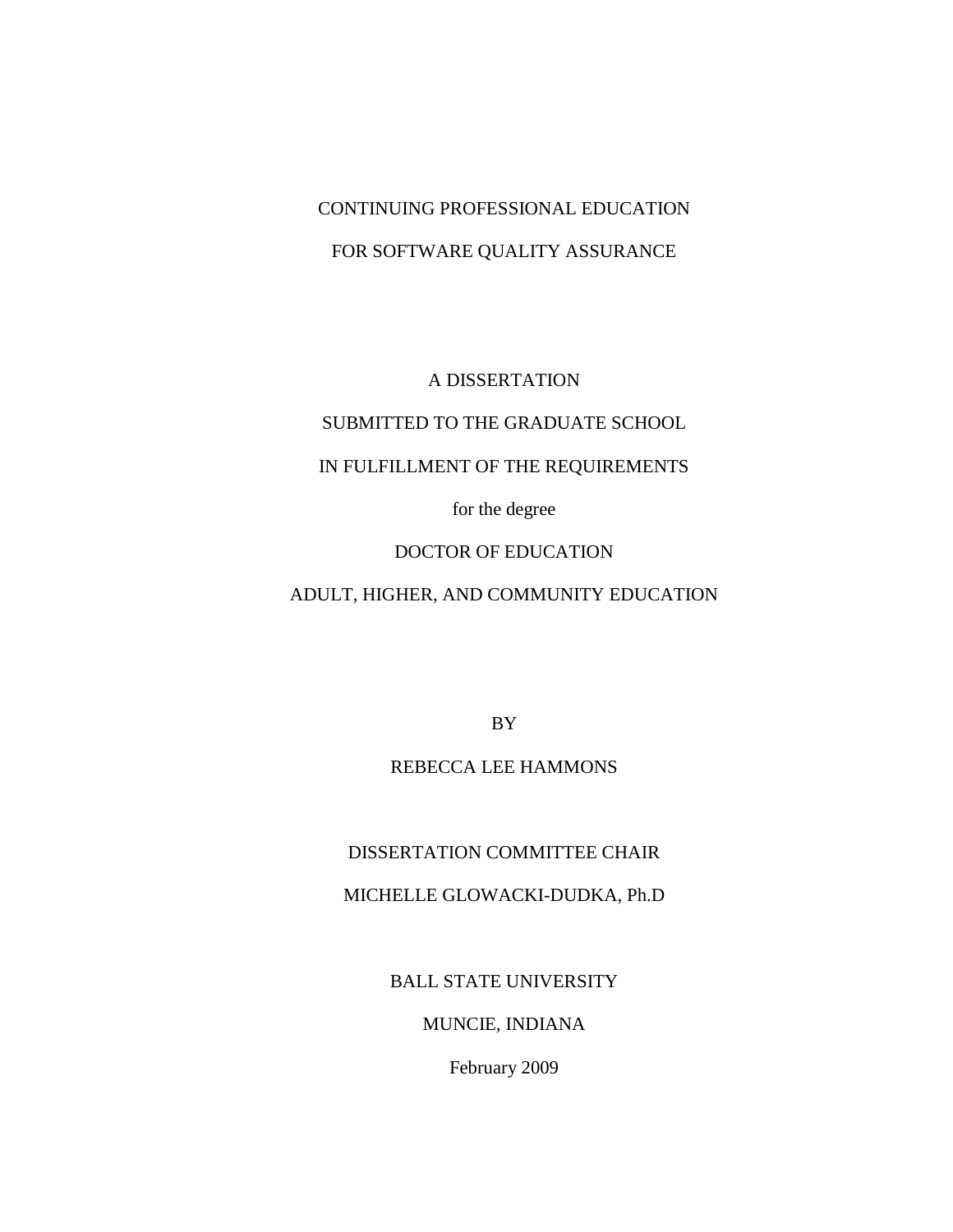# CONTINUING PROFESSIONAL EDUCATION FOR SOFTWARE QUALITY ASSURANCE

A DISSERTATION

# SUBMITTED TO THE GRADUATE SCHOOL

# IN FULFILLMENT OF THE REQUIREMENTS

for the degree

# DOCTOR OF EDUCATION

# ADULT, HIGHER, AND COMMUNITY EDUCATION

BY

# REBECCA LEE HAMMONS

## DISSERTATION COMMITTEE CHAIR

## MICHELLE GLOWACKI-DUDKA, Ph.D

BALL STATE UNIVERSITY

## MUNCIE, INDIANA

February 2009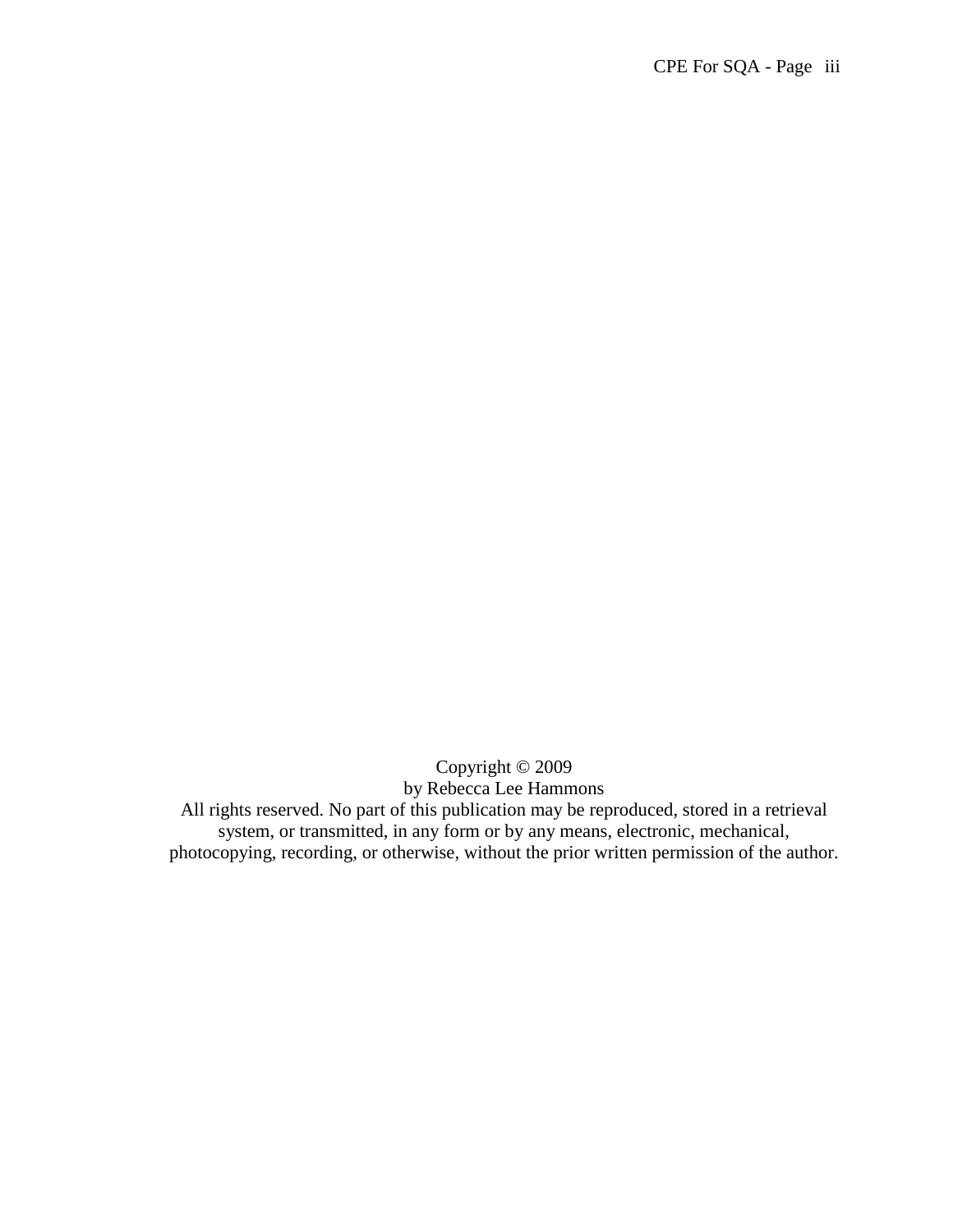Copyright © 2009 by Rebecca Lee Hammons All rights reserved. No part of this publication may be reproduced, stored in a retrieval system, or transmitted, in any form or by any means, electronic, mechanical,

photocopying, recording, or otherwise, without the prior written permission of the author.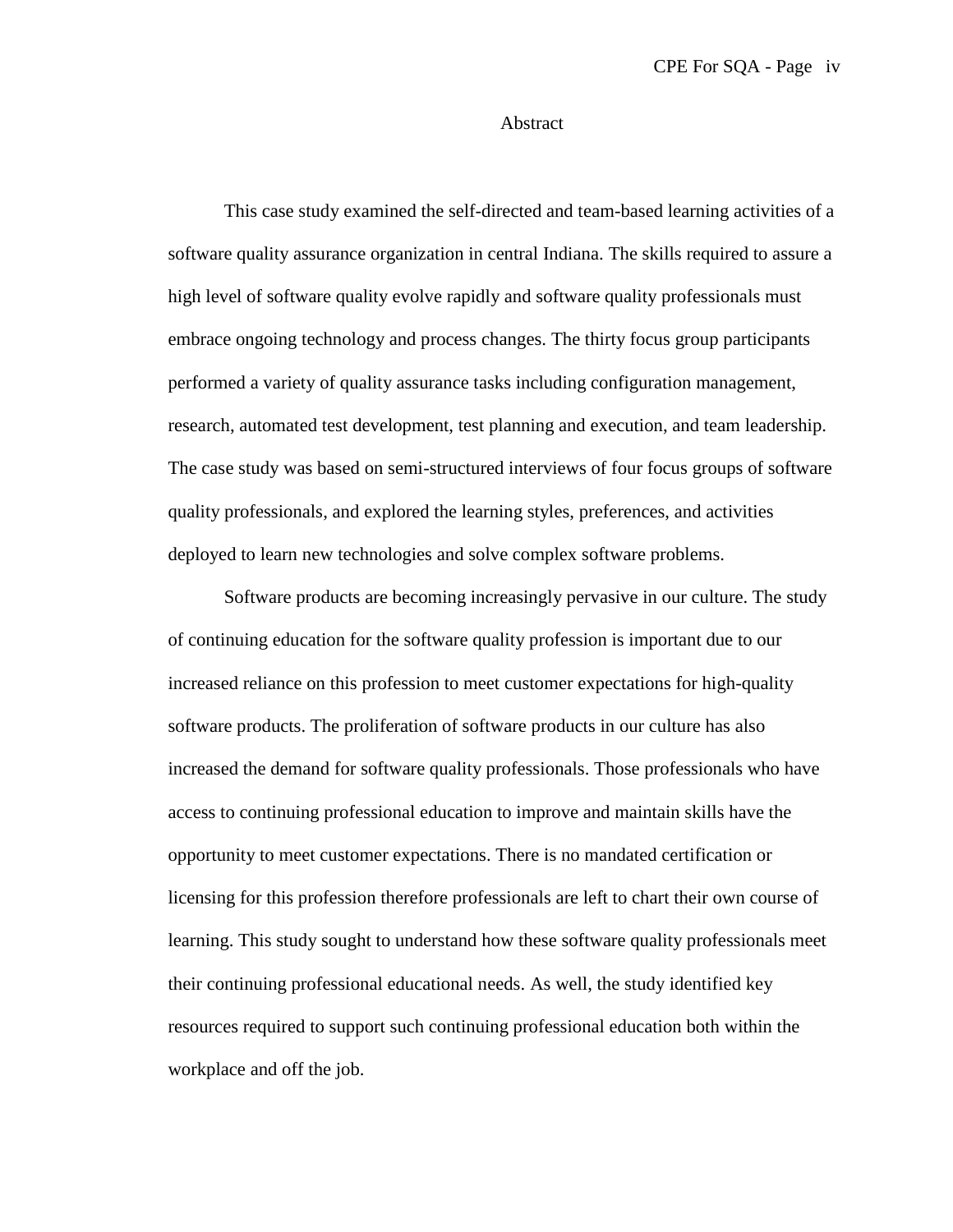#### Abstract

This case study examined the self-directed and team-based learning activities of a software quality assurance organization in central Indiana. The skills required to assure a high level of software quality evolve rapidly and software quality professionals must embrace ongoing technology and process changes. The thirty focus group participants performed a variety of quality assurance tasks including configuration management, research, automated test development, test planning and execution, and team leadership. The case study was based on semi-structured interviews of four focus groups of software quality professionals, and explored the learning styles, preferences, and activities deployed to learn new technologies and solve complex software problems.

Software products are becoming increasingly pervasive in our culture. The study of continuing education for the software quality profession is important due to our increased reliance on this profession to meet customer expectations for high-quality software products. The proliferation of software products in our culture has also increased the demand for software quality professionals. Those professionals who have access to continuing professional education to improve and maintain skills have the opportunity to meet customer expectations. There is no mandated certification or licensing for this profession therefore professionals are left to chart their own course of learning. This study sought to understand how these software quality professionals meet their continuing professional educational needs. As well, the study identified key resources required to support such continuing professional education both within the workplace and off the job.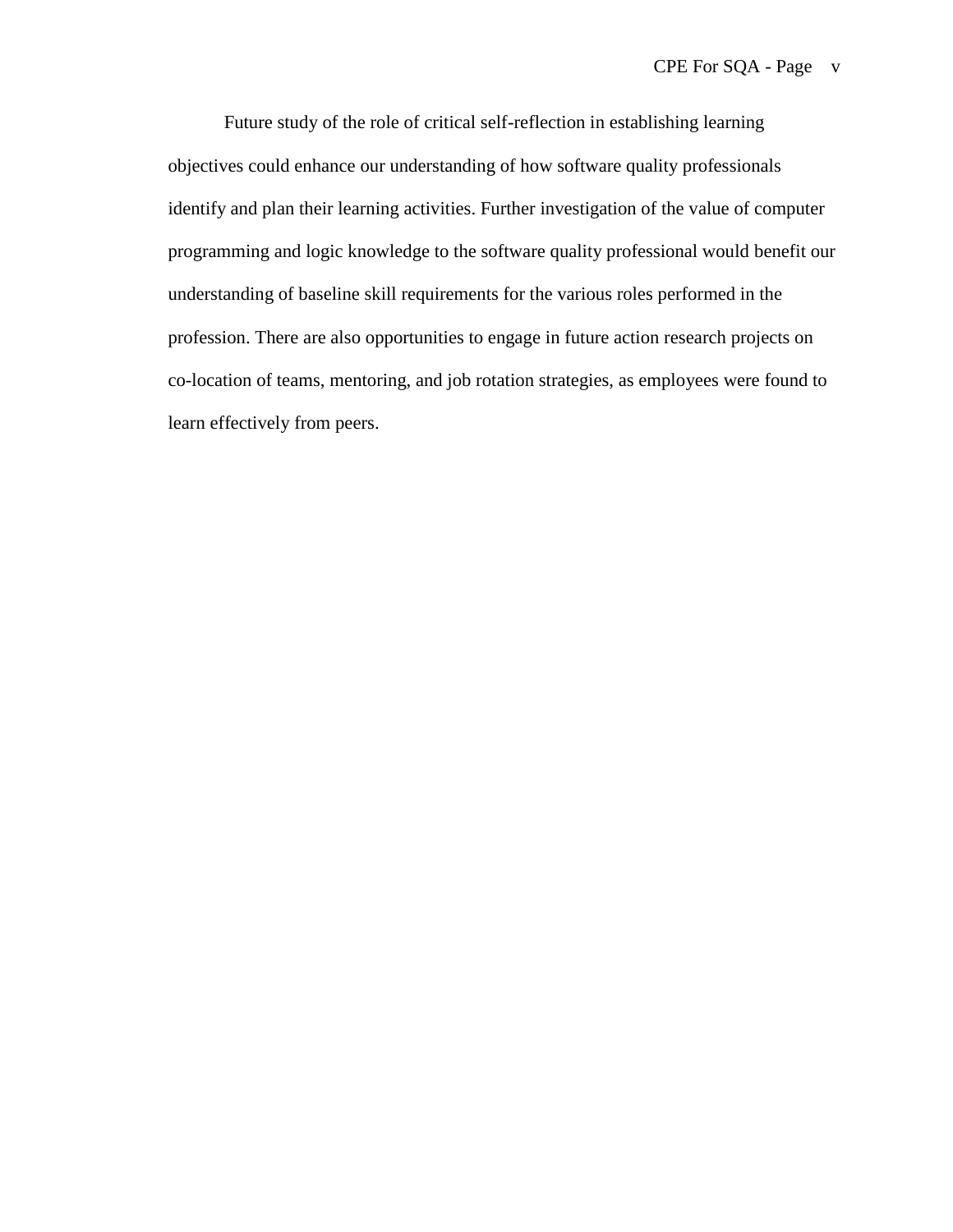Future study of the role of critical self-reflection in establishing learning objectives could enhance our understanding of how software quality professionals identify and plan their learning activities. Further investigation of the value of computer programming and logic knowledge to the software quality professional would benefit our understanding of baseline skill requirements for the various roles performed in the profession. There are also opportunities to engage in future action research projects on co-location of teams, mentoring, and job rotation strategies, as employees were found to learn effectively from peers.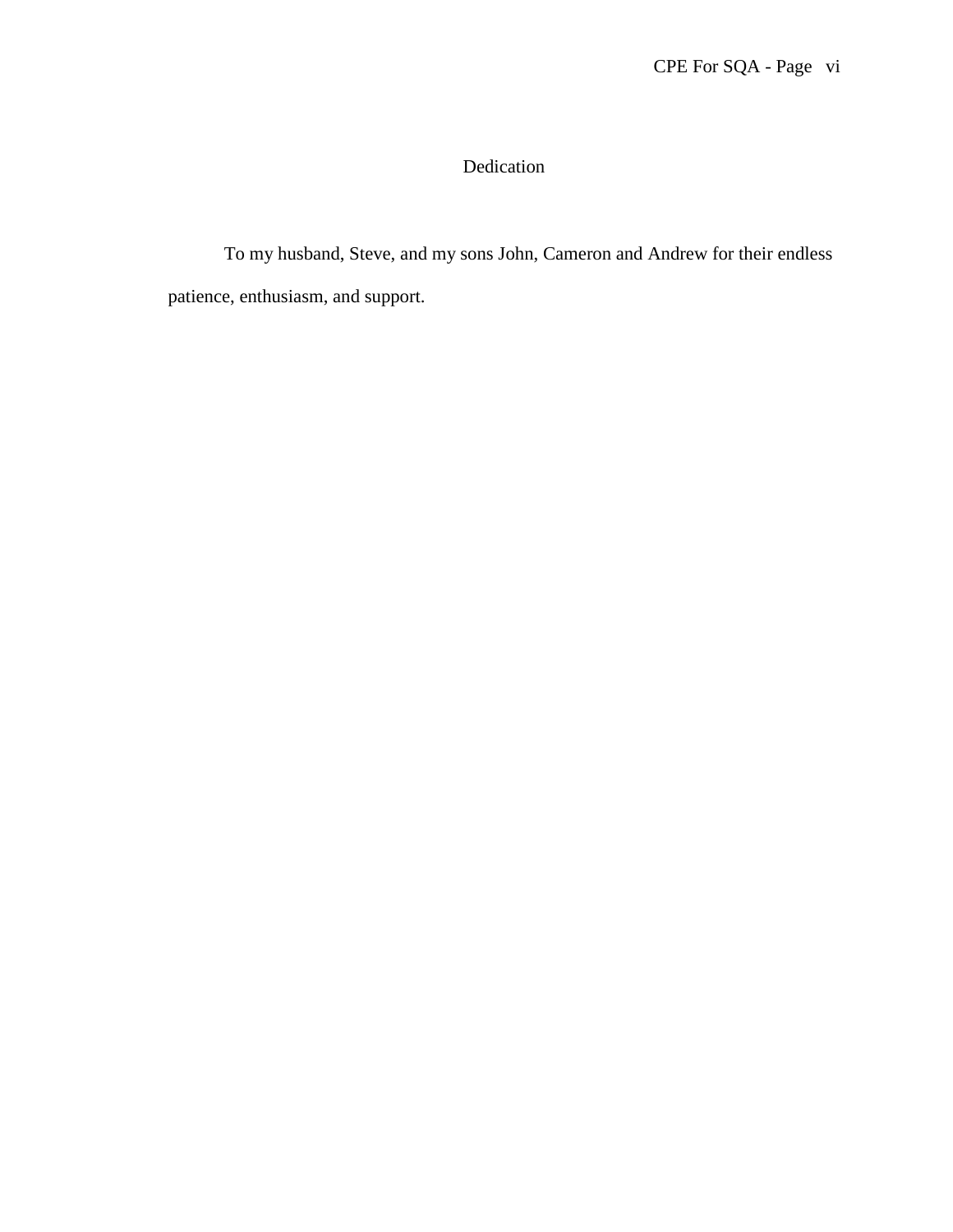# Dedication

To my husband, Steve, and my sons John, Cameron and Andrew for their endless patience, enthusiasm, and support.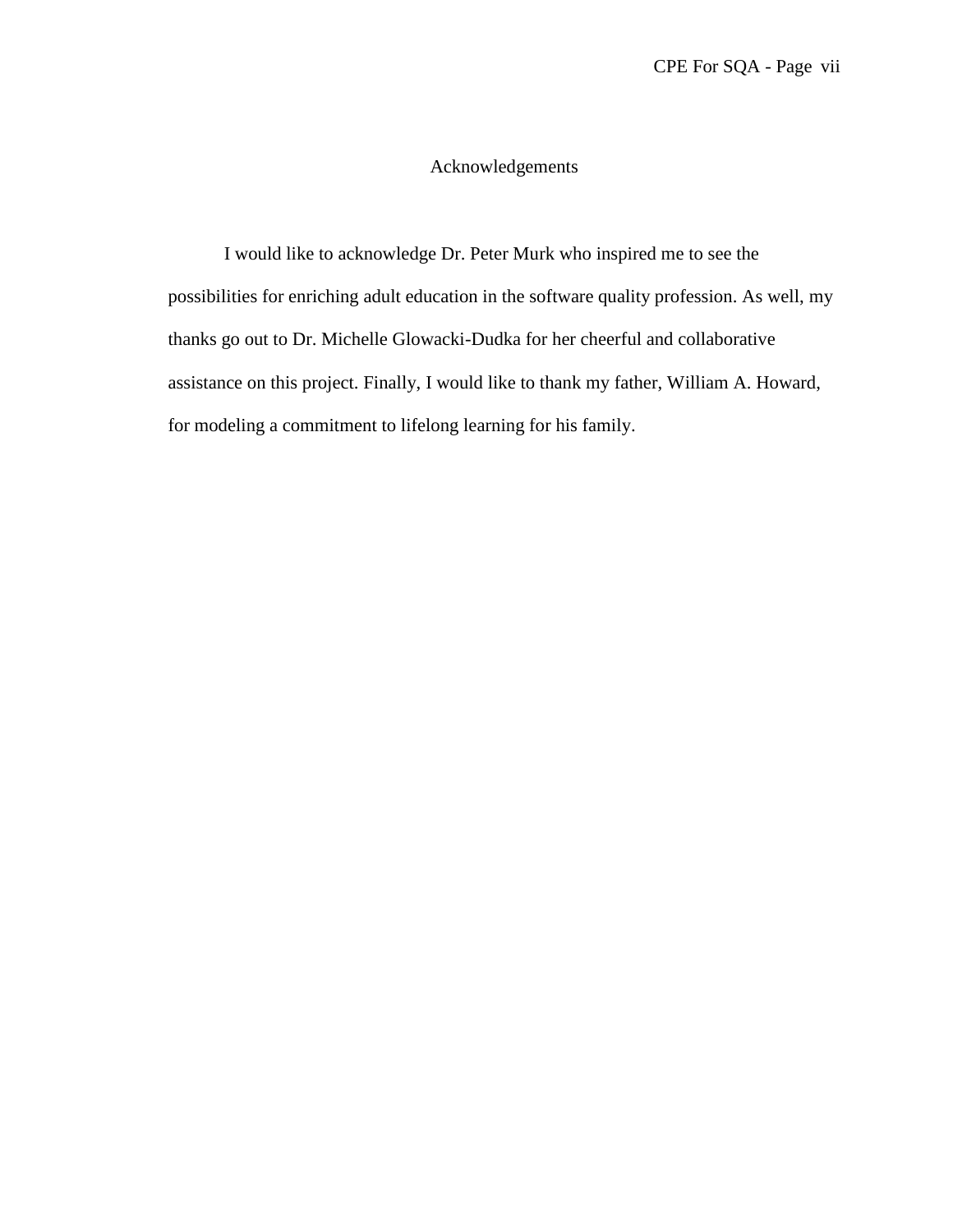# Acknowledgements

I would like to acknowledge Dr. Peter Murk who inspired me to see the possibilities for enriching adult education in the software quality profession. As well, my thanks go out to Dr. Michelle Glowacki-Dudka for her cheerful and collaborative assistance on this project. Finally, I would like to thank my father, William A. Howard, for modeling a commitment to lifelong learning for his family.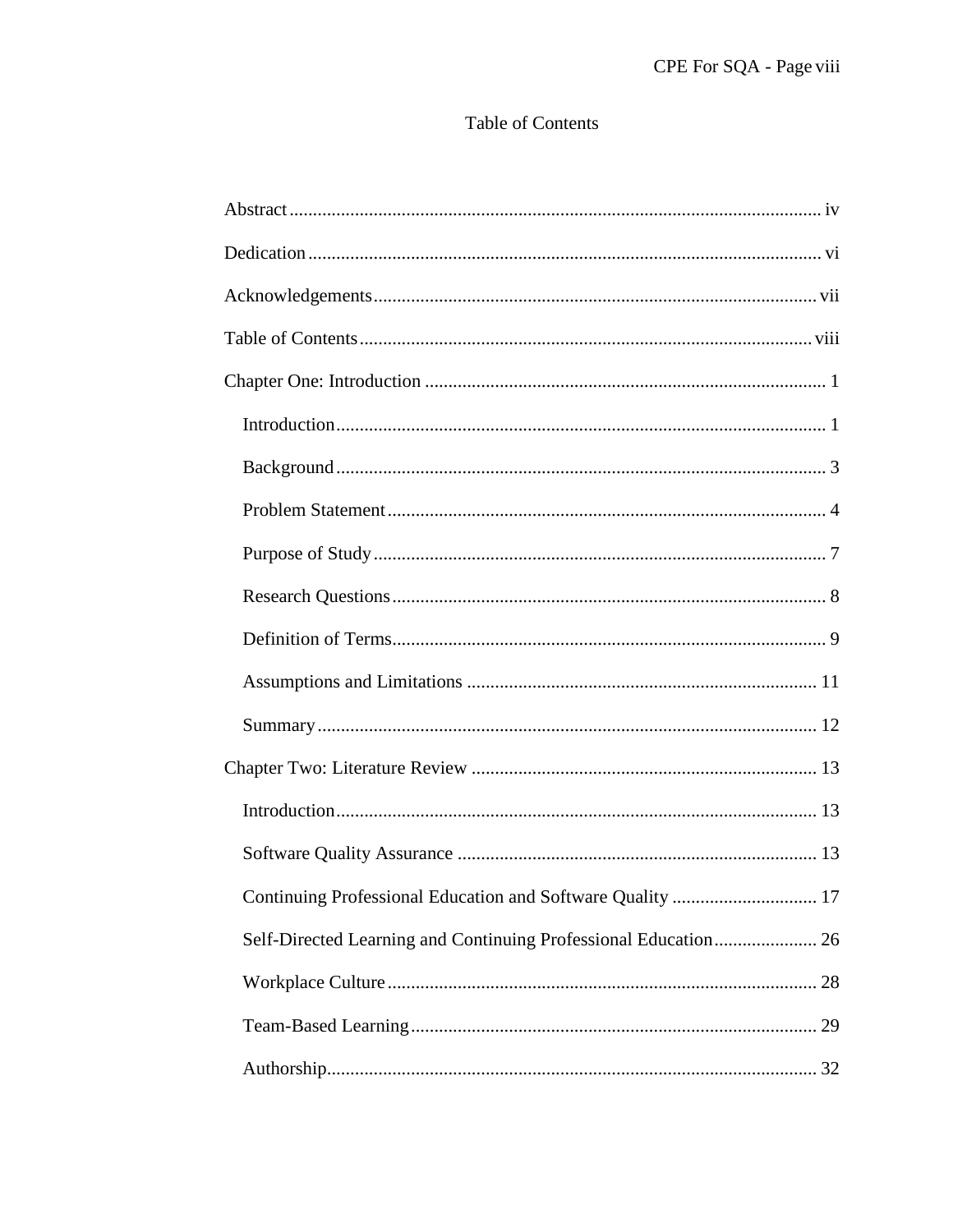# Table of Contents

| Continuing Professional Education and Software Quality  17      |
|-----------------------------------------------------------------|
| Self-Directed Learning and Continuing Professional Education 26 |
|                                                                 |
|                                                                 |
|                                                                 |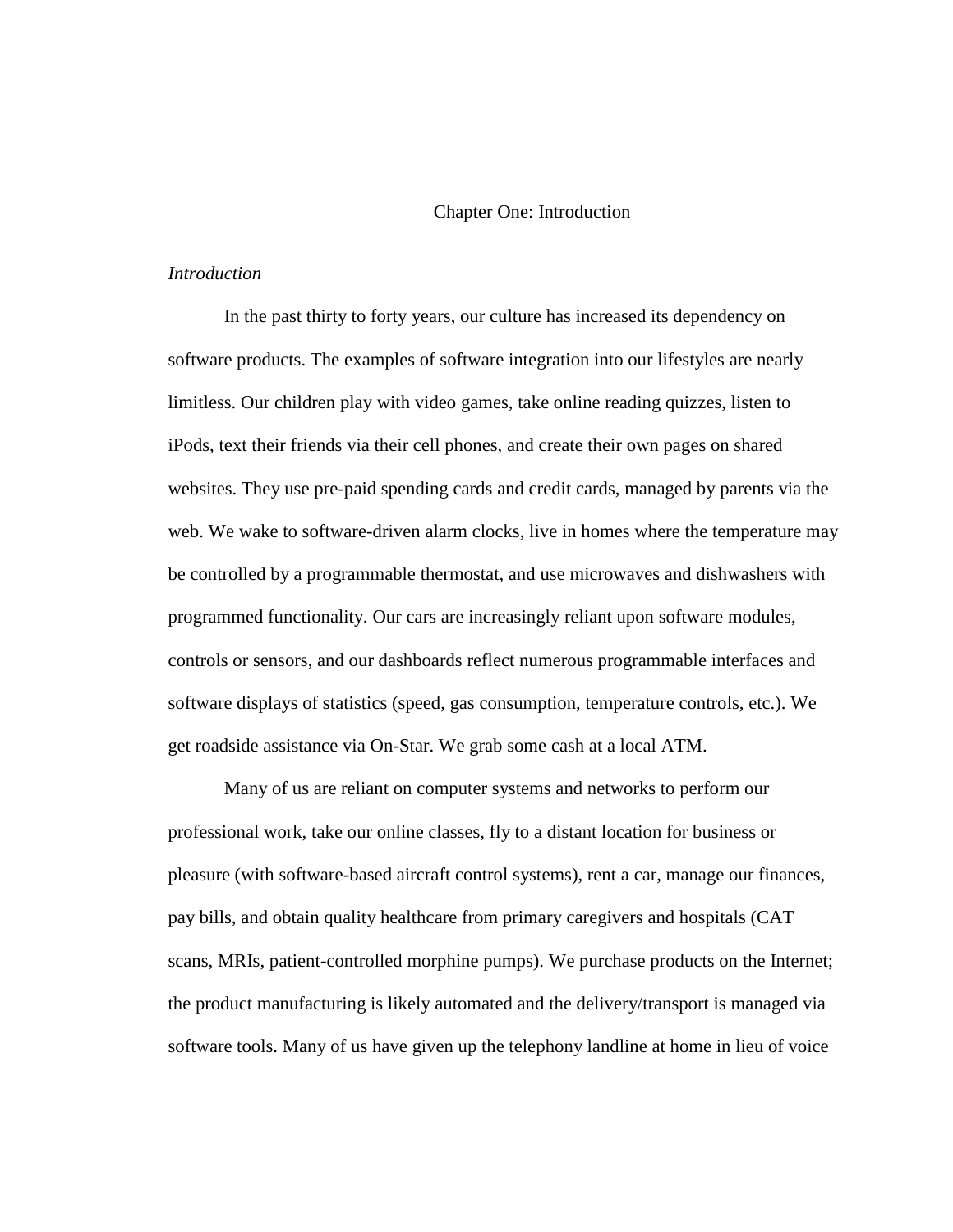#### Chapter One: Introduction

#### *Introduction*

In the past thirty to forty years, our culture has increased its dependency on software products. The examples of software integration into our lifestyles are nearly limitless. Our children play with video games, take online reading quizzes, listen to iPods, text their friends via their cell phones, and create their own pages on shared websites. They use pre-paid spending cards and credit cards, managed by parents via the web. We wake to software-driven alarm clocks, live in homes where the temperature may be controlled by a programmable thermostat, and use microwaves and dishwashers with programmed functionality. Our cars are increasingly reliant upon software modules, controls or sensors, and our dashboards reflect numerous programmable interfaces and software displays of statistics (speed, gas consumption, temperature controls, etc.). We get roadside assistance via On-Star. We grab some cash at a local ATM.

Many of us are reliant on computer systems and networks to perform our professional work, take our online classes, fly to a distant location for business or pleasure (with software-based aircraft control systems), rent a car, manage our finances, pay bills, and obtain quality healthcare from primary caregivers and hospitals (CAT scans, MRIs, patient-controlled morphine pumps). We purchase products on the Internet; the product manufacturing is likely automated and the delivery/transport is managed via software tools. Many of us have given up the telephony landline at home in lieu of voice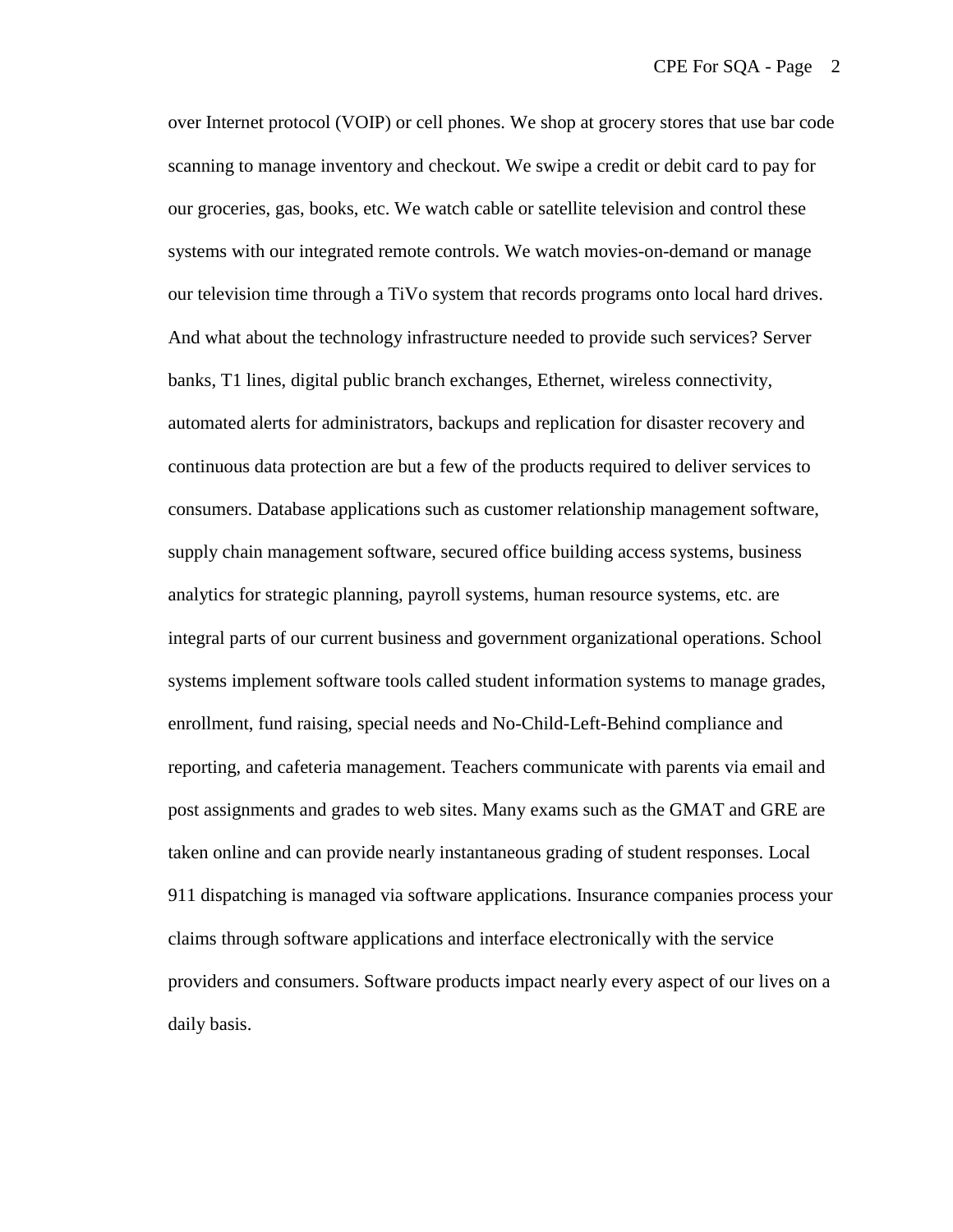over Internet protocol (VOIP) or cell phones. We shop at grocery stores that use bar code scanning to manage inventory and checkout. We swipe a credit or debit card to pay for our groceries, gas, books, etc. We watch cable or satellite television and control these systems with our integrated remote controls. We watch movies-on-demand or manage our television time through a TiVo system that records programs onto local hard drives. And what about the technology infrastructure needed to provide such services? Server banks, T1 lines, digital public branch exchanges, Ethernet, wireless connectivity, automated alerts for administrators, backups and replication for disaster recovery and continuous data protection are but a few of the products required to deliver services to consumers. Database applications such as customer relationship management software, supply chain management software, secured office building access systems, business analytics for strategic planning, payroll systems, human resource systems, etc. are integral parts of our current business and government organizational operations. School systems implement software tools called student information systems to manage grades, enrollment, fund raising, special needs and No-Child-Left-Behind compliance and reporting, and cafeteria management. Teachers communicate with parents via email and post assignments and grades to web sites. Many exams such as the GMAT and GRE are taken online and can provide nearly instantaneous grading of student responses. Local 911 dispatching is managed via software applications. Insurance companies process your claims through software applications and interface electronically with the service providers and consumers. Software products impact nearly every aspect of our lives on a daily basis.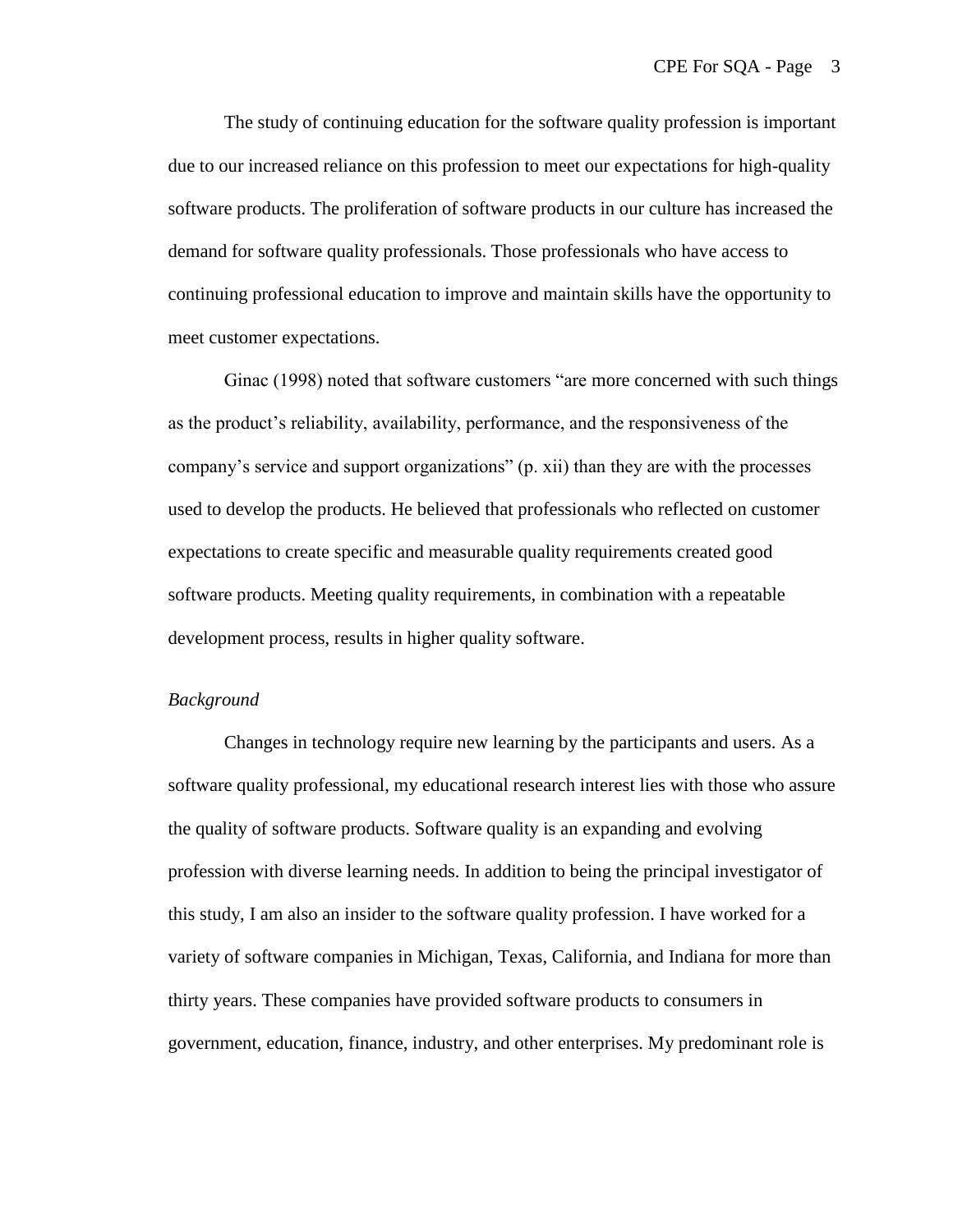The study of continuing education for the software quality profession is important due to our increased reliance on this profession to meet our expectations for high-quality software products. The proliferation of software products in our culture has increased the demand for software quality professionals. Those professionals who have access to continuing professional education to improve and maintain skills have the opportunity to meet customer expectations.

Ginac (1998) noted that software customers "are more concerned with such things as the product's reliability, availability, performance, and the responsiveness of the company's service and support organizations" (p. xii) than they are with the processes used to develop the products. He believed that professionals who reflected on customer expectations to create specific and measurable quality requirements created good software products. Meeting quality requirements, in combination with a repeatable development process, results in higher quality software.

#### *Background*

Changes in technology require new learning by the participants and users. As a software quality professional, my educational research interest lies with those who assure the quality of software products. Software quality is an expanding and evolving profession with diverse learning needs. In addition to being the principal investigator of this study, I am also an insider to the software quality profession. I have worked for a variety of software companies in Michigan, Texas, California, and Indiana for more than thirty years. These companies have provided software products to consumers in government, education, finance, industry, and other enterprises. My predominant role is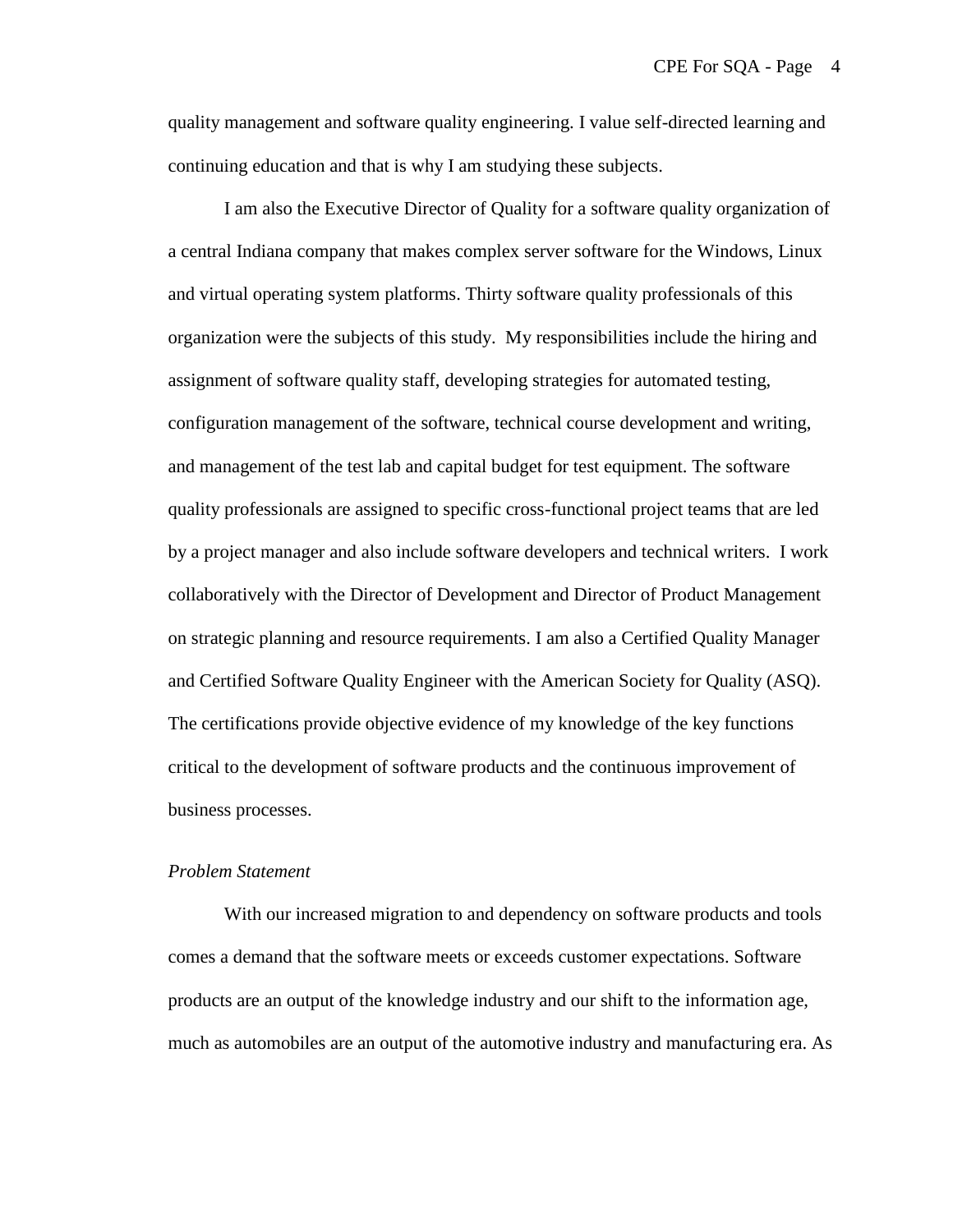quality management and software quality engineering. I value self-directed learning and continuing education and that is why I am studying these subjects.

I am also the Executive Director of Quality for a software quality organization of a central Indiana company that makes complex server software for the Windows, Linux and virtual operating system platforms. Thirty software quality professionals of this organization were the subjects of this study. My responsibilities include the hiring and assignment of software quality staff, developing strategies for automated testing, configuration management of the software, technical course development and writing, and management of the test lab and capital budget for test equipment. The software quality professionals are assigned to specific cross-functional project teams that are led by a project manager and also include software developers and technical writers. I work collaboratively with the Director of Development and Director of Product Management on strategic planning and resource requirements. I am also a Certified Quality Manager and Certified Software Quality Engineer with the American Society for Quality (ASQ). The certifications provide objective evidence of my knowledge of the key functions critical to the development of software products and the continuous improvement of business processes.

#### *Problem Statement*

With our increased migration to and dependency on software products and tools comes a demand that the software meets or exceeds customer expectations. Software products are an output of the knowledge industry and our shift to the information age, much as automobiles are an output of the automotive industry and manufacturing era. As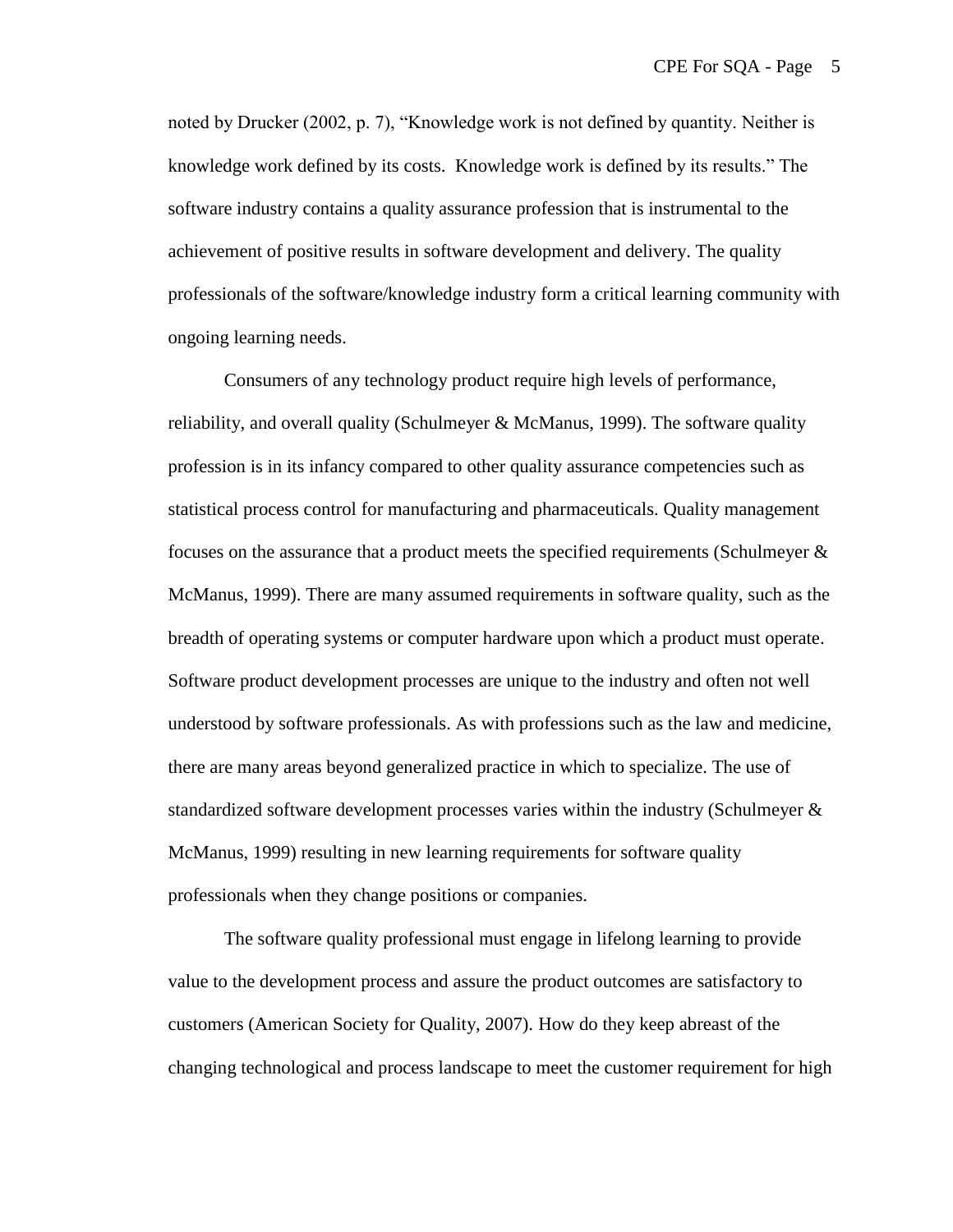noted by Drucker (2002, p. 7), "Knowledge work is not defined by quantity. Neither is knowledge work defined by its costs. Knowledge work is defined by its results." The software industry contains a quality assurance profession that is instrumental to the achievement of positive results in software development and delivery. The quality professionals of the software/knowledge industry form a critical learning community with ongoing learning needs.

Consumers of any technology product require high levels of performance, reliability, and overall quality (Schulmeyer & McManus, 1999). The software quality profession is in its infancy compared to other quality assurance competencies such as statistical process control for manufacturing and pharmaceuticals. Quality management focuses on the assurance that a product meets the specified requirements (Schulmeyer  $\&$ McManus, 1999). There are many assumed requirements in software quality, such as the breadth of operating systems or computer hardware upon which a product must operate. Software product development processes are unique to the industry and often not well understood by software professionals. As with professions such as the law and medicine, there are many areas beyond generalized practice in which to specialize. The use of standardized software development processes varies within the industry (Schulmeyer & McManus, 1999) resulting in new learning requirements for software quality professionals when they change positions or companies.

The software quality professional must engage in lifelong learning to provide value to the development process and assure the product outcomes are satisfactory to customers (American Society for Quality, 2007). How do they keep abreast of the changing technological and process landscape to meet the customer requirement for high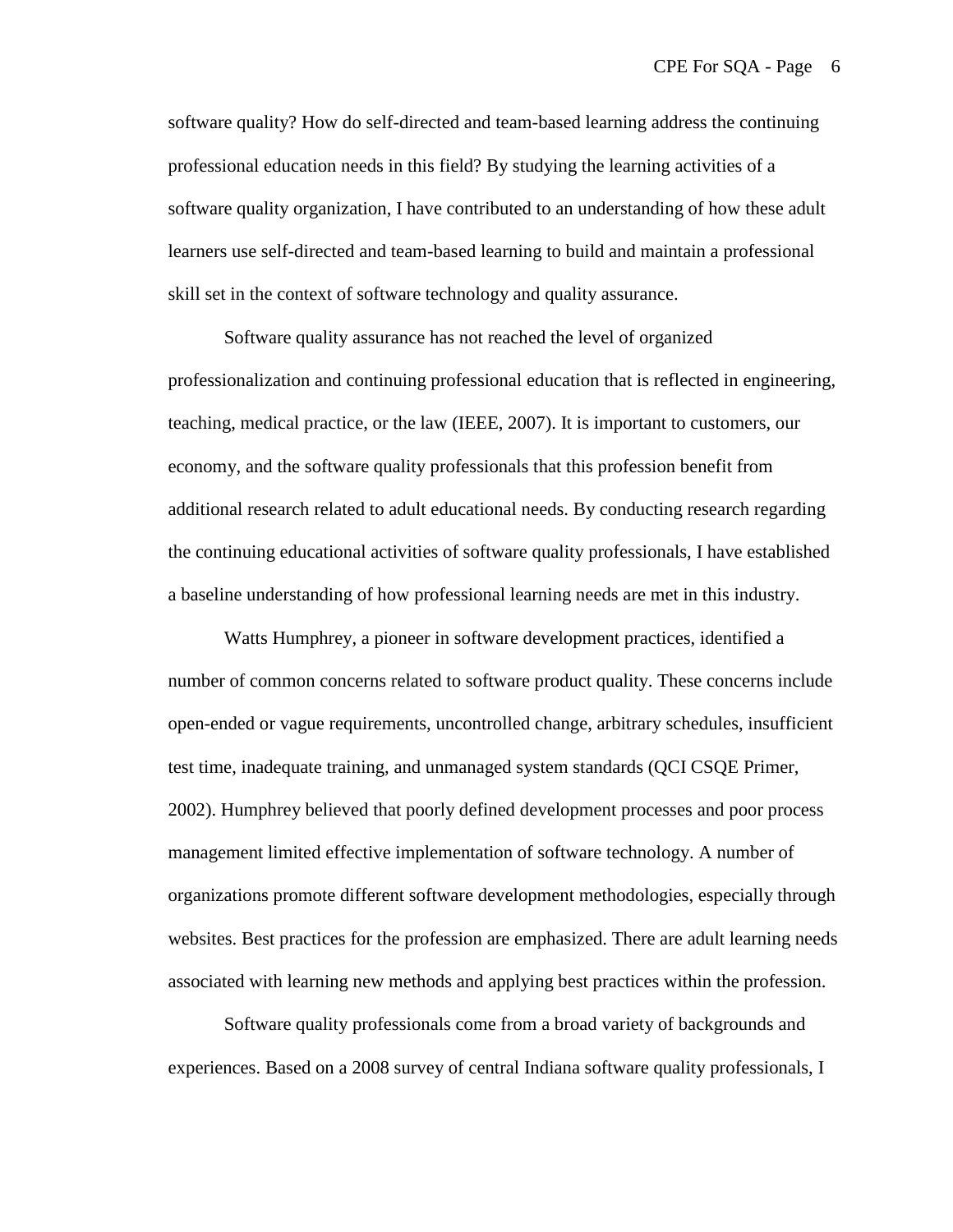software quality? How do self-directed and team-based learning address the continuing professional education needs in this field? By studying the learning activities of a software quality organization, I have contributed to an understanding of how these adult learners use self-directed and team-based learning to build and maintain a professional skill set in the context of software technology and quality assurance.

Software quality assurance has not reached the level of organized professionalization and continuing professional education that is reflected in engineering, teaching, medical practice, or the law (IEEE, 2007). It is important to customers, our economy, and the software quality professionals that this profession benefit from additional research related to adult educational needs. By conducting research regarding the continuing educational activities of software quality professionals, I have established a baseline understanding of how professional learning needs are met in this industry.

Watts Humphrey, a pioneer in software development practices, identified a number of common concerns related to software product quality. These concerns include open-ended or vague requirements, uncontrolled change, arbitrary schedules, insufficient test time, inadequate training, and unmanaged system standards (QCI CSQE Primer, 2002). Humphrey believed that poorly defined development processes and poor process management limited effective implementation of software technology. A number of organizations promote different software development methodologies, especially through websites. Best practices for the profession are emphasized. There are adult learning needs associated with learning new methods and applying best practices within the profession.

Software quality professionals come from a broad variety of backgrounds and experiences. Based on a 2008 survey of central Indiana software quality professionals, I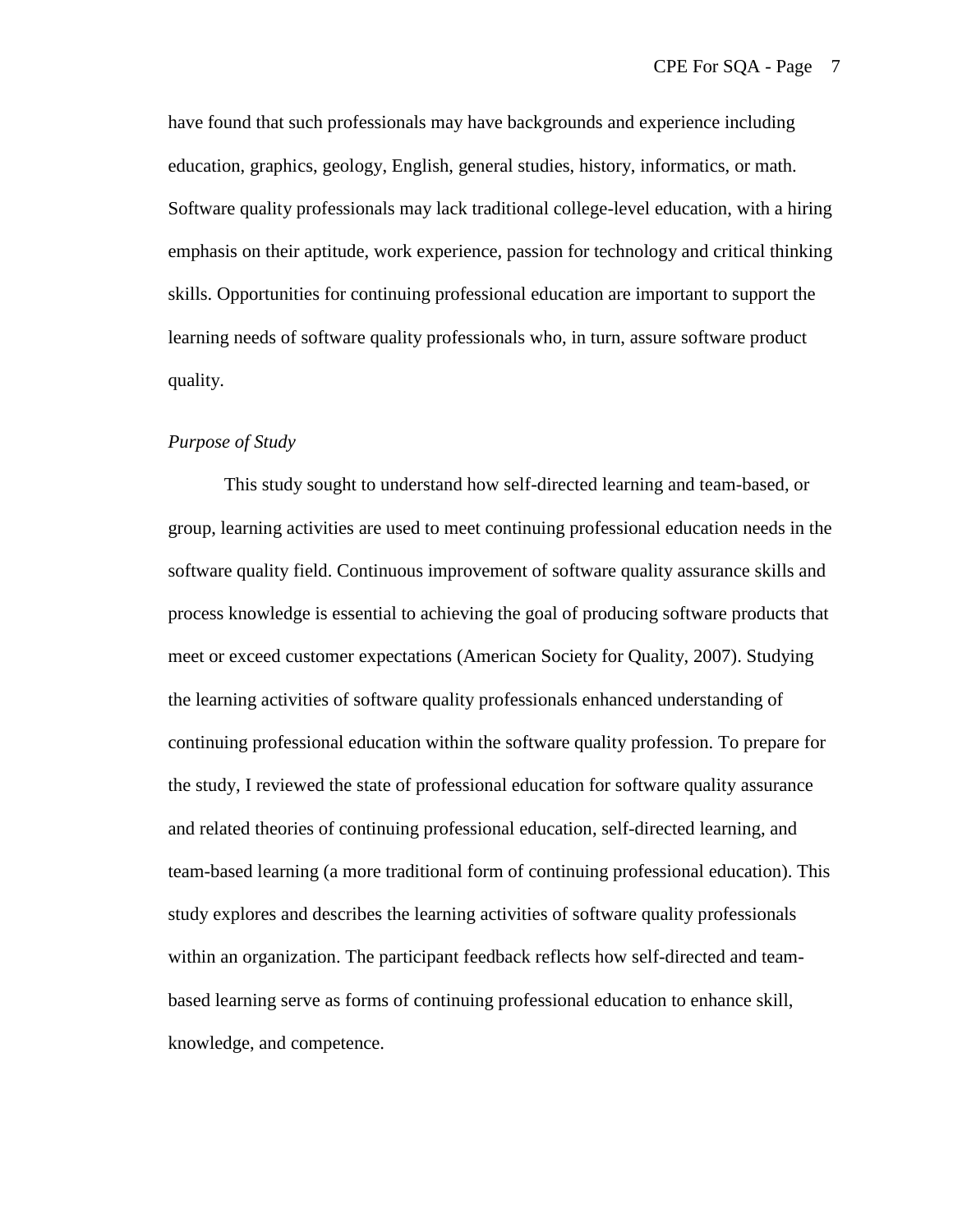have found that such professionals may have backgrounds and experience including education, graphics, geology, English, general studies, history, informatics, or math. Software quality professionals may lack traditional college-level education, with a hiring emphasis on their aptitude, work experience, passion for technology and critical thinking skills. Opportunities for continuing professional education are important to support the learning needs of software quality professionals who, in turn, assure software product quality.

#### *Purpose of Study*

This study sought to understand how self-directed learning and team-based, or group, learning activities are used to meet continuing professional education needs in the software quality field. Continuous improvement of software quality assurance skills and process knowledge is essential to achieving the goal of producing software products that meet or exceed customer expectations (American Society for Quality, 2007). Studying the learning activities of software quality professionals enhanced understanding of continuing professional education within the software quality profession. To prepare for the study, I reviewed the state of professional education for software quality assurance and related theories of continuing professional education, self-directed learning, and team-based learning (a more traditional form of continuing professional education). This study explores and describes the learning activities of software quality professionals within an organization. The participant feedback reflects how self-directed and teambased learning serve as forms of continuing professional education to enhance skill, knowledge, and competence.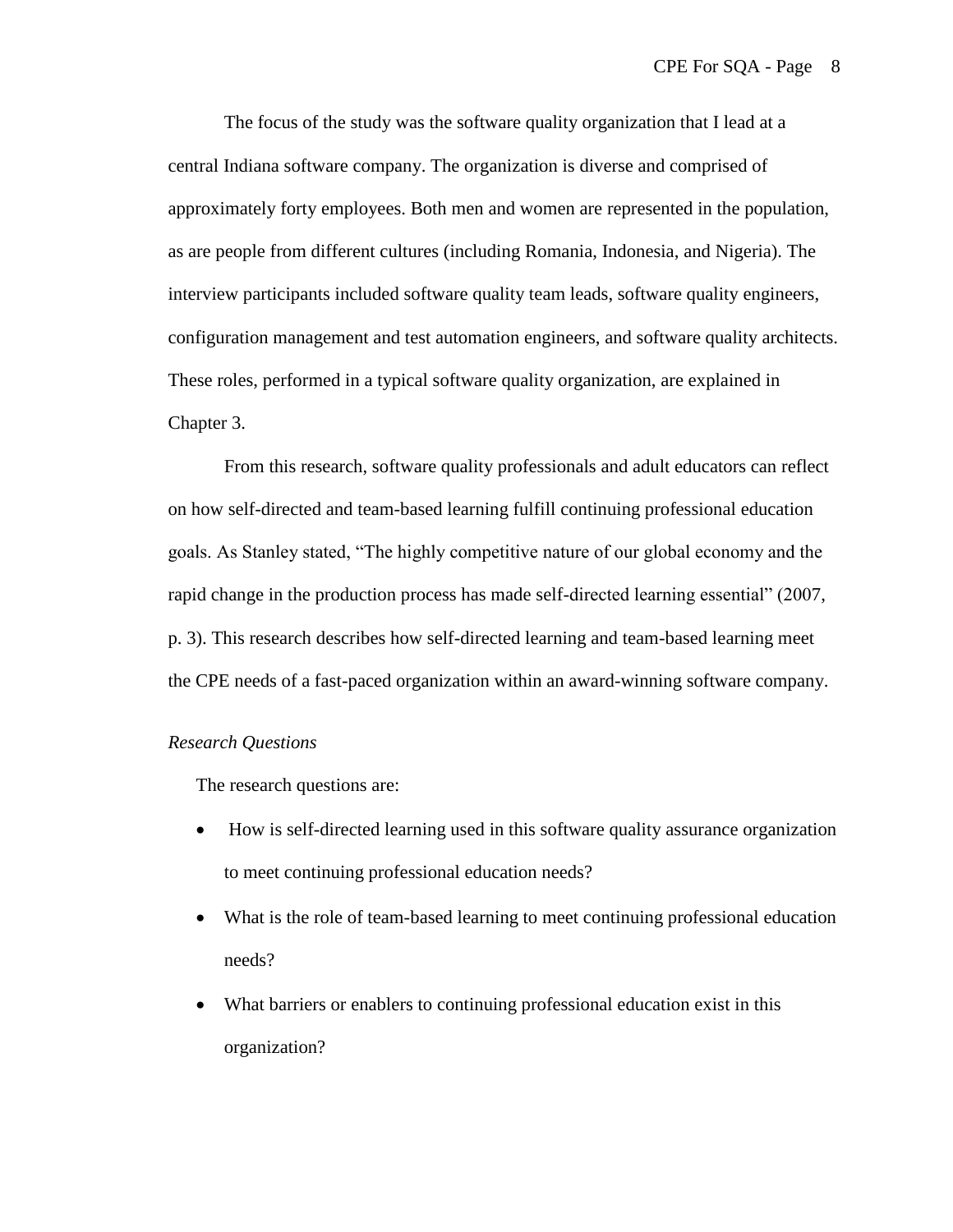The focus of the study was the software quality organization that I lead at a central Indiana software company. The organization is diverse and comprised of approximately forty employees. Both men and women are represented in the population, as are people from different cultures (including Romania, Indonesia, and Nigeria). The interview participants included software quality team leads, software quality engineers, configuration management and test automation engineers, and software quality architects. These roles, performed in a typical software quality organization, are explained in Chapter 3.

From this research, software quality professionals and adult educators can reflect on how self-directed and team-based learning fulfill continuing professional education goals. As Stanley stated, "The highly competitive nature of our global economy and the rapid change in the production process has made self-directed learning essential" (2007, p. 3). This research describes how self-directed learning and team-based learning meet the CPE needs of a fast-paced organization within an award-winning software company.

#### *Research Questions*

The research questions are:

- How is self-directed learning used in this software quality assurance organization to meet continuing professional education needs?
- What is the role of team-based learning to meet continuing professional education needs?
- What barriers or enablers to continuing professional education exist in this organization?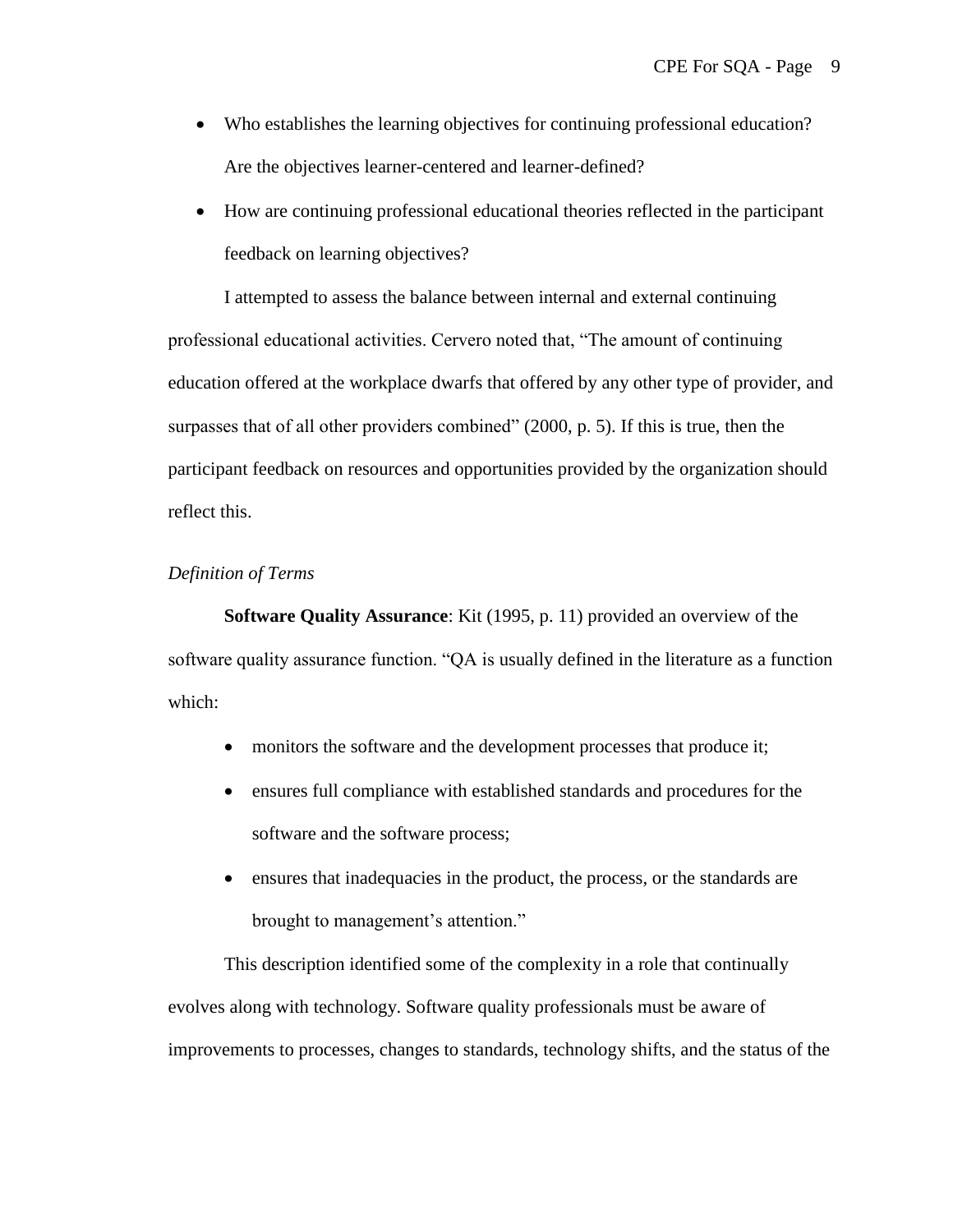- Who establishes the learning objectives for continuing professional education? Are the objectives learner-centered and learner-defined?
- How are continuing professional educational theories reflected in the participant feedback on learning objectives?

I attempted to assess the balance between internal and external continuing professional educational activities. Cervero noted that, "The amount of continuing education offered at the workplace dwarfs that offered by any other type of provider, and surpasses that of all other providers combined" (2000, p. 5). If this is true, then the participant feedback on resources and opportunities provided by the organization should reflect this.

#### *Definition of Terms*

**Software Quality Assurance**: Kit (1995, p. 11) provided an overview of the software quality assurance function. "QA is usually defined in the literature as a function which:

- monitors the software and the development processes that produce it;
- ensures full compliance with established standards and procedures for the software and the software process;
- ensures that inadequacies in the product, the process, or the standards are brought to management's attention."

This description identified some of the complexity in a role that continually evolves along with technology. Software quality professionals must be aware of improvements to processes, changes to standards, technology shifts, and the status of the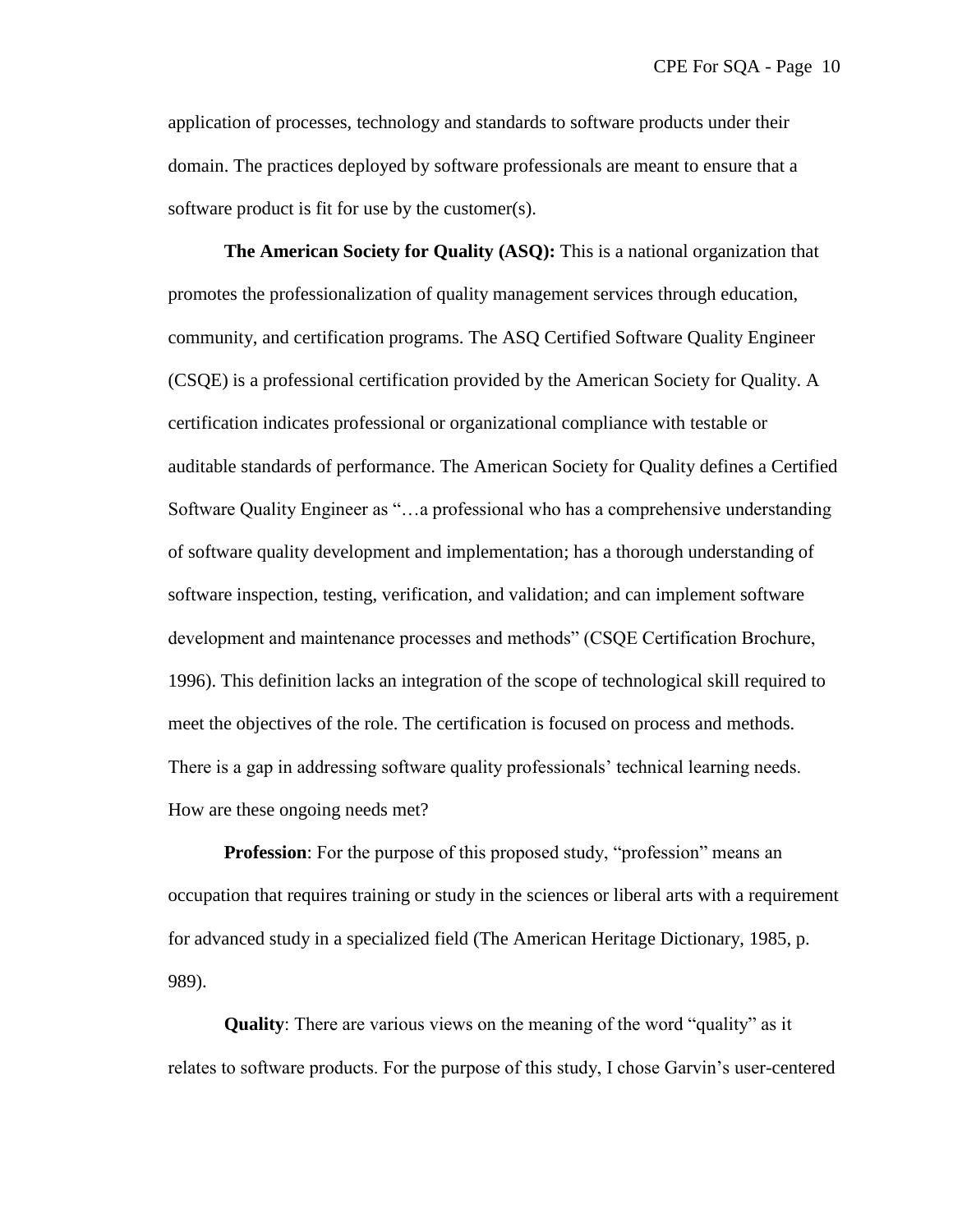application of processes, technology and standards to software products under their domain. The practices deployed by software professionals are meant to ensure that a software product is fit for use by the customer(s).

**The American Society for Quality (ASQ):** This is a national organization that promotes the professionalization of quality management services through education, community, and certification programs. The ASQ Certified Software Quality Engineer (CSQE) is a professional certification provided by the American Society for Quality. A certification indicates professional or organizational compliance with testable or auditable standards of performance. The American Society for Quality defines a Certified Software Quality Engineer as "...a professional who has a comprehensive understanding of software quality development and implementation; has a thorough understanding of software inspection, testing, verification, and validation; and can implement software development and maintenance processes and methods" (CSQE Certification Brochure, 1996). This definition lacks an integration of the scope of technological skill required to meet the objectives of the role. The certification is focused on process and methods. There is a gap in addressing software quality professionals' technical learning needs. How are these ongoing needs met?

**Profession**: For the purpose of this proposed study, "profession" means an occupation that requires training or study in the sciences or liberal arts with a requirement for advanced study in a specialized field (The American Heritage Dictionary, 1985, p. 989).

**Quality**: There are various views on the meaning of the word "quality" as it relates to software products. For the purpose of this study, I chose Garvin's user-centered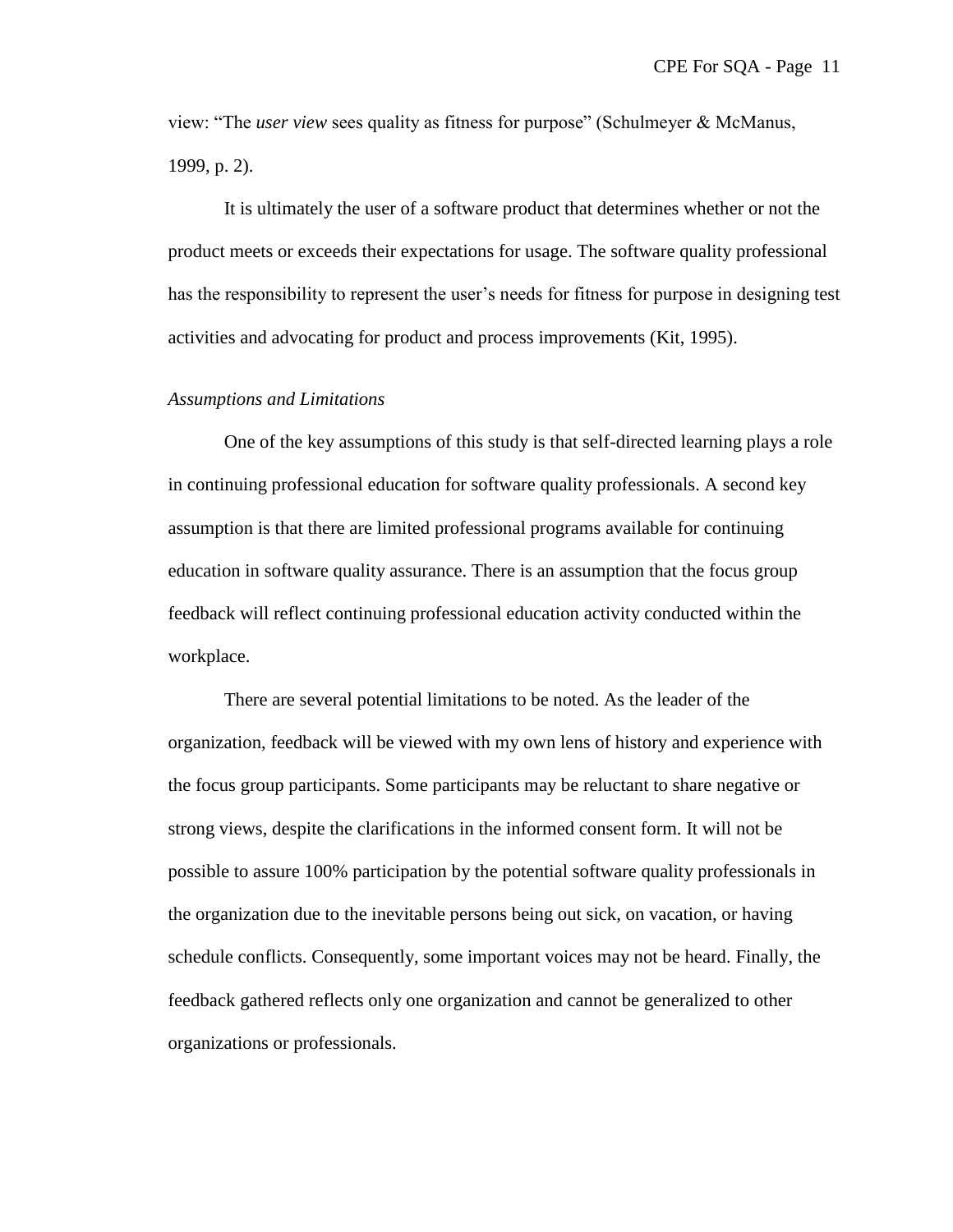view: "The *user view* sees quality as fitness for purpose" (Schulmeyer & McManus, 1999, p. 2).

It is ultimately the user of a software product that determines whether or not the product meets or exceeds their expectations for usage. The software quality professional has the responsibility to represent the user's needs for fitness for purpose in designing test activities and advocating for product and process improvements (Kit, 1995).

#### *Assumptions and Limitations*

One of the key assumptions of this study is that self-directed learning plays a role in continuing professional education for software quality professionals. A second key assumption is that there are limited professional programs available for continuing education in software quality assurance. There is an assumption that the focus group feedback will reflect continuing professional education activity conducted within the workplace.

There are several potential limitations to be noted. As the leader of the organization, feedback will be viewed with my own lens of history and experience with the focus group participants. Some participants may be reluctant to share negative or strong views, despite the clarifications in the informed consent form. It will not be possible to assure 100% participation by the potential software quality professionals in the organization due to the inevitable persons being out sick, on vacation, or having schedule conflicts. Consequently, some important voices may not be heard. Finally, the feedback gathered reflects only one organization and cannot be generalized to other organizations or professionals.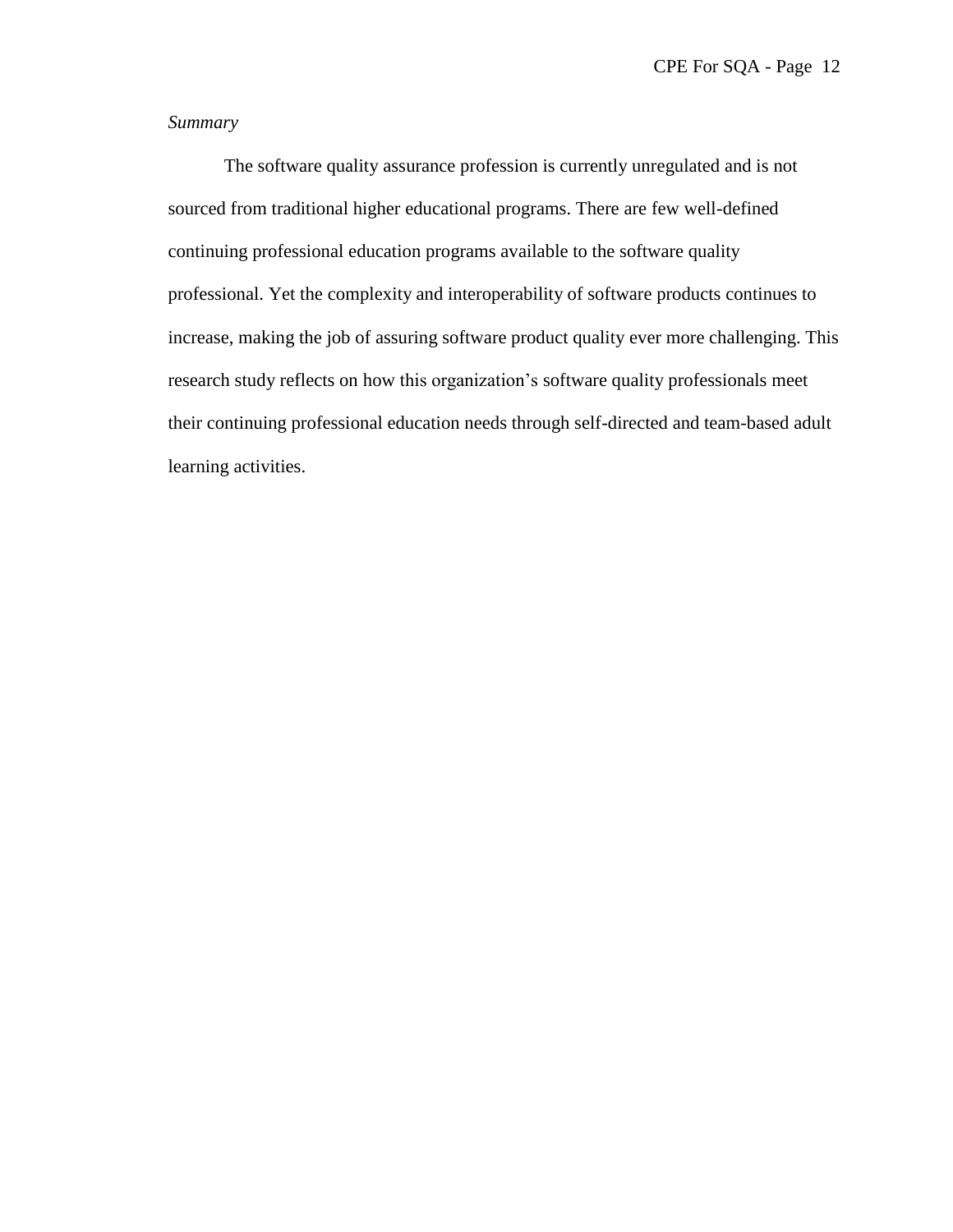## *Summary*

The software quality assurance profession is currently unregulated and is not sourced from traditional higher educational programs. There are few well-defined continuing professional education programs available to the software quality professional. Yet the complexity and interoperability of software products continues to increase, making the job of assuring software product quality ever more challenging. This research study reflects on how this organization's software quality professionals meet their continuing professional education needs through self-directed and team-based adult learning activities.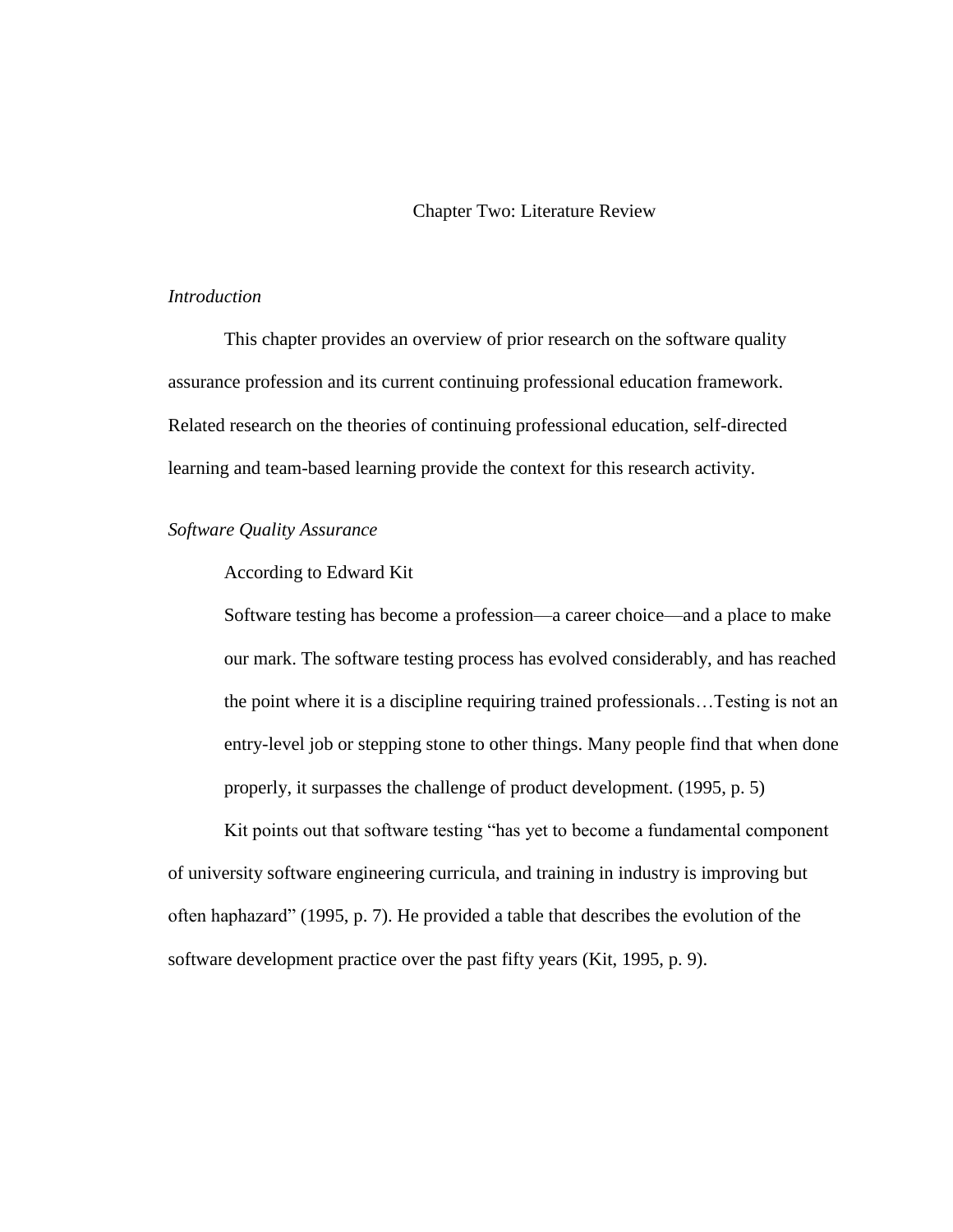Chapter Two: Literature Review

#### *Introduction*

This chapter provides an overview of prior research on the software quality assurance profession and its current continuing professional education framework. Related research on the theories of continuing professional education, self-directed learning and team-based learning provide the context for this research activity.

#### *Software Quality Assurance*

## According to Edward Kit

Software testing has become a profession—a career choice—and a place to make our mark. The software testing process has evolved considerably, and has reached the point where it is a discipline requiring trained professionals…Testing is not an entry-level job or stepping stone to other things. Many people find that when done properly, it surpasses the challenge of product development. (1995, p. 5)

Kit points out that software testing "has yet to become a fundamental component of university software engineering curricula, and training in industry is improving but often haphazard‖ (1995, p. 7). He provided a table that describes the evolution of the software development practice over the past fifty years (Kit, 1995, p. 9).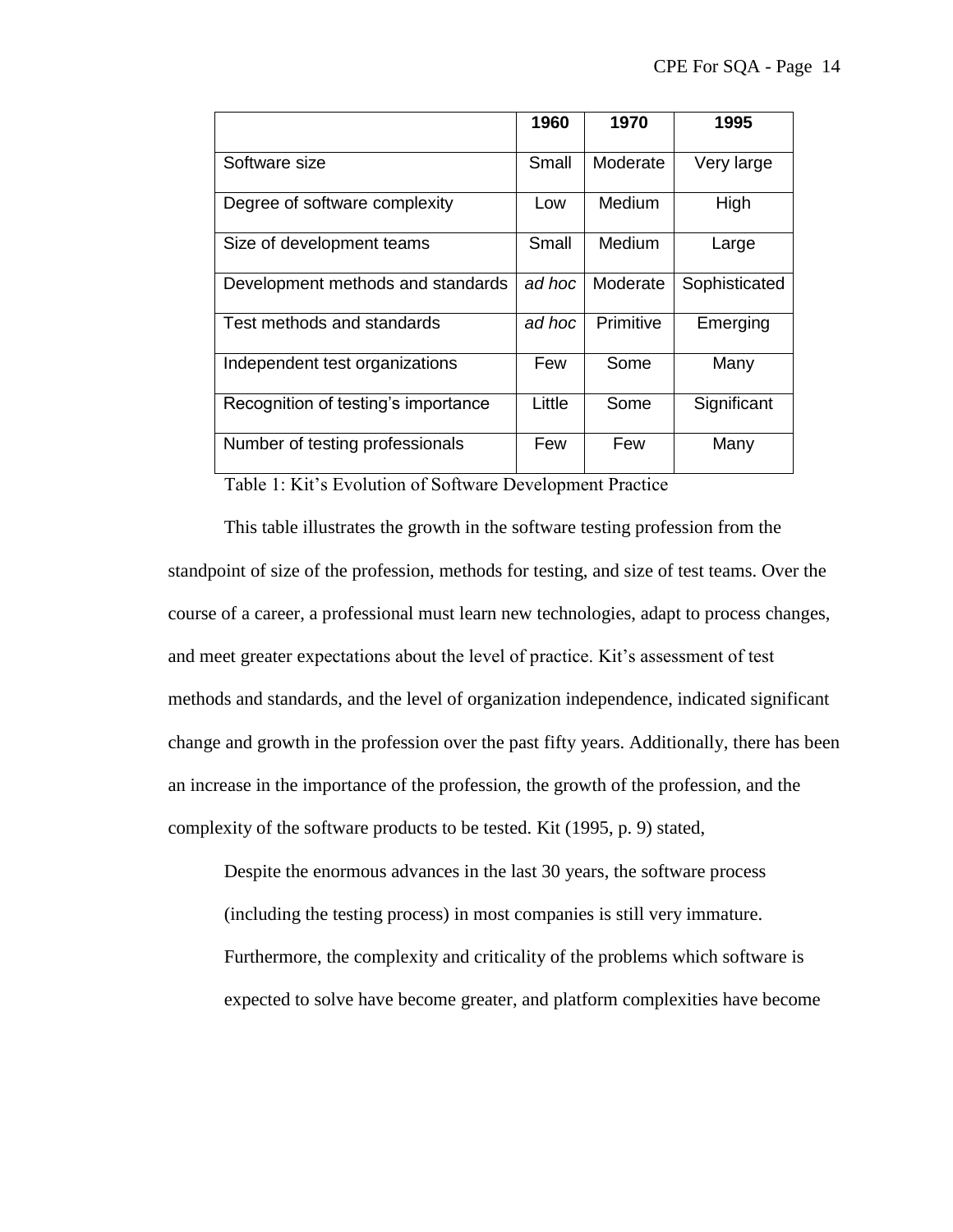|                                     | 1960   | 1970      | 1995          |
|-------------------------------------|--------|-----------|---------------|
| Software size                       | Small  | Moderate  | Very large    |
| Degree of software complexity       | Low    | Medium    | High          |
| Size of development teams           | Small  | Medium    | Large         |
| Development methods and standards   | ad hoc | Moderate  | Sophisticated |
| Test methods and standards          | ad hoc | Primitive | Emerging      |
| Independent test organizations      | Few    | Some      | Many          |
| Recognition of testing's importance | Little | Some      | Significant   |
| Number of testing professionals     | Few    | Few       | Many          |

Table 1: Kit's Evolution of Software Development Practice

This table illustrates the growth in the software testing profession from the standpoint of size of the profession, methods for testing, and size of test teams. Over the course of a career, a professional must learn new technologies, adapt to process changes, and meet greater expectations about the level of practice. Kit's assessment of test methods and standards, and the level of organization independence, indicated significant change and growth in the profession over the past fifty years. Additionally, there has been an increase in the importance of the profession, the growth of the profession, and the complexity of the software products to be tested. Kit (1995, p. 9) stated,

Despite the enormous advances in the last 30 years, the software process (including the testing process) in most companies is still very immature. Furthermore, the complexity and criticality of the problems which software is expected to solve have become greater, and platform complexities have become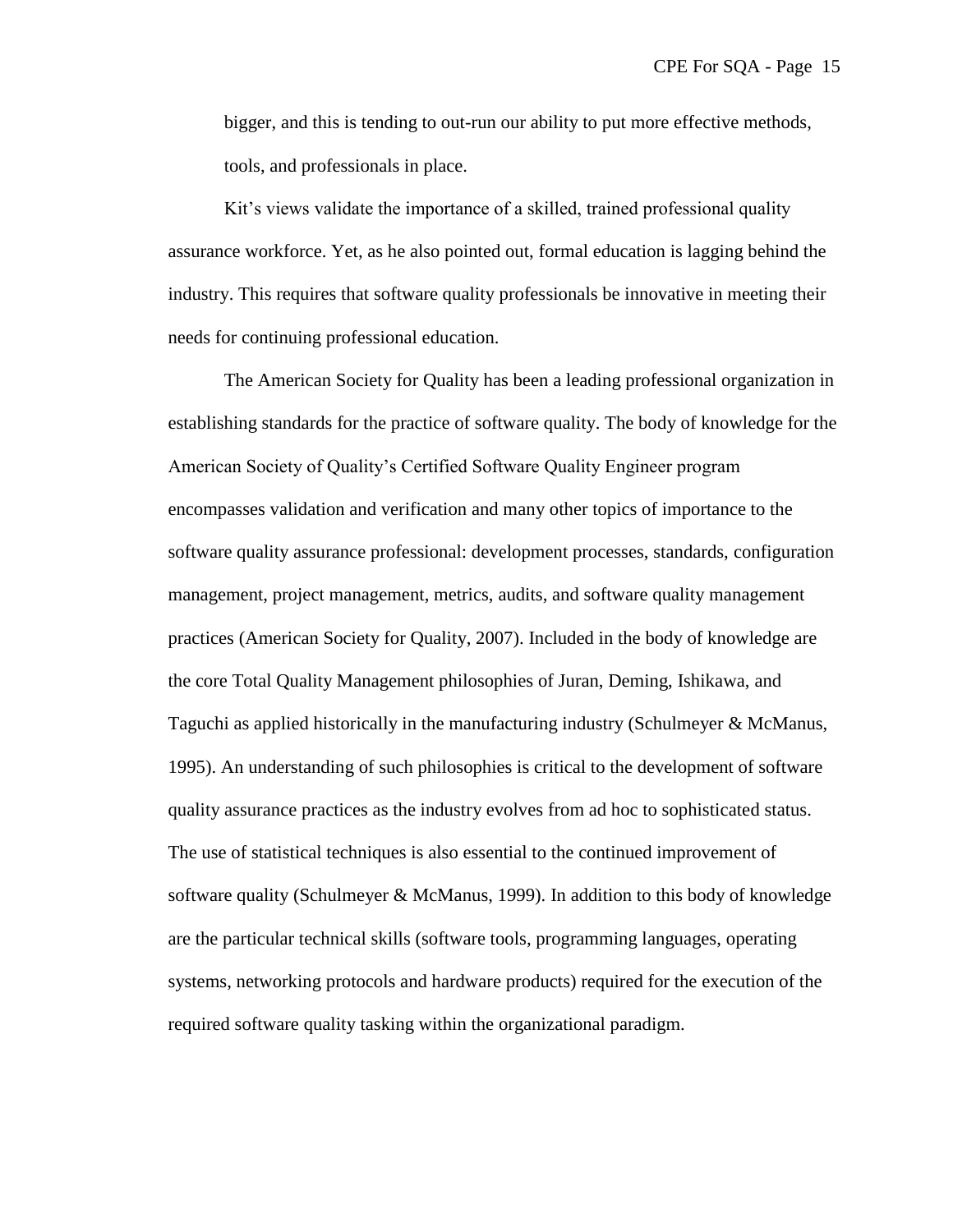bigger, and this is tending to out-run our ability to put more effective methods, tools, and professionals in place.

Kit's views validate the importance of a skilled, trained professional quality assurance workforce. Yet, as he also pointed out, formal education is lagging behind the industry. This requires that software quality professionals be innovative in meeting their needs for continuing professional education.

The American Society for Quality has been a leading professional organization in establishing standards for the practice of software quality. The body of knowledge for the American Society of Quality's Certified Software Quality Engineer program encompasses validation and verification and many other topics of importance to the software quality assurance professional: development processes, standards, configuration management, project management, metrics, audits, and software quality management practices (American Society for Quality, 2007). Included in the body of knowledge are the core Total Quality Management philosophies of Juran, Deming, Ishikawa, and Taguchi as applied historically in the manufacturing industry (Schulmeyer & McManus, 1995). An understanding of such philosophies is critical to the development of software quality assurance practices as the industry evolves from ad hoc to sophisticated status. The use of statistical techniques is also essential to the continued improvement of software quality (Schulmeyer & McManus, 1999). In addition to this body of knowledge are the particular technical skills (software tools, programming languages, operating systems, networking protocols and hardware products) required for the execution of the required software quality tasking within the organizational paradigm.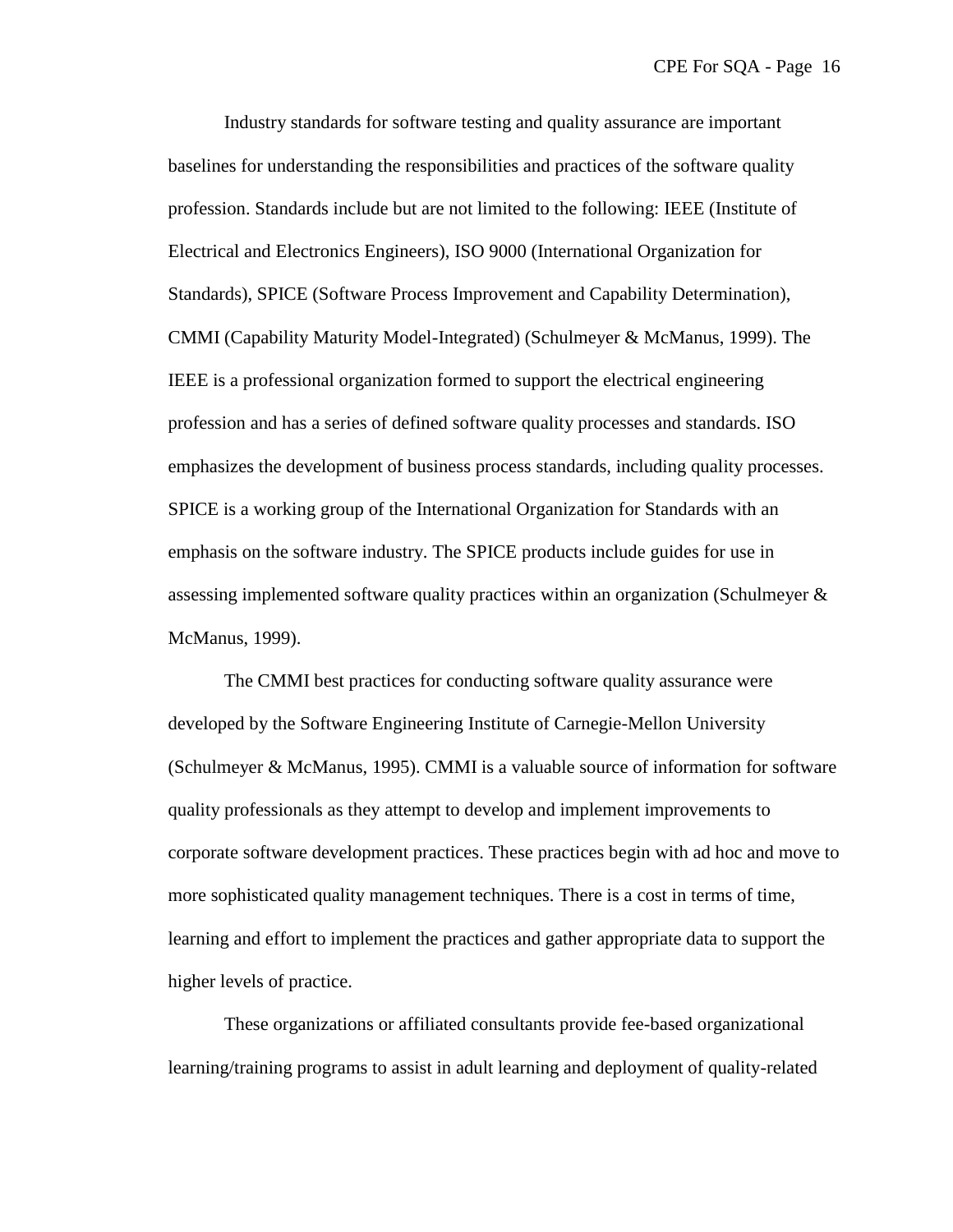Industry standards for software testing and quality assurance are important baselines for understanding the responsibilities and practices of the software quality profession. Standards include but are not limited to the following: IEEE (Institute of Electrical and Electronics Engineers), ISO 9000 (International Organization for Standards), SPICE (Software Process Improvement and Capability Determination), CMMI (Capability Maturity Model-Integrated) (Schulmeyer & McManus, 1999). The IEEE is a professional organization formed to support the electrical engineering profession and has a series of defined software quality processes and standards. ISO emphasizes the development of business process standards, including quality processes. SPICE is a working group of the International Organization for Standards with an emphasis on the software industry. The SPICE products include guides for use in assessing implemented software quality practices within an organization (Schulmeyer & McManus, 1999).

The CMMI best practices for conducting software quality assurance were developed by the Software Engineering Institute of Carnegie-Mellon University (Schulmeyer & McManus, 1995). CMMI is a valuable source of information for software quality professionals as they attempt to develop and implement improvements to corporate software development practices. These practices begin with ad hoc and move to more sophisticated quality management techniques. There is a cost in terms of time, learning and effort to implement the practices and gather appropriate data to support the higher levels of practice.

These organizations or affiliated consultants provide fee-based organizational learning/training programs to assist in adult learning and deployment of quality-related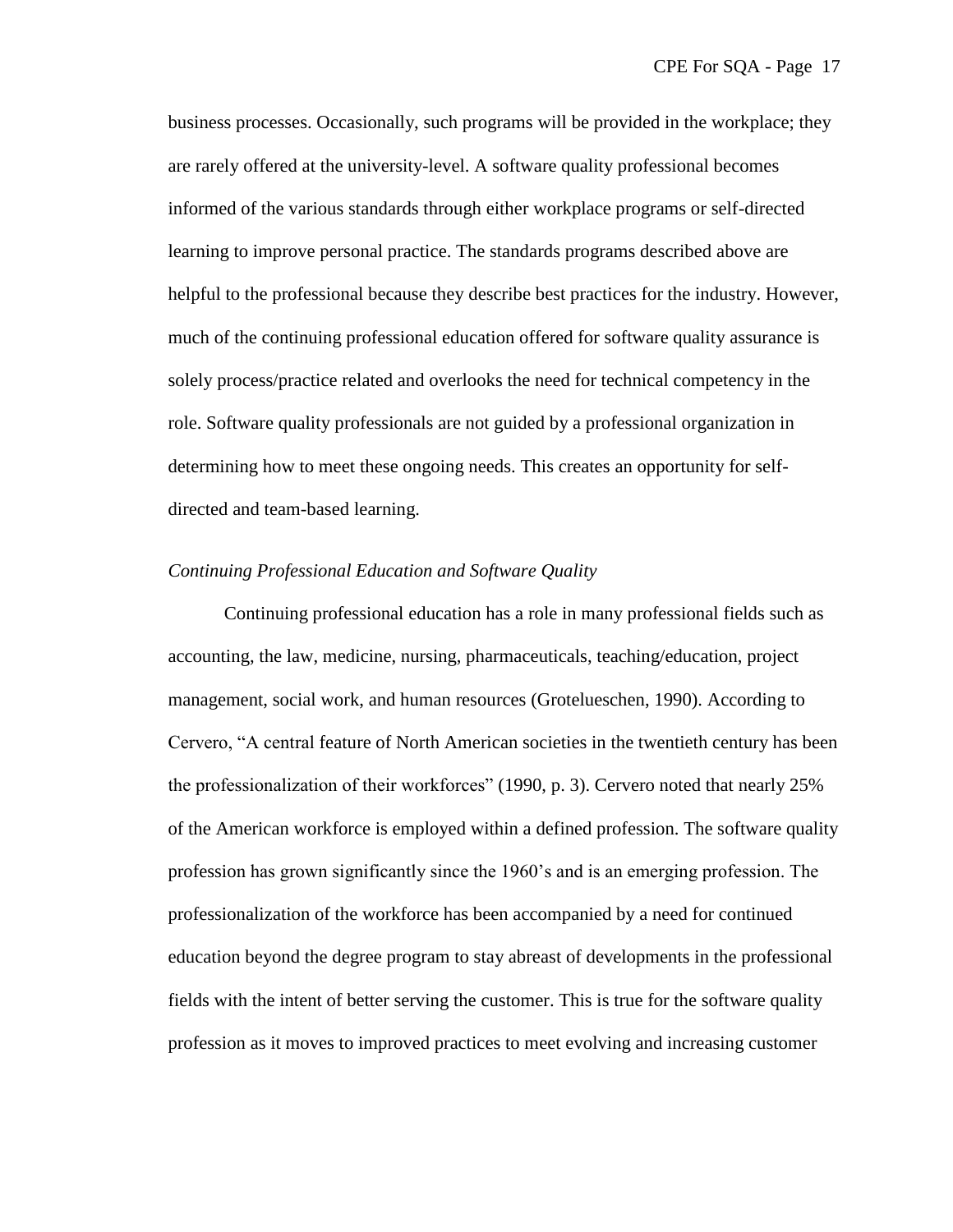business processes. Occasionally, such programs will be provided in the workplace; they are rarely offered at the university-level. A software quality professional becomes informed of the various standards through either workplace programs or self-directed learning to improve personal practice. The standards programs described above are helpful to the professional because they describe best practices for the industry. However, much of the continuing professional education offered for software quality assurance is solely process/practice related and overlooks the need for technical competency in the role. Software quality professionals are not guided by a professional organization in determining how to meet these ongoing needs. This creates an opportunity for selfdirected and team-based learning.

#### *Continuing Professional Education and Software Quality*

Continuing professional education has a role in many professional fields such as accounting, the law, medicine, nursing, pharmaceuticals, teaching/education, project management, social work, and human resources (Grotelueschen, 1990). According to Cervero, "A central feature of North American societies in the twentieth century has been the professionalization of their workforces" (1990, p. 3). Cervero noted that nearly 25% of the American workforce is employed within a defined profession. The software quality profession has grown significantly since the 1960's and is an emerging profession. The professionalization of the workforce has been accompanied by a need for continued education beyond the degree program to stay abreast of developments in the professional fields with the intent of better serving the customer. This is true for the software quality profession as it moves to improved practices to meet evolving and increasing customer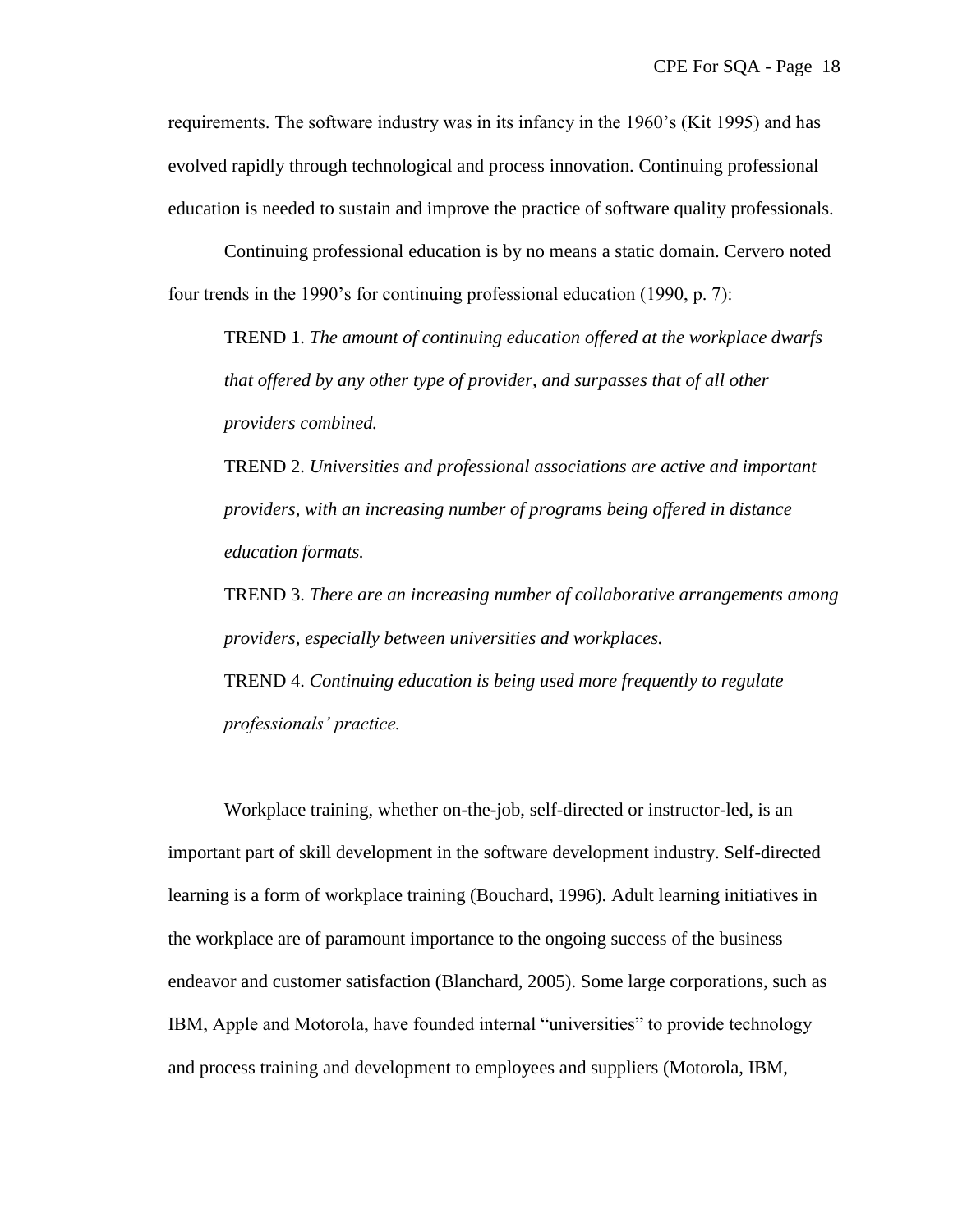requirements. The software industry was in its infancy in the 1960's (Kit 1995) and has evolved rapidly through technological and process innovation. Continuing professional education is needed to sustain and improve the practice of software quality professionals.

Continuing professional education is by no means a static domain. Cervero noted four trends in the 1990's for continuing professional education (1990, p. 7):

TREND 1. *The amount of continuing education offered at the workplace dwarfs that offered by any other type of provider, and surpasses that of all other providers combined.*

TREND 2. *Universities and professional associations are active and important providers, with an increasing number of programs being offered in distance education formats.*

TREND 3. *There are an increasing number of collaborative arrangements among providers, especially between universities and workplaces.* TREND 4. *Continuing education is being used more frequently to regulate* 

*professionals' practice.*

Workplace training, whether on-the-job, self-directed or instructor-led, is an important part of skill development in the software development industry. Self-directed learning is a form of workplace training (Bouchard, 1996). Adult learning initiatives in the workplace are of paramount importance to the ongoing success of the business endeavor and customer satisfaction (Blanchard, 2005). Some large corporations, such as IBM, Apple and Motorola, have founded internal "universities" to provide technology and process training and development to employees and suppliers (Motorola, IBM,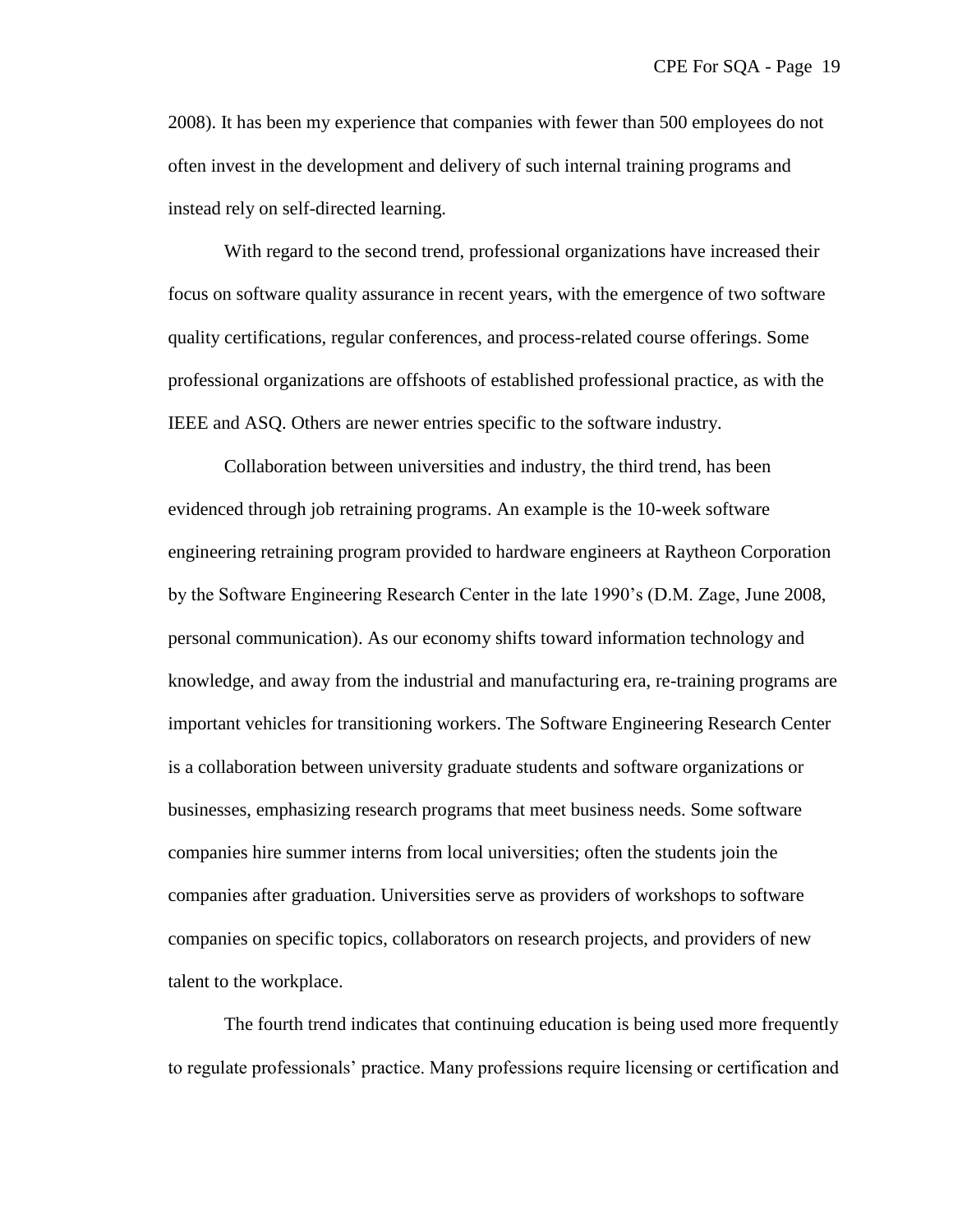2008). It has been my experience that companies with fewer than 500 employees do not often invest in the development and delivery of such internal training programs and instead rely on self-directed learning.

With regard to the second trend, professional organizations have increased their focus on software quality assurance in recent years, with the emergence of two software quality certifications, regular conferences, and process-related course offerings. Some professional organizations are offshoots of established professional practice, as with the IEEE and ASQ. Others are newer entries specific to the software industry.

Collaboration between universities and industry, the third trend, has been evidenced through job retraining programs. An example is the 10-week software engineering retraining program provided to hardware engineers at Raytheon Corporation by the Software Engineering Research Center in the late 1990's (D.M. Zage, June 2008, personal communication). As our economy shifts toward information technology and knowledge, and away from the industrial and manufacturing era, re-training programs are important vehicles for transitioning workers. The Software Engineering Research Center is a collaboration between university graduate students and software organizations or businesses, emphasizing research programs that meet business needs. Some software companies hire summer interns from local universities; often the students join the companies after graduation. Universities serve as providers of workshops to software companies on specific topics, collaborators on research projects, and providers of new talent to the workplace.

The fourth trend indicates that continuing education is being used more frequently to regulate professionals' practice. Many professions require licensing or certification and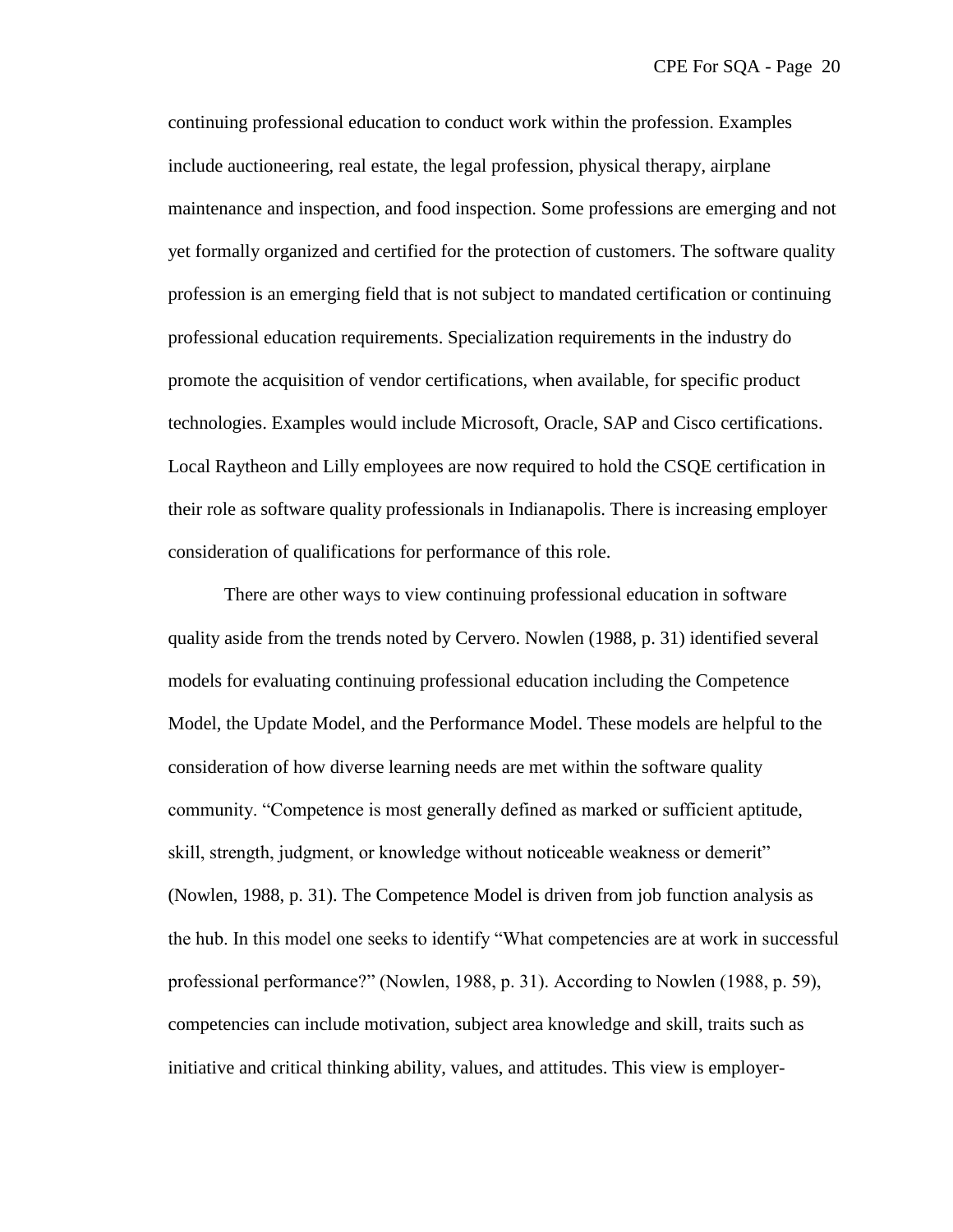continuing professional education to conduct work within the profession. Examples include auctioneering, real estate, the legal profession, physical therapy, airplane maintenance and inspection, and food inspection. Some professions are emerging and not yet formally organized and certified for the protection of customers. The software quality profession is an emerging field that is not subject to mandated certification or continuing professional education requirements. Specialization requirements in the industry do promote the acquisition of vendor certifications, when available, for specific product technologies. Examples would include Microsoft, Oracle, SAP and Cisco certifications. Local Raytheon and Lilly employees are now required to hold the CSQE certification in their role as software quality professionals in Indianapolis. There is increasing employer consideration of qualifications for performance of this role.

There are other ways to view continuing professional education in software quality aside from the trends noted by Cervero. Nowlen (1988, p. 31) identified several models for evaluating continuing professional education including the Competence Model, the Update Model, and the Performance Model. These models are helpful to the consideration of how diverse learning needs are met within the software quality community. ―Competence is most generally defined as marked or sufficient aptitude, skill, strength, judgment, or knowledge without noticeable weakness or demerit" (Nowlen, 1988, p. 31). The Competence Model is driven from job function analysis as the hub. In this model one seeks to identify "What competencies are at work in successful professional performance?" (Nowlen, 1988, p. 31). According to Nowlen (1988, p. 59), competencies can include motivation, subject area knowledge and skill, traits such as initiative and critical thinking ability, values, and attitudes. This view is employer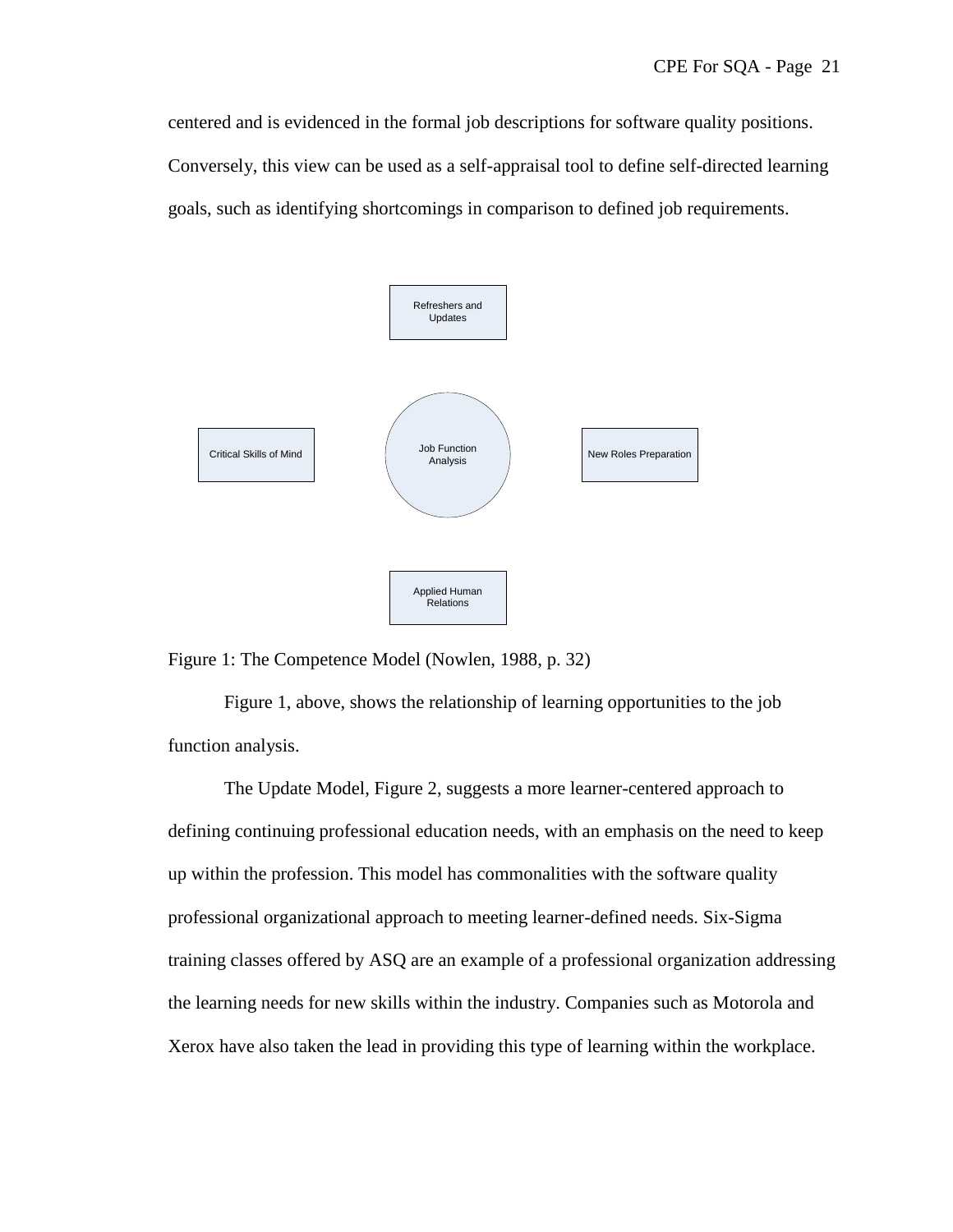centered and is evidenced in the formal job descriptions for software quality positions. Conversely, this view can be used as a self-appraisal tool to define self-directed learning goals, such as identifying shortcomings in comparison to defined job requirements.



Figure 1: The Competence Model (Nowlen, 1988, p. 32)

Figure 1, above, shows the relationship of learning opportunities to the job function analysis.

The Update Model, Figure 2, suggests a more learner-centered approach to defining continuing professional education needs, with an emphasis on the need to keep up within the profession. This model has commonalities with the software quality professional organizational approach to meeting learner-defined needs. Six-Sigma training classes offered by ASQ are an example of a professional organization addressing the learning needs for new skills within the industry. Companies such as Motorola and Xerox have also taken the lead in providing this type of learning within the workplace.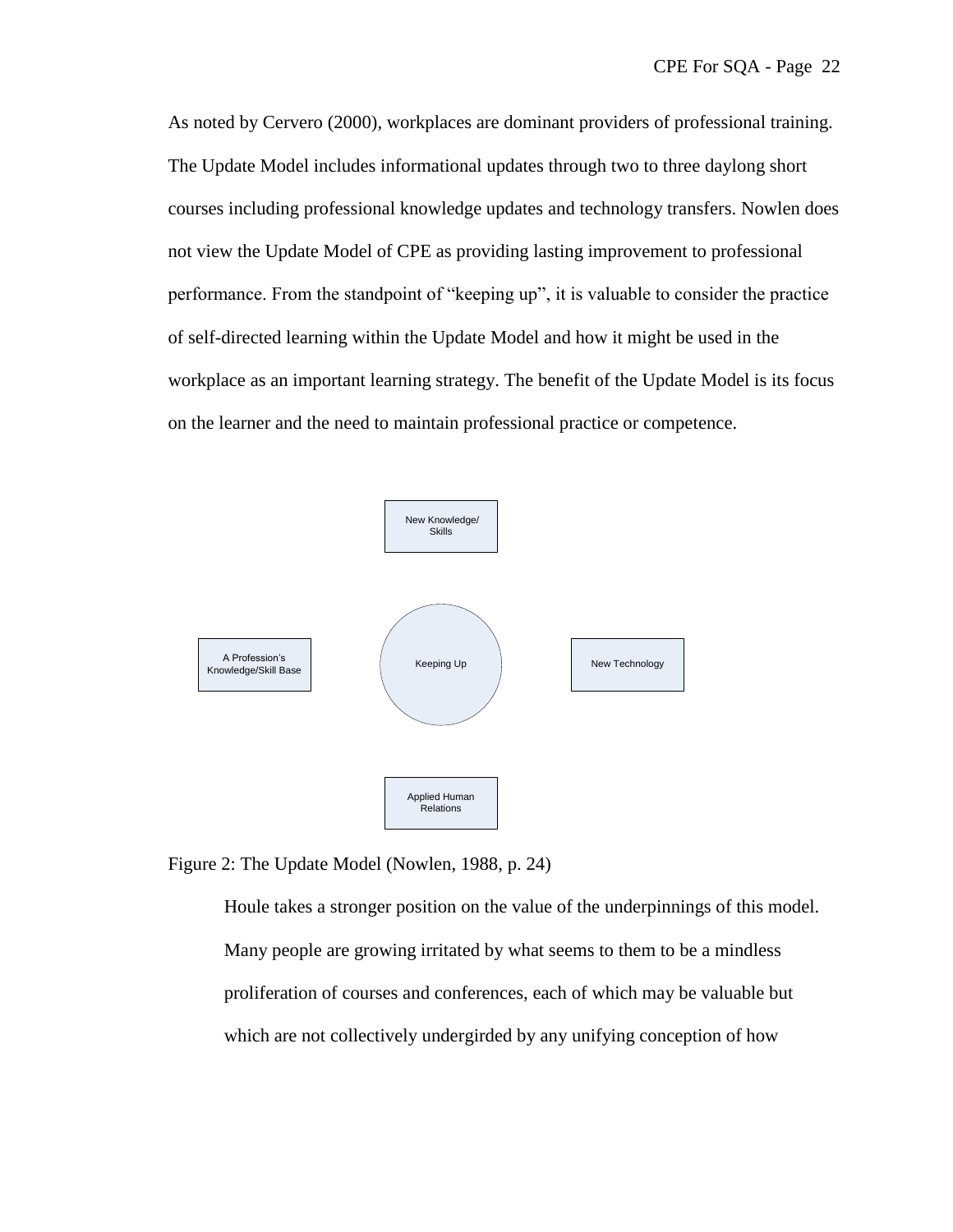As noted by Cervero (2000), workplaces are dominant providers of professional training. The Update Model includes informational updates through two to three daylong short courses including professional knowledge updates and technology transfers. Nowlen does not view the Update Model of CPE as providing lasting improvement to professional performance. From the standpoint of "keeping up", it is valuable to consider the practice of self-directed learning within the Update Model and how it might be used in the workplace as an important learning strategy. The benefit of the Update Model is its focus on the learner and the need to maintain professional practice or competence.



Figure 2: The Update Model (Nowlen, 1988, p. 24)

Houle takes a stronger position on the value of the underpinnings of this model. Many people are growing irritated by what seems to them to be a mindless proliferation of courses and conferences, each of which may be valuable but which are not collectively undergirded by any unifying conception of how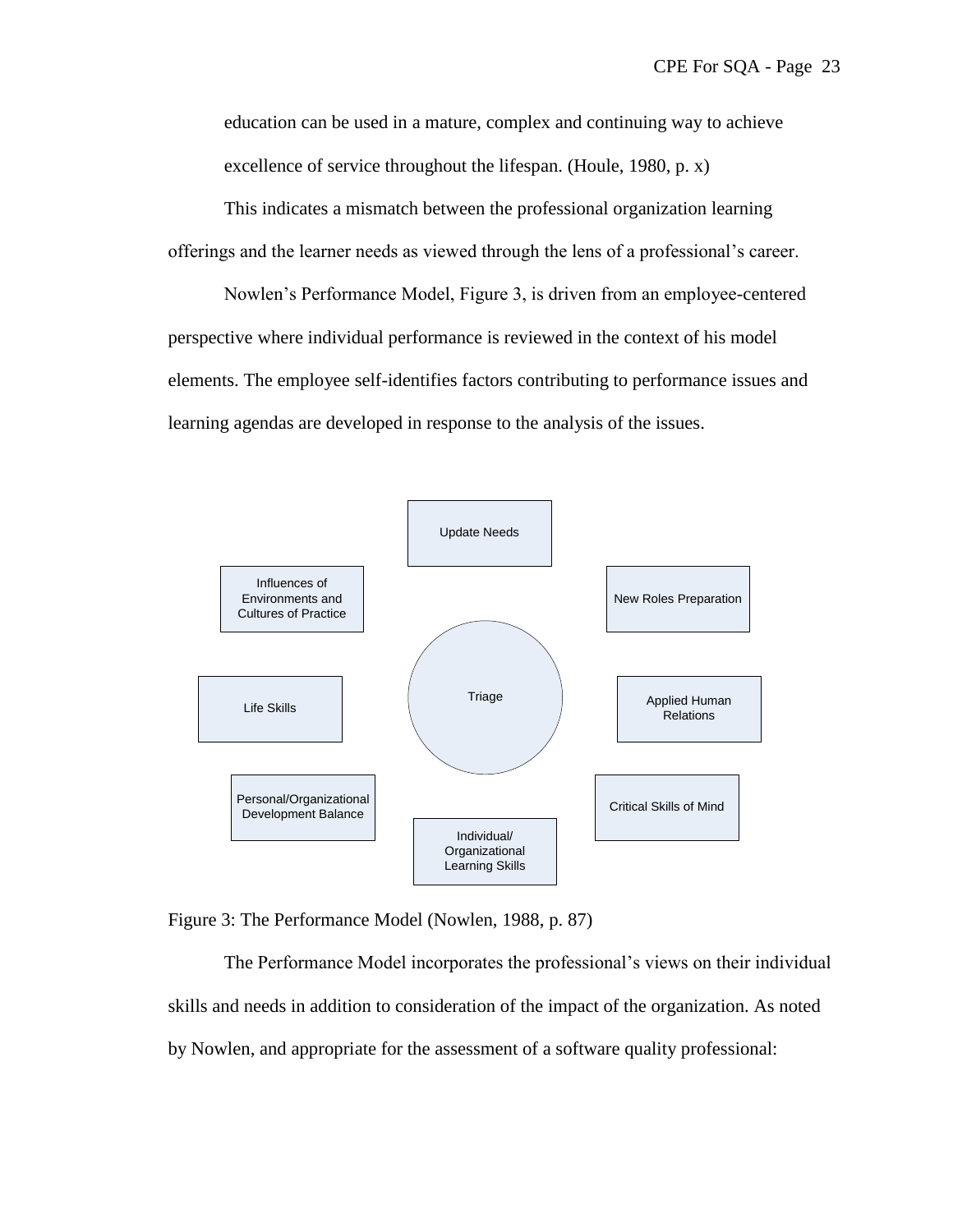education can be used in a mature, complex and continuing way to achieve excellence of service throughout the lifespan. (Houle, 1980, p. x)

This indicates a mismatch between the professional organization learning offerings and the learner needs as viewed through the lens of a professional's career.

Nowlen's Performance Model, Figure 3, is driven from an employee-centered perspective where individual performance is reviewed in the context of his model elements. The employee self-identifies factors contributing to performance issues and learning agendas are developed in response to the analysis of the issues.



Figure 3: The Performance Model (Nowlen, 1988, p. 87)

The Performance Model incorporates the professional's views on their individual skills and needs in addition to consideration of the impact of the organization. As noted by Nowlen, and appropriate for the assessment of a software quality professional: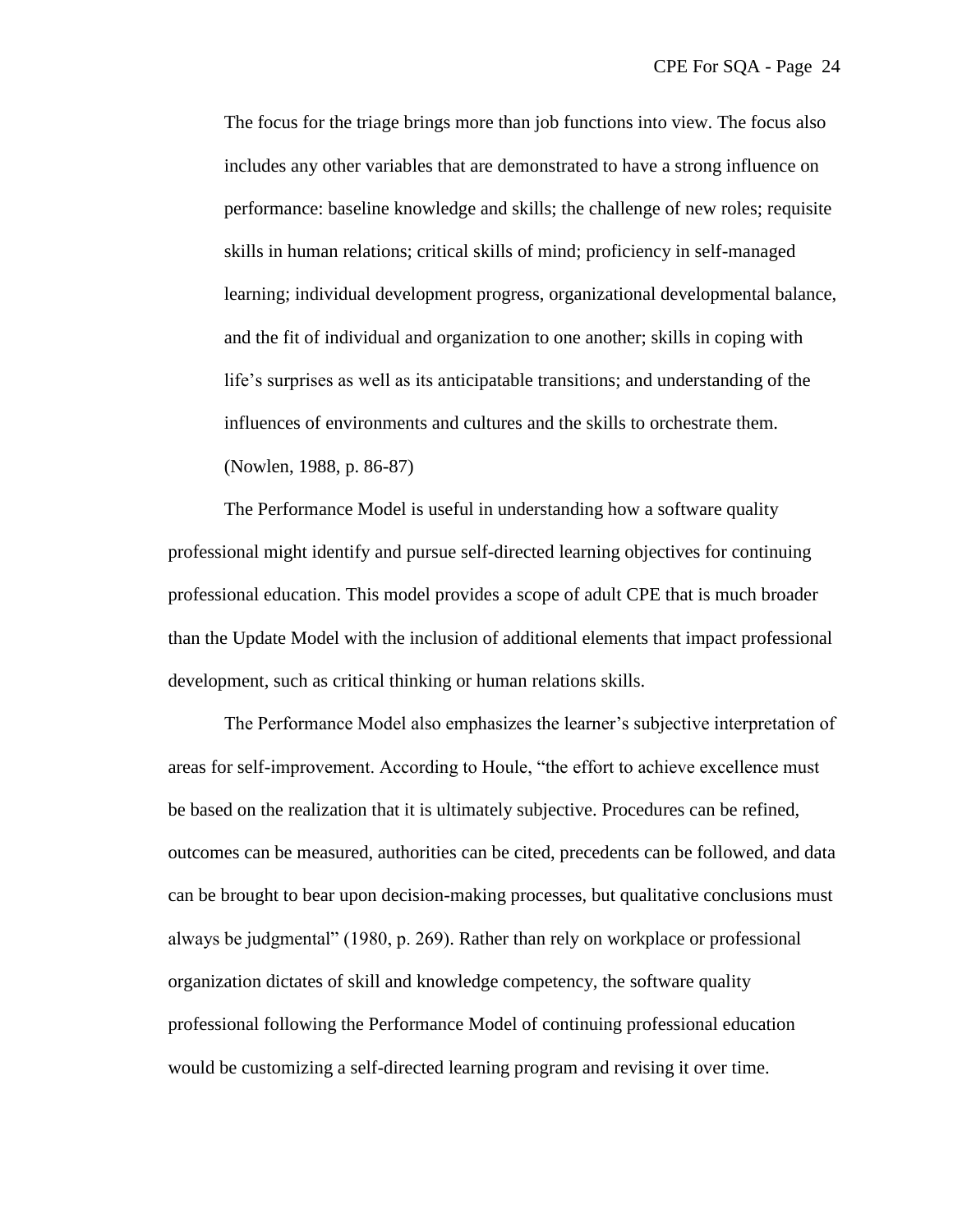The focus for the triage brings more than job functions into view. The focus also includes any other variables that are demonstrated to have a strong influence on performance: baseline knowledge and skills; the challenge of new roles; requisite skills in human relations; critical skills of mind; proficiency in self-managed learning; individual development progress, organizational developmental balance, and the fit of individual and organization to one another; skills in coping with life's surprises as well as its anticipatable transitions; and understanding of the influences of environments and cultures and the skills to orchestrate them. (Nowlen, 1988, p. 86-87)

The Performance Model is useful in understanding how a software quality professional might identify and pursue self-directed learning objectives for continuing professional education. This model provides a scope of adult CPE that is much broader than the Update Model with the inclusion of additional elements that impact professional development, such as critical thinking or human relations skills.

The Performance Model also emphasizes the learner's subjective interpretation of areas for self-improvement. According to Houle, "the effort to achieve excellence must be based on the realization that it is ultimately subjective. Procedures can be refined, outcomes can be measured, authorities can be cited, precedents can be followed, and data can be brought to bear upon decision-making processes, but qualitative conclusions must always be judgmental" (1980, p. 269). Rather than rely on workplace or professional organization dictates of skill and knowledge competency, the software quality professional following the Performance Model of continuing professional education would be customizing a self-directed learning program and revising it over time.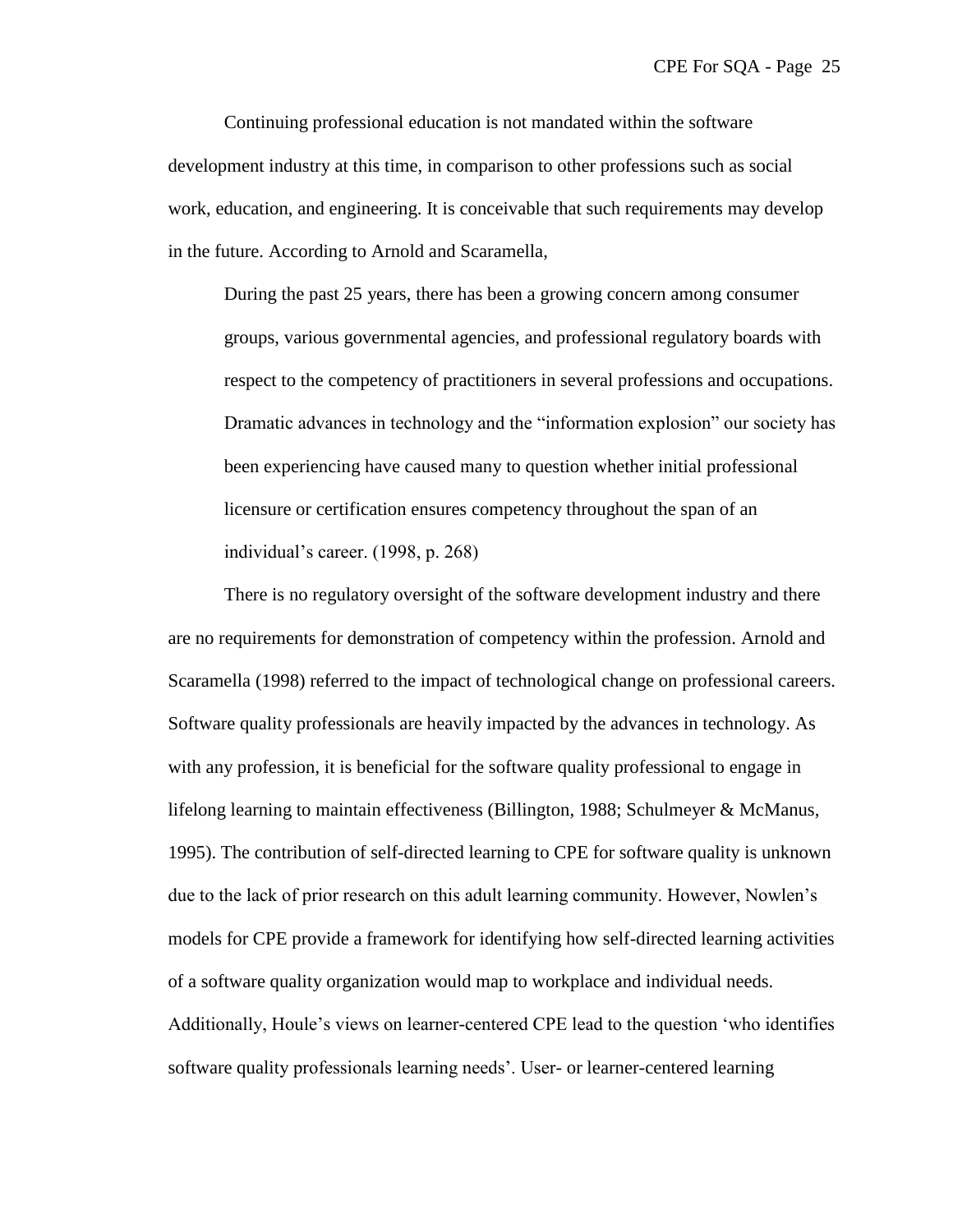Continuing professional education is not mandated within the software development industry at this time, in comparison to other professions such as social work, education, and engineering. It is conceivable that such requirements may develop in the future. According to Arnold and Scaramella,

During the past 25 years, there has been a growing concern among consumer groups, various governmental agencies, and professional regulatory boards with respect to the competency of practitioners in several professions and occupations. Dramatic advances in technology and the "information explosion" our society has been experiencing have caused many to question whether initial professional licensure or certification ensures competency throughout the span of an individual's career. (1998, p. 268)

There is no regulatory oversight of the software development industry and there are no requirements for demonstration of competency within the profession. Arnold and Scaramella (1998) referred to the impact of technological change on professional careers. Software quality professionals are heavily impacted by the advances in technology. As with any profession, it is beneficial for the software quality professional to engage in lifelong learning to maintain effectiveness (Billington, 1988; Schulmeyer & McManus, 1995). The contribution of self-directed learning to CPE for software quality is unknown due to the lack of prior research on this adult learning community. However, Nowlen's models for CPE provide a framework for identifying how self-directed learning activities of a software quality organization would map to workplace and individual needs. Additionally, Houle's views on learner-centered CPE lead to the question 'who identifies software quality professionals learning needs'. User- or learner-centered learning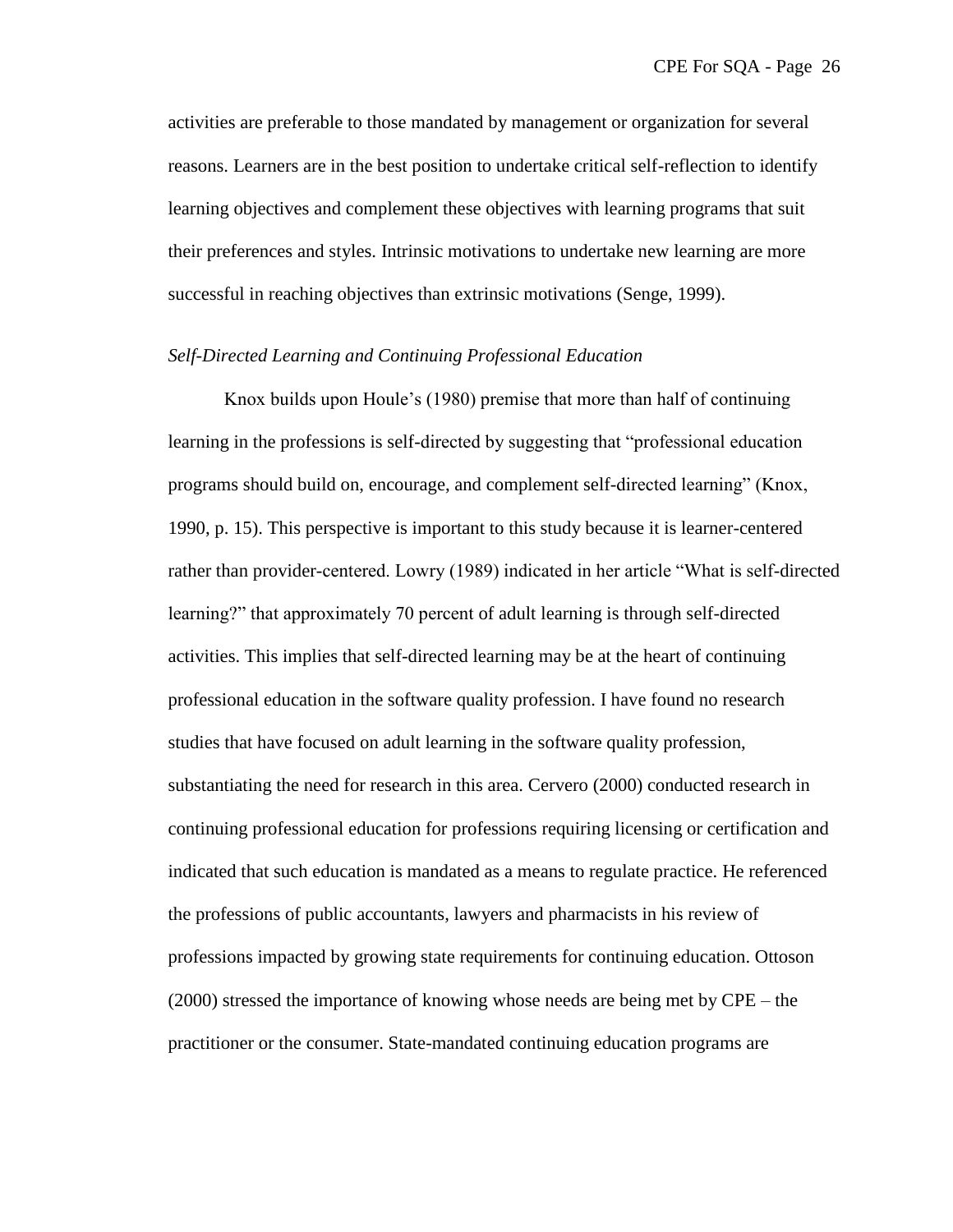activities are preferable to those mandated by management or organization for several reasons. Learners are in the best position to undertake critical self-reflection to identify learning objectives and complement these objectives with learning programs that suit their preferences and styles. Intrinsic motivations to undertake new learning are more successful in reaching objectives than extrinsic motivations (Senge, 1999).

#### *Self-Directed Learning and Continuing Professional Education*

Knox builds upon Houle's (1980) premise that more than half of continuing learning in the professions is self-directed by suggesting that "professional education programs should build on, encourage, and complement self-directed learning" (Knox, 1990, p. 15). This perspective is important to this study because it is learner-centered rather than provider-centered. Lowry (1989) indicated in her article "What is self-directed learning?" that approximately 70 percent of adult learning is through self-directed activities. This implies that self-directed learning may be at the heart of continuing professional education in the software quality profession. I have found no research studies that have focused on adult learning in the software quality profession, substantiating the need for research in this area. Cervero (2000) conducted research in continuing professional education for professions requiring licensing or certification and indicated that such education is mandated as a means to regulate practice. He referenced the professions of public accountants, lawyers and pharmacists in his review of professions impacted by growing state requirements for continuing education. Ottoson (2000) stressed the importance of knowing whose needs are being met by CPE – the practitioner or the consumer. State-mandated continuing education programs are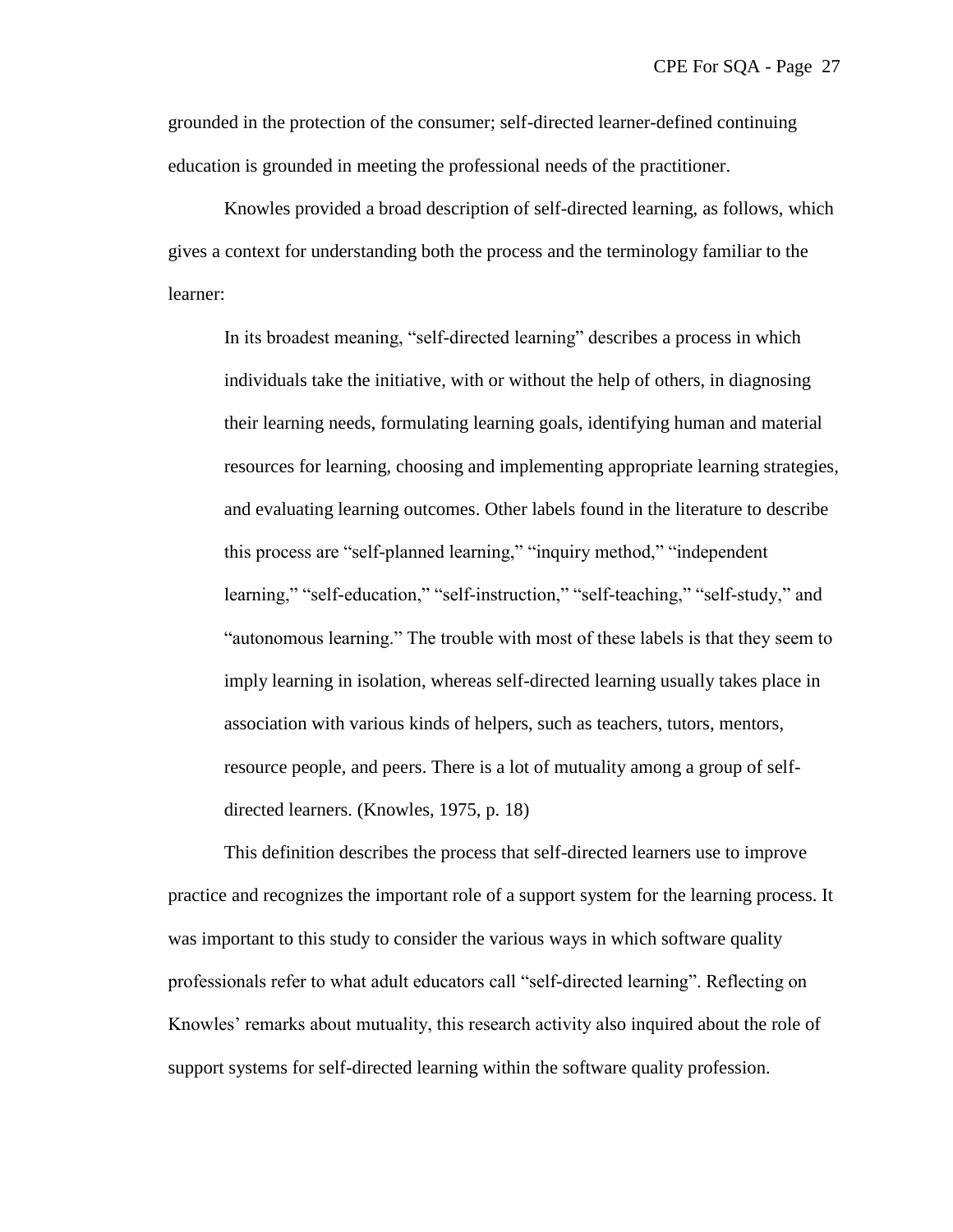grounded in the protection of the consumer; self-directed learner-defined continuing education is grounded in meeting the professional needs of the practitioner.

Knowles provided a broad description of self-directed learning, as follows, which gives a context for understanding both the process and the terminology familiar to the learner:

In its broadest meaning, "self-directed learning" describes a process in which individuals take the initiative, with or without the help of others, in diagnosing their learning needs, formulating learning goals, identifying human and material resources for learning, choosing and implementing appropriate learning strategies, and evaluating learning outcomes. Other labels found in the literature to describe this process are "self-planned learning," "inquiry method," "independent" learning," "self-education," "self-instruction," "self-teaching," "self-study," and "autonomous learning." The trouble with most of these labels is that they seem to imply learning in isolation, whereas self-directed learning usually takes place in association with various kinds of helpers, such as teachers, tutors, mentors, resource people, and peers. There is a lot of mutuality among a group of selfdirected learners. (Knowles, 1975, p. 18)

This definition describes the process that self-directed learners use to improve practice and recognizes the important role of a support system for the learning process. It was important to this study to consider the various ways in which software quality professionals refer to what adult educators call "self-directed learning". Reflecting on Knowles' remarks about mutuality, this research activity also inquired about the role of support systems for self-directed learning within the software quality profession.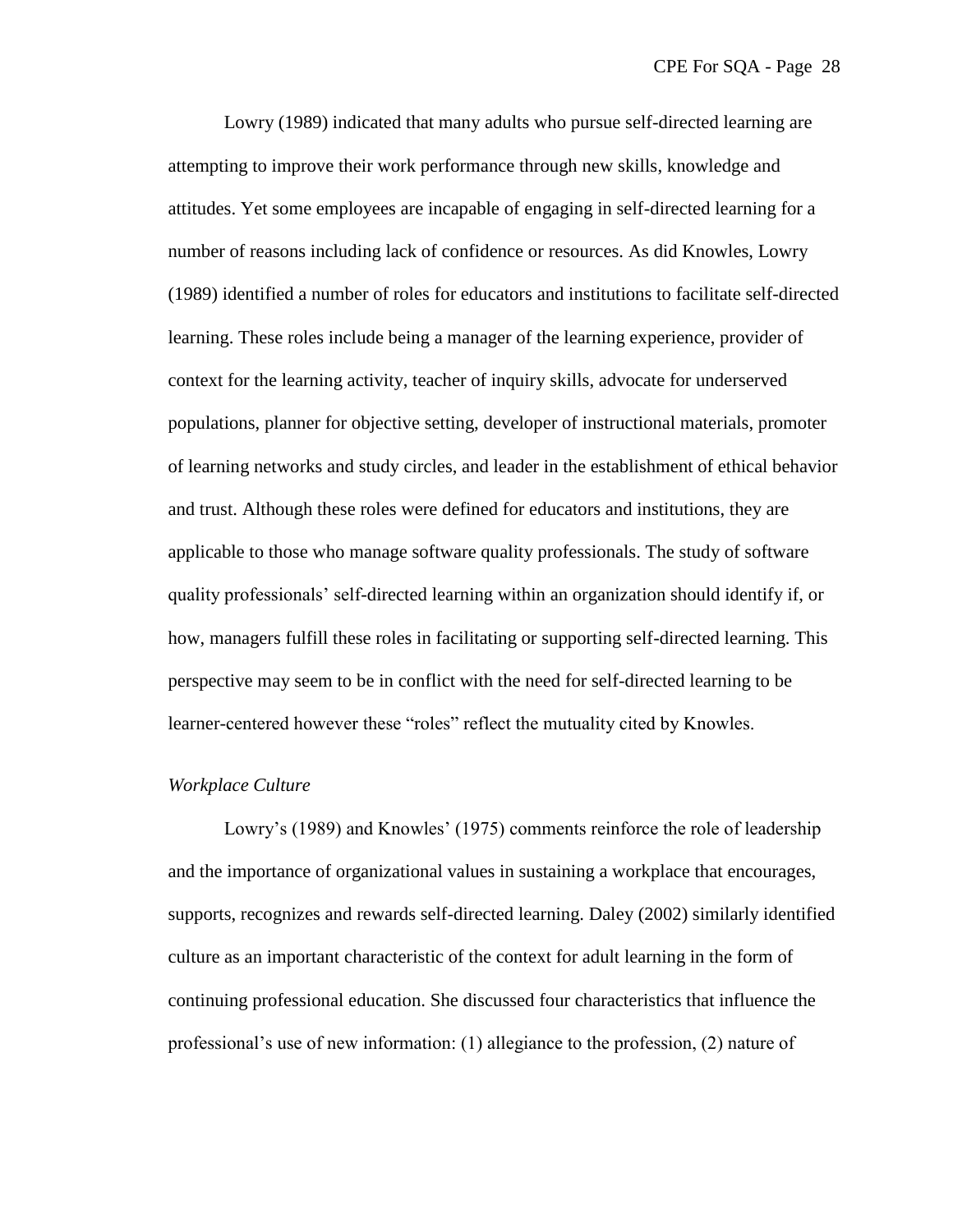Lowry (1989) indicated that many adults who pursue self-directed learning are attempting to improve their work performance through new skills, knowledge and attitudes. Yet some employees are incapable of engaging in self-directed learning for a number of reasons including lack of confidence or resources. As did Knowles, Lowry (1989) identified a number of roles for educators and institutions to facilitate self-directed learning. These roles include being a manager of the learning experience, provider of context for the learning activity, teacher of inquiry skills, advocate for underserved populations, planner for objective setting, developer of instructional materials, promoter of learning networks and study circles, and leader in the establishment of ethical behavior and trust. Although these roles were defined for educators and institutions, they are applicable to those who manage software quality professionals. The study of software quality professionals' self-directed learning within an organization should identify if, or how, managers fulfill these roles in facilitating or supporting self-directed learning. This perspective may seem to be in conflict with the need for self-directed learning to be learner-centered however these "roles" reflect the mutuality cited by Knowles.

#### *Workplace Culture*

Lowry's (1989) and Knowles' (1975) comments reinforce the role of leadership and the importance of organizational values in sustaining a workplace that encourages, supports, recognizes and rewards self-directed learning. Daley (2002) similarly identified culture as an important characteristic of the context for adult learning in the form of continuing professional education. She discussed four characteristics that influence the professional's use of new information: (1) allegiance to the profession, (2) nature of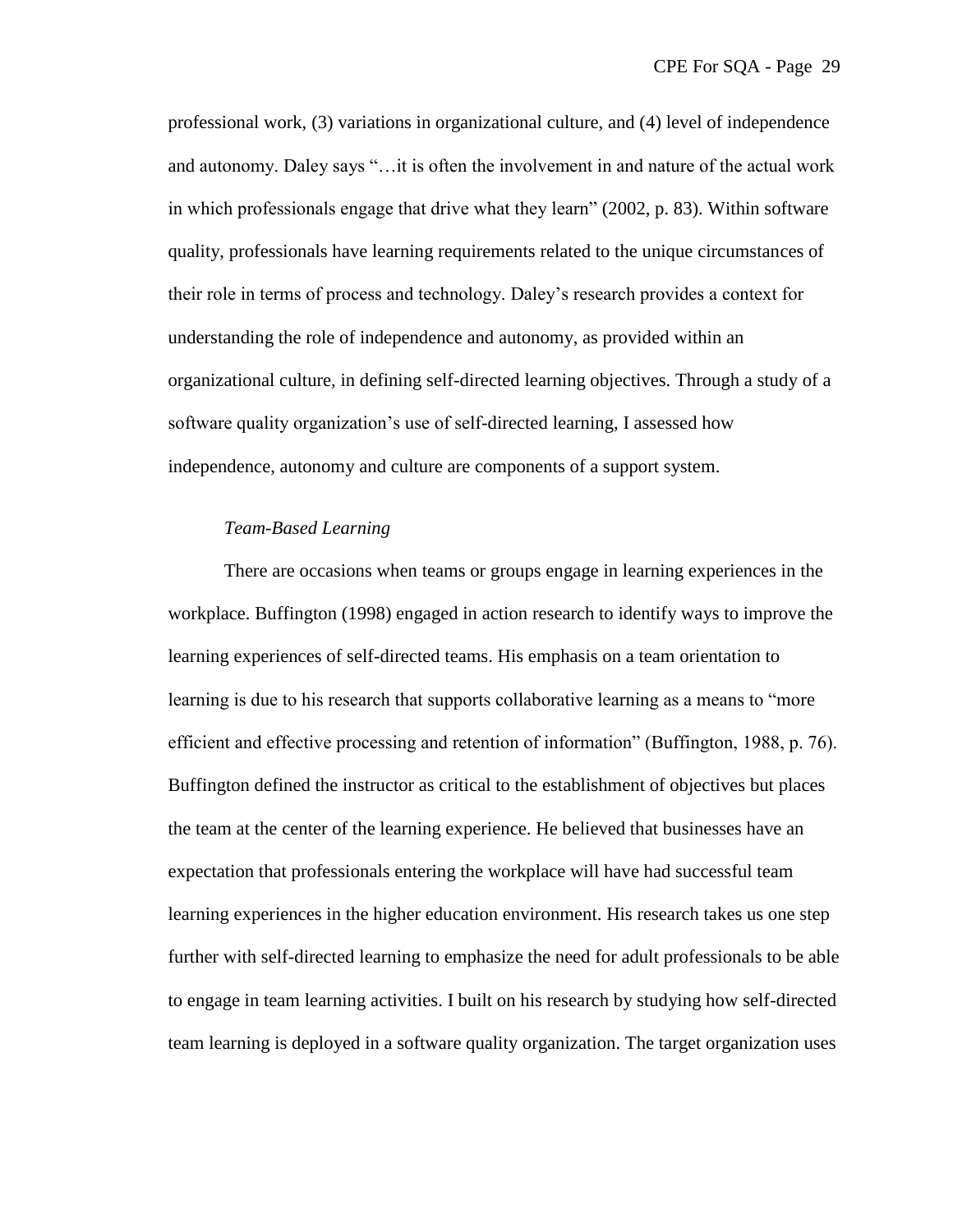professional work, (3) variations in organizational culture, and (4) level of independence and autonomy. Daley says "... it is often the involvement in and nature of the actual work in which professionals engage that drive what they learn" (2002, p. 83). Within software quality, professionals have learning requirements related to the unique circumstances of their role in terms of process and technology. Daley's research provides a context for understanding the role of independence and autonomy, as provided within an organizational culture, in defining self-directed learning objectives. Through a study of a software quality organization's use of self-directed learning, I assessed how independence, autonomy and culture are components of a support system.

### *Team-Based Learning*

There are occasions when teams or groups engage in learning experiences in the workplace. Buffington (1998) engaged in action research to identify ways to improve the learning experiences of self-directed teams. His emphasis on a team orientation to learning is due to his research that supports collaborative learning as a means to "more" efficient and effective processing and retention of information" (Buffington, 1988, p. 76). Buffington defined the instructor as critical to the establishment of objectives but places the team at the center of the learning experience. He believed that businesses have an expectation that professionals entering the workplace will have had successful team learning experiences in the higher education environment. His research takes us one step further with self-directed learning to emphasize the need for adult professionals to be able to engage in team learning activities. I built on his research by studying how self-directed team learning is deployed in a software quality organization. The target organization uses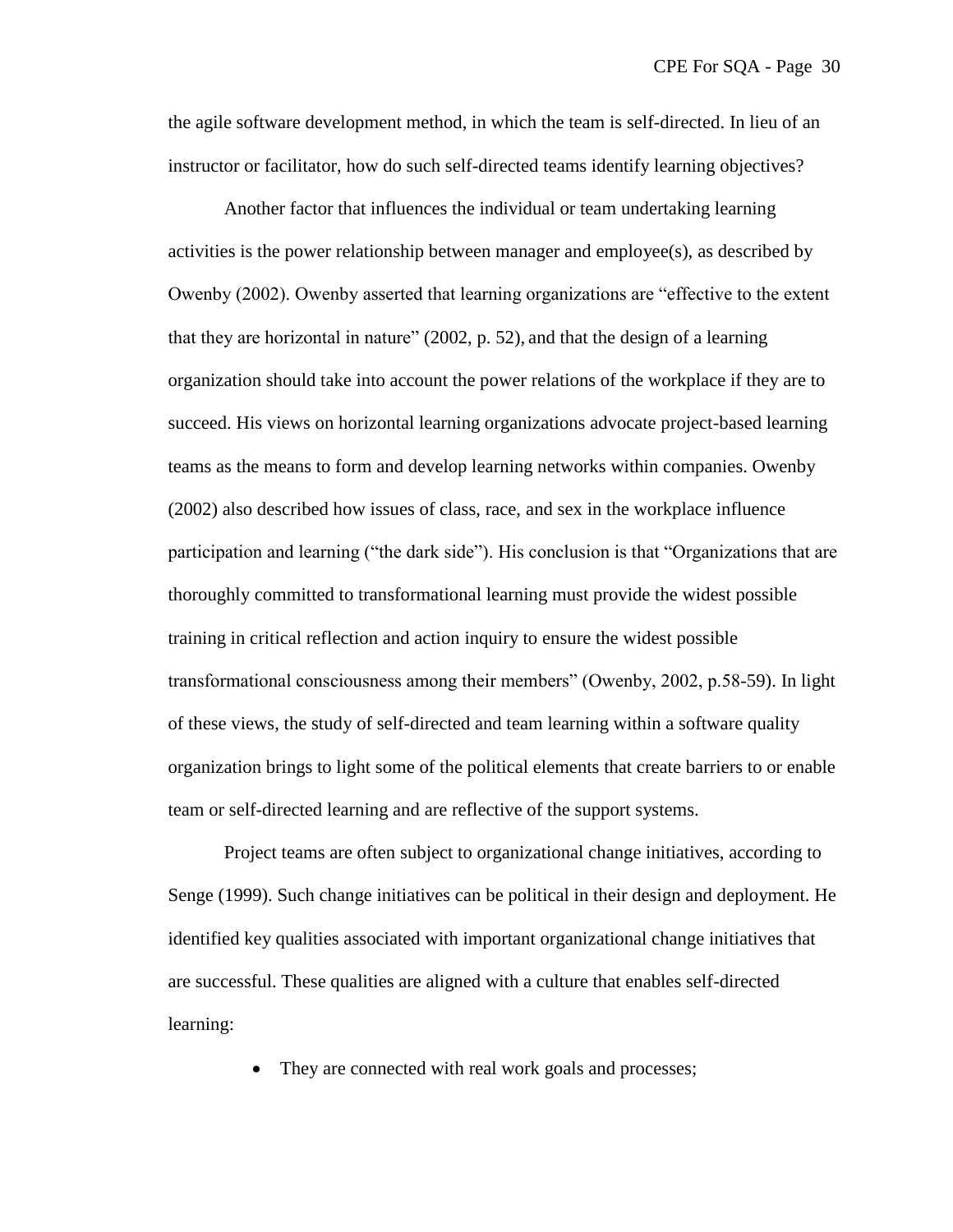the agile software development method, in which the team is self-directed. In lieu of an instructor or facilitator, how do such self-directed teams identify learning objectives?

Another factor that influences the individual or team undertaking learning activities is the power relationship between manager and employee(s), as described by Owenby (2002). Owenby asserted that learning organizations are "effective to the extent that they are horizontal in nature" (2002, p. 52), and that the design of a learning organization should take into account the power relations of the workplace if they are to succeed. His views on horizontal learning organizations advocate project-based learning teams as the means to form and develop learning networks within companies. Owenby (2002) also described how issues of class, race, and sex in the workplace influence participation and learning ("the dark side"). His conclusion is that "Organizations that are thoroughly committed to transformational learning must provide the widest possible training in critical reflection and action inquiry to ensure the widest possible transformational consciousness among their members‖ (Owenby, 2002, p.58-59). In light of these views, the study of self-directed and team learning within a software quality organization brings to light some of the political elements that create barriers to or enable team or self-directed learning and are reflective of the support systems.

Project teams are often subject to organizational change initiatives, according to Senge (1999). Such change initiatives can be political in their design and deployment. He identified key qualities associated with important organizational change initiatives that are successful. These qualities are aligned with a culture that enables self-directed learning:

• They are connected with real work goals and processes;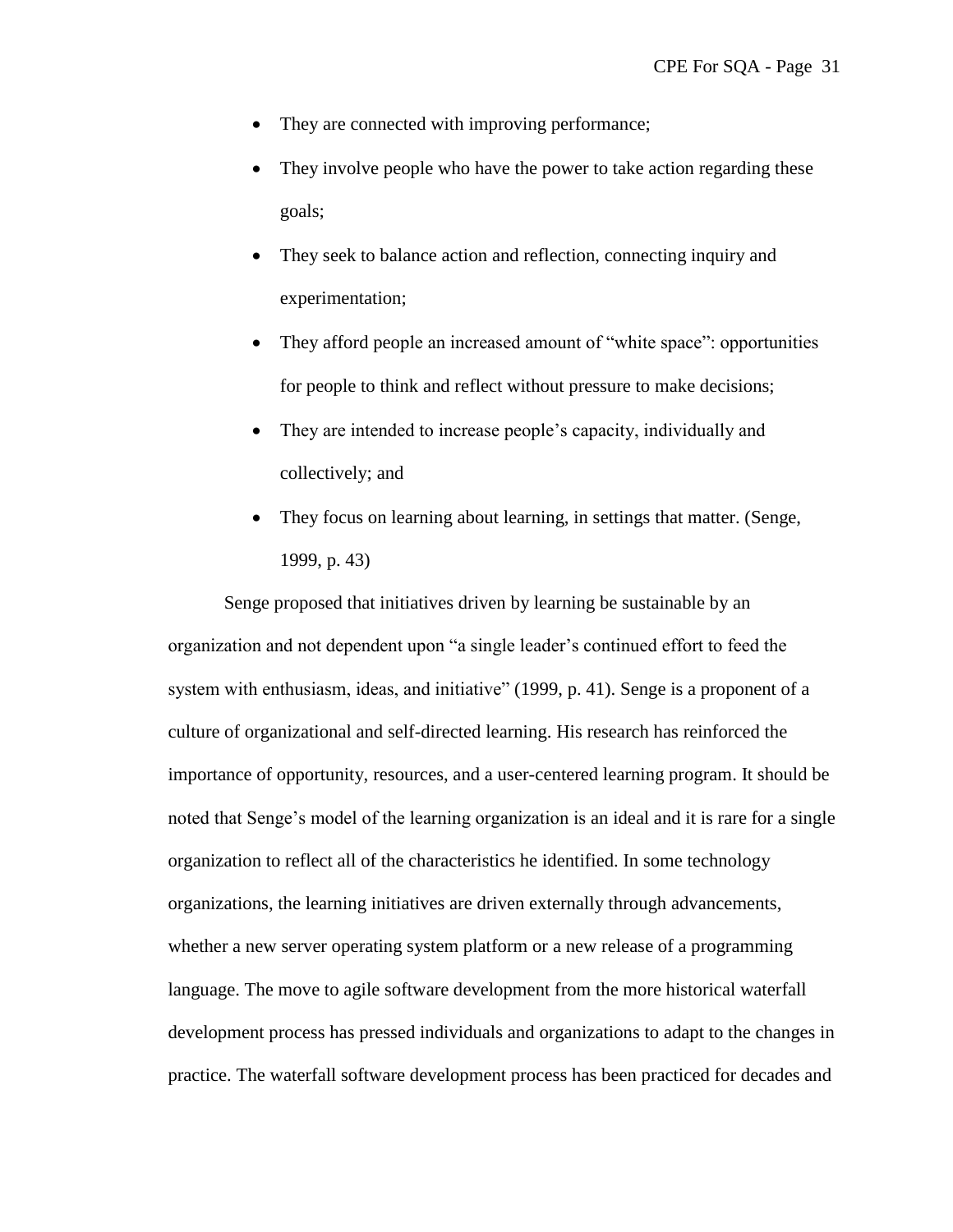- They are connected with improving performance;
- They involve people who have the power to take action regarding these goals;
- They seek to balance action and reflection, connecting inquiry and experimentation;
- They afford people an increased amount of "white space": opportunities for people to think and reflect without pressure to make decisions;
- They are intended to increase people's capacity, individually and collectively; and
- They focus on learning about learning, in settings that matter. (Senge, 1999, p. 43)

Senge proposed that initiatives driven by learning be sustainable by an organization and not dependent upon "a single leader's continued effort to feed the system with enthusiasm, ideas, and initiative" (1999, p. 41). Senge is a proponent of a culture of organizational and self-directed learning. His research has reinforced the importance of opportunity, resources, and a user-centered learning program. It should be noted that Senge's model of the learning organization is an ideal and it is rare for a single organization to reflect all of the characteristics he identified. In some technology organizations, the learning initiatives are driven externally through advancements, whether a new server operating system platform or a new release of a programming language. The move to agile software development from the more historical waterfall development process has pressed individuals and organizations to adapt to the changes in practice. The waterfall software development process has been practiced for decades and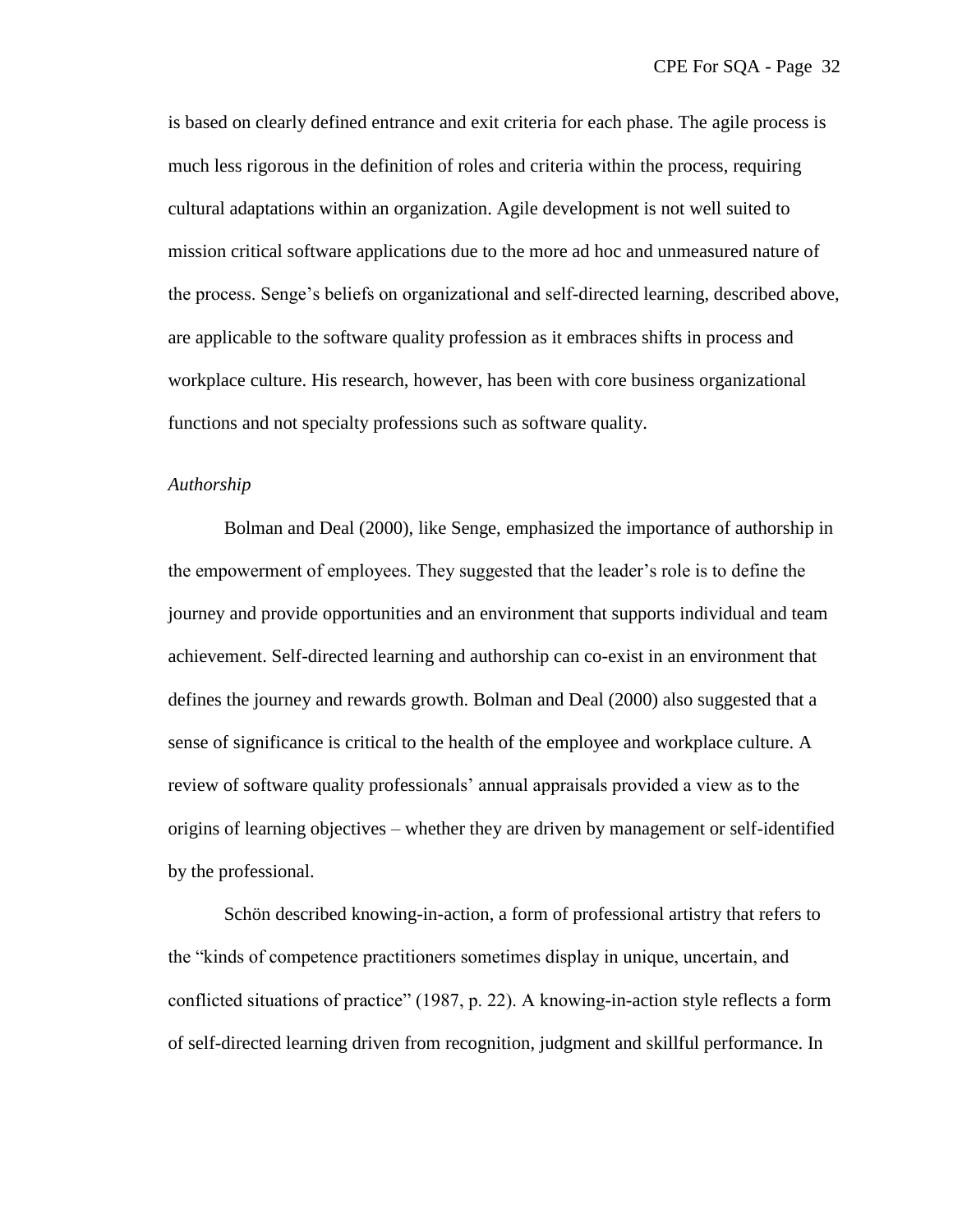is based on clearly defined entrance and exit criteria for each phase. The agile process is much less rigorous in the definition of roles and criteria within the process, requiring cultural adaptations within an organization. Agile development is not well suited to mission critical software applications due to the more ad hoc and unmeasured nature of the process. Senge's beliefs on organizational and self-directed learning, described above, are applicable to the software quality profession as it embraces shifts in process and workplace culture. His research, however, has been with core business organizational functions and not specialty professions such as software quality.

# *Authorship*

Bolman and Deal (2000), like Senge, emphasized the importance of authorship in the empowerment of employees. They suggested that the leader's role is to define the journey and provide opportunities and an environment that supports individual and team achievement. Self-directed learning and authorship can co-exist in an environment that defines the journey and rewards growth. Bolman and Deal (2000) also suggested that a sense of significance is critical to the health of the employee and workplace culture. A review of software quality professionals' annual appraisals provided a view as to the origins of learning objectives – whether they are driven by management or self-identified by the professional.

Schön described knowing-in-action, a form of professional artistry that refers to the "kinds of competence practitioners sometimes display in unique, uncertain, and conflicted situations of practice" (1987, p. 22). A knowing-in-action style reflects a form of self-directed learning driven from recognition, judgment and skillful performance. In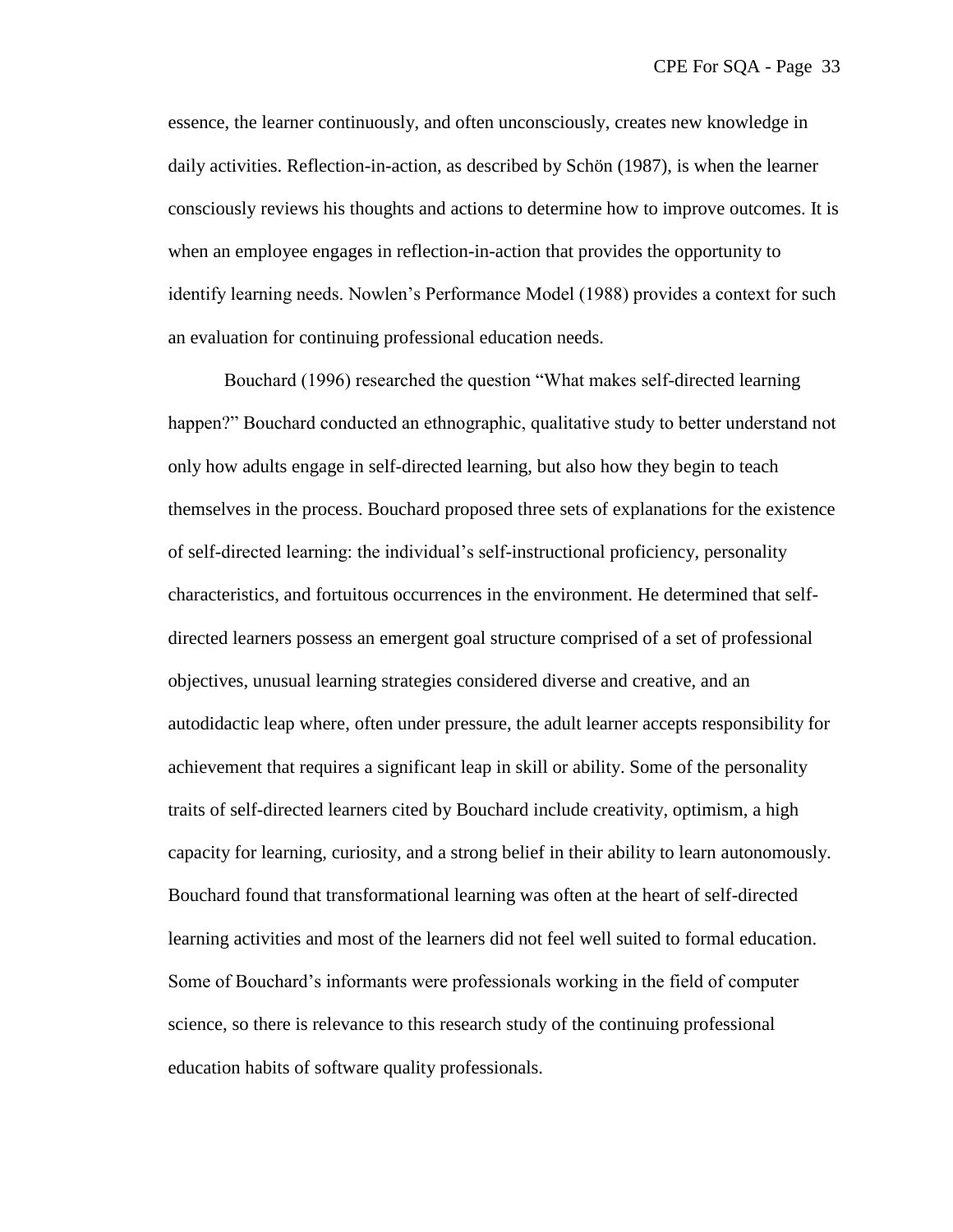essence, the learner continuously, and often unconsciously, creates new knowledge in daily activities. Reflection-in-action, as described by Schön (1987), is when the learner consciously reviews his thoughts and actions to determine how to improve outcomes. It is when an employee engages in reflection-in-action that provides the opportunity to identify learning needs. Nowlen's Performance Model (1988) provides a context for such an evaluation for continuing professional education needs.

Bouchard (1996) researched the question "What makes self-directed learning happen?" Bouchard conducted an ethnographic, qualitative study to better understand not only how adults engage in self-directed learning, but also how they begin to teach themselves in the process. Bouchard proposed three sets of explanations for the existence of self-directed learning: the individual's self-instructional proficiency, personality characteristics, and fortuitous occurrences in the environment. He determined that selfdirected learners possess an emergent goal structure comprised of a set of professional objectives, unusual learning strategies considered diverse and creative, and an autodidactic leap where, often under pressure, the adult learner accepts responsibility for achievement that requires a significant leap in skill or ability. Some of the personality traits of self-directed learners cited by Bouchard include creativity, optimism, a high capacity for learning, curiosity, and a strong belief in their ability to learn autonomously. Bouchard found that transformational learning was often at the heart of self-directed learning activities and most of the learners did not feel well suited to formal education. Some of Bouchard's informants were professionals working in the field of computer science, so there is relevance to this research study of the continuing professional education habits of software quality professionals.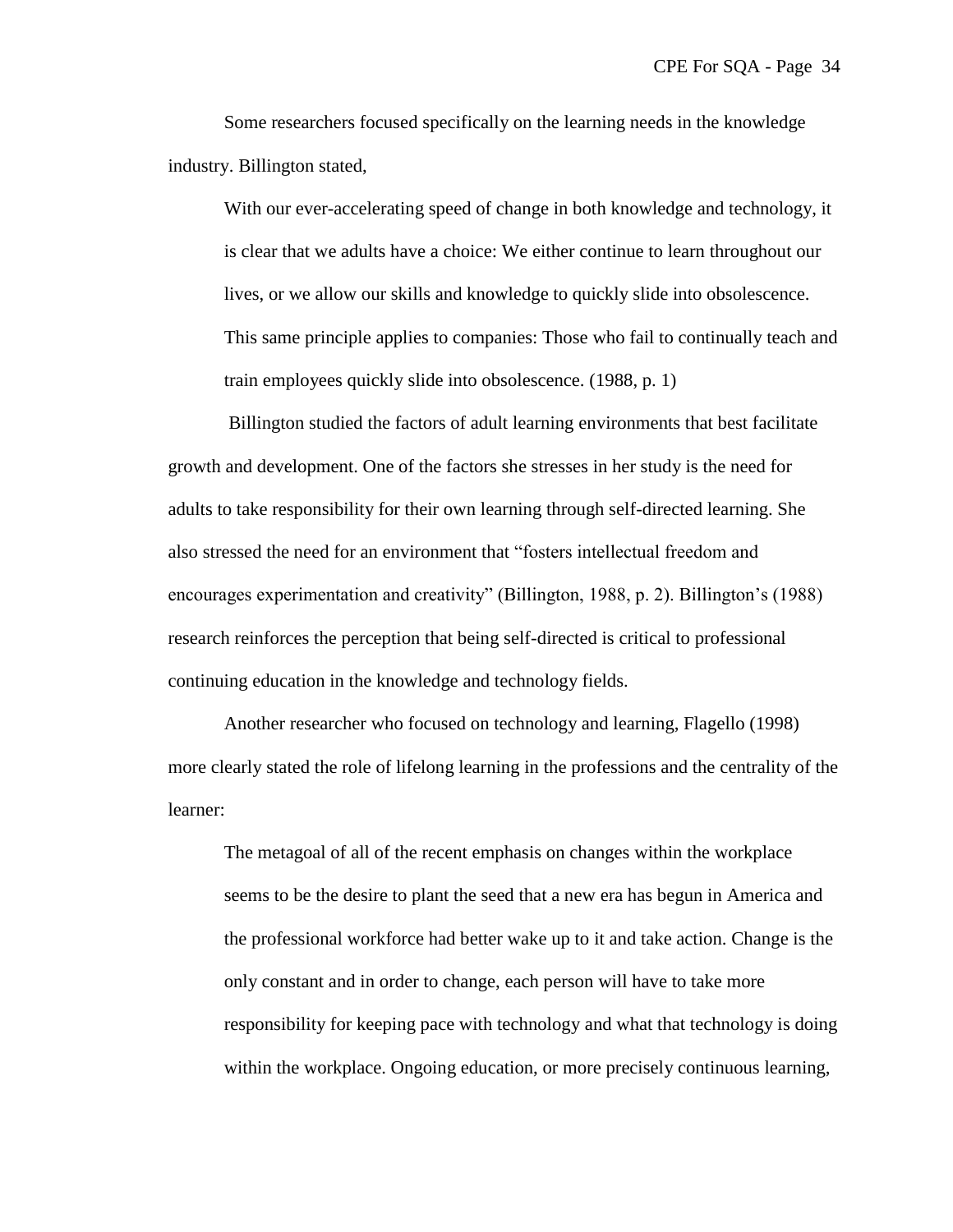Some researchers focused specifically on the learning needs in the knowledge industry. Billington stated,

With our ever-accelerating speed of change in both knowledge and technology, it is clear that we adults have a choice: We either continue to learn throughout our lives, or we allow our skills and knowledge to quickly slide into obsolescence. This same principle applies to companies: Those who fail to continually teach and train employees quickly slide into obsolescence. (1988, p. 1)

Billington studied the factors of adult learning environments that best facilitate growth and development. One of the factors she stresses in her study is the need for adults to take responsibility for their own learning through self-directed learning. She also stressed the need for an environment that "fosters intellectual freedom and encourages experimentation and creativity" (Billington, 1988, p. 2). Billington's (1988) research reinforces the perception that being self-directed is critical to professional continuing education in the knowledge and technology fields.

Another researcher who focused on technology and learning, Flagello (1998) more clearly stated the role of lifelong learning in the professions and the centrality of the learner:

The metagoal of all of the recent emphasis on changes within the workplace seems to be the desire to plant the seed that a new era has begun in America and the professional workforce had better wake up to it and take action. Change is the only constant and in order to change, each person will have to take more responsibility for keeping pace with technology and what that technology is doing within the workplace. Ongoing education, or more precisely continuous learning,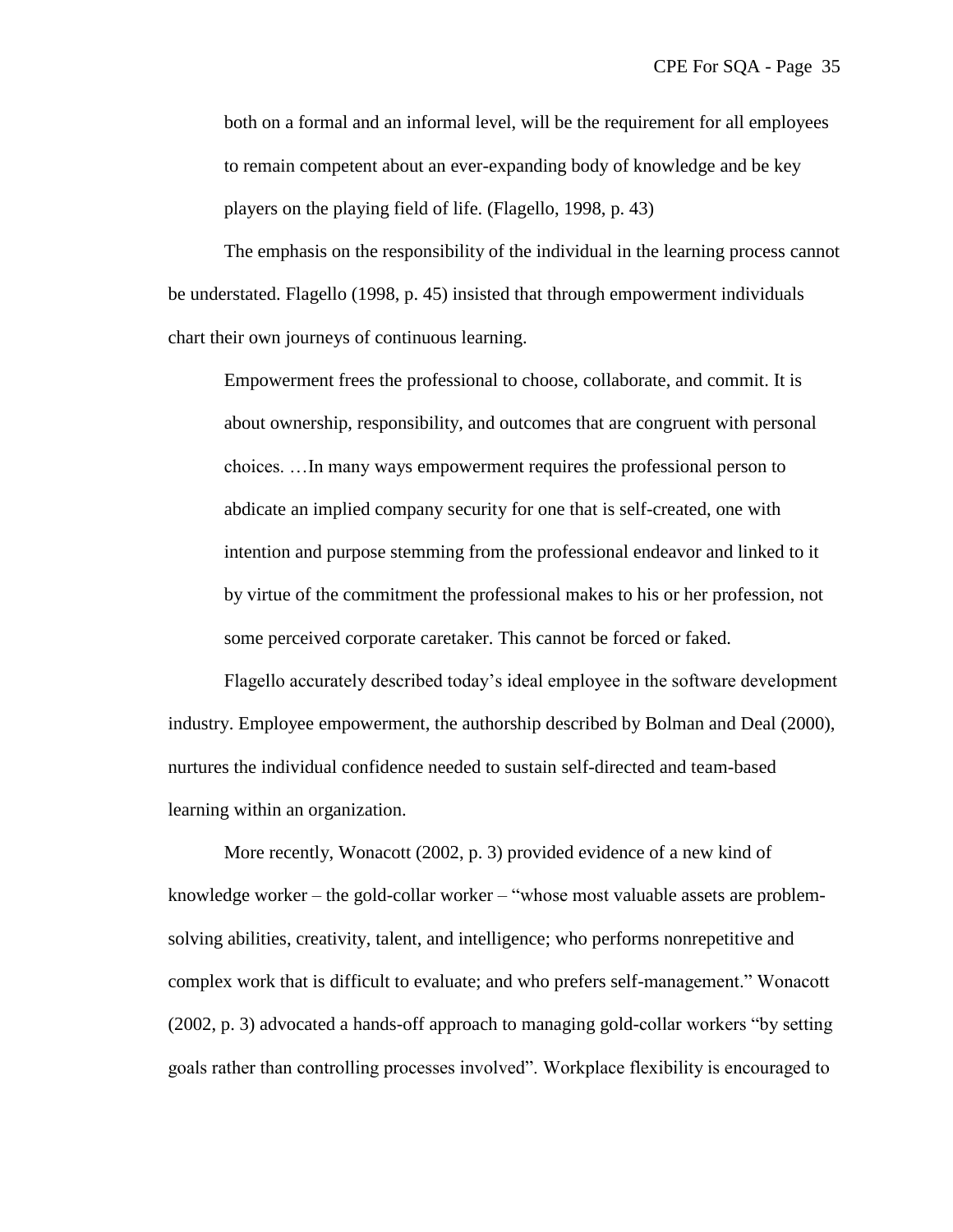both on a formal and an informal level, will be the requirement for all employees to remain competent about an ever-expanding body of knowledge and be key players on the playing field of life. (Flagello, 1998, p. 43)

The emphasis on the responsibility of the individual in the learning process cannot be understated. Flagello (1998, p. 45) insisted that through empowerment individuals chart their own journeys of continuous learning.

Empowerment frees the professional to choose, collaborate, and commit. It is about ownership, responsibility, and outcomes that are congruent with personal choices. …In many ways empowerment requires the professional person to abdicate an implied company security for one that is self-created, one with intention and purpose stemming from the professional endeavor and linked to it by virtue of the commitment the professional makes to his or her profession, not some perceived corporate caretaker. This cannot be forced or faked.

Flagello accurately described today's ideal employee in the software development industry. Employee empowerment, the authorship described by Bolman and Deal (2000), nurtures the individual confidence needed to sustain self-directed and team-based learning within an organization.

More recently, Wonacott (2002, p. 3) provided evidence of a new kind of knowledge worker – the gold-collar worker – "whose most valuable assets are problemsolving abilities, creativity, talent, and intelligence; who performs nonrepetitive and complex work that is difficult to evaluate; and who prefers self-management." Wonacott (2002, p. 3) advocated a hands-off approach to managing gold-collar workers "by setting goals rather than controlling processes involved". Workplace flexibility is encouraged to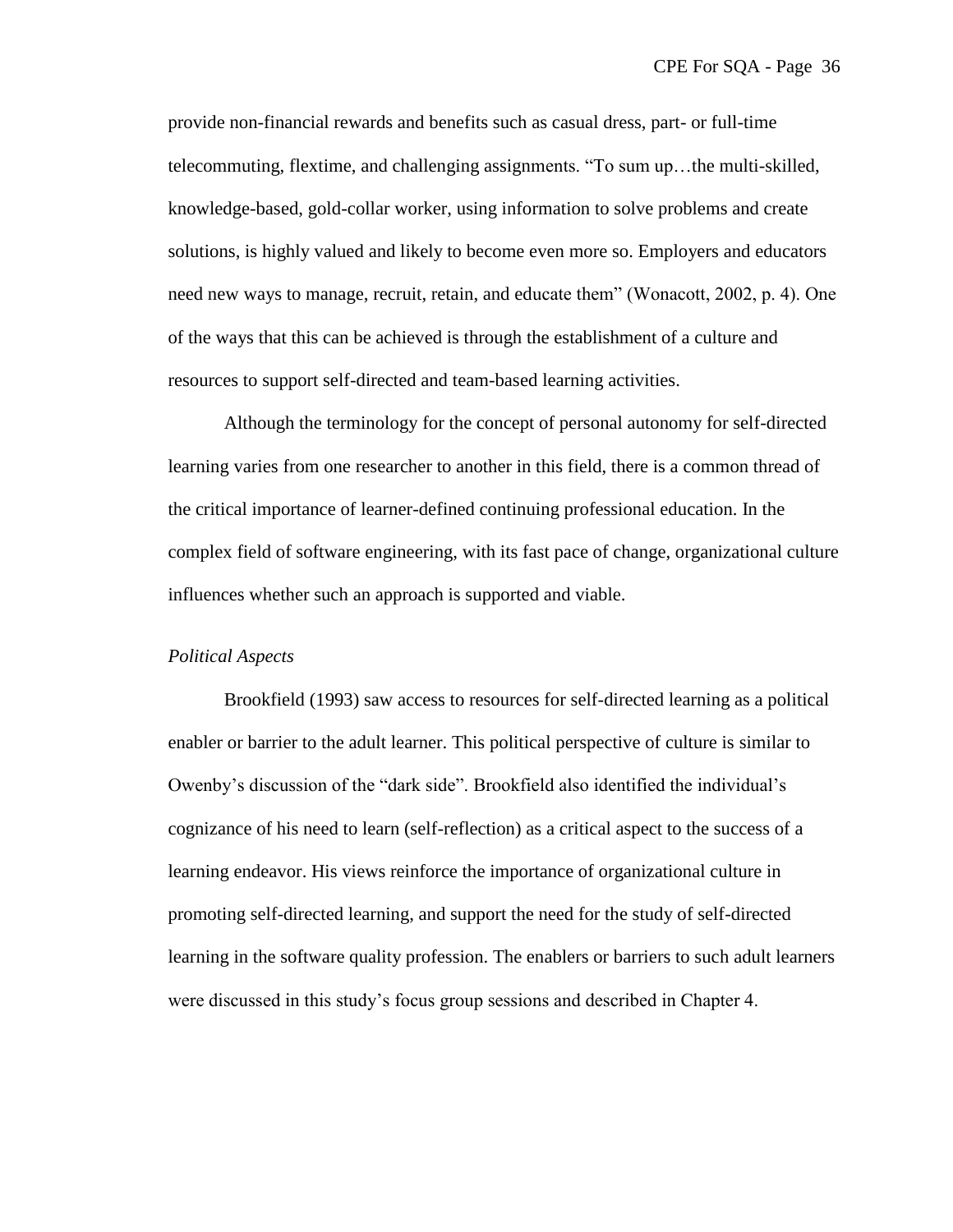provide non-financial rewards and benefits such as casual dress, part- or full-time telecommuting, flextime, and challenging assignments. ―To sum up…the multi-skilled, knowledge-based, gold-collar worker, using information to solve problems and create solutions, is highly valued and likely to become even more so. Employers and educators need new ways to manage, recruit, retain, and educate them<sup>"</sup> (Wonacott, 2002, p. 4). One of the ways that this can be achieved is through the establishment of a culture and resources to support self-directed and team-based learning activities.

Although the terminology for the concept of personal autonomy for self-directed learning varies from one researcher to another in this field, there is a common thread of the critical importance of learner-defined continuing professional education. In the complex field of software engineering, with its fast pace of change, organizational culture influences whether such an approach is supported and viable.

#### *Political Aspects*

Brookfield (1993) saw access to resources for self-directed learning as a political enabler or barrier to the adult learner. This political perspective of culture is similar to Owenby's discussion of the "dark side". Brookfield also identified the individual's cognizance of his need to learn (self-reflection) as a critical aspect to the success of a learning endeavor. His views reinforce the importance of organizational culture in promoting self-directed learning, and support the need for the study of self-directed learning in the software quality profession. The enablers or barriers to such adult learners were discussed in this study's focus group sessions and described in Chapter 4.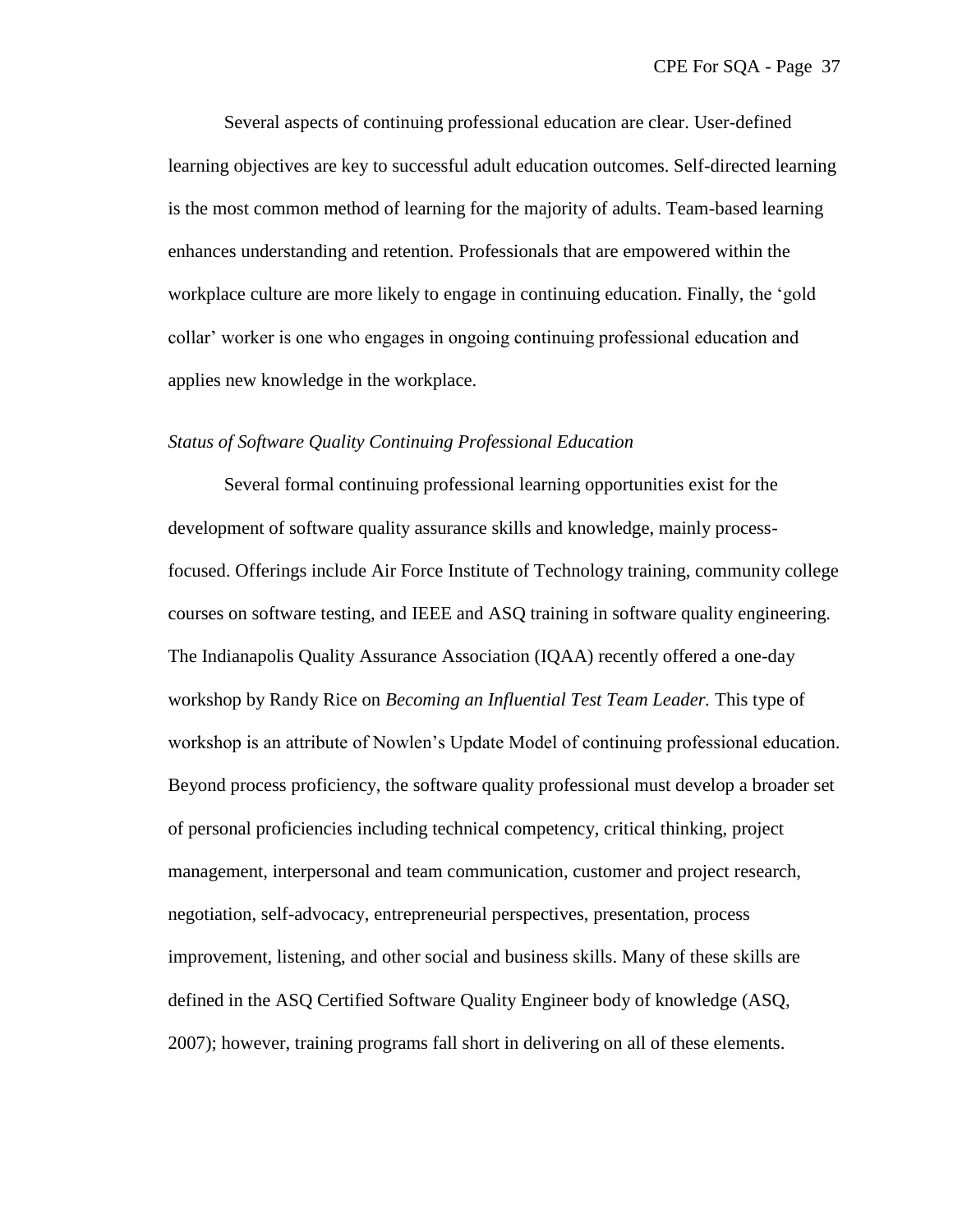Several aspects of continuing professional education are clear. User-defined learning objectives are key to successful adult education outcomes. Self-directed learning is the most common method of learning for the majority of adults. Team-based learning enhances understanding and retention. Professionals that are empowered within the workplace culture are more likely to engage in continuing education. Finally, the 'gold collar' worker is one who engages in ongoing continuing professional education and applies new knowledge in the workplace.

### *Status of Software Quality Continuing Professional Education*

Several formal continuing professional learning opportunities exist for the development of software quality assurance skills and knowledge, mainly processfocused. Offerings include Air Force Institute of Technology training, community college courses on software testing, and IEEE and ASQ training in software quality engineering. The Indianapolis Quality Assurance Association (IQAA) recently offered a one-day workshop by Randy Rice on *Becoming an Influential Test Team Leader.* This type of workshop is an attribute of Nowlen's Update Model of continuing professional education. Beyond process proficiency, the software quality professional must develop a broader set of personal proficiencies including technical competency, critical thinking, project management, interpersonal and team communication, customer and project research, negotiation, self-advocacy, entrepreneurial perspectives, presentation, process improvement, listening, and other social and business skills. Many of these skills are defined in the ASQ Certified Software Quality Engineer body of knowledge (ASQ, 2007); however, training programs fall short in delivering on all of these elements.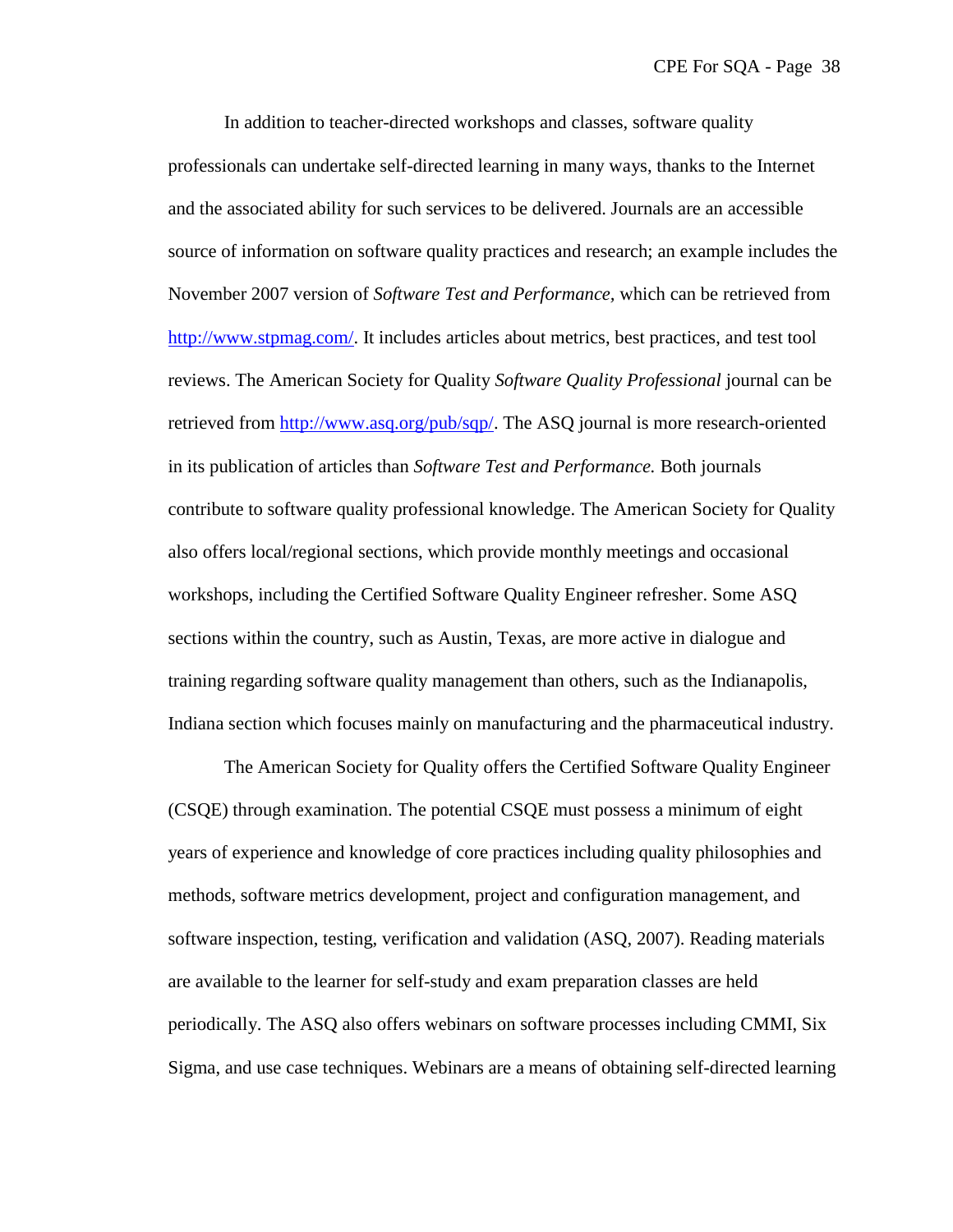In addition to teacher-directed workshops and classes, software quality professionals can undertake self-directed learning in many ways, thanks to the Internet and the associated ability for such services to be delivered. Journals are an accessible source of information on software quality practices and research; an example includes the November 2007 version of *Software Test and Performance,* which can be retrieved from [http://www.stpmag.com/.](http://www.stpmag.com/) It includes articles about metrics, best practices, and test tool reviews. The American Society for Quality *Software Quality Professional* journal can be retrieved from [http://www.asq.org/pub/sqp/.](http://www.asq.org/pub/sqp/) The ASQ journal is more research-oriented in its publication of articles than *Software Test and Performance.* Both journals contribute to software quality professional knowledge. The American Society for Quality also offers local/regional sections, which provide monthly meetings and occasional workshops, including the Certified Software Quality Engineer refresher. Some ASQ sections within the country, such as Austin, Texas, are more active in dialogue and training regarding software quality management than others, such as the Indianapolis, Indiana section which focuses mainly on manufacturing and the pharmaceutical industry.

The American Society for Quality offers the Certified Software Quality Engineer (CSQE) through examination. The potential CSQE must possess a minimum of eight years of experience and knowledge of core practices including quality philosophies and methods, software metrics development, project and configuration management, and software inspection, testing, verification and validation (ASQ, 2007). Reading materials are available to the learner for self-study and exam preparation classes are held periodically. The ASQ also offers webinars on software processes including CMMI, Six Sigma, and use case techniques. Webinars are a means of obtaining self-directed learning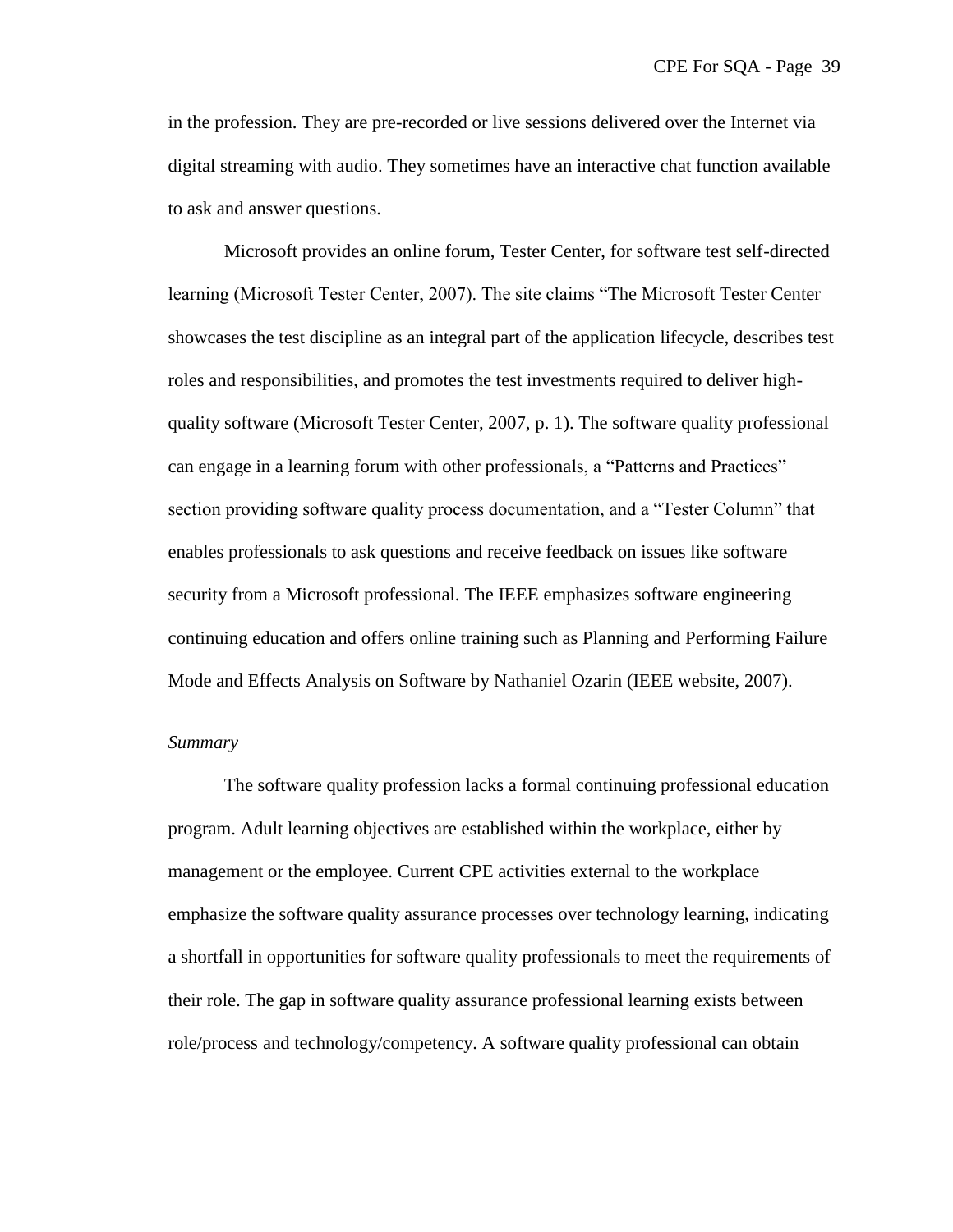in the profession. They are pre-recorded or live sessions delivered over the Internet via digital streaming with audio. They sometimes have an interactive chat function available to ask and answer questions.

Microsoft provides an online forum, Tester Center, for software test self-directed learning (Microsoft Tester Center, 2007). The site claims "The Microsoft Tester Center showcases the test discipline as an integral part of the application lifecycle, describes test roles and responsibilities, and promotes the test investments required to deliver highquality software (Microsoft Tester Center, 2007, p. 1). The software quality professional can engage in a learning forum with other professionals, a "Patterns and Practices" section providing software quality process documentation, and a "Tester Column" that enables professionals to ask questions and receive feedback on issues like software security from a Microsoft professional. The IEEE emphasizes software engineering continuing education and offers online training such as Planning and Performing Failure Mode and Effects Analysis on Software by Nathaniel Ozarin (IEEE website, 2007).

# *Summary*

The software quality profession lacks a formal continuing professional education program. Adult learning objectives are established within the workplace, either by management or the employee. Current CPE activities external to the workplace emphasize the software quality assurance processes over technology learning, indicating a shortfall in opportunities for software quality professionals to meet the requirements of their role. The gap in software quality assurance professional learning exists between role/process and technology/competency. A software quality professional can obtain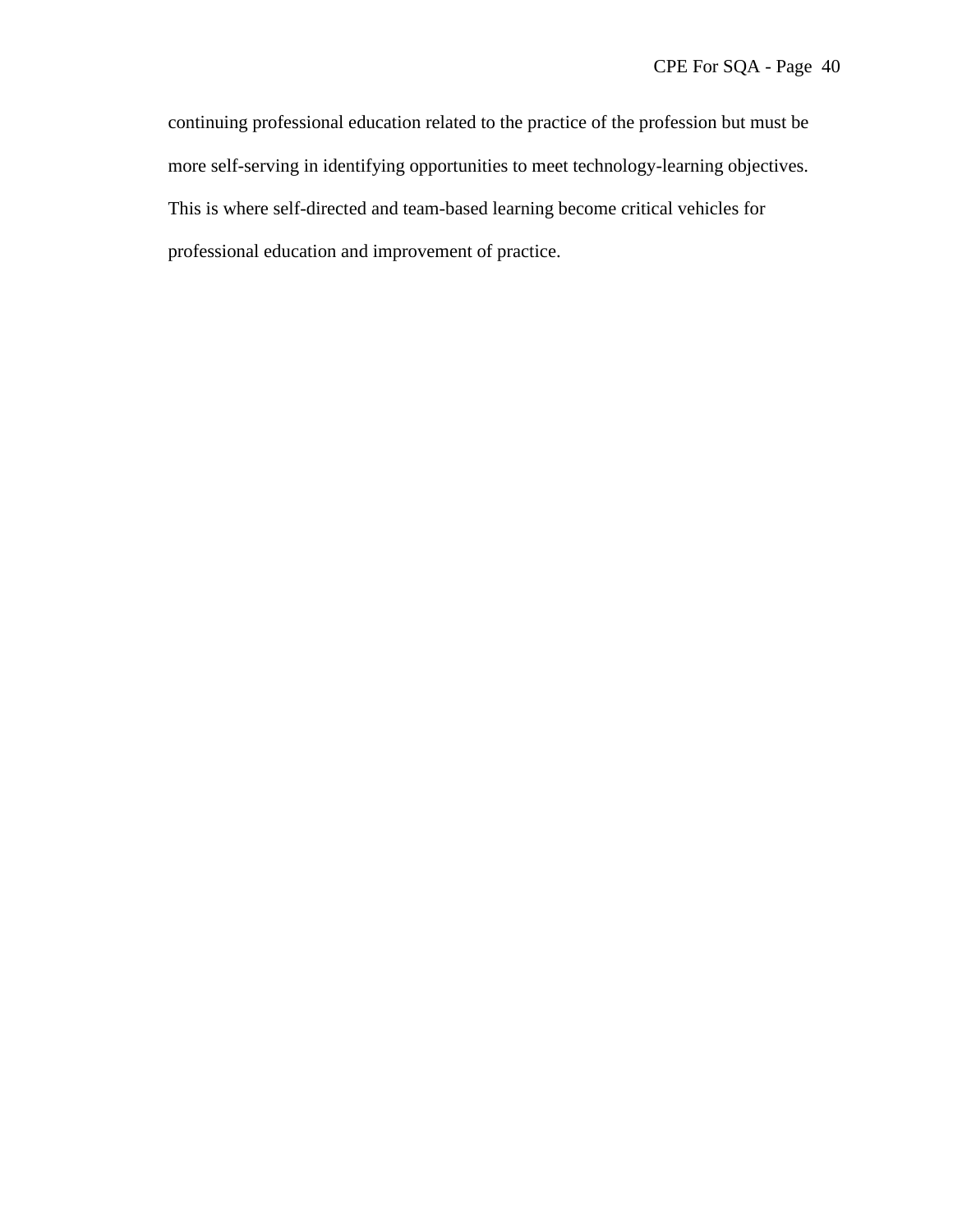continuing professional education related to the practice of the profession but must be more self-serving in identifying opportunities to meet technology-learning objectives. This is where self-directed and team-based learning become critical vehicles for professional education and improvement of practice.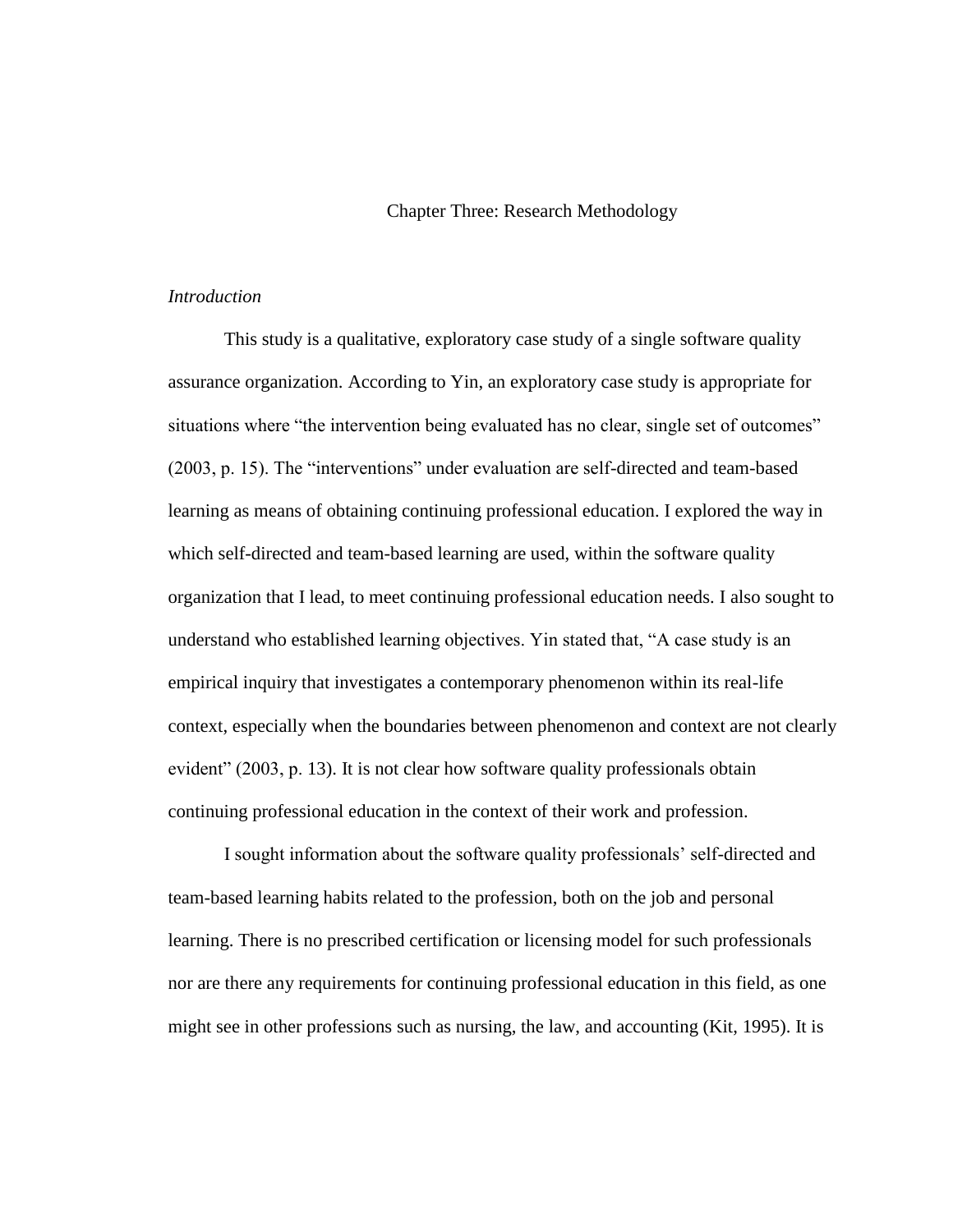# Chapter Three: Research Methodology

# *Introduction*

This study is a qualitative, exploratory case study of a single software quality assurance organization. According to Yin, an exploratory case study is appropriate for situations where "the intervention being evaluated has no clear, single set of outcomes" (2003, p. 15). The "interventions" under evaluation are self-directed and team-based learning as means of obtaining continuing professional education. I explored the way in which self-directed and team-based learning are used, within the software quality organization that I lead, to meet continuing professional education needs. I also sought to understand who established learning objectives. Yin stated that, "A case study is an empirical inquiry that investigates a contemporary phenomenon within its real-life context, especially when the boundaries between phenomenon and context are not clearly evident" (2003, p. 13). It is not clear how software quality professionals obtain continuing professional education in the context of their work and profession.

I sought information about the software quality professionals' self-directed and team-based learning habits related to the profession, both on the job and personal learning. There is no prescribed certification or licensing model for such professionals nor are there any requirements for continuing professional education in this field, as one might see in other professions such as nursing, the law, and accounting (Kit, 1995). It is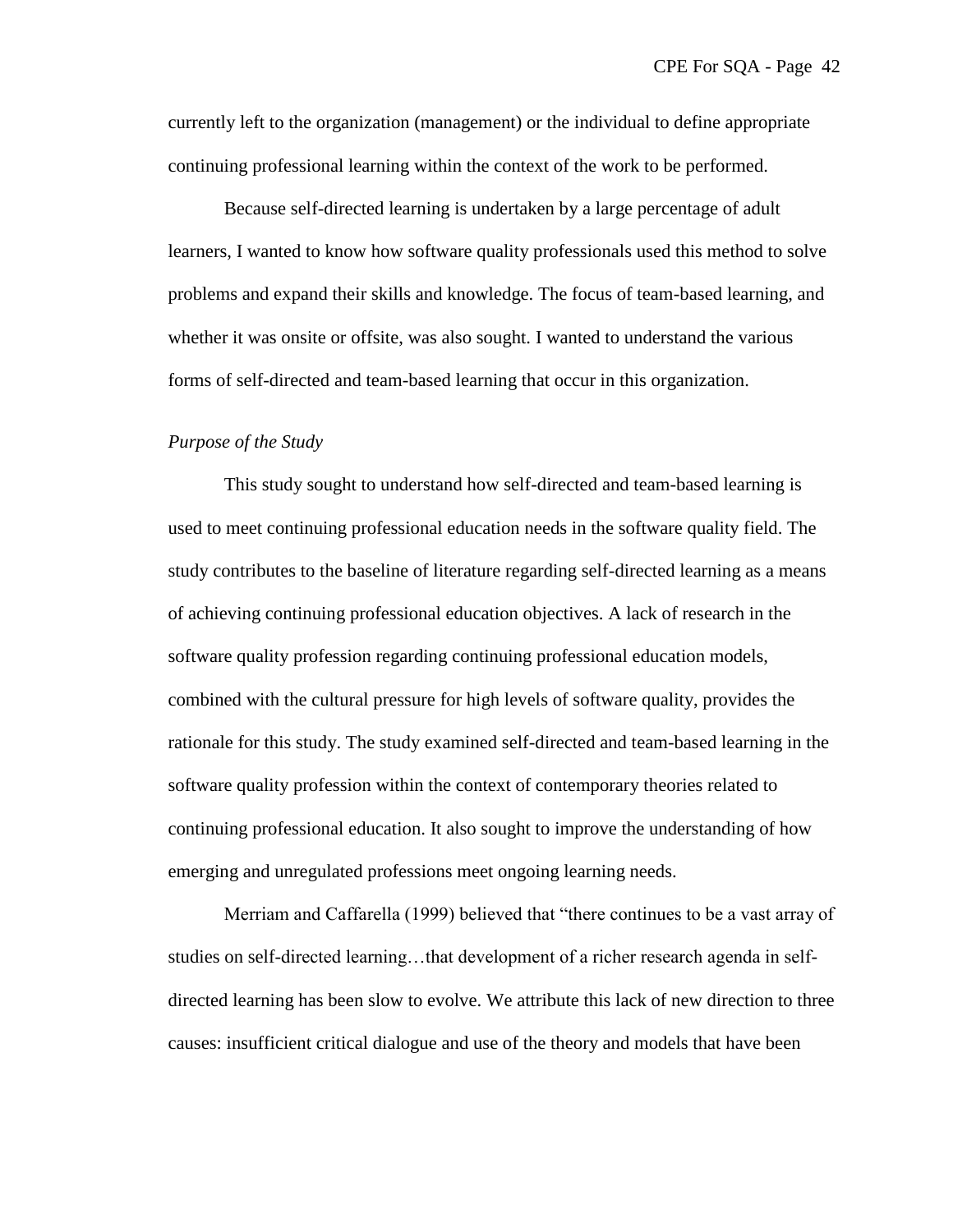currently left to the organization (management) or the individual to define appropriate continuing professional learning within the context of the work to be performed.

Because self-directed learning is undertaken by a large percentage of adult learners, I wanted to know how software quality professionals used this method to solve problems and expand their skills and knowledge. The focus of team-based learning, and whether it was onsite or offsite, was also sought. I wanted to understand the various forms of self-directed and team-based learning that occur in this organization.

### *Purpose of the Study*

This study sought to understand how self-directed and team-based learning is used to meet continuing professional education needs in the software quality field. The study contributes to the baseline of literature regarding self-directed learning as a means of achieving continuing professional education objectives. A lack of research in the software quality profession regarding continuing professional education models, combined with the cultural pressure for high levels of software quality, provides the rationale for this study. The study examined self-directed and team-based learning in the software quality profession within the context of contemporary theories related to continuing professional education. It also sought to improve the understanding of how emerging and unregulated professions meet ongoing learning needs.

Merriam and Caffarella (1999) believed that "there continues to be a vast array of studies on self-directed learning...that development of a richer research agenda in selfdirected learning has been slow to evolve. We attribute this lack of new direction to three causes: insufficient critical dialogue and use of the theory and models that have been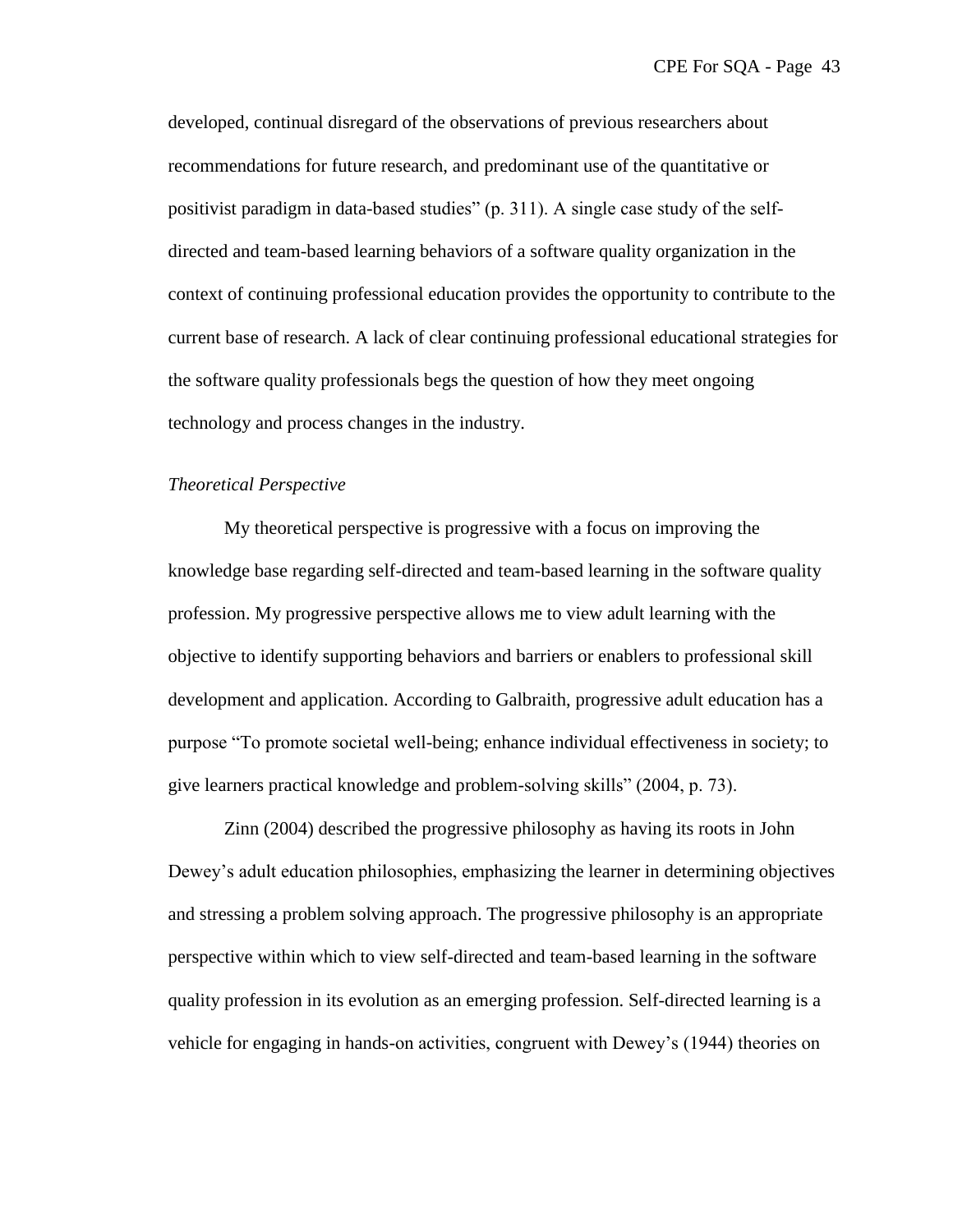developed, continual disregard of the observations of previous researchers about recommendations for future research, and predominant use of the quantitative or positivist paradigm in data-based studies"  $(p, 311)$ . A single case study of the selfdirected and team-based learning behaviors of a software quality organization in the context of continuing professional education provides the opportunity to contribute to the current base of research. A lack of clear continuing professional educational strategies for the software quality professionals begs the question of how they meet ongoing technology and process changes in the industry.

# *Theoretical Perspective*

My theoretical perspective is progressive with a focus on improving the knowledge base regarding self-directed and team-based learning in the software quality profession. My progressive perspective allows me to view adult learning with the objective to identify supporting behaviors and barriers or enablers to professional skill development and application. According to Galbraith, progressive adult education has a purpose "To promote societal well-being; enhance individual effectiveness in society; to give learners practical knowledge and problem-solving skills" (2004, p. 73).

Zinn (2004) described the progressive philosophy as having its roots in John Dewey's adult education philosophies, emphasizing the learner in determining objectives and stressing a problem solving approach. The progressive philosophy is an appropriate perspective within which to view self-directed and team-based learning in the software quality profession in its evolution as an emerging profession. Self-directed learning is a vehicle for engaging in hands-on activities, congruent with Dewey's (1944) theories on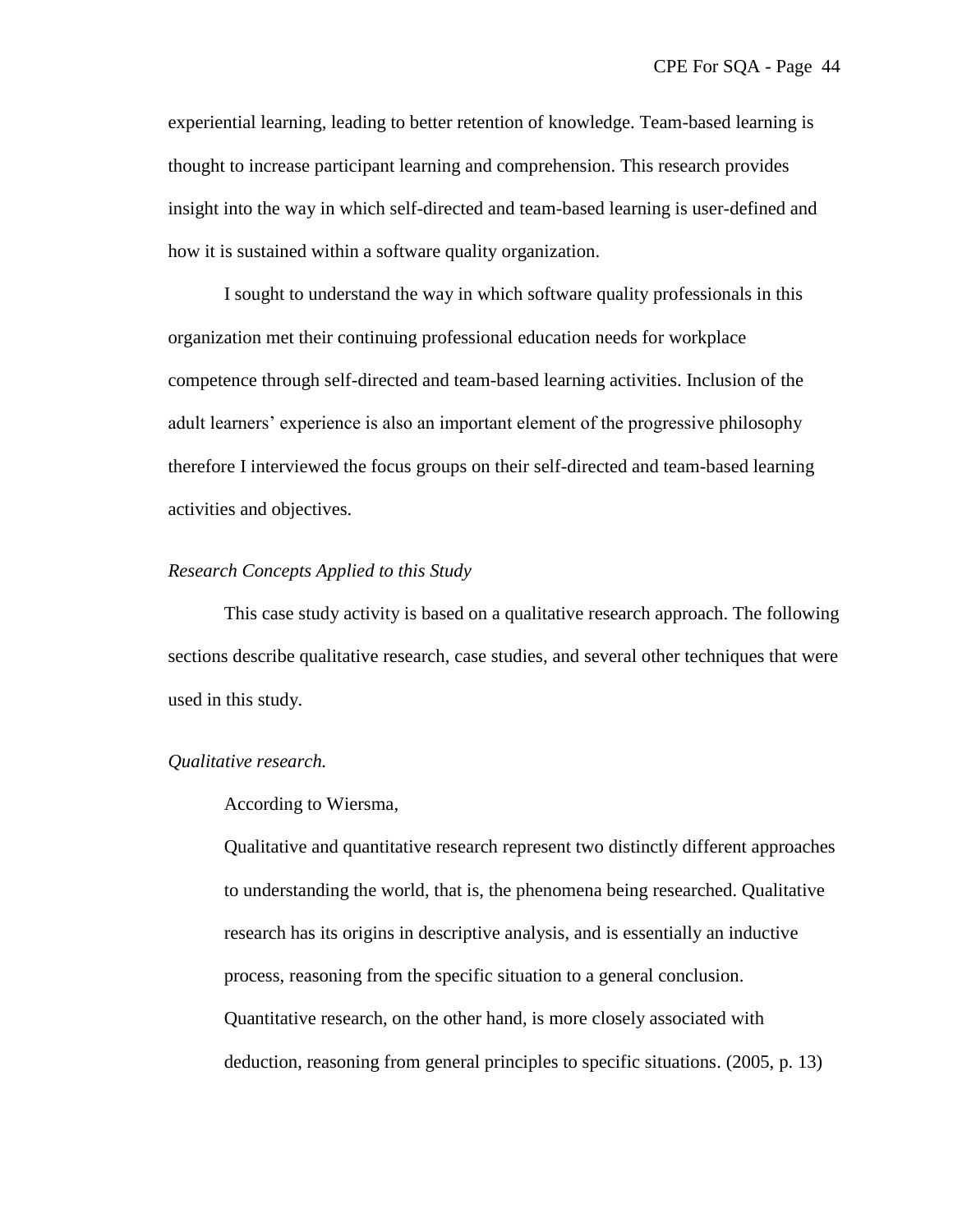experiential learning, leading to better retention of knowledge. Team-based learning is thought to increase participant learning and comprehension. This research provides insight into the way in which self-directed and team-based learning is user-defined and how it is sustained within a software quality organization.

I sought to understand the way in which software quality professionals in this organization met their continuing professional education needs for workplace competence through self-directed and team-based learning activities. Inclusion of the adult learners' experience is also an important element of the progressive philosophy therefore I interviewed the focus groups on their self-directed and team-based learning activities and objectives.

### *Research Concepts Applied to this Study*

This case study activity is based on a qualitative research approach. The following sections describe qualitative research, case studies, and several other techniques that were used in this study.

# *Qualitative research.*

# According to Wiersma,

Qualitative and quantitative research represent two distinctly different approaches to understanding the world, that is, the phenomena being researched. Qualitative research has its origins in descriptive analysis, and is essentially an inductive process, reasoning from the specific situation to a general conclusion. Quantitative research, on the other hand, is more closely associated with deduction, reasoning from general principles to specific situations. (2005, p. 13)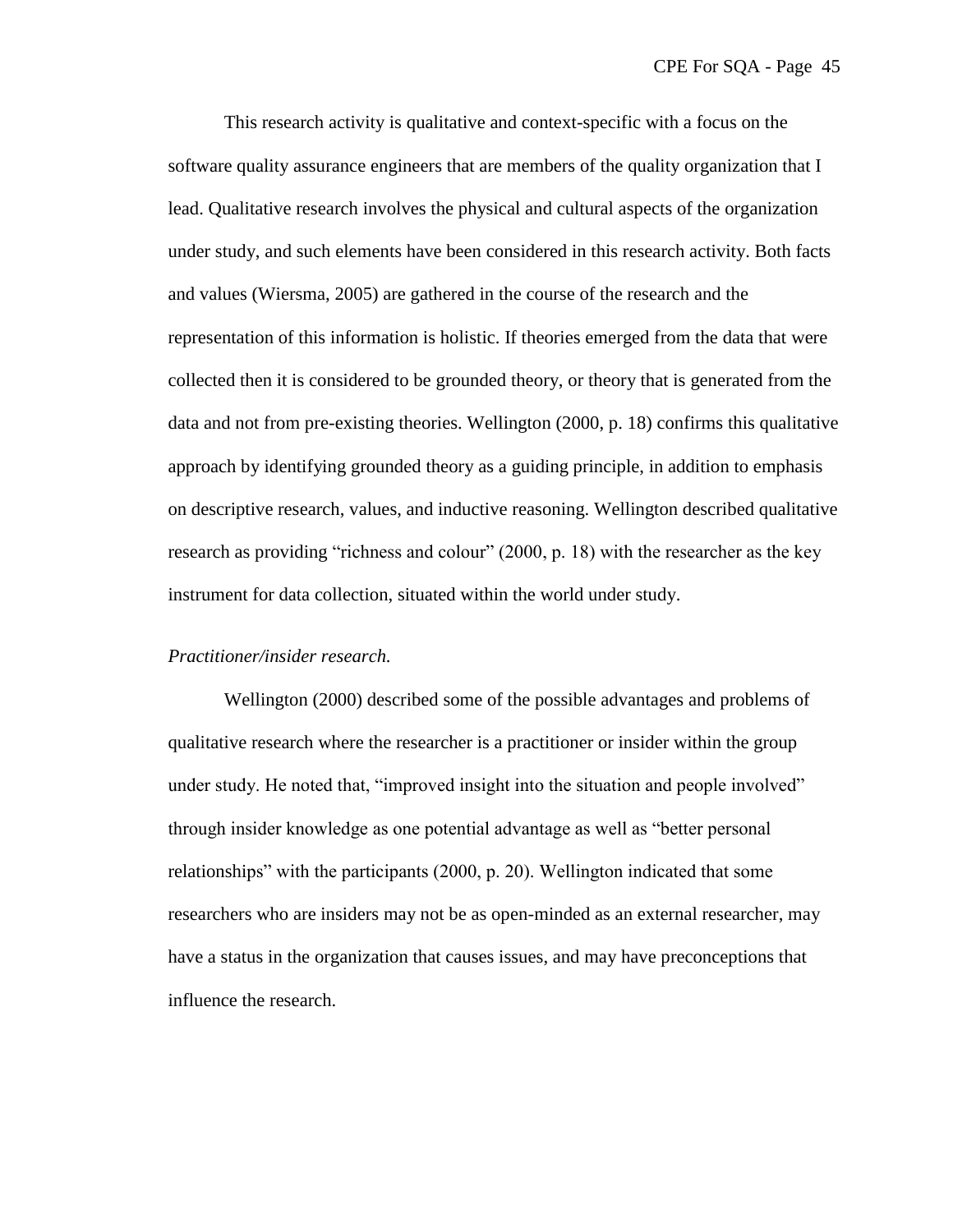This research activity is qualitative and context-specific with a focus on the software quality assurance engineers that are members of the quality organization that I lead. Qualitative research involves the physical and cultural aspects of the organization under study, and such elements have been considered in this research activity. Both facts and values (Wiersma, 2005) are gathered in the course of the research and the representation of this information is holistic. If theories emerged from the data that were collected then it is considered to be grounded theory, or theory that is generated from the data and not from pre-existing theories. Wellington (2000, p. 18) confirms this qualitative approach by identifying grounded theory as a guiding principle, in addition to emphasis on descriptive research, values, and inductive reasoning. Wellington described qualitative research as providing "richness and colour"  $(2000, p. 18)$  with the researcher as the key instrument for data collection, situated within the world under study.

#### *Practitioner/insider research.*

Wellington (2000) described some of the possible advantages and problems of qualitative research where the researcher is a practitioner or insider within the group under study. He noted that, "improved insight into the situation and people involved" through insider knowledge as one potential advantage as well as "better personal" relationships" with the participants (2000, p. 20). Wellington indicated that some researchers who are insiders may not be as open-minded as an external researcher, may have a status in the organization that causes issues, and may have preconceptions that influence the research.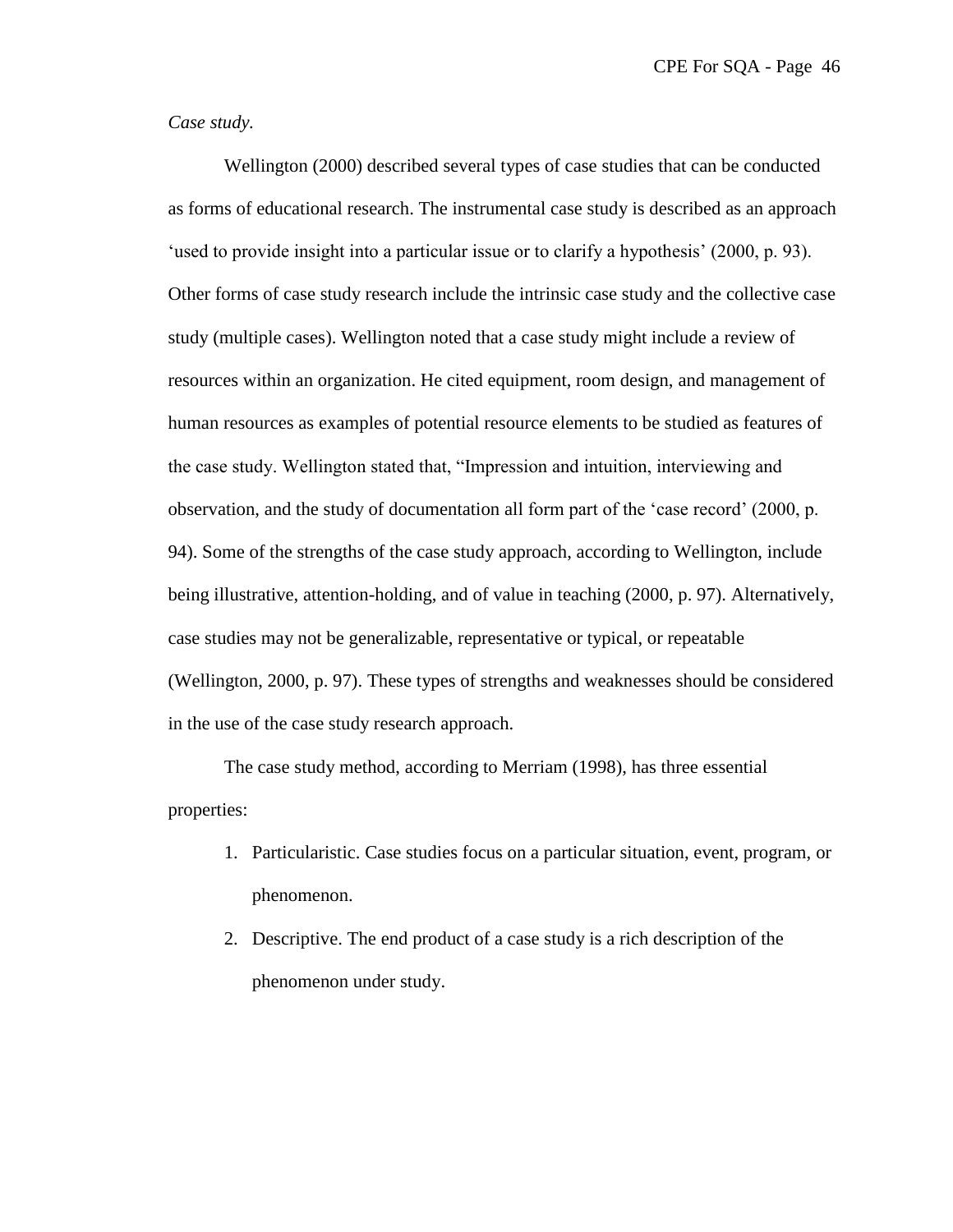# *Case study.*

Wellington (2000) described several types of case studies that can be conducted as forms of educational research. The instrumental case study is described as an approach ‗used to provide insight into a particular issue or to clarify a hypothesis' (2000, p. 93). Other forms of case study research include the intrinsic case study and the collective case study (multiple cases). Wellington noted that a case study might include a review of resources within an organization. He cited equipment, room design, and management of human resources as examples of potential resource elements to be studied as features of the case study. Wellington stated that, "Impression and intuition, interviewing and observation, and the study of documentation all form part of the 'case record' (2000, p. 94). Some of the strengths of the case study approach, according to Wellington, include being illustrative, attention-holding, and of value in teaching (2000, p. 97). Alternatively, case studies may not be generalizable, representative or typical, or repeatable (Wellington, 2000, p. 97). These types of strengths and weaknesses should be considered in the use of the case study research approach.

The case study method, according to Merriam (1998), has three essential properties:

- 1. Particularistic. Case studies focus on a particular situation, event, program, or phenomenon.
- 2. Descriptive. The end product of a case study is a rich description of the phenomenon under study.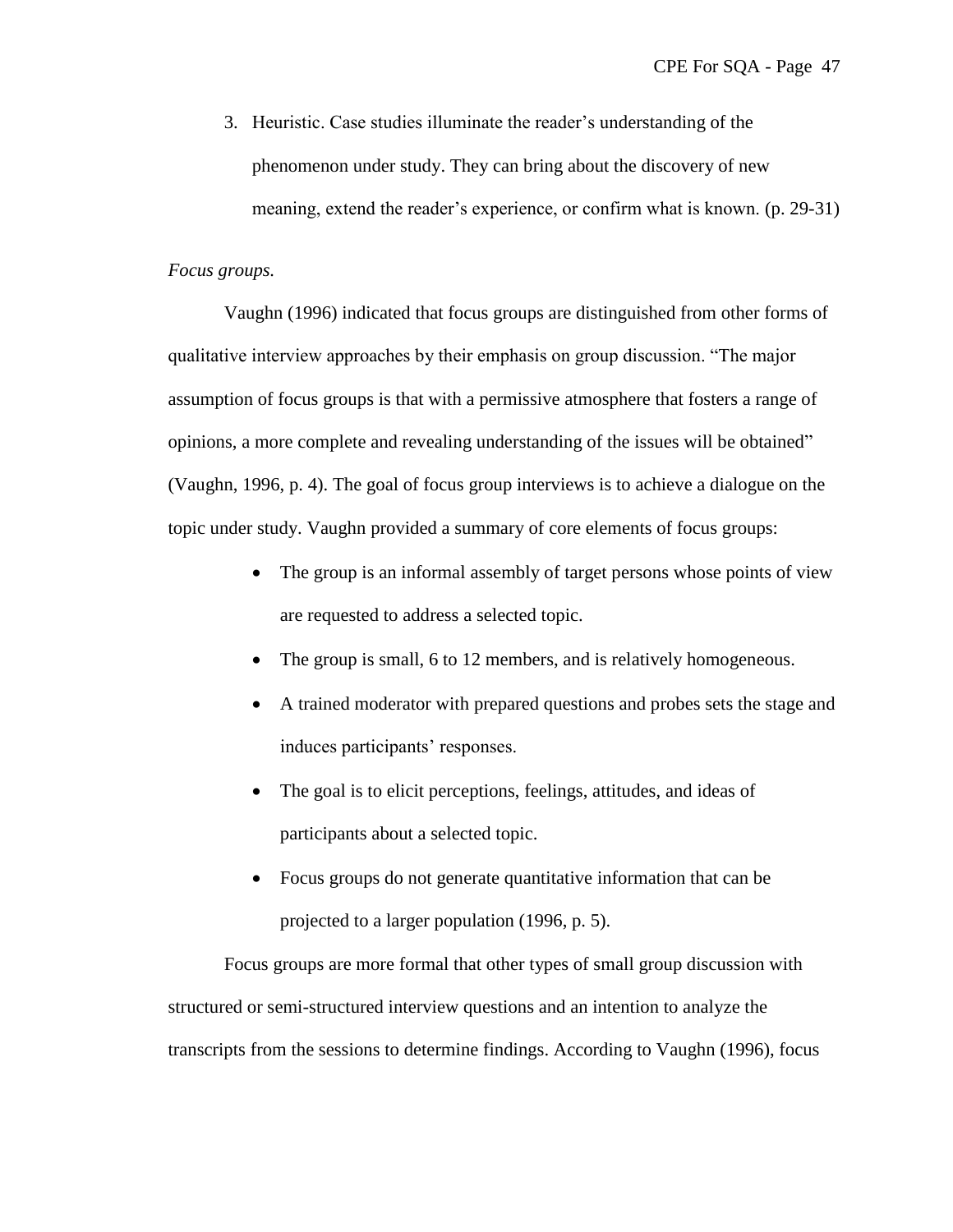3. Heuristic. Case studies illuminate the reader's understanding of the phenomenon under study. They can bring about the discovery of new meaning, extend the reader's experience, or confirm what is known. (p. 29-31)

# *Focus groups.*

Vaughn (1996) indicated that focus groups are distinguished from other forms of qualitative interview approaches by their emphasis on group discussion. "The major assumption of focus groups is that with a permissive atmosphere that fosters a range of opinions, a more complete and revealing understanding of the issues will be obtained" (Vaughn, 1996, p. 4). The goal of focus group interviews is to achieve a dialogue on the topic under study. Vaughn provided a summary of core elements of focus groups:

- The group is an informal assembly of target persons whose points of view are requested to address a selected topic.
- The group is small, 6 to 12 members, and is relatively homogeneous.
- A trained moderator with prepared questions and probes sets the stage and induces participants' responses.
- The goal is to elicit perceptions, feelings, attitudes, and ideas of participants about a selected topic.
- Focus groups do not generate quantitative information that can be projected to a larger population (1996, p. 5).

Focus groups are more formal that other types of small group discussion with structured or semi-structured interview questions and an intention to analyze the transcripts from the sessions to determine findings. According to Vaughn (1996), focus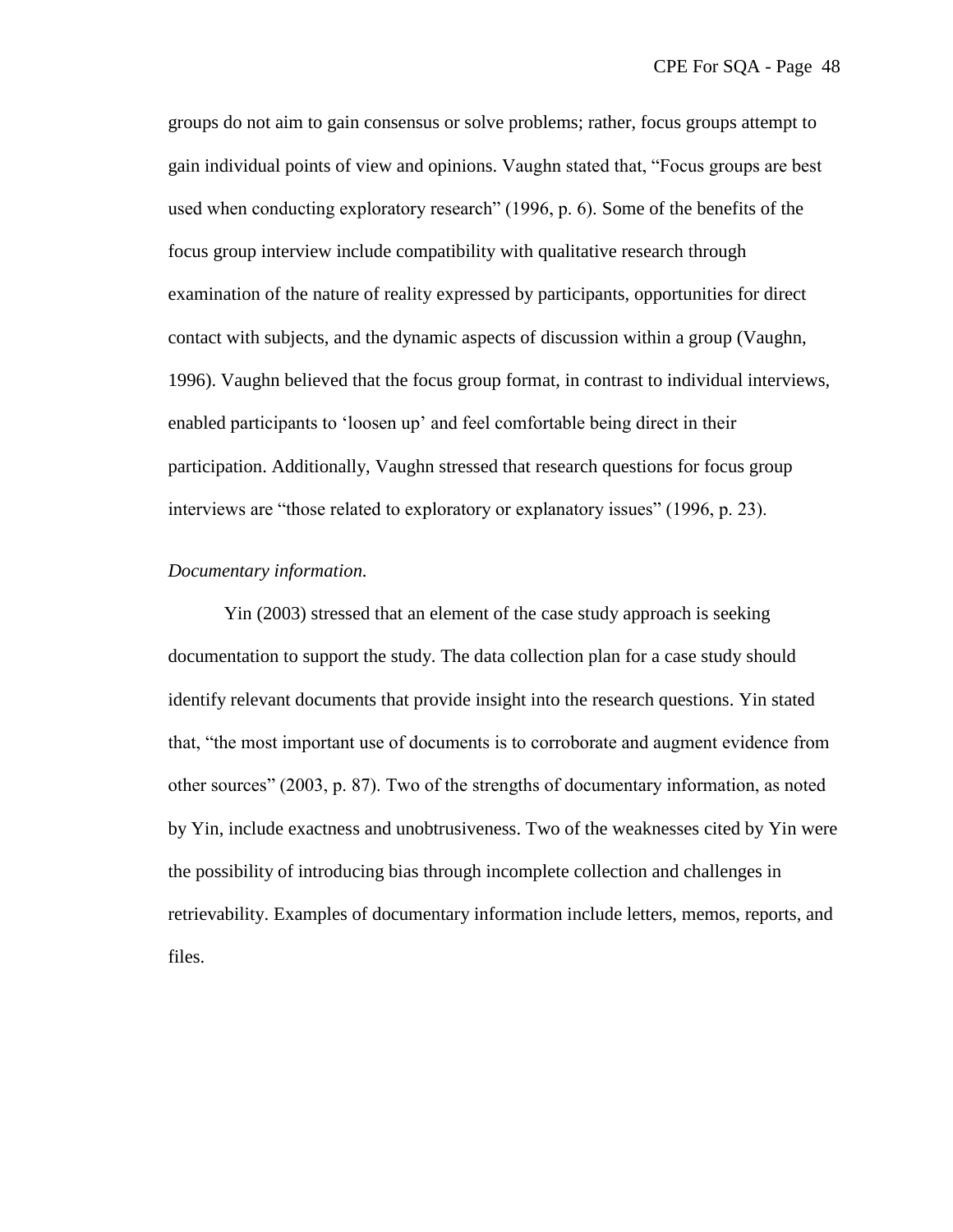groups do not aim to gain consensus or solve problems; rather, focus groups attempt to gain individual points of view and opinions. Vaughn stated that, "Focus groups are best used when conducting exploratory research"  $(1996, p. 6)$ . Some of the benefits of the focus group interview include compatibility with qualitative research through examination of the nature of reality expressed by participants, opportunities for direct contact with subjects, and the dynamic aspects of discussion within a group (Vaughn, 1996). Vaughn believed that the focus group format, in contrast to individual interviews, enabled participants to 'loosen up' and feel comfortable being direct in their participation. Additionally, Vaughn stressed that research questions for focus group interviews are "those related to exploratory or explanatory issues" (1996, p. 23).

#### *Documentary information.*

Yin (2003) stressed that an element of the case study approach is seeking documentation to support the study. The data collection plan for a case study should identify relevant documents that provide insight into the research questions. Yin stated that, "the most important use of documents is to corroborate and augment evidence from other sources‖ (2003, p. 87). Two of the strengths of documentary information, as noted by Yin, include exactness and unobtrusiveness. Two of the weaknesses cited by Yin were the possibility of introducing bias through incomplete collection and challenges in retrievability. Examples of documentary information include letters, memos, reports, and files.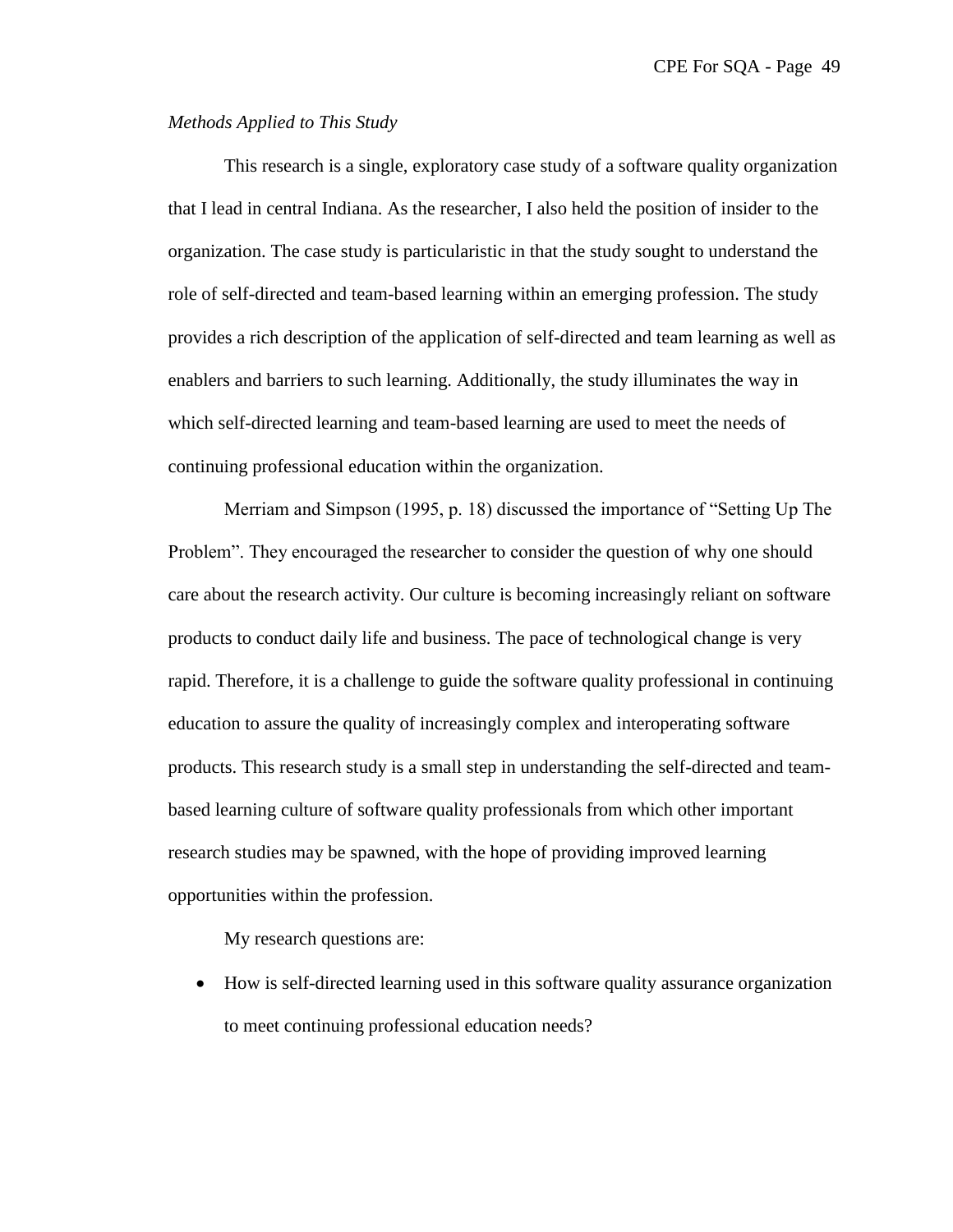# *Methods Applied to This Study*

This research is a single, exploratory case study of a software quality organization that I lead in central Indiana. As the researcher, I also held the position of insider to the organization. The case study is particularistic in that the study sought to understand the role of self-directed and team-based learning within an emerging profession. The study provides a rich description of the application of self-directed and team learning as well as enablers and barriers to such learning. Additionally, the study illuminates the way in which self-directed learning and team-based learning are used to meet the needs of continuing professional education within the organization.

Merriam and Simpson  $(1995, p. 18)$  discussed the importance of "Setting Up The Problem". They encouraged the researcher to consider the question of why one should care about the research activity. Our culture is becoming increasingly reliant on software products to conduct daily life and business. The pace of technological change is very rapid. Therefore, it is a challenge to guide the software quality professional in continuing education to assure the quality of increasingly complex and interoperating software products. This research study is a small step in understanding the self-directed and teambased learning culture of software quality professionals from which other important research studies may be spawned, with the hope of providing improved learning opportunities within the profession.

My research questions are:

 How is self-directed learning used in this software quality assurance organization to meet continuing professional education needs?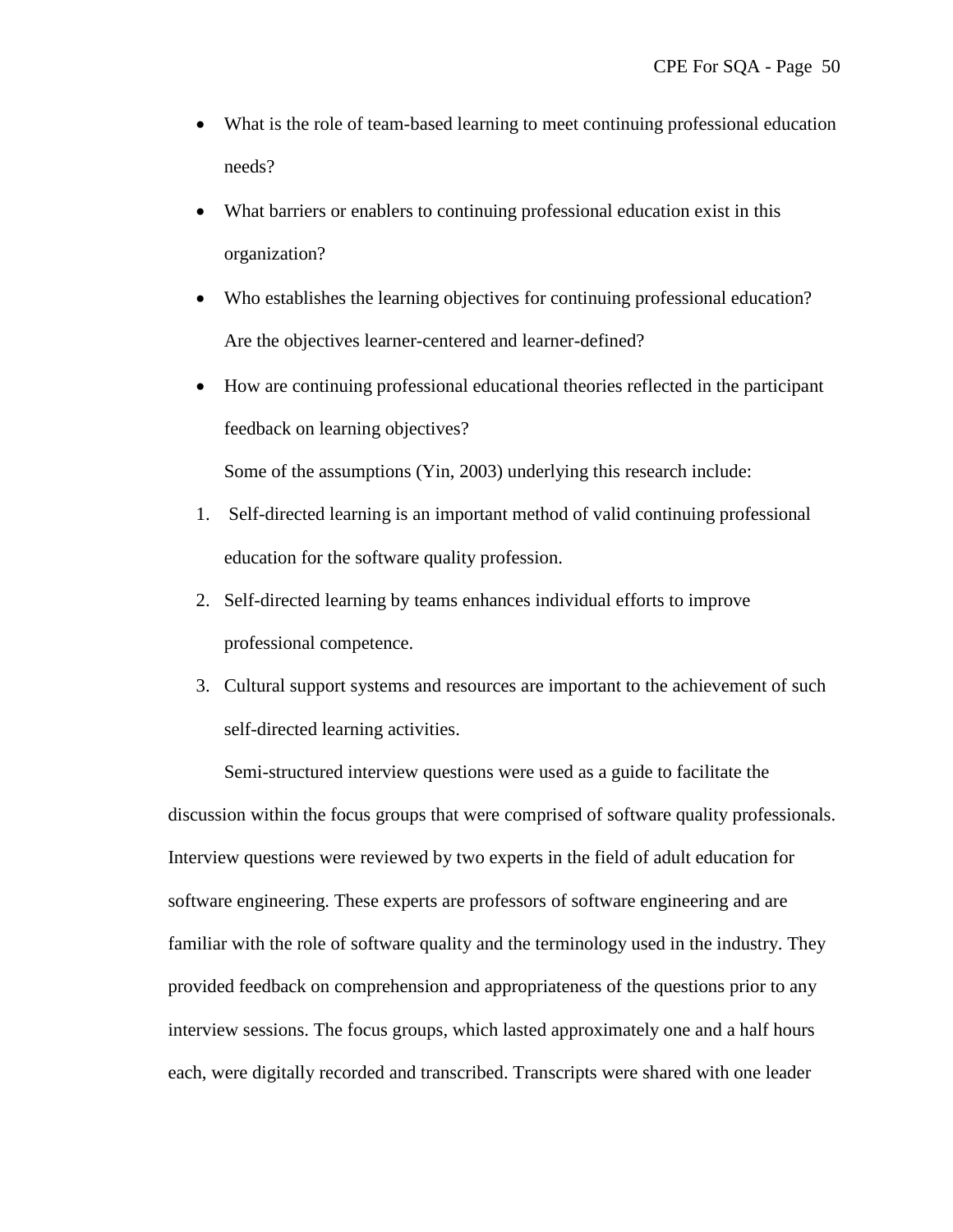- What is the role of team-based learning to meet continuing professional education needs?
- What barriers or enablers to continuing professional education exist in this organization?
- Who establishes the learning objectives for continuing professional education? Are the objectives learner-centered and learner-defined?
- How are continuing professional educational theories reflected in the participant feedback on learning objectives?

Some of the assumptions (Yin, 2003) underlying this research include:

- 1. Self-directed learning is an important method of valid continuing professional education for the software quality profession.
- 2. Self-directed learning by teams enhances individual efforts to improve professional competence.
- 3. Cultural support systems and resources are important to the achievement of such self-directed learning activities.

Semi-structured interview questions were used as a guide to facilitate the discussion within the focus groups that were comprised of software quality professionals. Interview questions were reviewed by two experts in the field of adult education for software engineering. These experts are professors of software engineering and are familiar with the role of software quality and the terminology used in the industry. They provided feedback on comprehension and appropriateness of the questions prior to any interview sessions. The focus groups, which lasted approximately one and a half hours each, were digitally recorded and transcribed. Transcripts were shared with one leader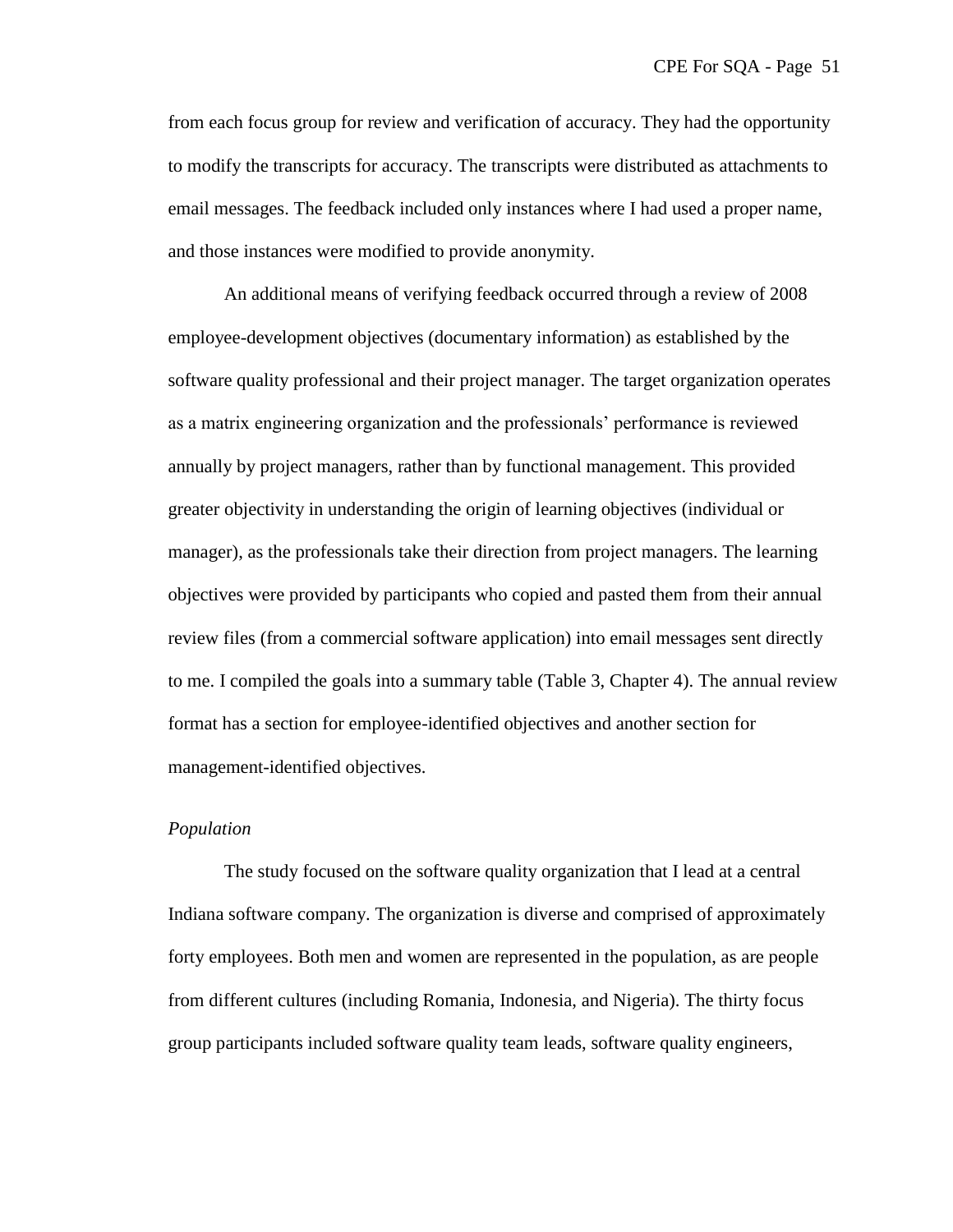from each focus group for review and verification of accuracy. They had the opportunity to modify the transcripts for accuracy. The transcripts were distributed as attachments to email messages. The feedback included only instances where I had used a proper name, and those instances were modified to provide anonymity.

An additional means of verifying feedback occurred through a review of 2008 employee-development objectives (documentary information) as established by the software quality professional and their project manager. The target organization operates as a matrix engineering organization and the professionals' performance is reviewed annually by project managers, rather than by functional management. This provided greater objectivity in understanding the origin of learning objectives (individual or manager), as the professionals take their direction from project managers. The learning objectives were provided by participants who copied and pasted them from their annual review files (from a commercial software application) into email messages sent directly to me. I compiled the goals into a summary table (Table 3, Chapter 4). The annual review format has a section for employee-identified objectives and another section for management-identified objectives.

#### *Population*

The study focused on the software quality organization that I lead at a central Indiana software company. The organization is diverse and comprised of approximately forty employees. Both men and women are represented in the population, as are people from different cultures (including Romania, Indonesia, and Nigeria). The thirty focus group participants included software quality team leads, software quality engineers,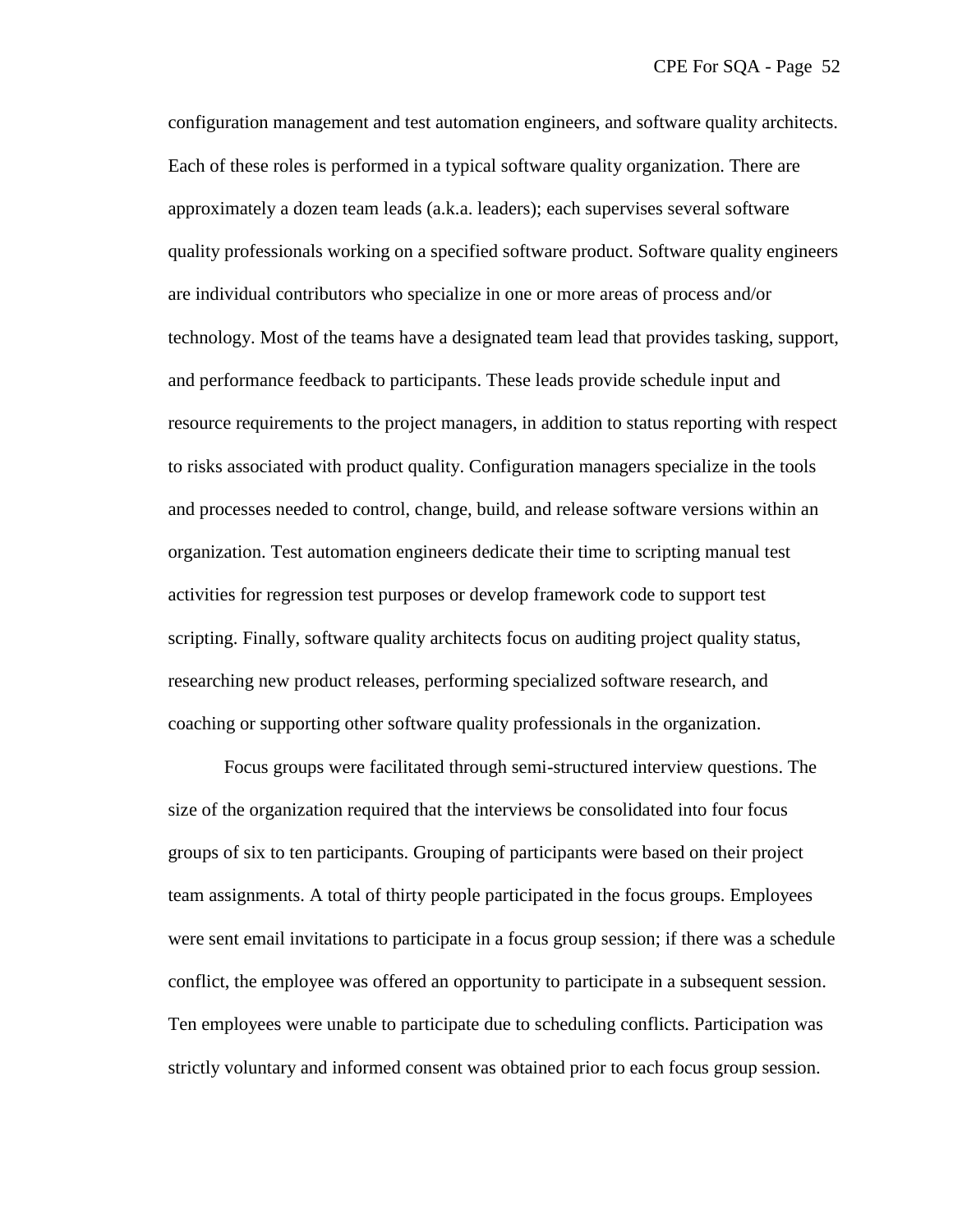configuration management and test automation engineers, and software quality architects. Each of these roles is performed in a typical software quality organization. There are approximately a dozen team leads (a.k.a. leaders); each supervises several software quality professionals working on a specified software product. Software quality engineers are individual contributors who specialize in one or more areas of process and/or technology. Most of the teams have a designated team lead that provides tasking, support, and performance feedback to participants. These leads provide schedule input and resource requirements to the project managers, in addition to status reporting with respect to risks associated with product quality. Configuration managers specialize in the tools and processes needed to control, change, build, and release software versions within an organization. Test automation engineers dedicate their time to scripting manual test activities for regression test purposes or develop framework code to support test scripting. Finally, software quality architects focus on auditing project quality status, researching new product releases, performing specialized software research, and coaching or supporting other software quality professionals in the organization.

Focus groups were facilitated through semi-structured interview questions. The size of the organization required that the interviews be consolidated into four focus groups of six to ten participants. Grouping of participants were based on their project team assignments. A total of thirty people participated in the focus groups. Employees were sent email invitations to participate in a focus group session; if there was a schedule conflict, the employee was offered an opportunity to participate in a subsequent session. Ten employees were unable to participate due to scheduling conflicts. Participation was strictly voluntary and informed consent was obtained prior to each focus group session.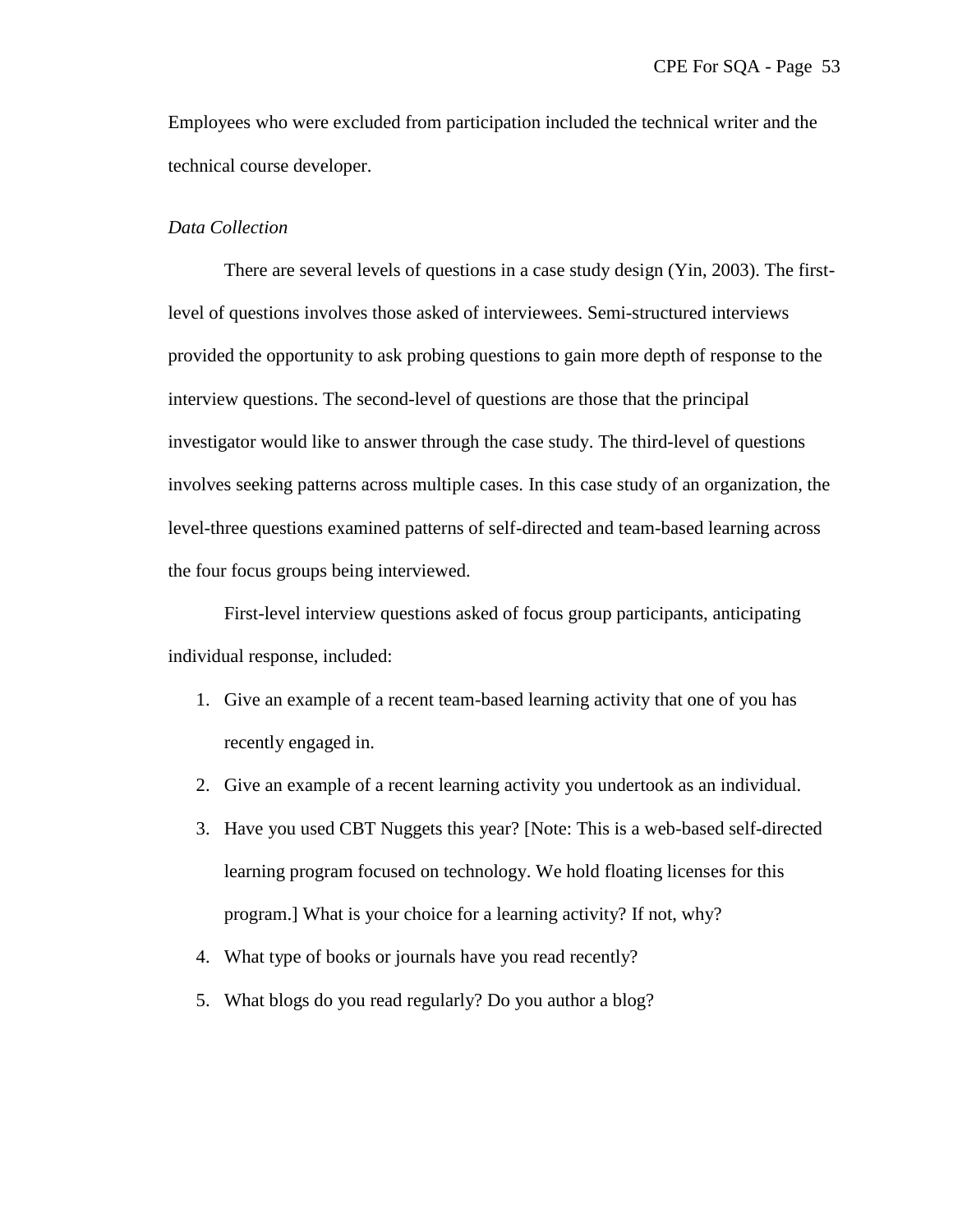Employees who were excluded from participation included the technical writer and the technical course developer.

### *Data Collection*

There are several levels of questions in a case study design (Yin, 2003). The firstlevel of questions involves those asked of interviewees. Semi-structured interviews provided the opportunity to ask probing questions to gain more depth of response to the interview questions. The second-level of questions are those that the principal investigator would like to answer through the case study. The third-level of questions involves seeking patterns across multiple cases. In this case study of an organization, the level-three questions examined patterns of self-directed and team-based learning across the four focus groups being interviewed.

First-level interview questions asked of focus group participants, anticipating individual response, included:

- 1. Give an example of a recent team-based learning activity that one of you has recently engaged in.
- 2. Give an example of a recent learning activity you undertook as an individual.
- 3. Have you used CBT Nuggets this year? [Note: This is a web-based self-directed learning program focused on technology. We hold floating licenses for this program.] What is your choice for a learning activity? If not, why?
- 4. What type of books or journals have you read recently?
- 5. What blogs do you read regularly? Do you author a blog?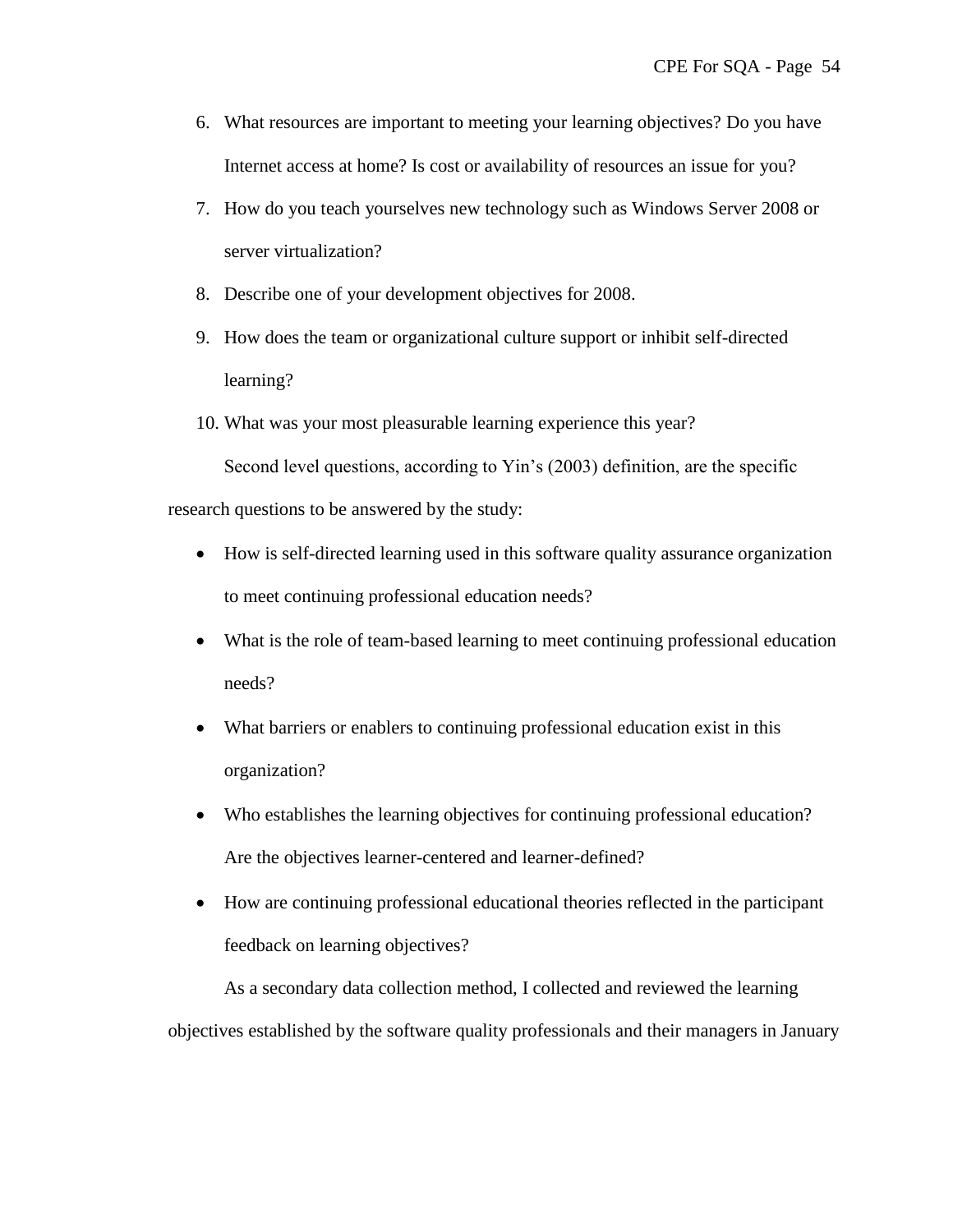- 6. What resources are important to meeting your learning objectives? Do you have Internet access at home? Is cost or availability of resources an issue for you?
- 7. How do you teach yourselves new technology such as Windows Server 2008 or server virtualization?
- 8. Describe one of your development objectives for 2008.
- 9. How does the team or organizational culture support or inhibit self-directed learning?
- 10. What was your most pleasurable learning experience this year?

Second level questions, according to Yin's (2003) definition, are the specific

research questions to be answered by the study:

- How is self-directed learning used in this software quality assurance organization to meet continuing professional education needs?
- What is the role of team-based learning to meet continuing professional education needs?
- What barriers or enablers to continuing professional education exist in this organization?
- Who establishes the learning objectives for continuing professional education? Are the objectives learner-centered and learner-defined?
- How are continuing professional educational theories reflected in the participant feedback on learning objectives?

As a secondary data collection method, I collected and reviewed the learning objectives established by the software quality professionals and their managers in January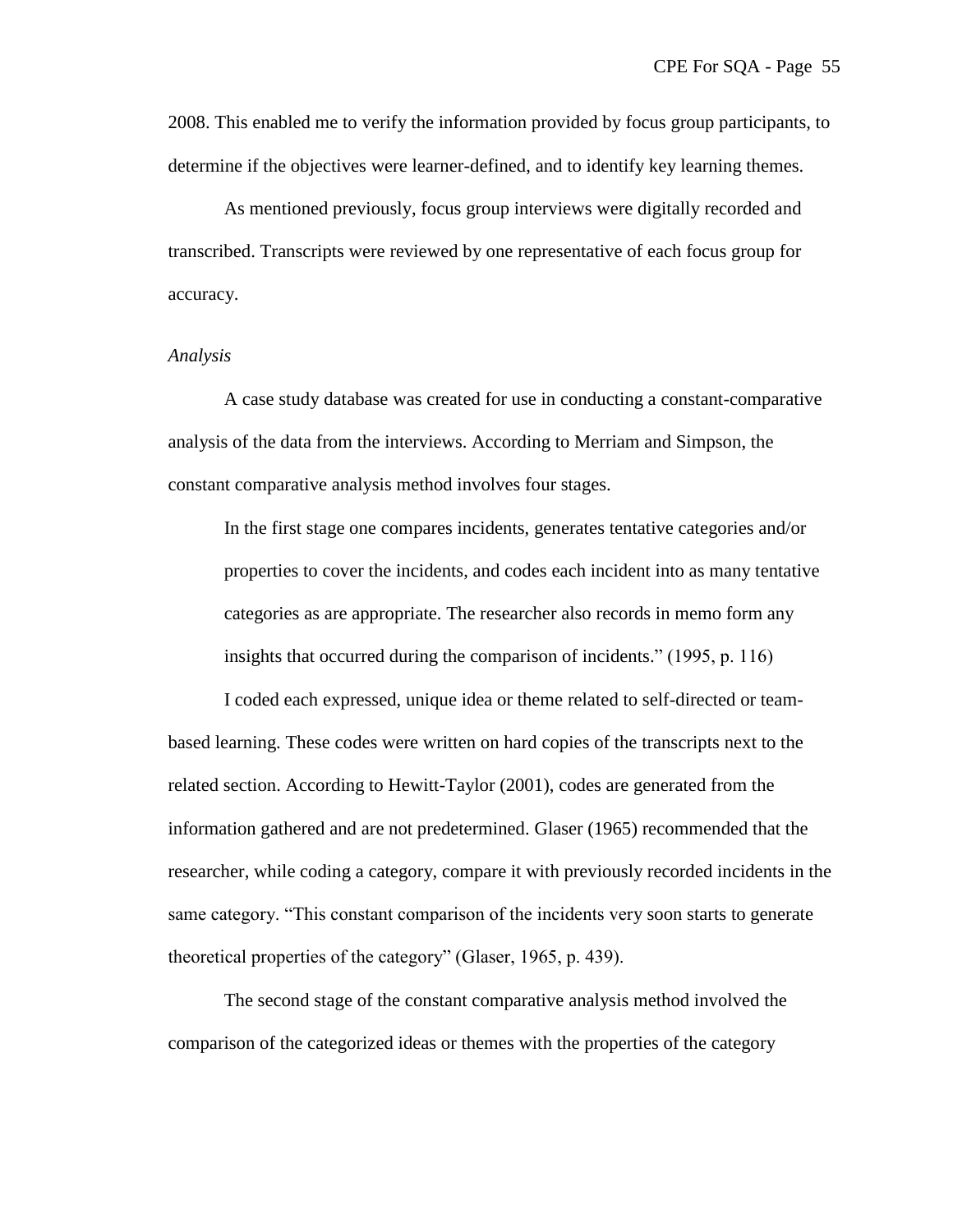2008. This enabled me to verify the information provided by focus group participants, to determine if the objectives were learner-defined, and to identify key learning themes.

As mentioned previously, focus group interviews were digitally recorded and transcribed. Transcripts were reviewed by one representative of each focus group for accuracy.

### *Analysis*

A case study database was created for use in conducting a constant-comparative analysis of the data from the interviews. According to Merriam and Simpson, the constant comparative analysis method involves four stages.

In the first stage one compares incidents, generates tentative categories and/or properties to cover the incidents, and codes each incident into as many tentative categories as are appropriate. The researcher also records in memo form any insights that occurred during the comparison of incidents."  $(1995, p. 116)$ 

I coded each expressed, unique idea or theme related to self-directed or teambased learning. These codes were written on hard copies of the transcripts next to the related section. According to Hewitt-Taylor (2001), codes are generated from the information gathered and are not predetermined. Glaser (1965) recommended that the researcher, while coding a category, compare it with previously recorded incidents in the same category. "This constant comparison of the incidents very soon starts to generate theoretical properties of the category" (Glaser, 1965, p. 439).

The second stage of the constant comparative analysis method involved the comparison of the categorized ideas or themes with the properties of the category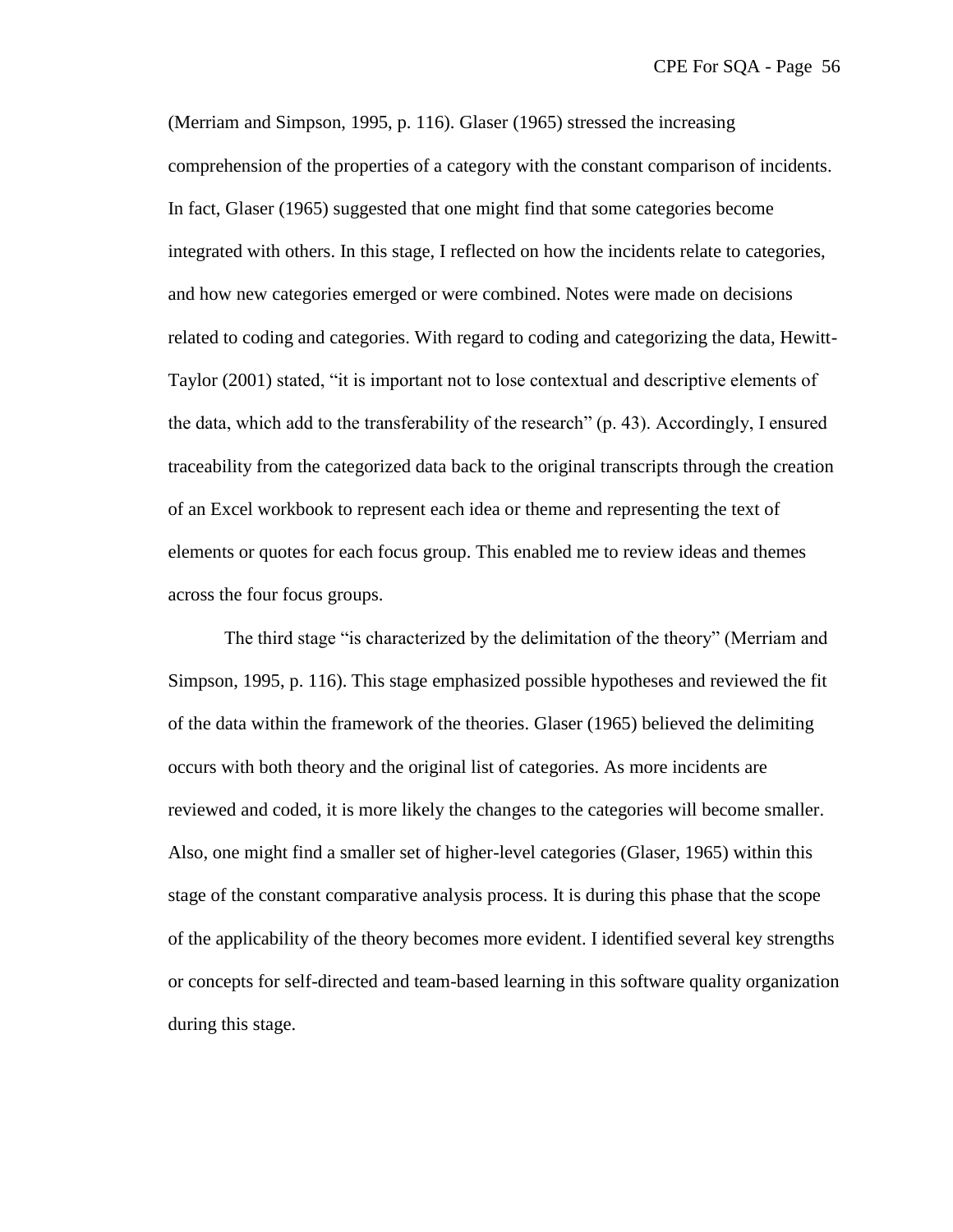(Merriam and Simpson, 1995, p. 116). Glaser (1965) stressed the increasing comprehension of the properties of a category with the constant comparison of incidents. In fact, Glaser (1965) suggested that one might find that some categories become integrated with others. In this stage, I reflected on how the incidents relate to categories, and how new categories emerged or were combined. Notes were made on decisions related to coding and categories. With regard to coding and categorizing the data, Hewitt-Taylor (2001) stated, "it is important not to lose contextual and descriptive elements of the data, which add to the transferability of the research" (p. 43). Accordingly, I ensured traceability from the categorized data back to the original transcripts through the creation of an Excel workbook to represent each idea or theme and representing the text of elements or quotes for each focus group. This enabled me to review ideas and themes across the four focus groups.

The third stage "is characterized by the delimitation of the theory" (Merriam and Simpson, 1995, p. 116). This stage emphasized possible hypotheses and reviewed the fit of the data within the framework of the theories. Glaser (1965) believed the delimiting occurs with both theory and the original list of categories. As more incidents are reviewed and coded, it is more likely the changes to the categories will become smaller. Also, one might find a smaller set of higher-level categories (Glaser, 1965) within this stage of the constant comparative analysis process. It is during this phase that the scope of the applicability of the theory becomes more evident. I identified several key strengths or concepts for self-directed and team-based learning in this software quality organization during this stage.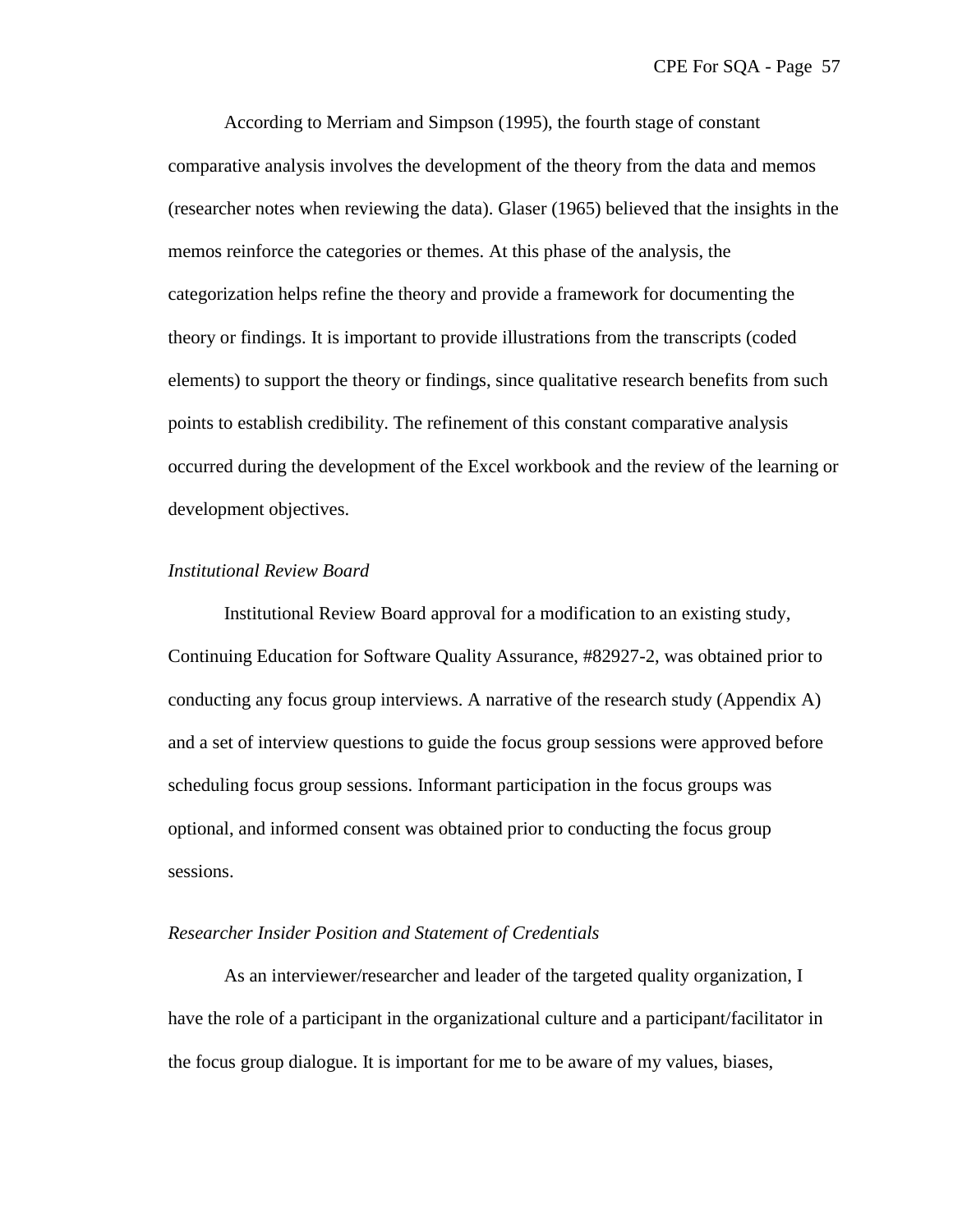According to Merriam and Simpson (1995), the fourth stage of constant comparative analysis involves the development of the theory from the data and memos (researcher notes when reviewing the data). Glaser (1965) believed that the insights in the memos reinforce the categories or themes. At this phase of the analysis, the categorization helps refine the theory and provide a framework for documenting the theory or findings. It is important to provide illustrations from the transcripts (coded elements) to support the theory or findings, since qualitative research benefits from such points to establish credibility. The refinement of this constant comparative analysis occurred during the development of the Excel workbook and the review of the learning or development objectives.

## *Institutional Review Board*

Institutional Review Board approval for a modification to an existing study, Continuing Education for Software Quality Assurance, #82927-2, was obtained prior to conducting any focus group interviews. A narrative of the research study (Appendix A) and a set of interview questions to guide the focus group sessions were approved before scheduling focus group sessions. Informant participation in the focus groups was optional, and informed consent was obtained prior to conducting the focus group sessions.

# *Researcher Insider Position and Statement of Credentials*

As an interviewer/researcher and leader of the targeted quality organization, I have the role of a participant in the organizational culture and a participant/facilitator in the focus group dialogue. It is important for me to be aware of my values, biases,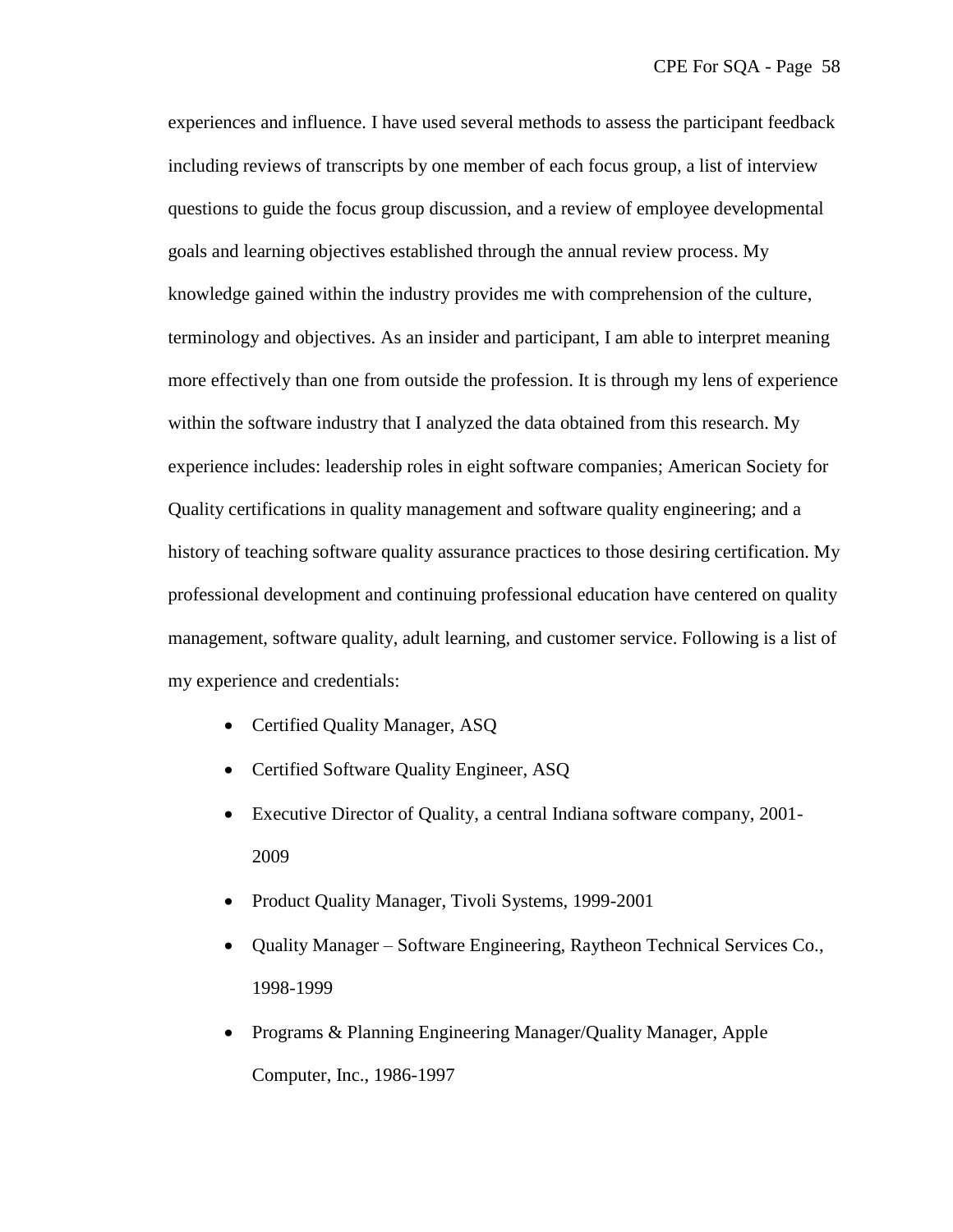experiences and influence. I have used several methods to assess the participant feedback including reviews of transcripts by one member of each focus group, a list of interview questions to guide the focus group discussion, and a review of employee developmental goals and learning objectives established through the annual review process. My knowledge gained within the industry provides me with comprehension of the culture, terminology and objectives. As an insider and participant, I am able to interpret meaning more effectively than one from outside the profession. It is through my lens of experience within the software industry that I analyzed the data obtained from this research. My experience includes: leadership roles in eight software companies; American Society for Quality certifications in quality management and software quality engineering; and a history of teaching software quality assurance practices to those desiring certification. My professional development and continuing professional education have centered on quality management, software quality, adult learning, and customer service. Following is a list of my experience and credentials:

- Certified Quality Manager, ASQ
- Certified Software Quality Engineer, ASQ
- Executive Director of Quality, a central Indiana software company, 2001- 2009
- Product Quality Manager, Tivoli Systems, 1999-2001
- Quality Manager Software Engineering, Raytheon Technical Services Co., 1998-1999
- Programs & Planning Engineering Manager/Quality Manager, Apple Computer, Inc., 1986-1997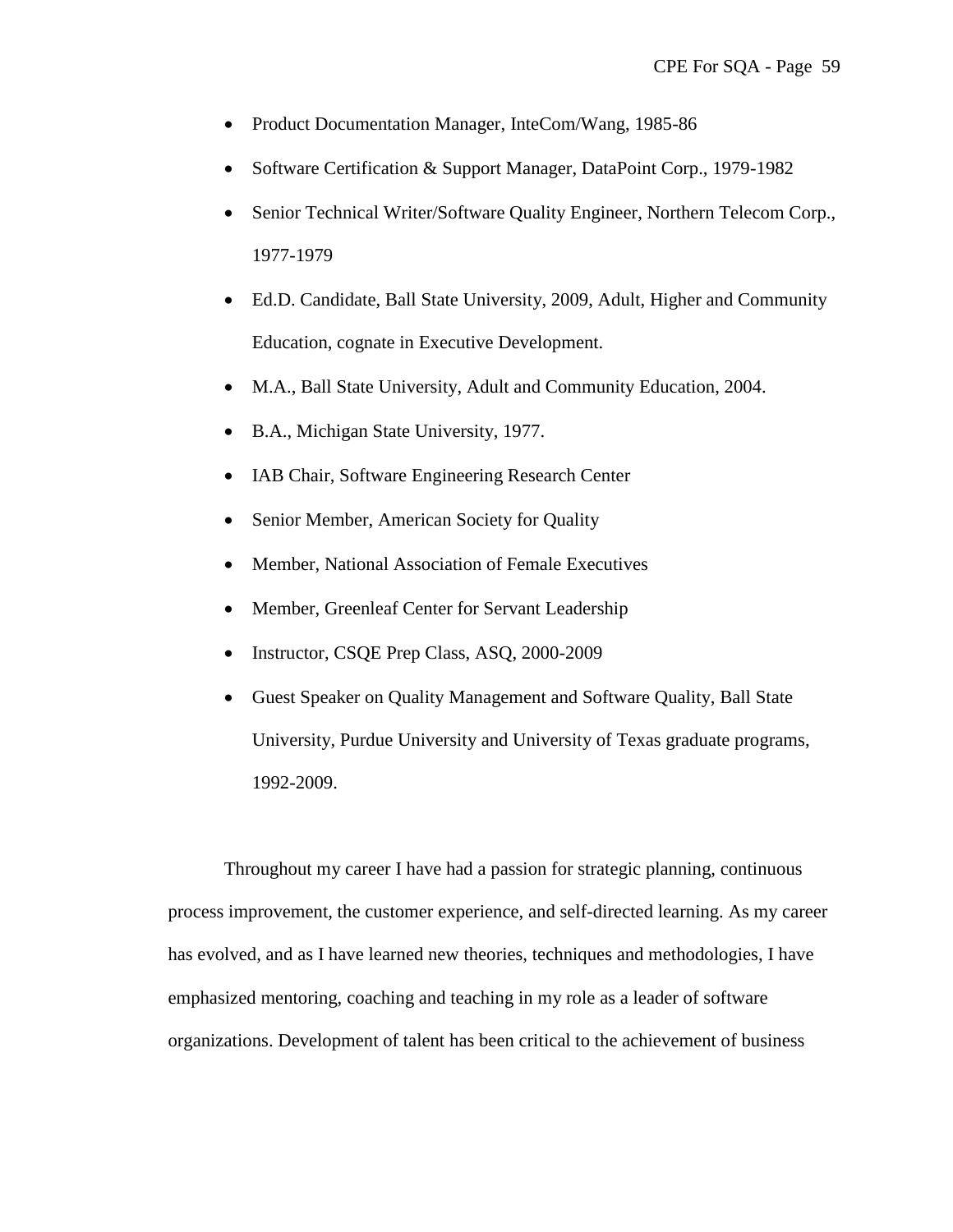- Product Documentation Manager, InteCom/Wang, 1985-86
- Software Certification & Support Manager, DataPoint Corp., 1979-1982
- Senior Technical Writer/Software Quality Engineer, Northern Telecom Corp., 1977-1979
- Ed.D. Candidate, Ball State University, 2009, Adult, Higher and Community Education, cognate in Executive Development.
- M.A., Ball State University, Adult and Community Education, 2004.
- B.A., Michigan State University, 1977.
- IAB Chair, Software Engineering Research Center
- Senior Member, American Society for Quality
- Member, National Association of Female Executives
- Member, Greenleaf Center for Servant Leadership
- Instructor, CSQE Prep Class, ASQ, 2000-2009
- Guest Speaker on Quality Management and Software Quality, Ball State University, Purdue University and University of Texas graduate programs, 1992-2009.

Throughout my career I have had a passion for strategic planning, continuous process improvement, the customer experience, and self-directed learning. As my career has evolved, and as I have learned new theories, techniques and methodologies, I have emphasized mentoring, coaching and teaching in my role as a leader of software organizations. Development of talent has been critical to the achievement of business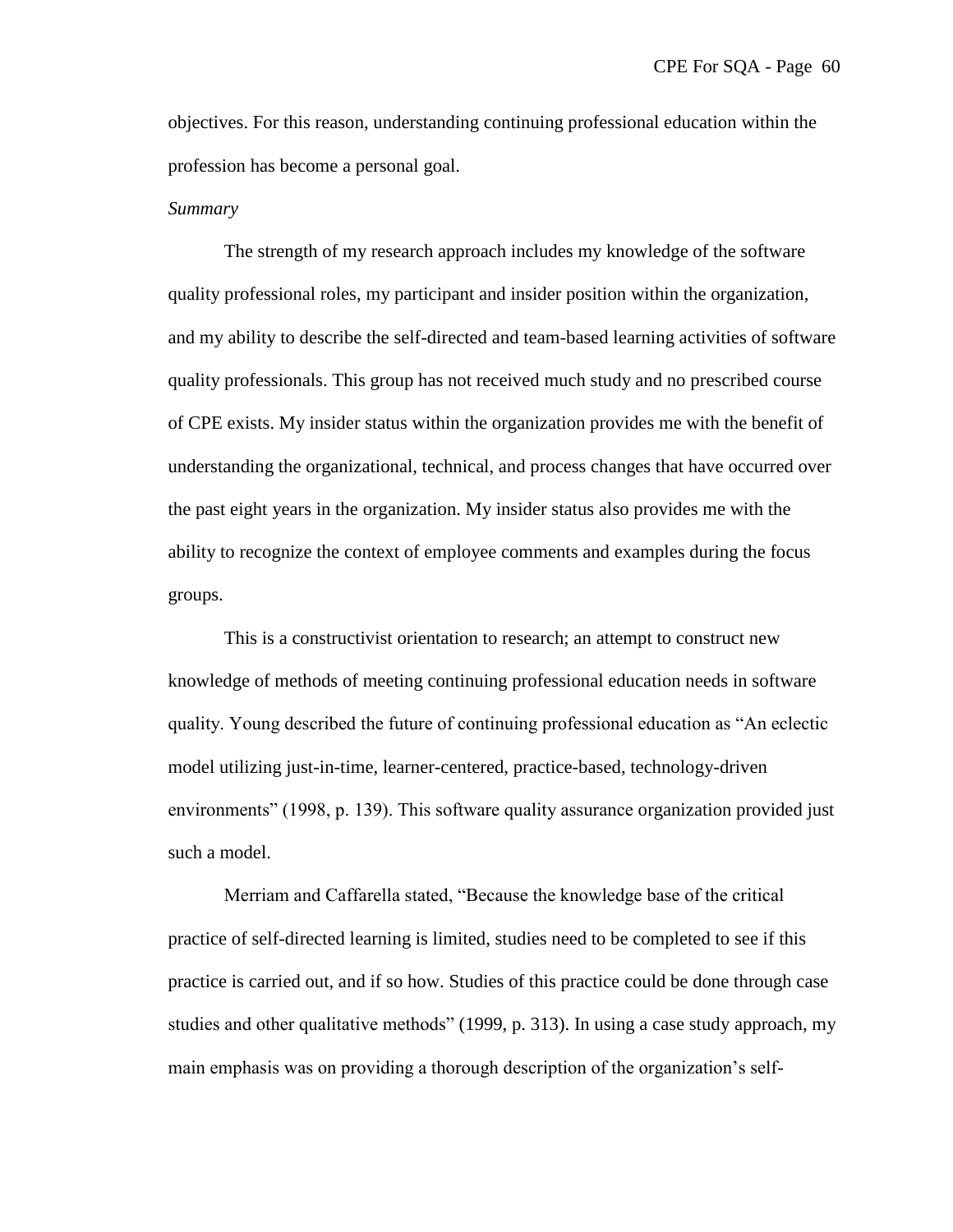objectives. For this reason, understanding continuing professional education within the profession has become a personal goal.

#### *Summary*

The strength of my research approach includes my knowledge of the software quality professional roles, my participant and insider position within the organization, and my ability to describe the self-directed and team-based learning activities of software quality professionals. This group has not received much study and no prescribed course of CPE exists. My insider status within the organization provides me with the benefit of understanding the organizational, technical, and process changes that have occurred over the past eight years in the organization. My insider status also provides me with the ability to recognize the context of employee comments and examples during the focus groups.

This is a constructivist orientation to research; an attempt to construct new knowledge of methods of meeting continuing professional education needs in software quality. Young described the future of continuing professional education as "An eclectic model utilizing just-in-time, learner-centered, practice-based, technology-driven environments" (1998, p. 139). This software quality assurance organization provided just such a model.

Merriam and Caffarella stated, "Because the knowledge base of the critical practice of self-directed learning is limited, studies need to be completed to see if this practice is carried out, and if so how. Studies of this practice could be done through case studies and other qualitative methods" (1999, p. 313). In using a case study approach, my main emphasis was on providing a thorough description of the organization's self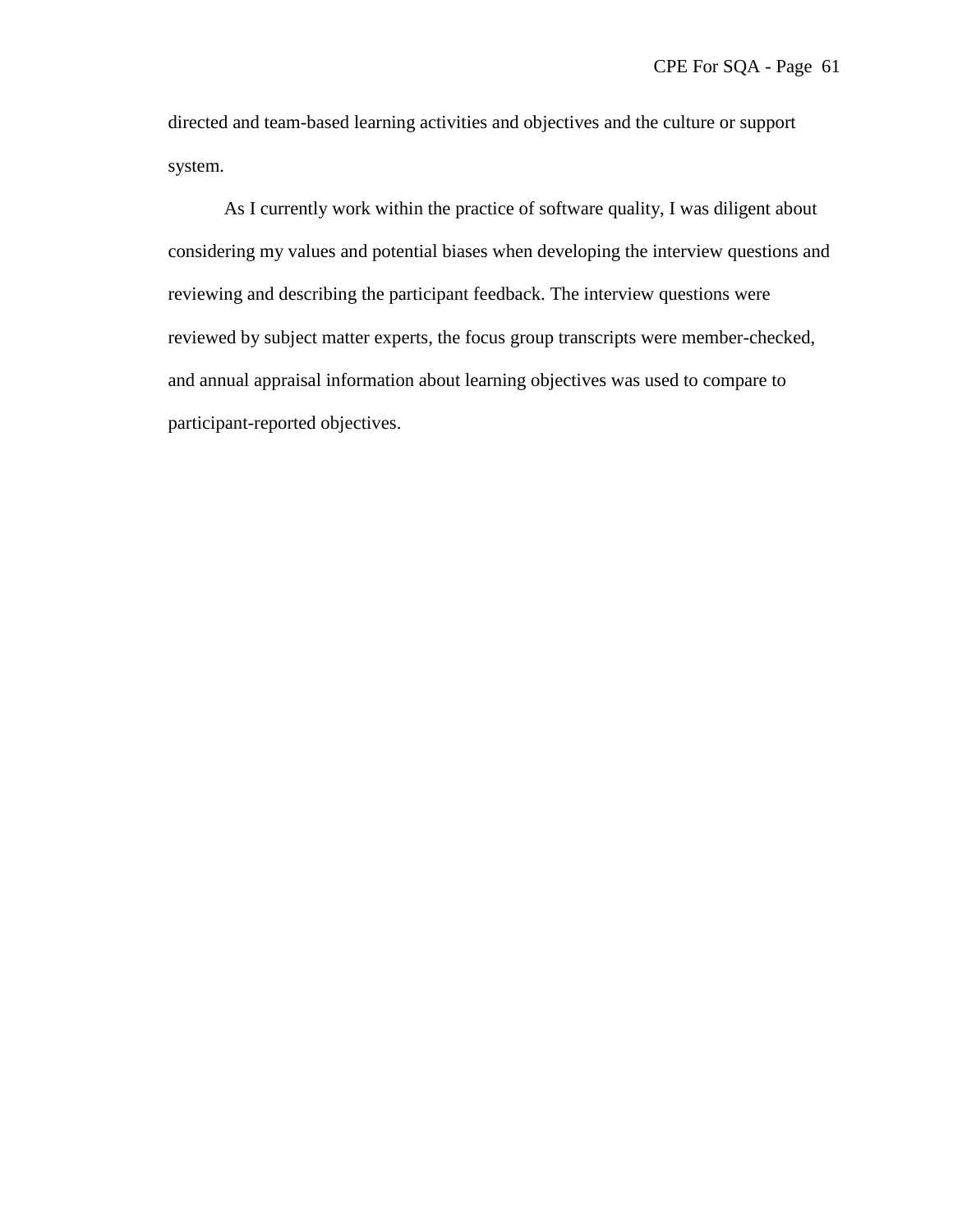directed and team-based learning activities and objectives and the culture or support system.

As I currently work within the practice of software quality, I was diligent about considering my values and potential biases when developing the interview questions and reviewing and describing the participant feedback. The interview questions were reviewed by subject matter experts, the focus group transcripts were member-checked, and annual appraisal information about learning objectives was used to compare to participant-reported objectives.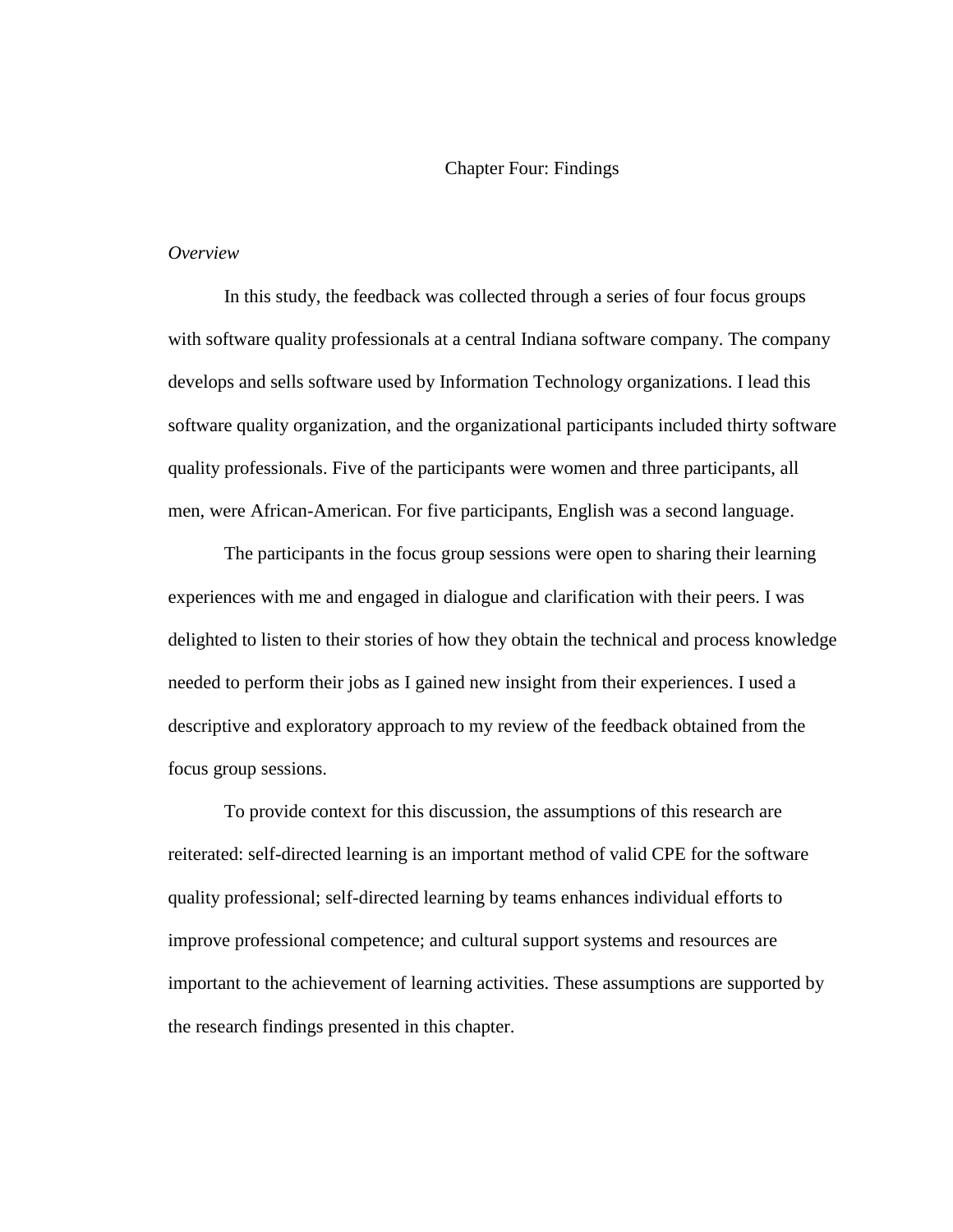#### Chapter Four: Findings

### *Overview*

In this study, the feedback was collected through a series of four focus groups with software quality professionals at a central Indiana software company. The company develops and sells software used by Information Technology organizations. I lead this software quality organization, and the organizational participants included thirty software quality professionals. Five of the participants were women and three participants, all men, were African-American. For five participants, English was a second language.

The participants in the focus group sessions were open to sharing their learning experiences with me and engaged in dialogue and clarification with their peers. I was delighted to listen to their stories of how they obtain the technical and process knowledge needed to perform their jobs as I gained new insight from their experiences. I used a descriptive and exploratory approach to my review of the feedback obtained from the focus group sessions.

To provide context for this discussion, the assumptions of this research are reiterated: self-directed learning is an important method of valid CPE for the software quality professional; self-directed learning by teams enhances individual efforts to improve professional competence; and cultural support systems and resources are important to the achievement of learning activities. These assumptions are supported by the research findings presented in this chapter.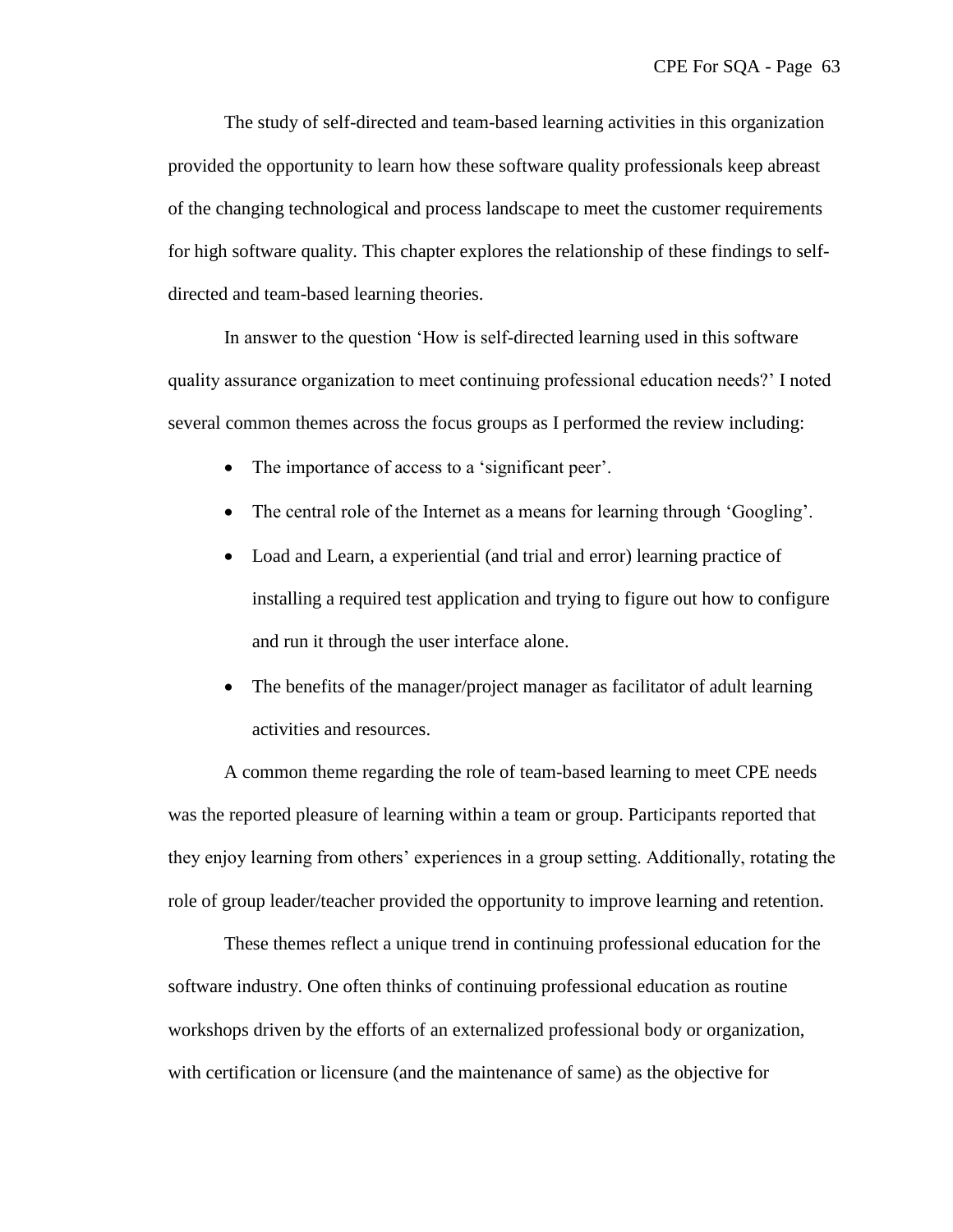The study of self-directed and team-based learning activities in this organization provided the opportunity to learn how these software quality professionals keep abreast of the changing technological and process landscape to meet the customer requirements for high software quality. This chapter explores the relationship of these findings to selfdirected and team-based learning theories.

In answer to the question 'How is self-directed learning used in this software quality assurance organization to meet continuing professional education needs?' I noted several common themes across the focus groups as I performed the review including:

- The importance of access to a 'significant peer'.
- The central role of the Internet as a means for learning through 'Googling'.
- Load and Learn, a experiential (and trial and error) learning practice of installing a required test application and trying to figure out how to configure and run it through the user interface alone.
- The benefits of the manager/project manager as facilitator of adult learning activities and resources.

A common theme regarding the role of team-based learning to meet CPE needs was the reported pleasure of learning within a team or group. Participants reported that they enjoy learning from others' experiences in a group setting. Additionally, rotating the role of group leader/teacher provided the opportunity to improve learning and retention.

These themes reflect a unique trend in continuing professional education for the software industry. One often thinks of continuing professional education as routine workshops driven by the efforts of an externalized professional body or organization, with certification or licensure (and the maintenance of same) as the objective for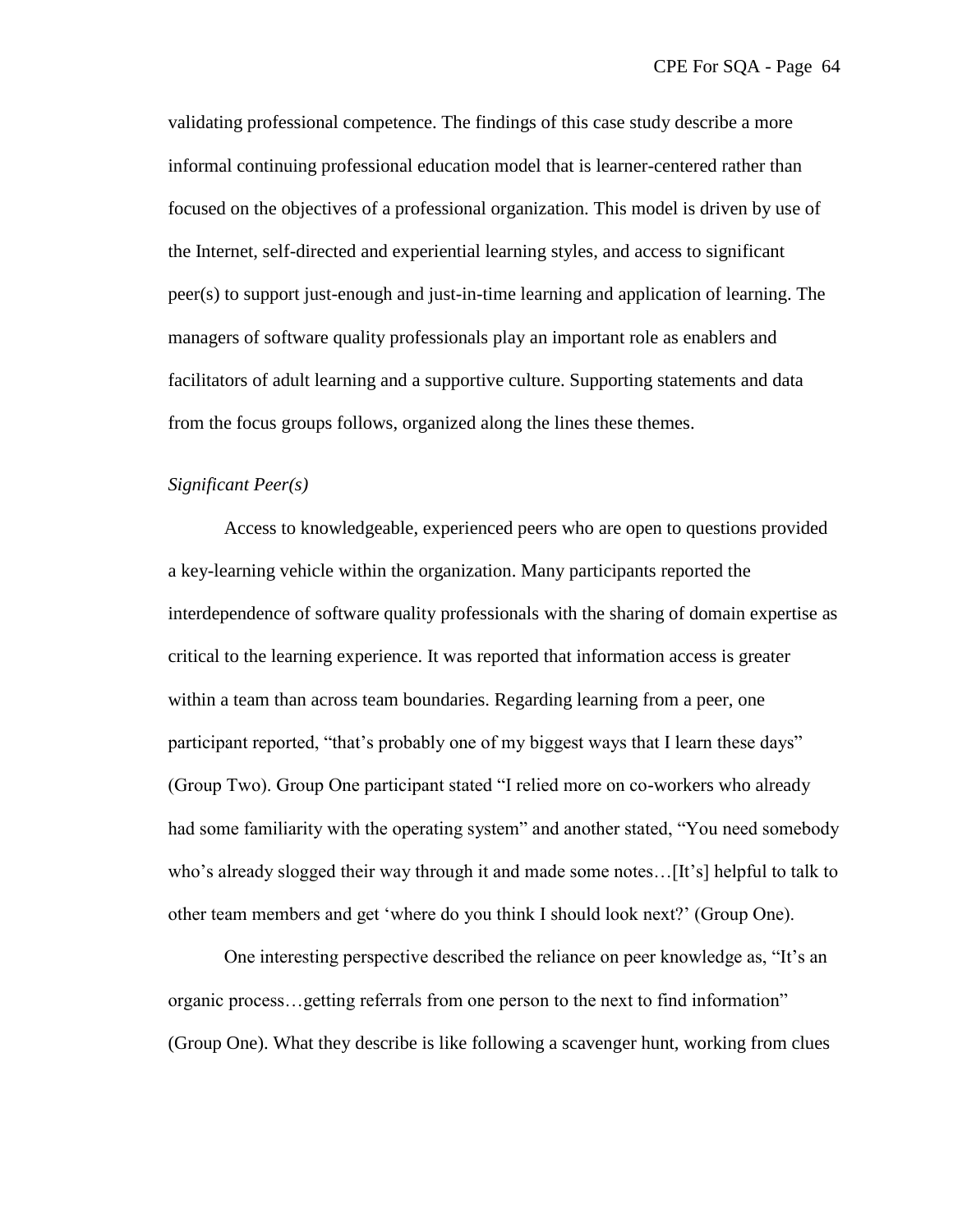validating professional competence. The findings of this case study describe a more informal continuing professional education model that is learner-centered rather than focused on the objectives of a professional organization. This model is driven by use of the Internet, self-directed and experiential learning styles, and access to significant peer(s) to support just-enough and just-in-time learning and application of learning. The managers of software quality professionals play an important role as enablers and facilitators of adult learning and a supportive culture. Supporting statements and data from the focus groups follows, organized along the lines these themes.

## *Significant Peer(s)*

Access to knowledgeable, experienced peers who are open to questions provided a key-learning vehicle within the organization. Many participants reported the interdependence of software quality professionals with the sharing of domain expertise as critical to the learning experience. It was reported that information access is greater within a team than across team boundaries. Regarding learning from a peer, one participant reported, "that's probably one of my biggest ways that I learn these days" (Group Two). Group One participant stated "I relied more on co-workers who already had some familiarity with the operating system" and another stated, "You need somebody who's already slogged their way through it and made some notes...[It's] helpful to talk to other team members and get 'where do you think I should look next?' (Group One).

One interesting perspective described the reliance on peer knowledge as, "It's an organic process...getting referrals from one person to the next to find information" (Group One). What they describe is like following a scavenger hunt, working from clues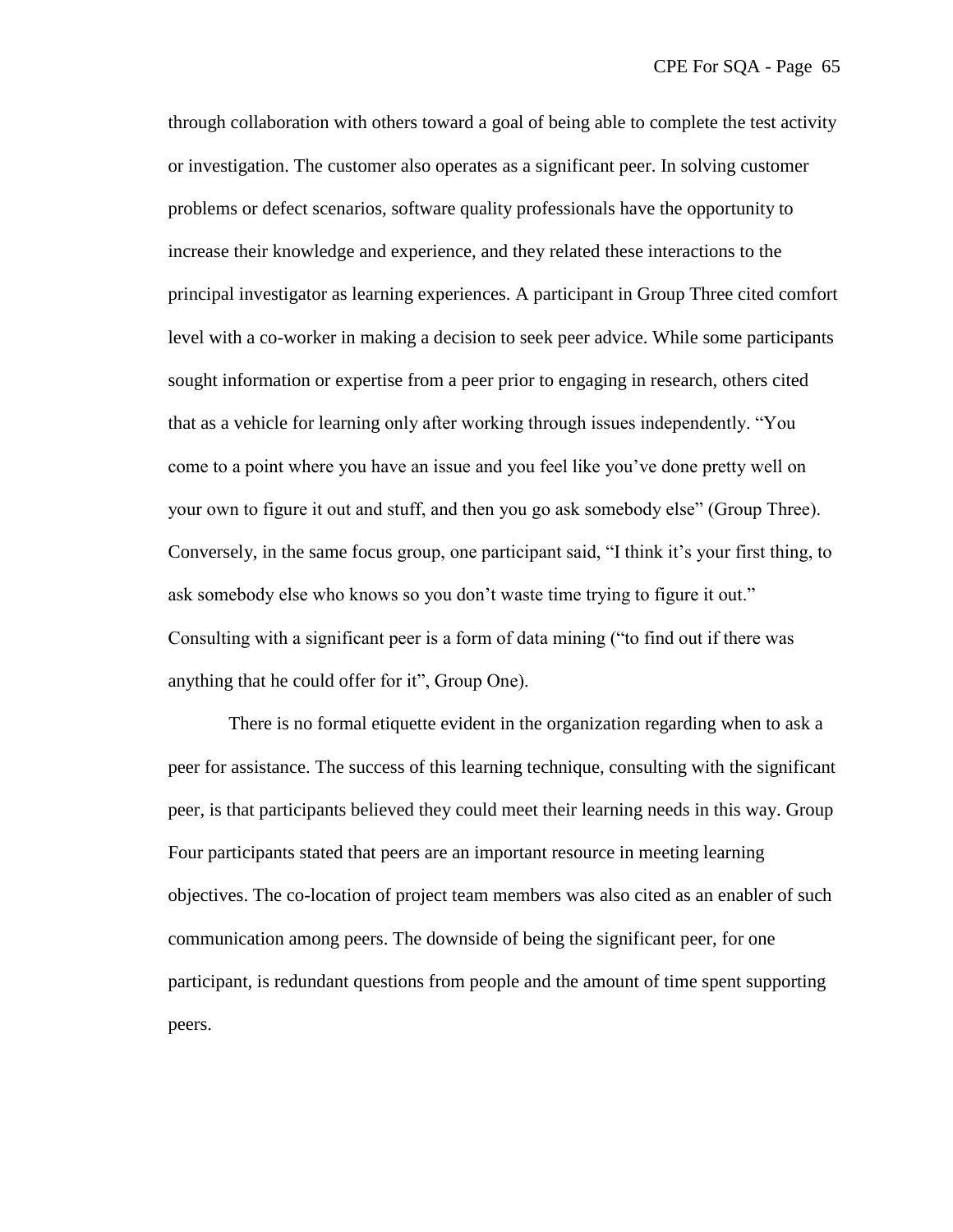through collaboration with others toward a goal of being able to complete the test activity or investigation. The customer also operates as a significant peer. In solving customer problems or defect scenarios, software quality professionals have the opportunity to increase their knowledge and experience, and they related these interactions to the principal investigator as learning experiences. A participant in Group Three cited comfort level with a co-worker in making a decision to seek peer advice. While some participants sought information or expertise from a peer prior to engaging in research, others cited that as a vehicle for learning only after working through issues independently. ―You come to a point where you have an issue and you feel like you've done pretty well on your own to figure it out and stuff, and then you go ask somebody else" (Group Three). Conversely, in the same focus group, one participant said, "I think it's your first thing, to ask somebody else who knows so you don't waste time trying to figure it out." Consulting with a significant peer is a form of data mining ("to find out if there was anything that he could offer for it", Group One).

There is no formal etiquette evident in the organization regarding when to ask a peer for assistance. The success of this learning technique, consulting with the significant peer, is that participants believed they could meet their learning needs in this way. Group Four participants stated that peers are an important resource in meeting learning objectives. The co-location of project team members was also cited as an enabler of such communication among peers. The downside of being the significant peer, for one participant, is redundant questions from people and the amount of time spent supporting peers.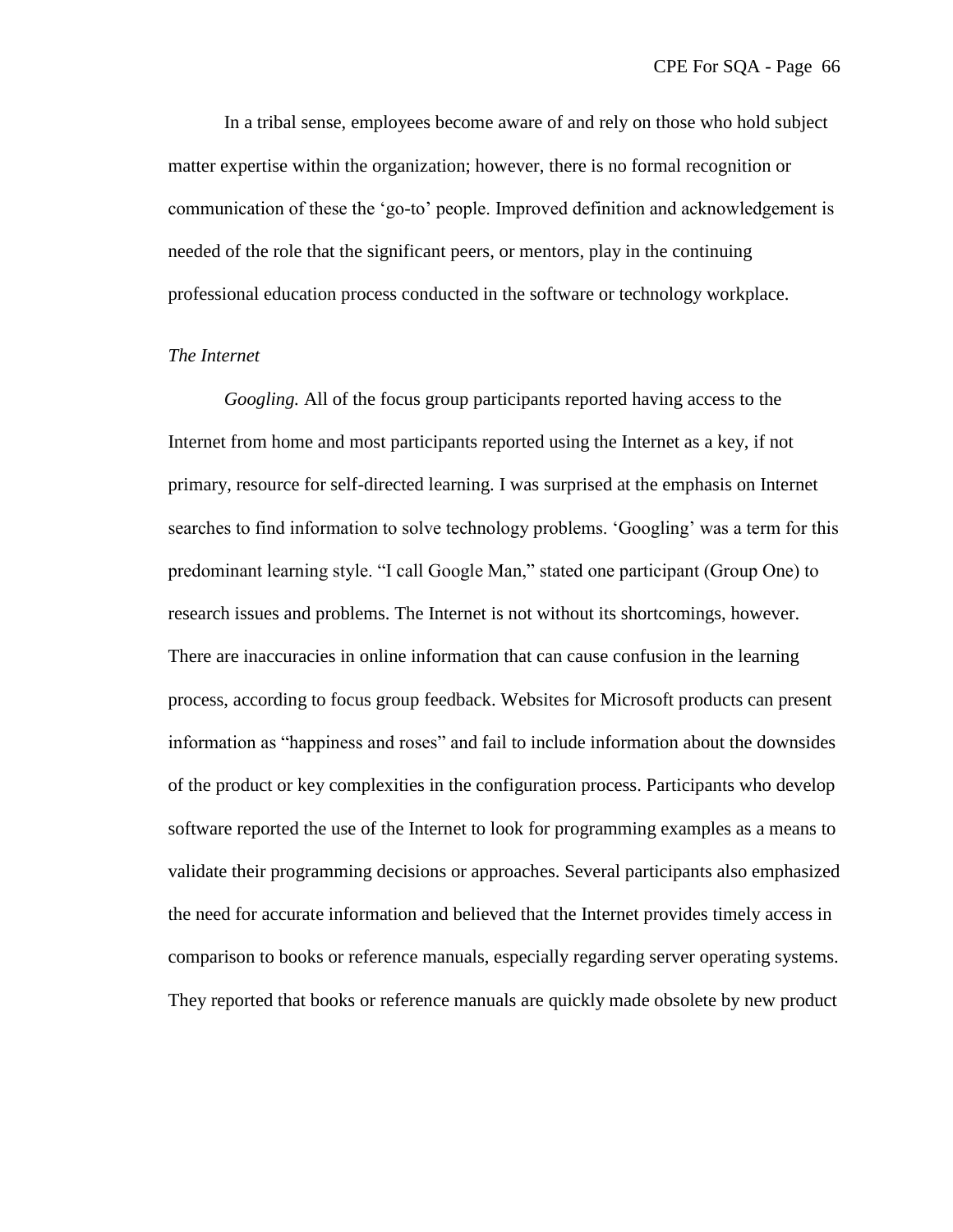In a tribal sense, employees become aware of and rely on those who hold subject matter expertise within the organization; however, there is no formal recognition or communication of these the ‗go-to' people. Improved definition and acknowledgement is needed of the role that the significant peers, or mentors, play in the continuing professional education process conducted in the software or technology workplace.

## *The Internet*

*Googling.* All of the focus group participants reported having access to the Internet from home and most participants reported using the Internet as a key, if not primary, resource for self-directed learning. I was surprised at the emphasis on Internet searches to find information to solve technology problems. 'Googling' was a term for this predominant learning style. "I call Google Man," stated one participant (Group One) to research issues and problems. The Internet is not without its shortcomings, however. There are inaccuracies in online information that can cause confusion in the learning process, according to focus group feedback. Websites for Microsoft products can present information as "happiness and roses" and fail to include information about the downsides of the product or key complexities in the configuration process. Participants who develop software reported the use of the Internet to look for programming examples as a means to validate their programming decisions or approaches. Several participants also emphasized the need for accurate information and believed that the Internet provides timely access in comparison to books or reference manuals, especially regarding server operating systems. They reported that books or reference manuals are quickly made obsolete by new product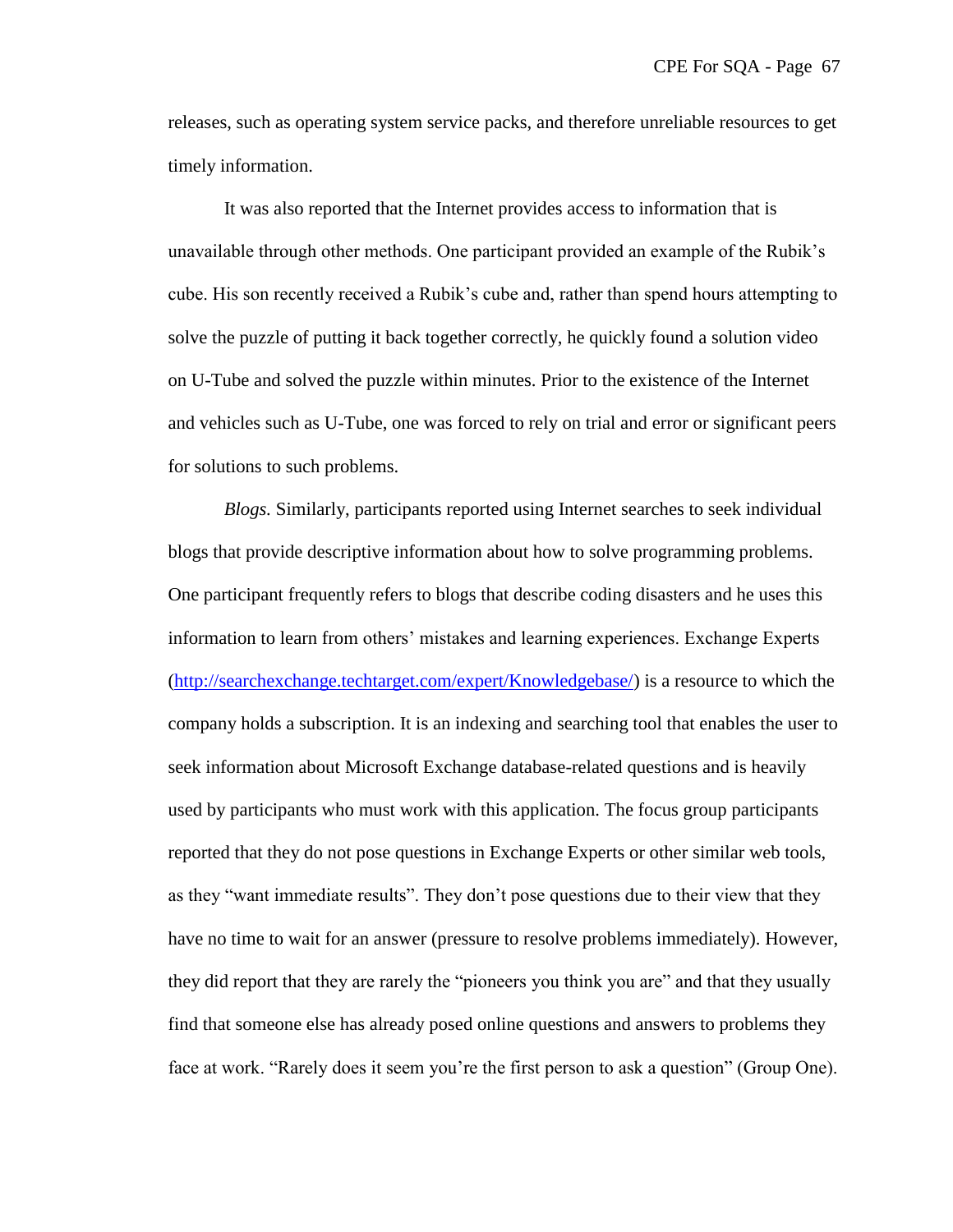releases, such as operating system service packs, and therefore unreliable resources to get timely information.

It was also reported that the Internet provides access to information that is unavailable through other methods. One participant provided an example of the Rubik's cube. His son recently received a Rubik's cube and, rather than spend hours attempting to solve the puzzle of putting it back together correctly, he quickly found a solution video on U-Tube and solved the puzzle within minutes. Prior to the existence of the Internet and vehicles such as U-Tube, one was forced to rely on trial and error or significant peers for solutions to such problems.

*Blogs.* Similarly, participants reported using Internet searches to seek individual blogs that provide descriptive information about how to solve programming problems. One participant frequently refers to blogs that describe coding disasters and he uses this information to learn from others' mistakes and learning experiences. Exchange Experts [\(http://searchexchange.techtarget.com/expert/Knowledgebase/\)](http://searchexchange.techtarget.com/expert/Knowledgebase/) is a resource to which the company holds a subscription. It is an indexing and searching tool that enables the user to seek information about Microsoft Exchange database-related questions and is heavily used by participants who must work with this application. The focus group participants reported that they do not pose questions in Exchange Experts or other similar web tools, as they "want immediate results". They don't pose questions due to their view that they have no time to wait for an answer (pressure to resolve problems immediately). However, they did report that they are rarely the "pioneers you think you are" and that they usually find that someone else has already posed online questions and answers to problems they face at work. "Rarely does it seem you're the first person to ask a question" (Group One).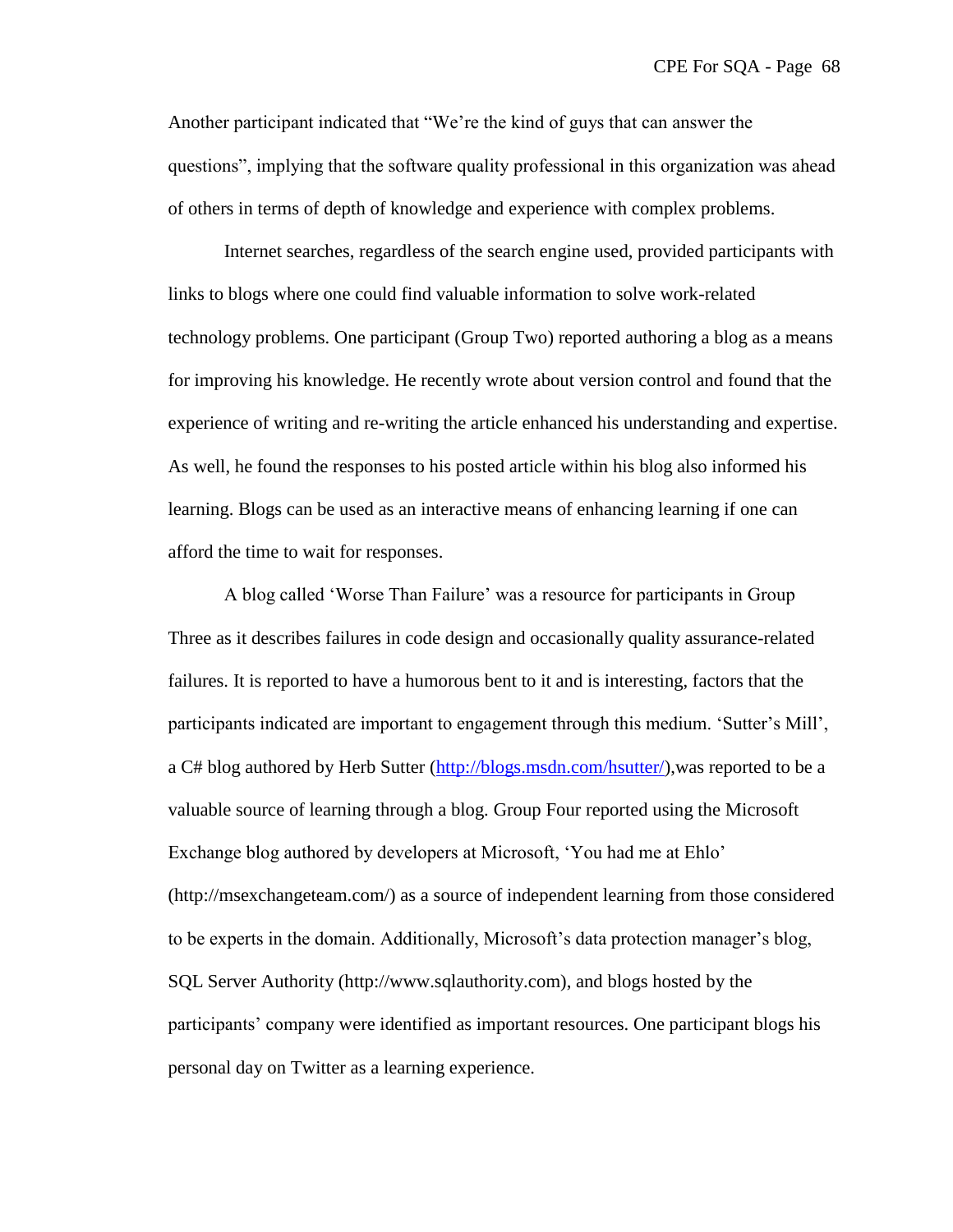Another participant indicated that "We're the kind of guys that can answer the questions", implying that the software quality professional in this organization was ahead of others in terms of depth of knowledge and experience with complex problems.

Internet searches, regardless of the search engine used, provided participants with links to blogs where one could find valuable information to solve work-related technology problems. One participant (Group Two) reported authoring a blog as a means for improving his knowledge. He recently wrote about version control and found that the experience of writing and re-writing the article enhanced his understanding and expertise. As well, he found the responses to his posted article within his blog also informed his learning. Blogs can be used as an interactive means of enhancing learning if one can afford the time to wait for responses.

A blog called 'Worse Than Failure' was a resource for participants in Group Three as it describes failures in code design and occasionally quality assurance-related failures. It is reported to have a humorous bent to it and is interesting, factors that the participants indicated are important to engagement through this medium. 'Sutter's Mill', a C# blog authored by Herb Sutter [\(http://blogs.msdn.com/hsutter/\)](http://blogs.msdn.com/hsutter/),was reported to be a valuable source of learning through a blog. Group Four reported using the Microsoft Exchange blog authored by developers at Microsoft, 'You had me at Ehlo' (http://msexchangeteam.com/) as a source of independent learning from those considered to be experts in the domain. Additionally, Microsoft's data protection manager's blog, SQL Server Authority (http://www.sqlauthority.com), and blogs hosted by the participants' company were identified as important resources. One participant blogs his personal day on Twitter as a learning experience.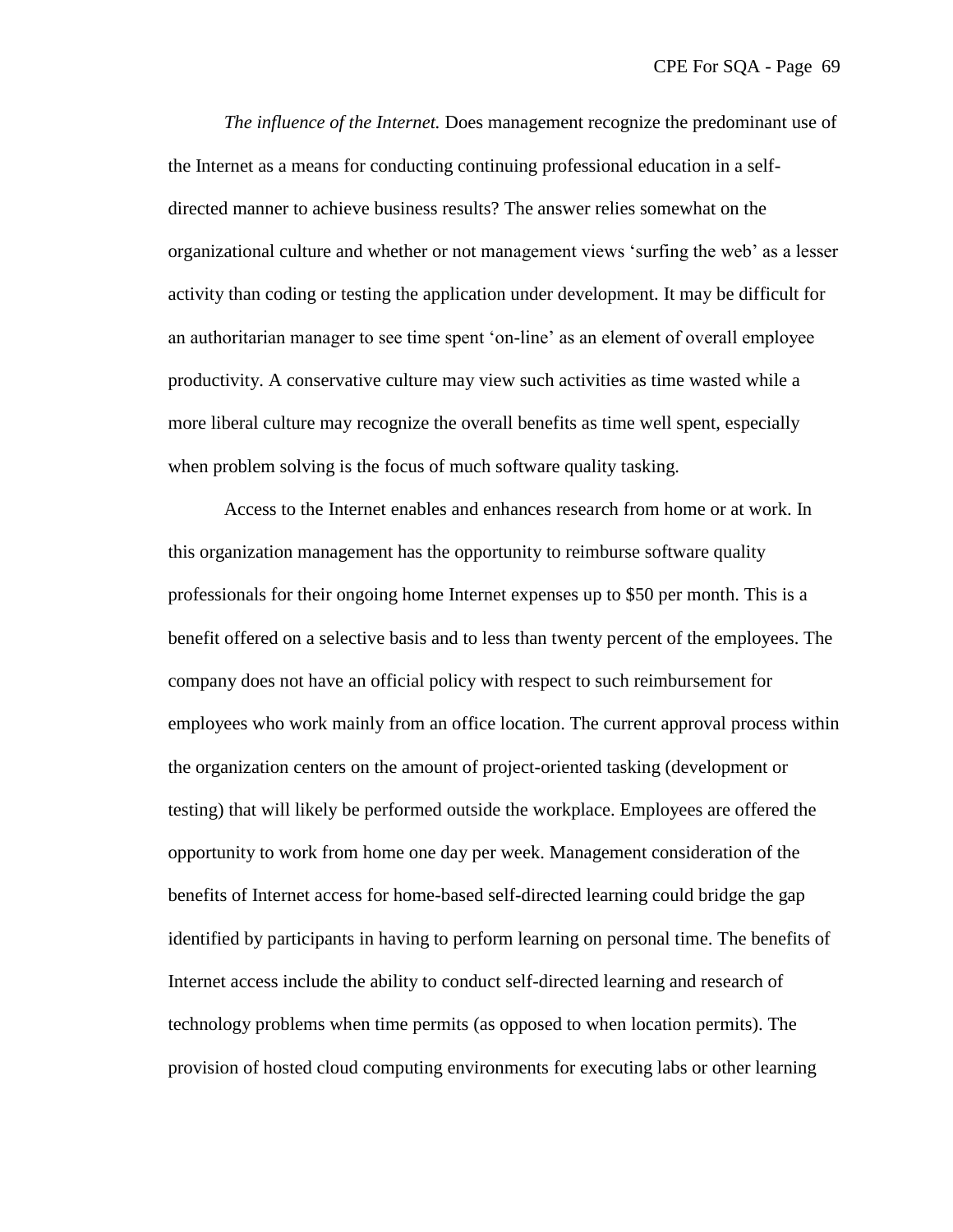*The influence of the Internet.* Does management recognize the predominant use of the Internet as a means for conducting continuing professional education in a selfdirected manner to achieve business results? The answer relies somewhat on the organizational culture and whether or not management views ‗surfing the web' as a lesser activity than coding or testing the application under development. It may be difficult for an authoritarian manager to see time spent 'on-line' as an element of overall employee productivity. A conservative culture may view such activities as time wasted while a more liberal culture may recognize the overall benefits as time well spent, especially when problem solving is the focus of much software quality tasking.

Access to the Internet enables and enhances research from home or at work. In this organization management has the opportunity to reimburse software quality professionals for their ongoing home Internet expenses up to \$50 per month. This is a benefit offered on a selective basis and to less than twenty percent of the employees. The company does not have an official policy with respect to such reimbursement for employees who work mainly from an office location. The current approval process within the organization centers on the amount of project-oriented tasking (development or testing) that will likely be performed outside the workplace. Employees are offered the opportunity to work from home one day per week. Management consideration of the benefits of Internet access for home-based self-directed learning could bridge the gap identified by participants in having to perform learning on personal time. The benefits of Internet access include the ability to conduct self-directed learning and research of technology problems when time permits (as opposed to when location permits). The provision of hosted cloud computing environments for executing labs or other learning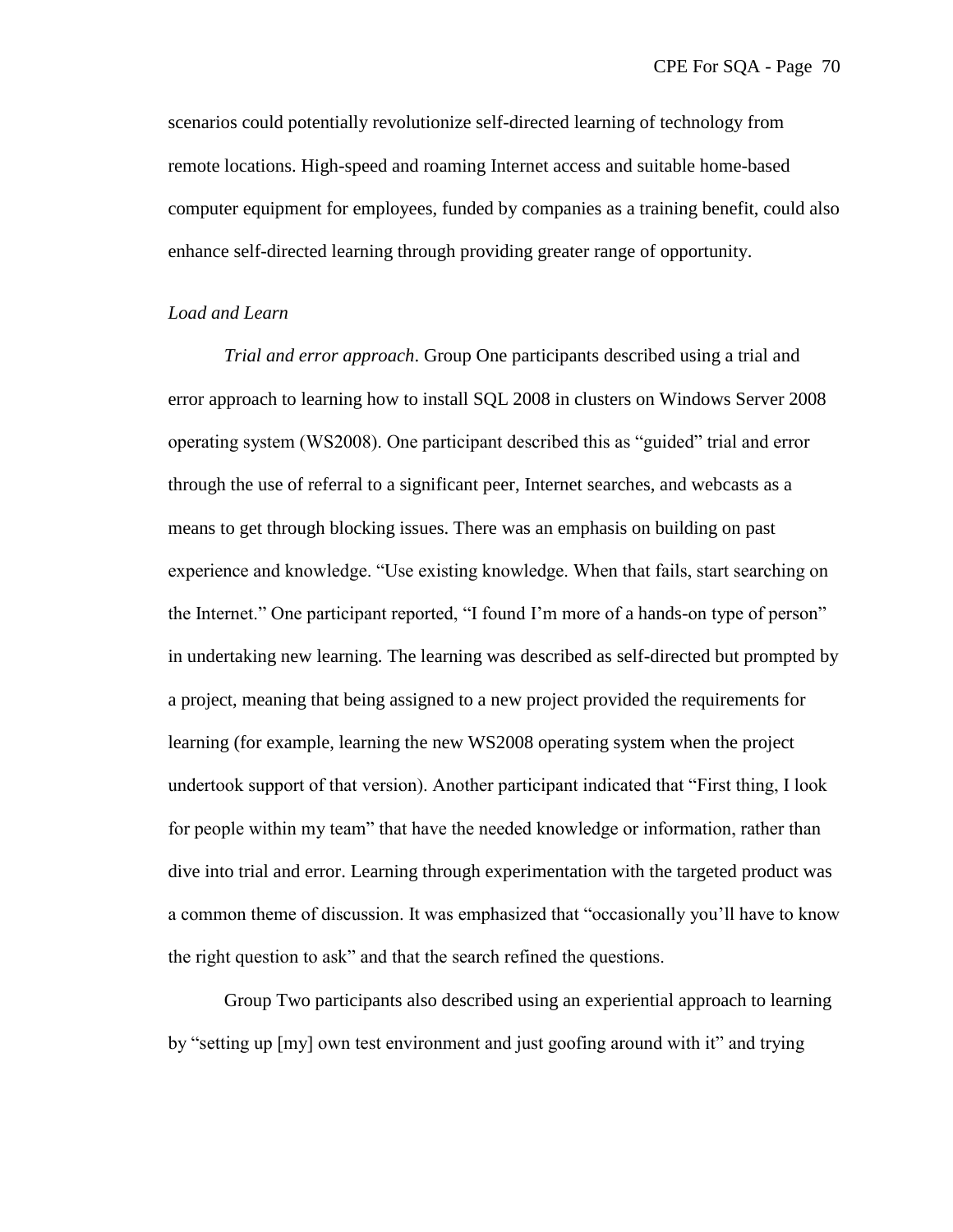scenarios could potentially revolutionize self-directed learning of technology from remote locations. High-speed and roaming Internet access and suitable home-based computer equipment for employees, funded by companies as a training benefit, could also enhance self-directed learning through providing greater range of opportunity.

### *Load and Learn*

*Trial and error approach*. Group One participants described using a trial and error approach to learning how to install SQL 2008 in clusters on Windows Server 2008 operating system (WS2008). One participant described this as "guided" trial and error through the use of referral to a significant peer, Internet searches, and webcasts as a means to get through blocking issues. There was an emphasis on building on past experience and knowledge. "Use existing knowledge. When that fails, start searching on the Internet." One participant reported, "I found I'm more of a hands-on type of person" in undertaking new learning. The learning was described as self-directed but prompted by a project, meaning that being assigned to a new project provided the requirements for learning (for example, learning the new WS2008 operating system when the project undertook support of that version). Another participant indicated that "First thing, I look for people within my team" that have the needed knowledge or information, rather than dive into trial and error. Learning through experimentation with the targeted product was a common theme of discussion. It was emphasized that "occasionally you'll have to know the right question to ask" and that the search refined the questions.

Group Two participants also described using an experiential approach to learning by "setting up [my] own test environment and just goofing around with it" and trying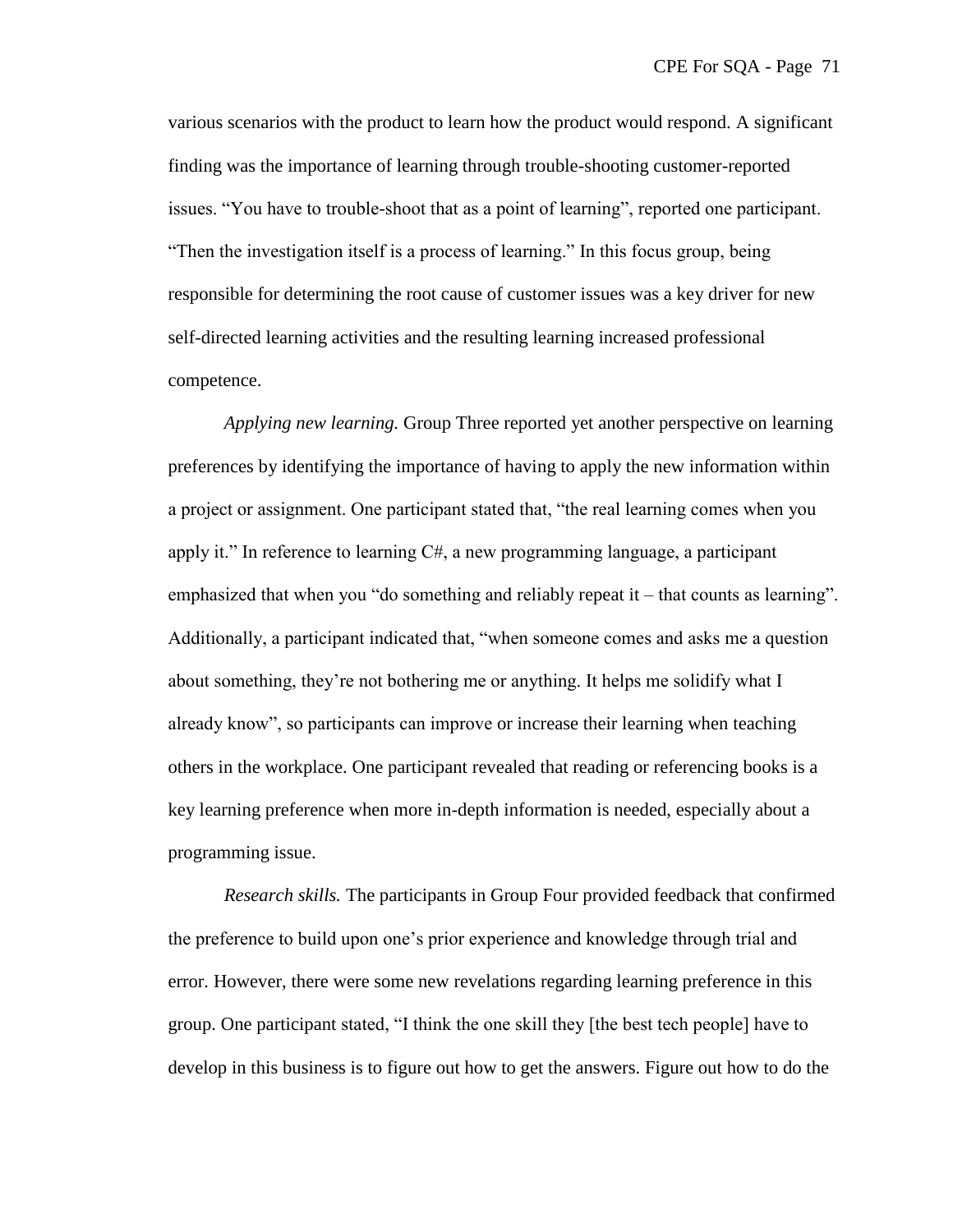various scenarios with the product to learn how the product would respond. A significant finding was the importance of learning through trouble-shooting customer-reported issues. "You have to trouble-shoot that as a point of learning", reported one participant. "Then the investigation itself is a process of learning." In this focus group, being responsible for determining the root cause of customer issues was a key driver for new self-directed learning activities and the resulting learning increased professional competence.

*Applying new learning.* Group Three reported yet another perspective on learning preferences by identifying the importance of having to apply the new information within a project or assignment. One participant stated that, "the real learning comes when you apply it." In reference to learning  $C\#$ , a new programming language, a participant emphasized that when you "do something and reliably repeat it – that counts as learning". Additionally, a participant indicated that, "when someone comes and asks me a question about something, they're not bothering me or anything. It helps me solidify what I already know", so participants can improve or increase their learning when teaching others in the workplace. One participant revealed that reading or referencing books is a key learning preference when more in-depth information is needed, especially about a programming issue.

*Research skills.* The participants in Group Four provided feedback that confirmed the preference to build upon one's prior experience and knowledge through trial and error. However, there were some new revelations regarding learning preference in this group. One participant stated, "I think the one skill they [the best tech people] have to develop in this business is to figure out how to get the answers. Figure out how to do the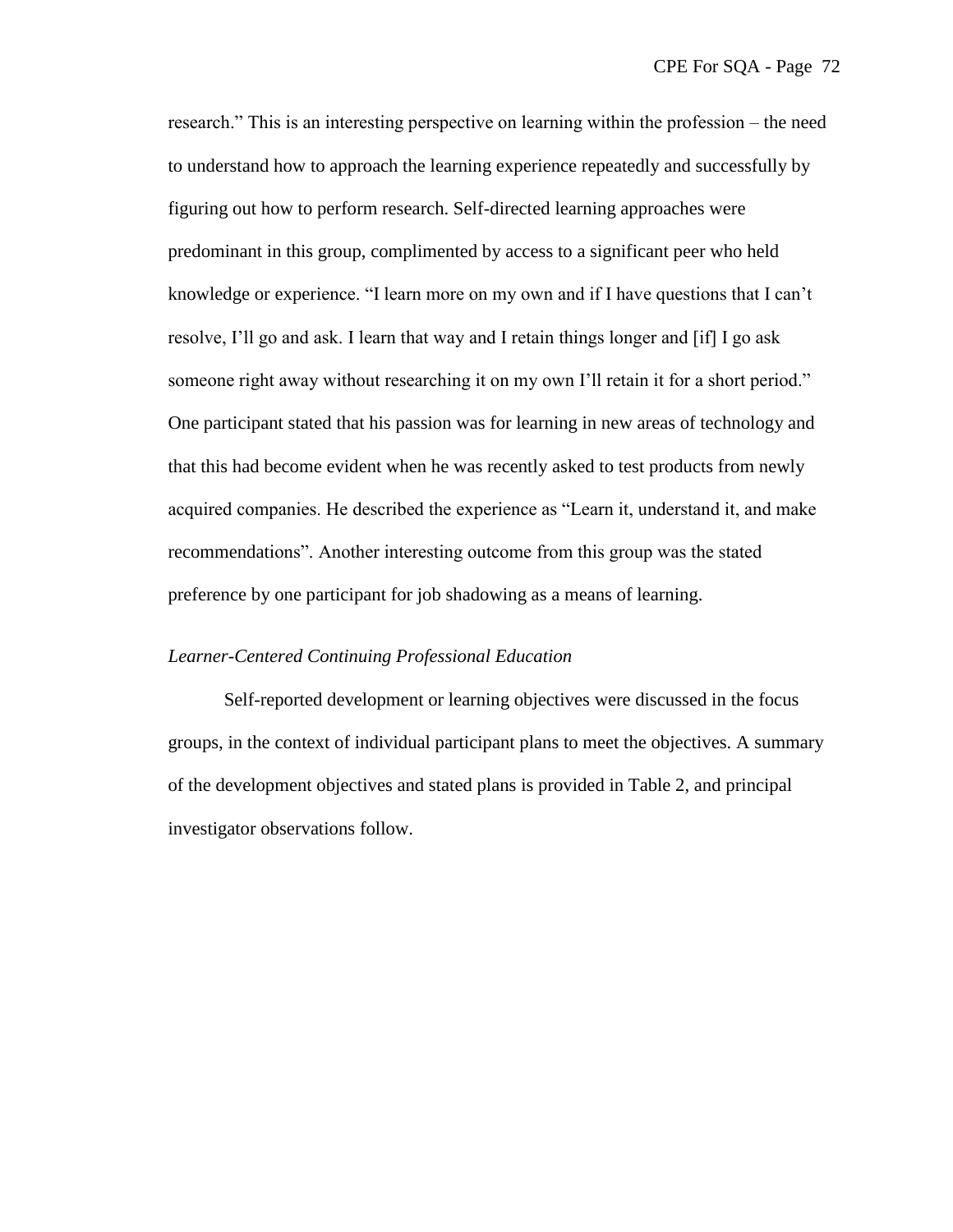research." This is an interesting perspective on learning within the profession – the need to understand how to approach the learning experience repeatedly and successfully by figuring out how to perform research. Self-directed learning approaches were predominant in this group, complimented by access to a significant peer who held knowledge or experience. "I learn more on my own and if I have questions that I can't resolve, I'll go and ask. I learn that way and I retain things longer and [if] I go ask someone right away without researching it on my own I'll retain it for a short period." One participant stated that his passion was for learning in new areas of technology and that this had become evident when he was recently asked to test products from newly acquired companies. He described the experience as "Learn it, understand it, and make recommendations". Another interesting outcome from this group was the stated preference by one participant for job shadowing as a means of learning.

#### *Learner-Centered Continuing Professional Education*

Self-reported development or learning objectives were discussed in the focus groups, in the context of individual participant plans to meet the objectives. A summary of the development objectives and stated plans is provided in Table 2, and principal investigator observations follow.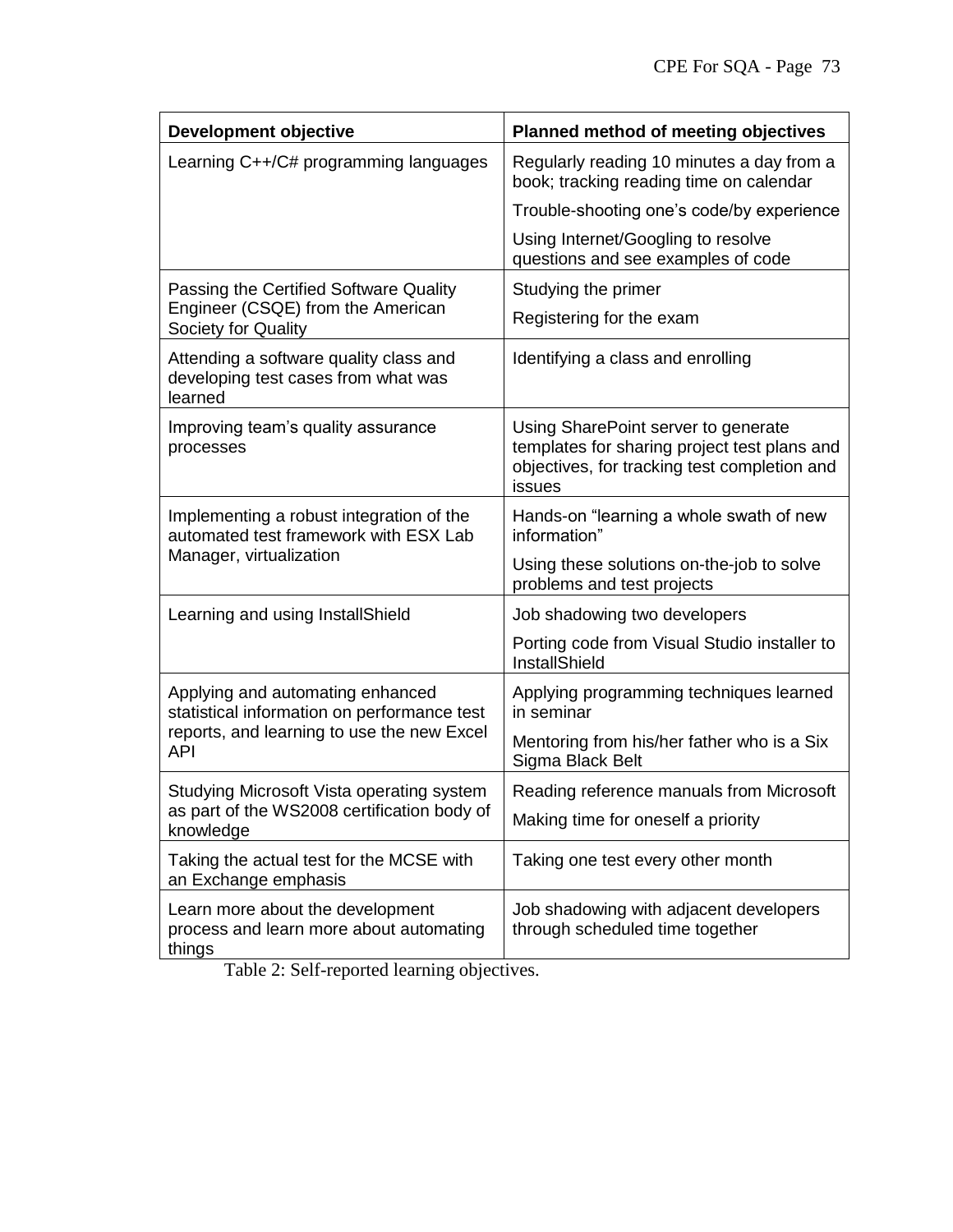| <b>Development objective</b>                                                                                                                | Planned method of meeting objectives                                                                                                          |
|---------------------------------------------------------------------------------------------------------------------------------------------|-----------------------------------------------------------------------------------------------------------------------------------------------|
| Learning C++/C# programming languages                                                                                                       | Regularly reading 10 minutes a day from a<br>book; tracking reading time on calendar                                                          |
|                                                                                                                                             | Trouble-shooting one's code/by experience                                                                                                     |
|                                                                                                                                             | Using Internet/Googling to resolve<br>questions and see examples of code                                                                      |
| Passing the Certified Software Quality<br>Engineer (CSQE) from the American<br>Society for Quality                                          | Studying the primer                                                                                                                           |
|                                                                                                                                             | Registering for the exam                                                                                                                      |
| Attending a software quality class and<br>developing test cases from what was<br>learned                                                    | Identifying a class and enrolling                                                                                                             |
| Improving team's quality assurance<br>processes                                                                                             | Using SharePoint server to generate<br>templates for sharing project test plans and<br>objectives, for tracking test completion and<br>issues |
| Implementing a robust integration of the<br>automated test framework with ESX Lab<br>Manager, virtualization                                | Hands-on "learning a whole swath of new<br>information"                                                                                       |
|                                                                                                                                             | Using these solutions on-the-job to solve<br>problems and test projects                                                                       |
| Learning and using InstallShield                                                                                                            | Job shadowing two developers                                                                                                                  |
|                                                                                                                                             | Porting code from Visual Studio installer to<br>InstallShield                                                                                 |
| Applying and automating enhanced<br>statistical information on performance test<br>reports, and learning to use the new Excel<br><b>API</b> | Applying programming techniques learned<br>in seminar                                                                                         |
|                                                                                                                                             | Mentoring from his/her father who is a Six<br>Sigma Black Belt                                                                                |
| Studying Microsoft Vista operating system<br>as part of the WS2008 certification body of<br>knowledge                                       | Reading reference manuals from Microsoft                                                                                                      |
|                                                                                                                                             | Making time for oneself a priority                                                                                                            |
| Taking the actual test for the MCSE with<br>an Exchange emphasis                                                                            | Taking one test every other month                                                                                                             |
| Learn more about the development<br>process and learn more about automating<br>things                                                       | Job shadowing with adjacent developers<br>through scheduled time together                                                                     |

Table 2: Self-reported learning objectives.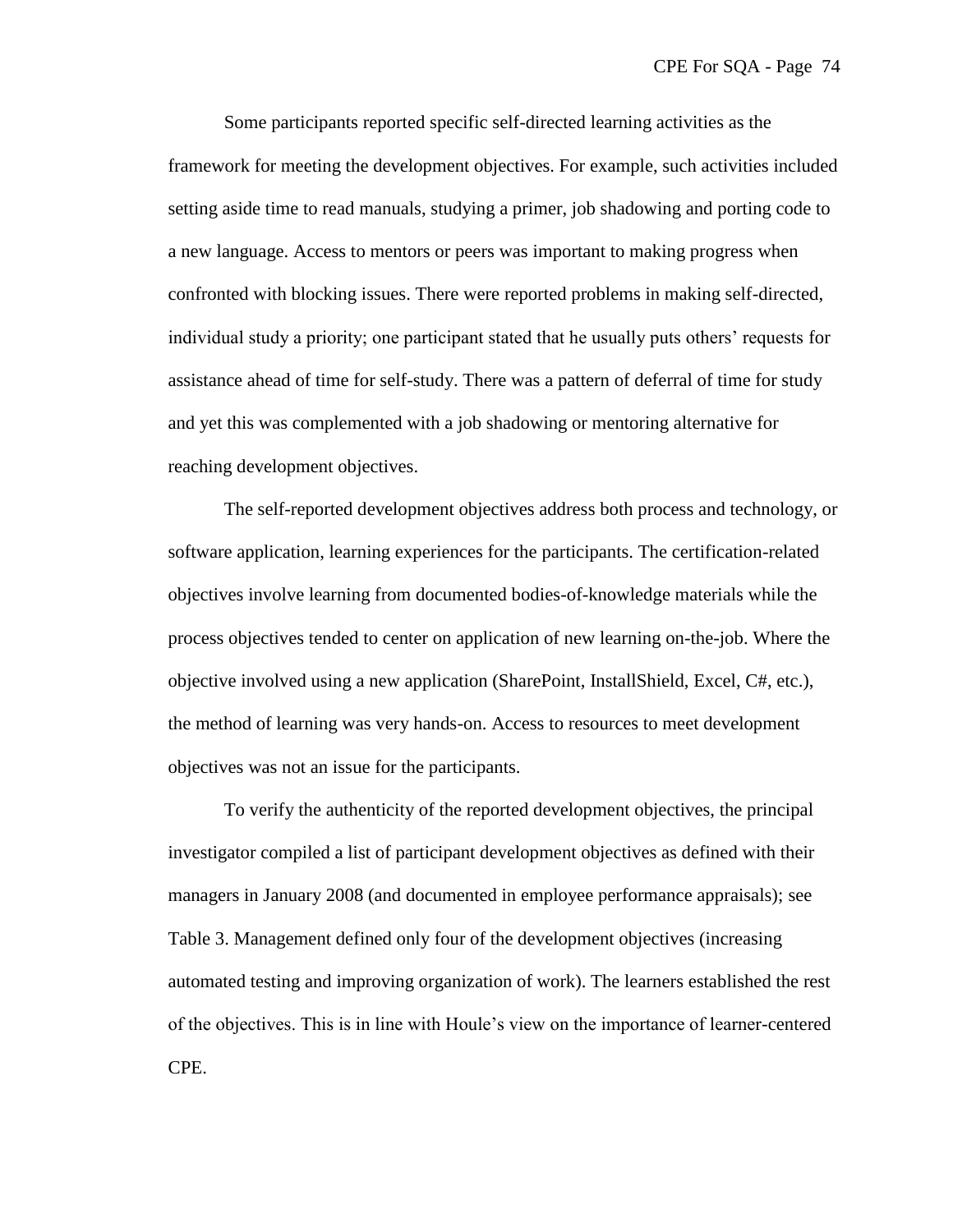Some participants reported specific self-directed learning activities as the framework for meeting the development objectives. For example, such activities included setting aside time to read manuals, studying a primer, job shadowing and porting code to a new language. Access to mentors or peers was important to making progress when confronted with blocking issues. There were reported problems in making self-directed, individual study a priority; one participant stated that he usually puts others' requests for assistance ahead of time for self-study. There was a pattern of deferral of time for study and yet this was complemented with a job shadowing or mentoring alternative for reaching development objectives.

The self-reported development objectives address both process and technology, or software application, learning experiences for the participants. The certification-related objectives involve learning from documented bodies-of-knowledge materials while the process objectives tended to center on application of new learning on-the-job. Where the objective involved using a new application (SharePoint, InstallShield, Excel, C#, etc.), the method of learning was very hands-on. Access to resources to meet development objectives was not an issue for the participants.

To verify the authenticity of the reported development objectives, the principal investigator compiled a list of participant development objectives as defined with their managers in January 2008 (and documented in employee performance appraisals); see Table 3. Management defined only four of the development objectives (increasing automated testing and improving organization of work). The learners established the rest of the objectives. This is in line with Houle's view on the importance of learner-centered CPE.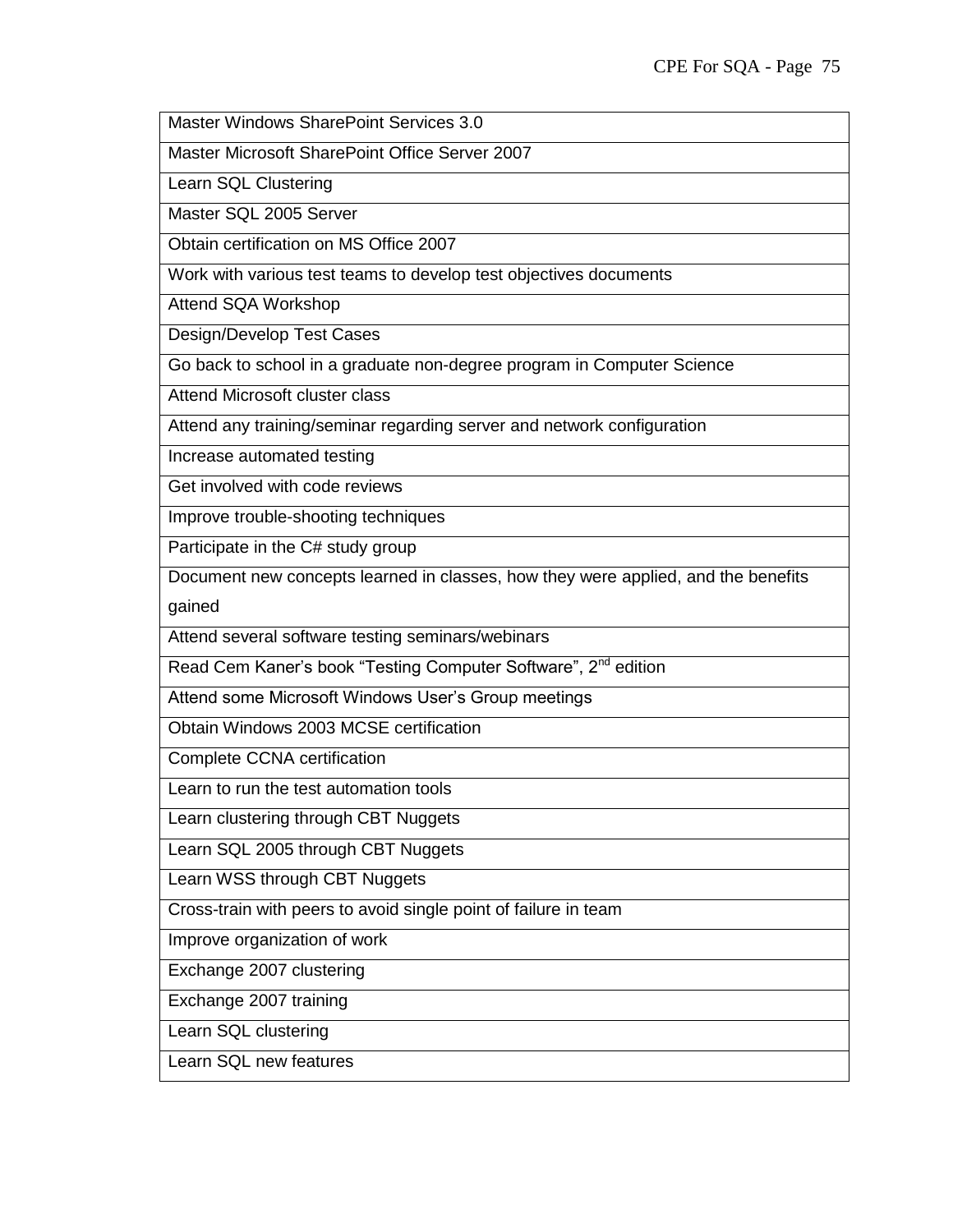Master Windows SharePoint Services 3.0

Master Microsoft SharePoint Office Server 2007

Learn SQL Clustering

Master SQL 2005 Server

Obtain certification on MS Office 2007

Work with various test teams to develop test objectives documents

Attend SQA Workshop

Design/Develop Test Cases

Go back to school in a graduate non-degree program in Computer Science

Attend Microsoft cluster class

Attend any training/seminar regarding server and network configuration

Increase automated testing

Get involved with code reviews

Improve trouble-shooting techniques

Participate in the C# study group

Document new concepts learned in classes, how they were applied, and the benefits gained

Attend several software testing seminars/webinars

Read Cem Kaner's book "Testing Computer Software", 2<sup>nd</sup> edition

Attend some Microsoft Windows User's Group meetings

Obtain Windows 2003 MCSE certification

Complete CCNA certification

Learn to run the test automation tools

Learn clustering through CBT Nuggets

Learn SQL 2005 through CBT Nuggets

Learn WSS through CBT Nuggets

Cross-train with peers to avoid single point of failure in team

Improve organization of work

Exchange 2007 clustering

Exchange 2007 training

Learn SQL clustering

Learn SQL new features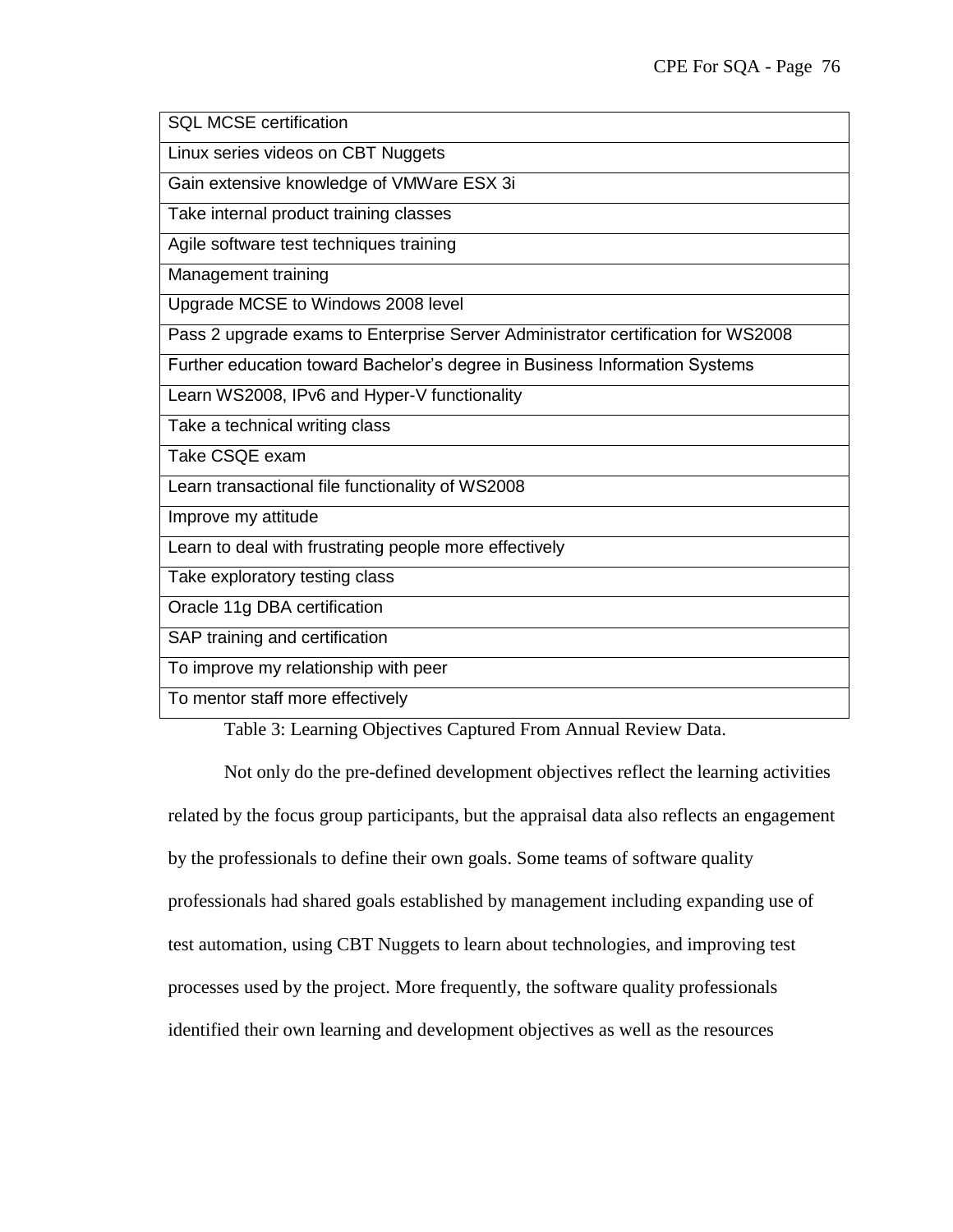SQL MCSE certification

Linux series videos on CBT Nuggets

Gain extensive knowledge of VMWare ESX 3i

Take internal product training classes

Agile software test techniques training

Management training

Upgrade MCSE to Windows 2008 level

Pass 2 upgrade exams to Enterprise Server Administrator certification for WS2008

Further education toward Bachelor's degree in Business Information Systems

Learn WS2008, IPv6 and Hyper-V functionality

Take a technical writing class

Take CSQE exam

Learn transactional file functionality of WS2008

Improve my attitude

Learn to deal with frustrating people more effectively

Take exploratory testing class

Oracle 11g DBA certification

SAP training and certification

To improve my relationship with peer

To mentor staff more effectively

Table 3: Learning Objectives Captured From Annual Review Data.

Not only do the pre-defined development objectives reflect the learning activities related by the focus group participants, but the appraisal data also reflects an engagement by the professionals to define their own goals. Some teams of software quality professionals had shared goals established by management including expanding use of test automation, using CBT Nuggets to learn about technologies, and improving test processes used by the project. More frequently, the software quality professionals identified their own learning and development objectives as well as the resources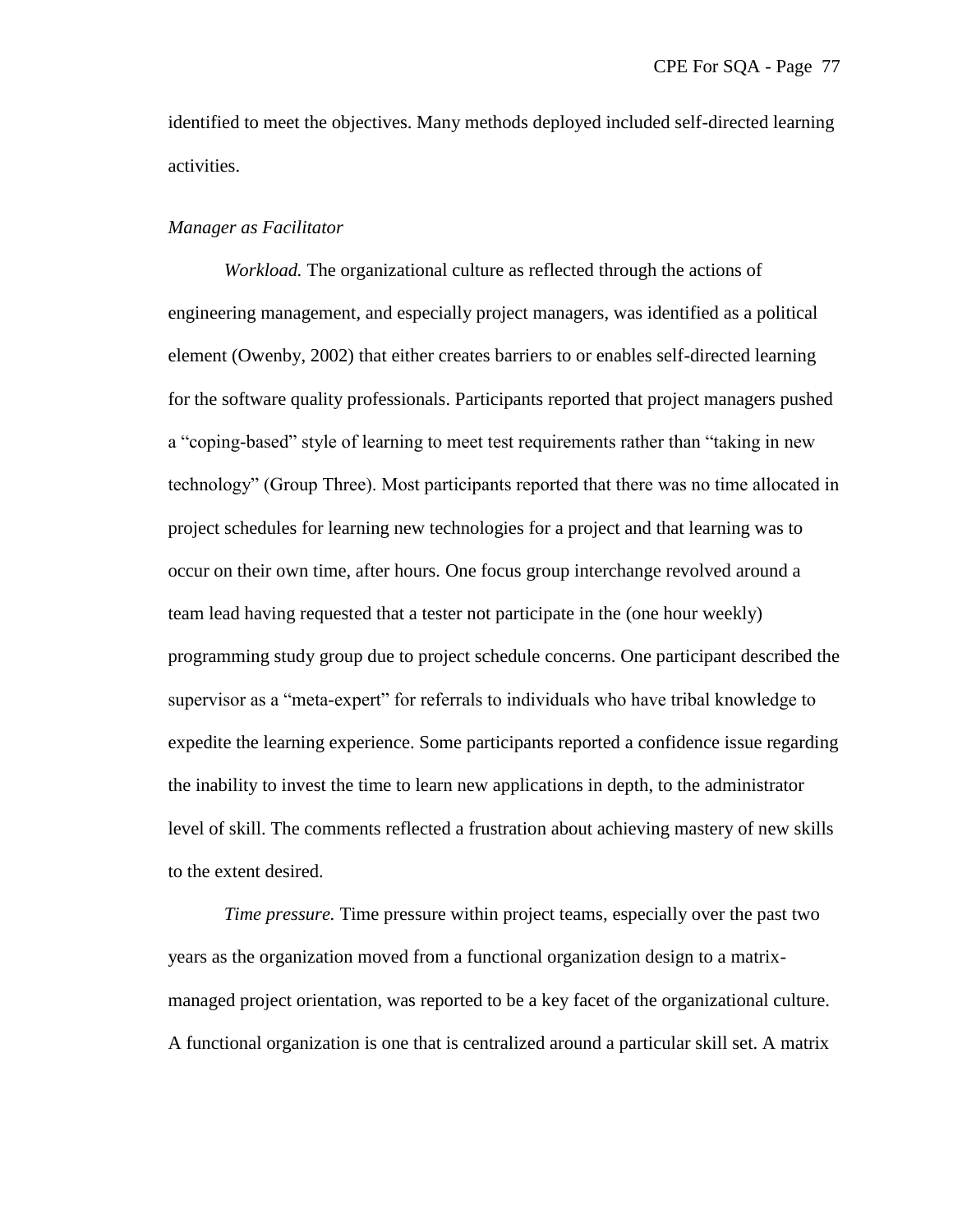identified to meet the objectives. Many methods deployed included self-directed learning activities.

# *Manager as Facilitator*

*Workload.* The organizational culture as reflected through the actions of engineering management, and especially project managers, was identified as a political element (Owenby, 2002) that either creates barriers to or enables self-directed learning for the software quality professionals. Participants reported that project managers pushed a "coping-based" style of learning to meet test requirements rather than "taking in new technology‖ (Group Three). Most participants reported that there was no time allocated in project schedules for learning new technologies for a project and that learning was to occur on their own time, after hours. One focus group interchange revolved around a team lead having requested that a tester not participate in the (one hour weekly) programming study group due to project schedule concerns. One participant described the supervisor as a "meta-expert" for referrals to individuals who have tribal knowledge to expedite the learning experience. Some participants reported a confidence issue regarding the inability to invest the time to learn new applications in depth, to the administrator level of skill. The comments reflected a frustration about achieving mastery of new skills to the extent desired.

*Time pressure.* Time pressure within project teams, especially over the past two years as the organization moved from a functional organization design to a matrixmanaged project orientation, was reported to be a key facet of the organizational culture. A functional organization is one that is centralized around a particular skill set. A matrix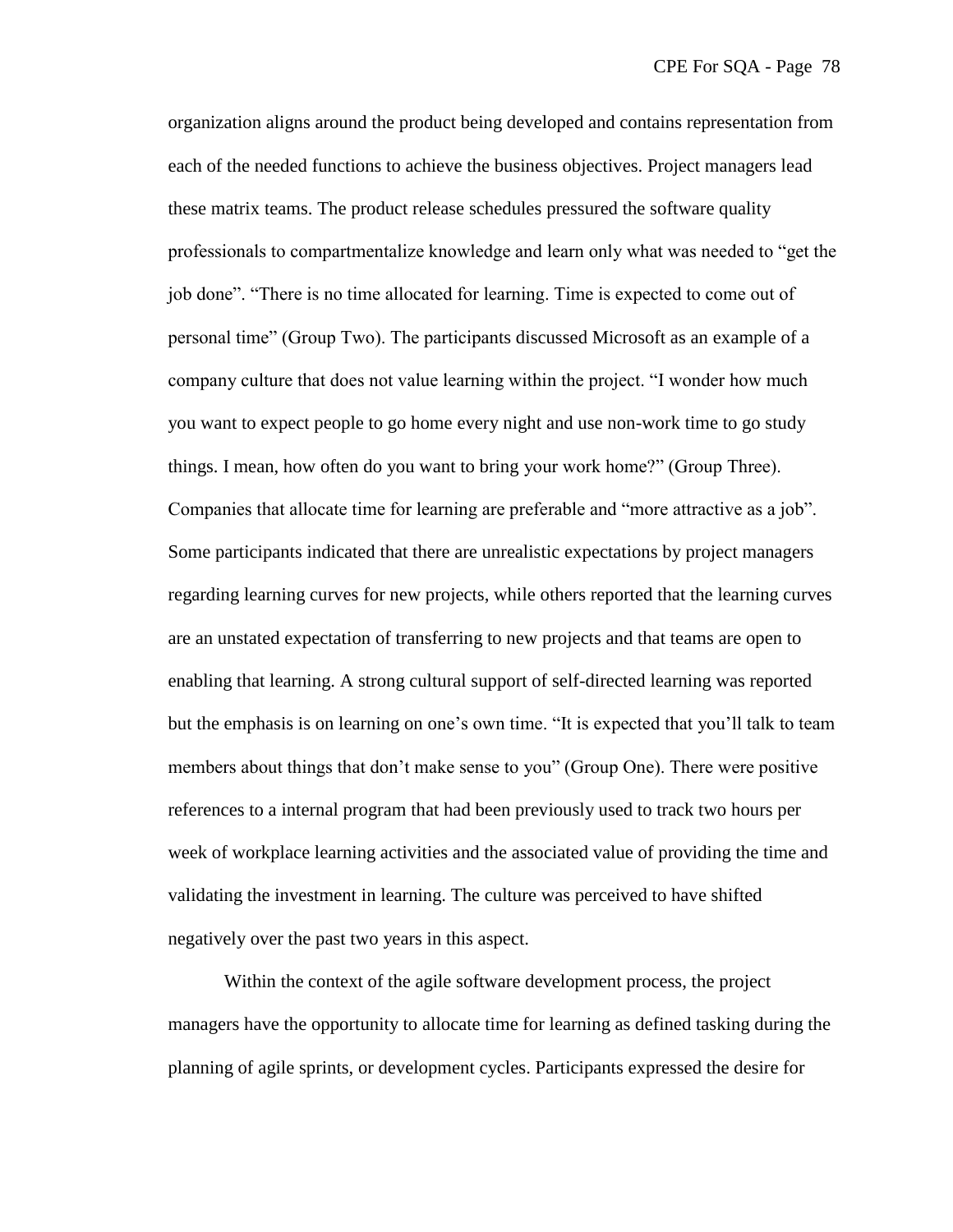organization aligns around the product being developed and contains representation from each of the needed functions to achieve the business objectives. Project managers lead these matrix teams. The product release schedules pressured the software quality professionals to compartmentalize knowledge and learn only what was needed to "get the job done". "There is no time allocated for learning. Time is expected to come out of personal time" (Group Two). The participants discussed Microsoft as an example of a company culture that does not value learning within the project. "I wonder how much you want to expect people to go home every night and use non-work time to go study things. I mean, how often do you want to bring your work home?" (Group Three). Companies that allocate time for learning are preferable and "more attractive as a job". Some participants indicated that there are unrealistic expectations by project managers regarding learning curves for new projects, while others reported that the learning curves are an unstated expectation of transferring to new projects and that teams are open to enabling that learning. A strong cultural support of self-directed learning was reported but the emphasis is on learning on one's own time. "It is expected that you'll talk to team members about things that don't make sense to you" (Group One). There were positive references to a internal program that had been previously used to track two hours per week of workplace learning activities and the associated value of providing the time and validating the investment in learning. The culture was perceived to have shifted negatively over the past two years in this aspect.

Within the context of the agile software development process, the project managers have the opportunity to allocate time for learning as defined tasking during the planning of agile sprints, or development cycles. Participants expressed the desire for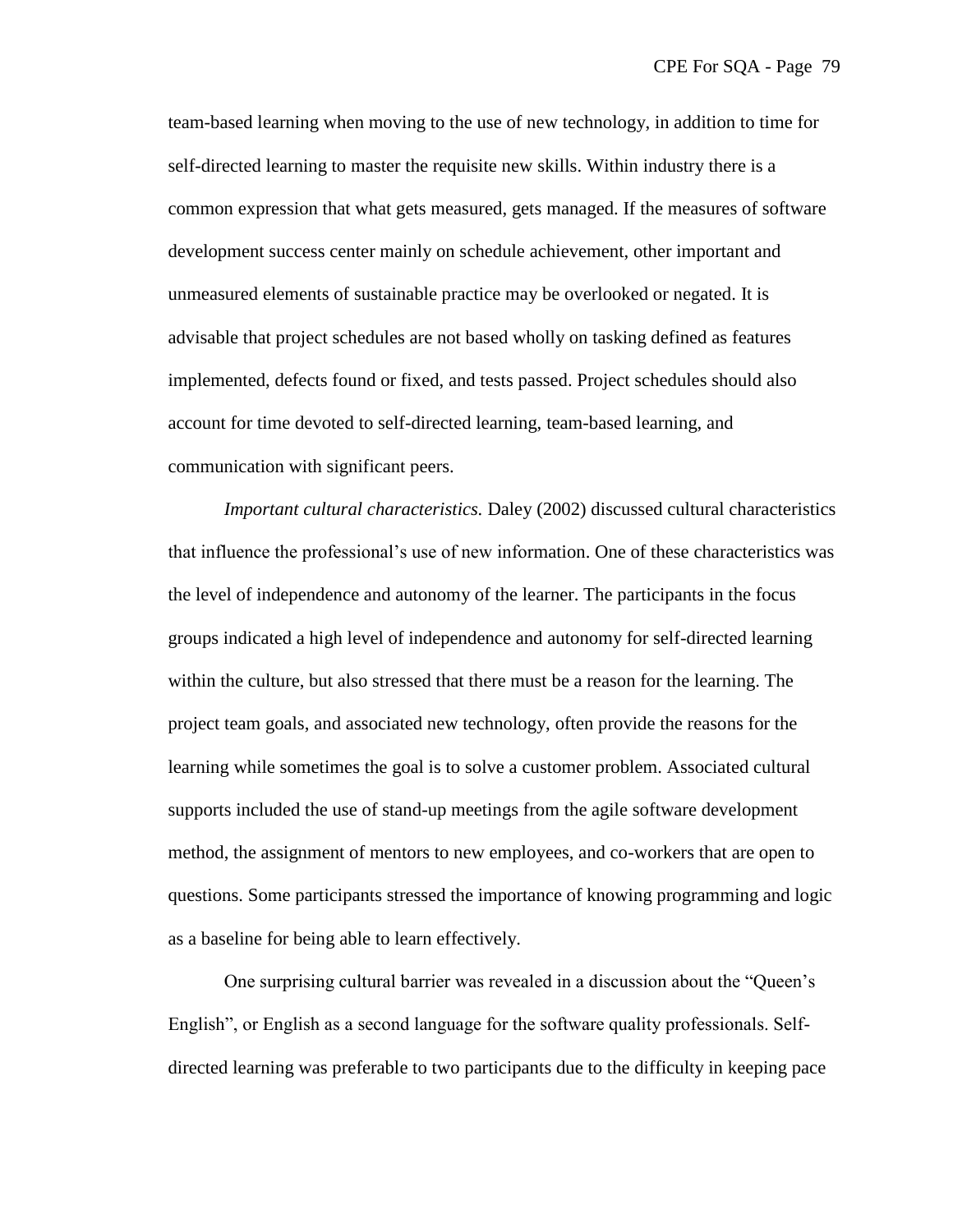team-based learning when moving to the use of new technology, in addition to time for self-directed learning to master the requisite new skills. Within industry there is a common expression that what gets measured, gets managed. If the measures of software development success center mainly on schedule achievement, other important and unmeasured elements of sustainable practice may be overlooked or negated. It is advisable that project schedules are not based wholly on tasking defined as features implemented, defects found or fixed, and tests passed. Project schedules should also account for time devoted to self-directed learning, team-based learning, and communication with significant peers.

*Important cultural characteristics.* Daley (2002) discussed cultural characteristics that influence the professional's use of new information. One of these characteristics was the level of independence and autonomy of the learner. The participants in the focus groups indicated a high level of independence and autonomy for self-directed learning within the culture, but also stressed that there must be a reason for the learning. The project team goals, and associated new technology, often provide the reasons for the learning while sometimes the goal is to solve a customer problem. Associated cultural supports included the use of stand-up meetings from the agile software development method, the assignment of mentors to new employees, and co-workers that are open to questions. Some participants stressed the importance of knowing programming and logic as a baseline for being able to learn effectively.

One surprising cultural barrier was revealed in a discussion about the "Queen's English", or English as a second language for the software quality professionals. Selfdirected learning was preferable to two participants due to the difficulty in keeping pace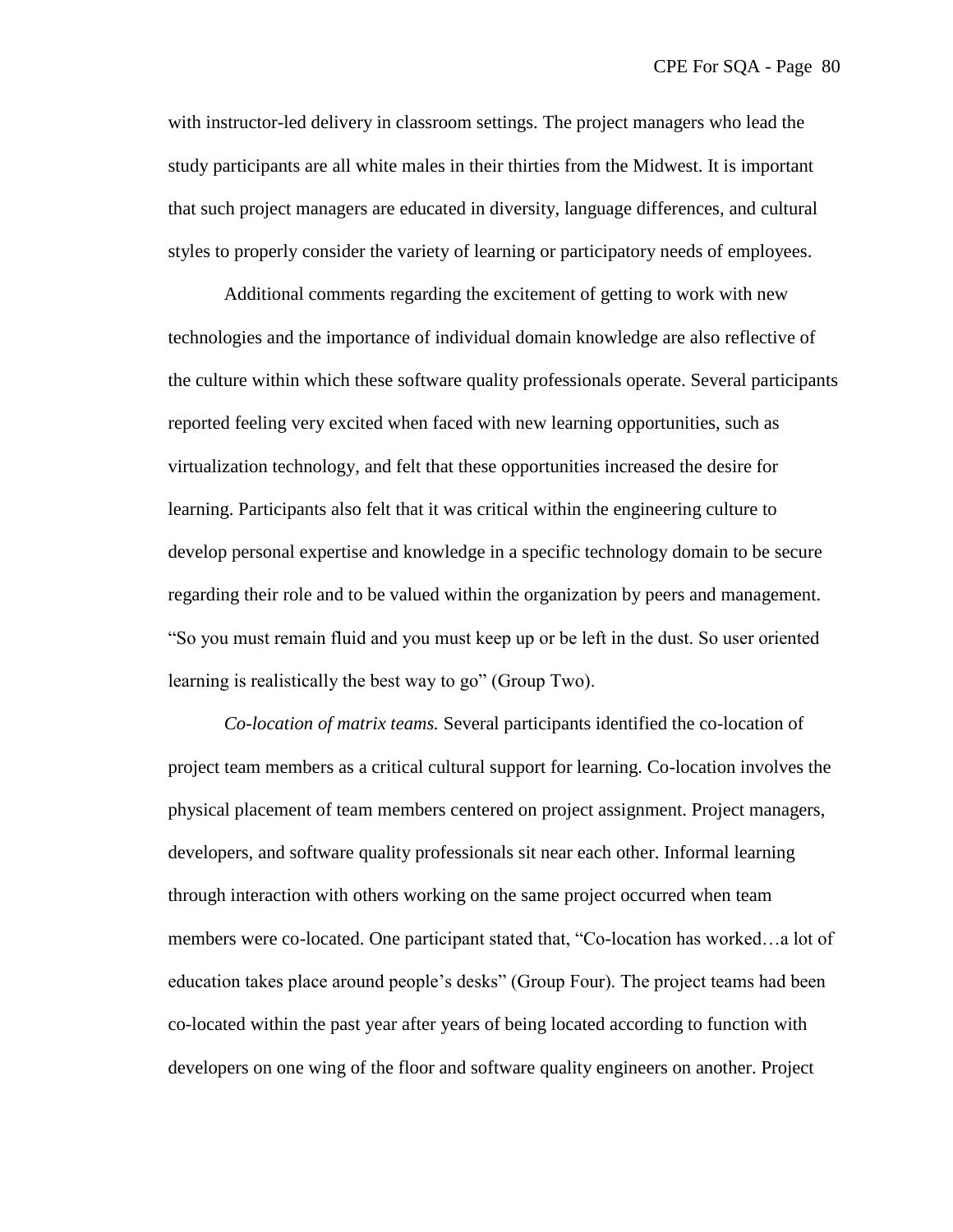with instructor-led delivery in classroom settings. The project managers who lead the study participants are all white males in their thirties from the Midwest. It is important that such project managers are educated in diversity, language differences, and cultural styles to properly consider the variety of learning or participatory needs of employees.

Additional comments regarding the excitement of getting to work with new technologies and the importance of individual domain knowledge are also reflective of the culture within which these software quality professionals operate. Several participants reported feeling very excited when faced with new learning opportunities, such as virtualization technology, and felt that these opportunities increased the desire for learning. Participants also felt that it was critical within the engineering culture to develop personal expertise and knowledge in a specific technology domain to be secure regarding their role and to be valued within the organization by peers and management. ―So you must remain fluid and you must keep up or be left in the dust. So user oriented learning is realistically the best way to go" (Group Two).

*Co-location of matrix teams.* Several participants identified the co-location of project team members as a critical cultural support for learning. Co-location involves the physical placement of team members centered on project assignment. Project managers, developers, and software quality professionals sit near each other. Informal learning through interaction with others working on the same project occurred when team members were co-located. One participant stated that, "Co-location has worked...a lot of education takes place around people's desks‖ (Group Four). The project teams had been co-located within the past year after years of being located according to function with developers on one wing of the floor and software quality engineers on another. Project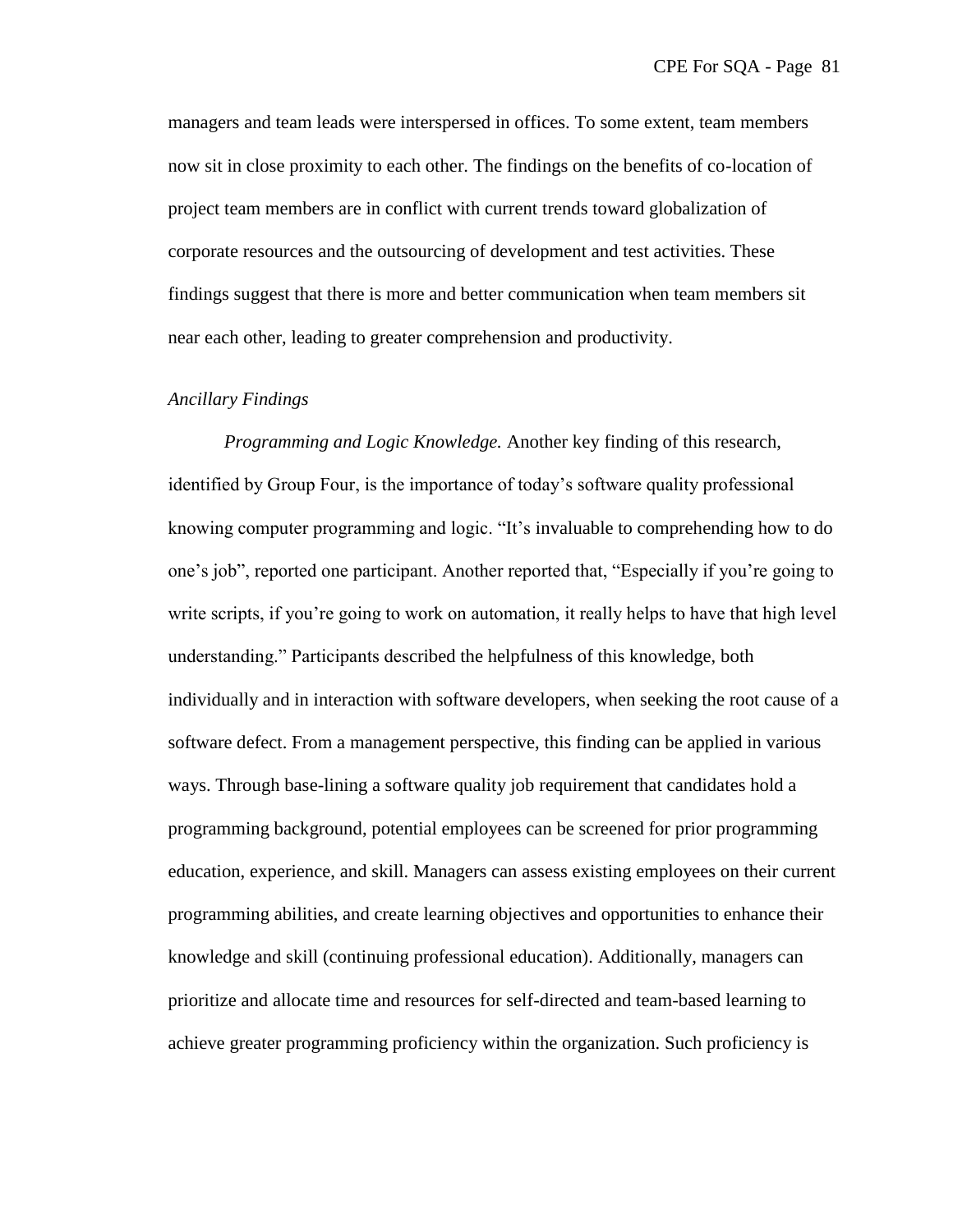managers and team leads were interspersed in offices. To some extent, team members now sit in close proximity to each other. The findings on the benefits of co-location of project team members are in conflict with current trends toward globalization of corporate resources and the outsourcing of development and test activities. These findings suggest that there is more and better communication when team members sit near each other, leading to greater comprehension and productivity.

#### *Ancillary Findings*

*Programming and Logic Knowledge.* Another key finding of this research, identified by Group Four, is the importance of today's software quality professional knowing computer programming and logic. "It's invaluable to comprehending how to do one's job", reported one participant. Another reported that, "Especially if you're going to write scripts, if you're going to work on automation, it really helps to have that high level understanding.‖ Participants described the helpfulness of this knowledge, both individually and in interaction with software developers, when seeking the root cause of a software defect. From a management perspective, this finding can be applied in various ways. Through base-lining a software quality job requirement that candidates hold a programming background, potential employees can be screened for prior programming education, experience, and skill. Managers can assess existing employees on their current programming abilities, and create learning objectives and opportunities to enhance their knowledge and skill (continuing professional education). Additionally, managers can prioritize and allocate time and resources for self-directed and team-based learning to achieve greater programming proficiency within the organization. Such proficiency is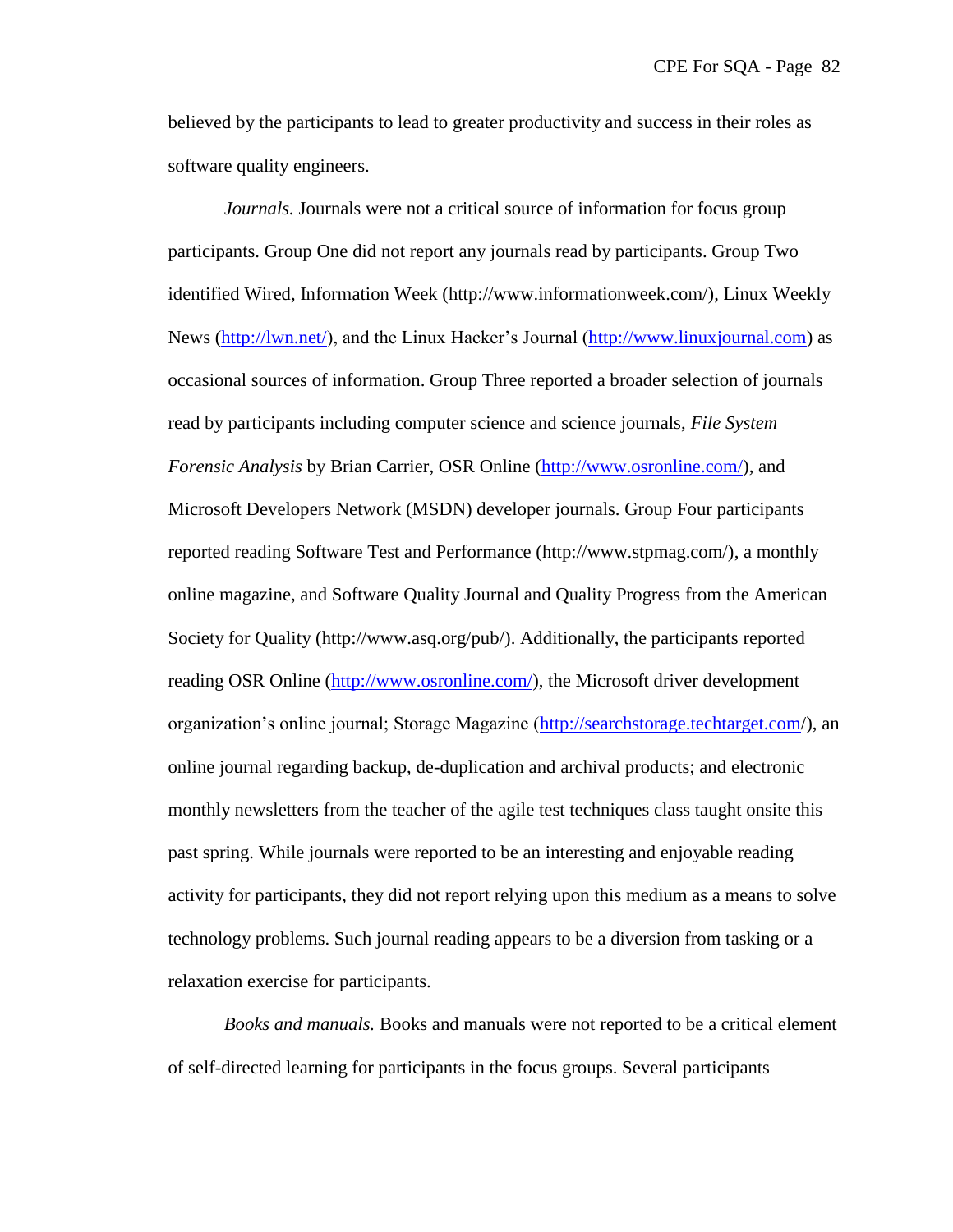believed by the participants to lead to greater productivity and success in their roles as software quality engineers.

*Journals.* Journals were not a critical source of information for focus group participants. Group One did not report any journals read by participants. Group Two identified Wired, Information Week (http://www.informationweek.com/), Linux Weekly News [\(http://lwn.net/\)](http://lwn.net/), and the Linux Hacker's Journal [\(http://www.linuxjournal.com\)](http://www.linuxjournal.com/) as occasional sources of information. Group Three reported a broader selection of journals read by participants including computer science and science journals, *File System Forensic Analysis* by Brian Carrier, OSR Online [\(http://www.osronline.com/\)](http://www.osronline.com/), and Microsoft Developers Network (MSDN) developer journals. Group Four participants reported reading Software Test and Performance (http://www.stpmag.com/), a monthly online magazine, and Software Quality Journal and Quality Progress from the American Society for Quality (http://www.asq.org/pub/). Additionally, the participants reported reading OSR Online [\(http://www.osronline.com/\)](http://www.osronline.com/), the Microsoft driver development organization's online journal; Storage Magazine [\(http://searchstorage.techtarget.com/](http://searchstorage.techtarget.com/)), an online journal regarding backup, de-duplication and archival products; and electronic monthly newsletters from the teacher of the agile test techniques class taught onsite this past spring. While journals were reported to be an interesting and enjoyable reading activity for participants, they did not report relying upon this medium as a means to solve technology problems. Such journal reading appears to be a diversion from tasking or a relaxation exercise for participants.

*Books and manuals.* Books and manuals were not reported to be a critical element of self-directed learning for participants in the focus groups. Several participants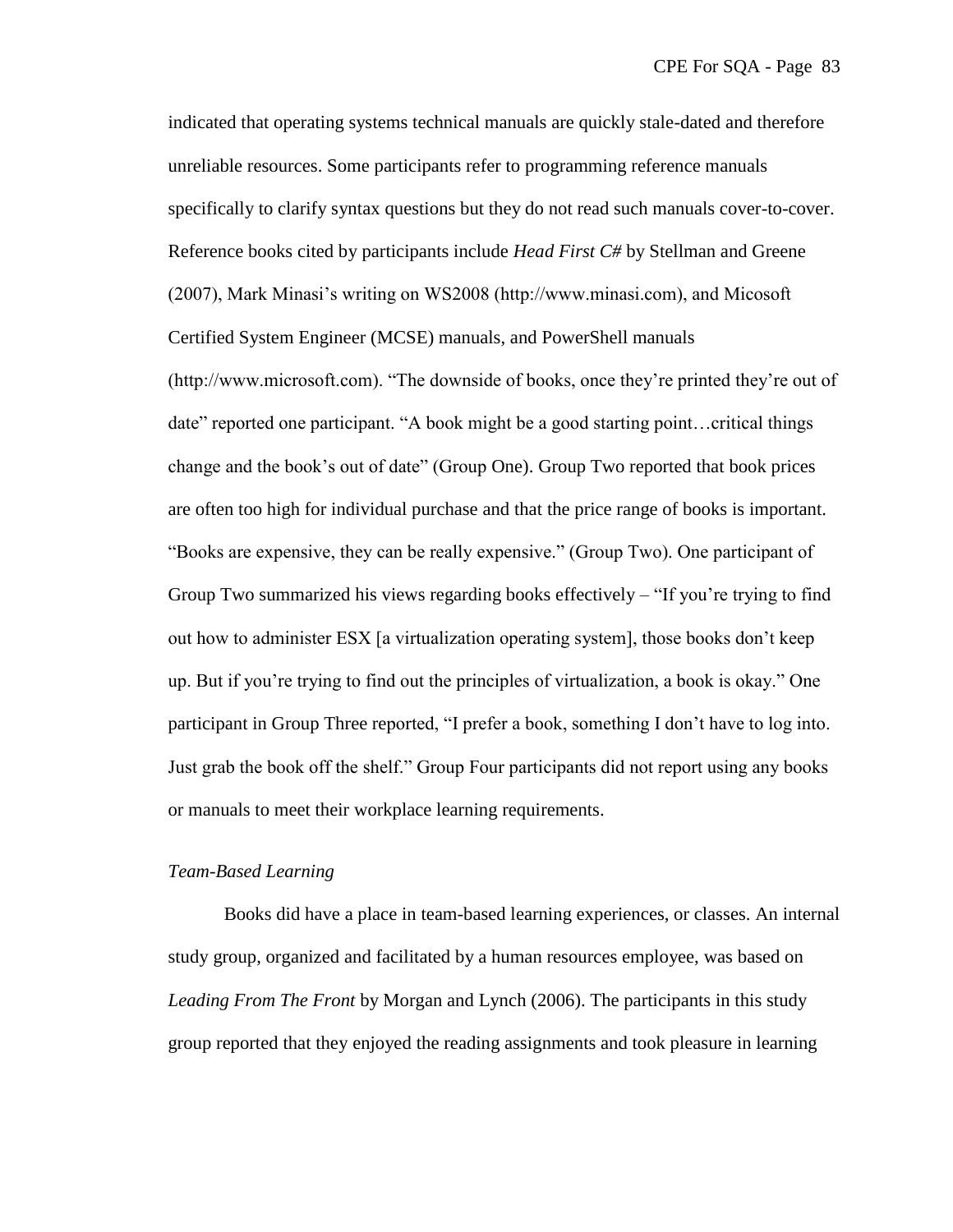indicated that operating systems technical manuals are quickly stale-dated and therefore unreliable resources. Some participants refer to programming reference manuals specifically to clarify syntax questions but they do not read such manuals cover-to-cover. Reference books cited by participants include *Head First C#* by Stellman and Greene (2007), Mark Minasi's writing on WS2008 (http://www.minasi.com), and Micosoft Certified System Engineer (MCSE) manuals, and PowerShell manuals (http://www.microsoft.com). "The downside of books, once they're printed they're out of date" reported one participant. "A book might be a good starting point...critical things change and the book's out of date" (Group One). Group Two reported that book prices are often too high for individual purchase and that the price range of books is important. "Books are expensive, they can be really expensive." (Group Two). One participant of Group Two summarized his views regarding books effectively  $-$  "If you're trying to find out how to administer ESX [a virtualization operating system], those books don't keep up. But if you're trying to find out the principles of virtualization, a book is okay.‖ One participant in Group Three reported, "I prefer a book, something I don't have to log into. Just grab the book off the shelf." Group Four participants did not report using any books or manuals to meet their workplace learning requirements.

# *Team-Based Learning*

Books did have a place in team-based learning experiences, or classes. An internal study group, organized and facilitated by a human resources employee, was based on *Leading From The Front* by Morgan and Lynch (2006). The participants in this study group reported that they enjoyed the reading assignments and took pleasure in learning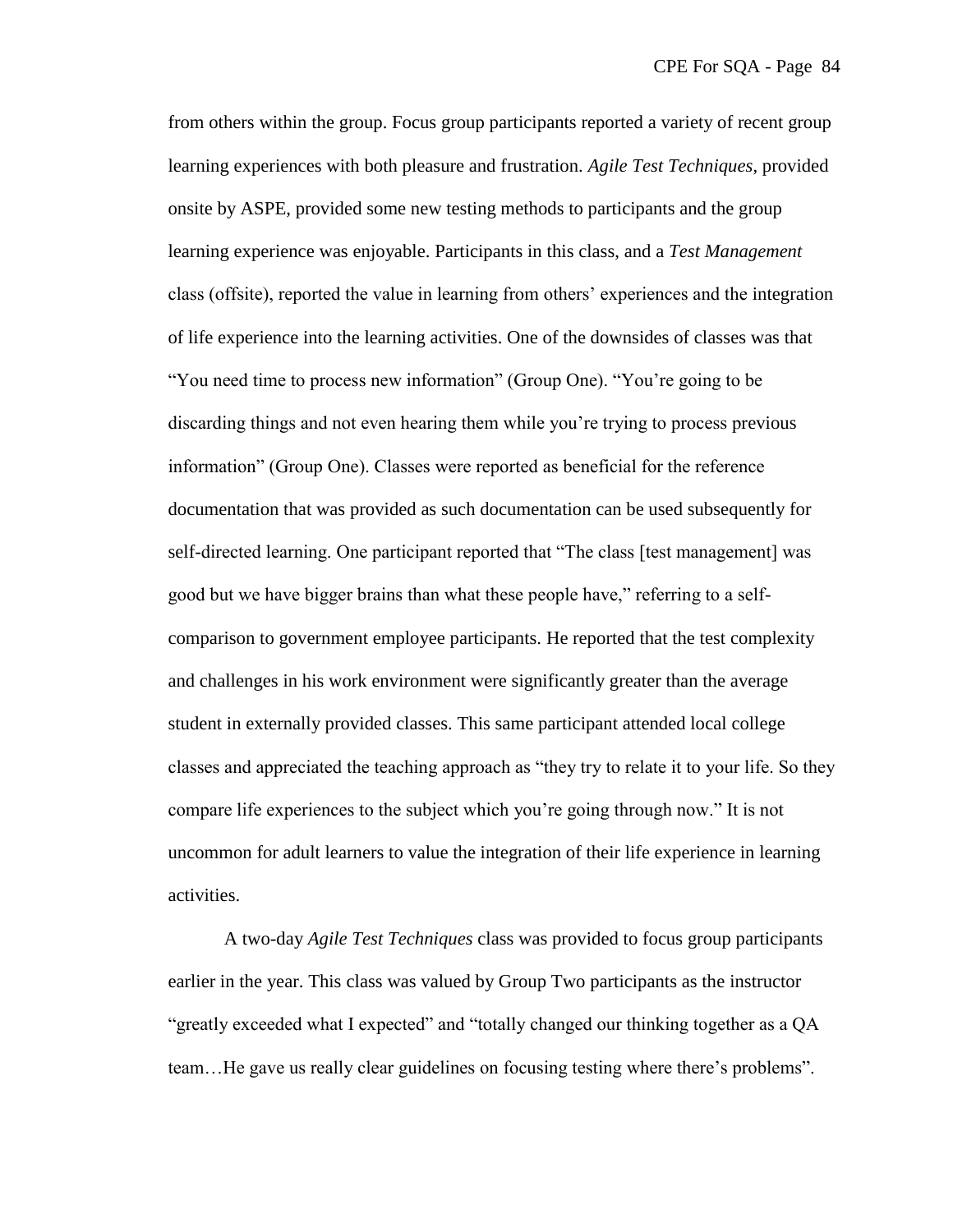from others within the group. Focus group participants reported a variety of recent group learning experiences with both pleasure and frustration. *Agile Test Techniques*, provided onsite by ASPE, provided some new testing methods to participants and the group learning experience was enjoyable. Participants in this class, and a *Test Management* class (offsite), reported the value in learning from others' experiences and the integration of life experience into the learning activities. One of the downsides of classes was that "You need time to process new information" (Group One). "You're going to be discarding things and not even hearing them while you're trying to process previous information" (Group One). Classes were reported as beneficial for the reference documentation that was provided as such documentation can be used subsequently for self-directed learning. One participant reported that "The class [test management] was good but we have bigger brains than what these people have," referring to a selfcomparison to government employee participants. He reported that the test complexity and challenges in his work environment were significantly greater than the average student in externally provided classes. This same participant attended local college classes and appreciated the teaching approach as "they try to relate it to your life. So they compare life experiences to the subject which you're going through now.‖ It is not uncommon for adult learners to value the integration of their life experience in learning activities.

A two-day *Agile Test Techniques* class was provided to focus group participants earlier in the year. This class was valued by Group Two participants as the instructor "greatly exceeded what I expected" and "totally changed our thinking together as a QA team...He gave us really clear guidelines on focusing testing where there's problems".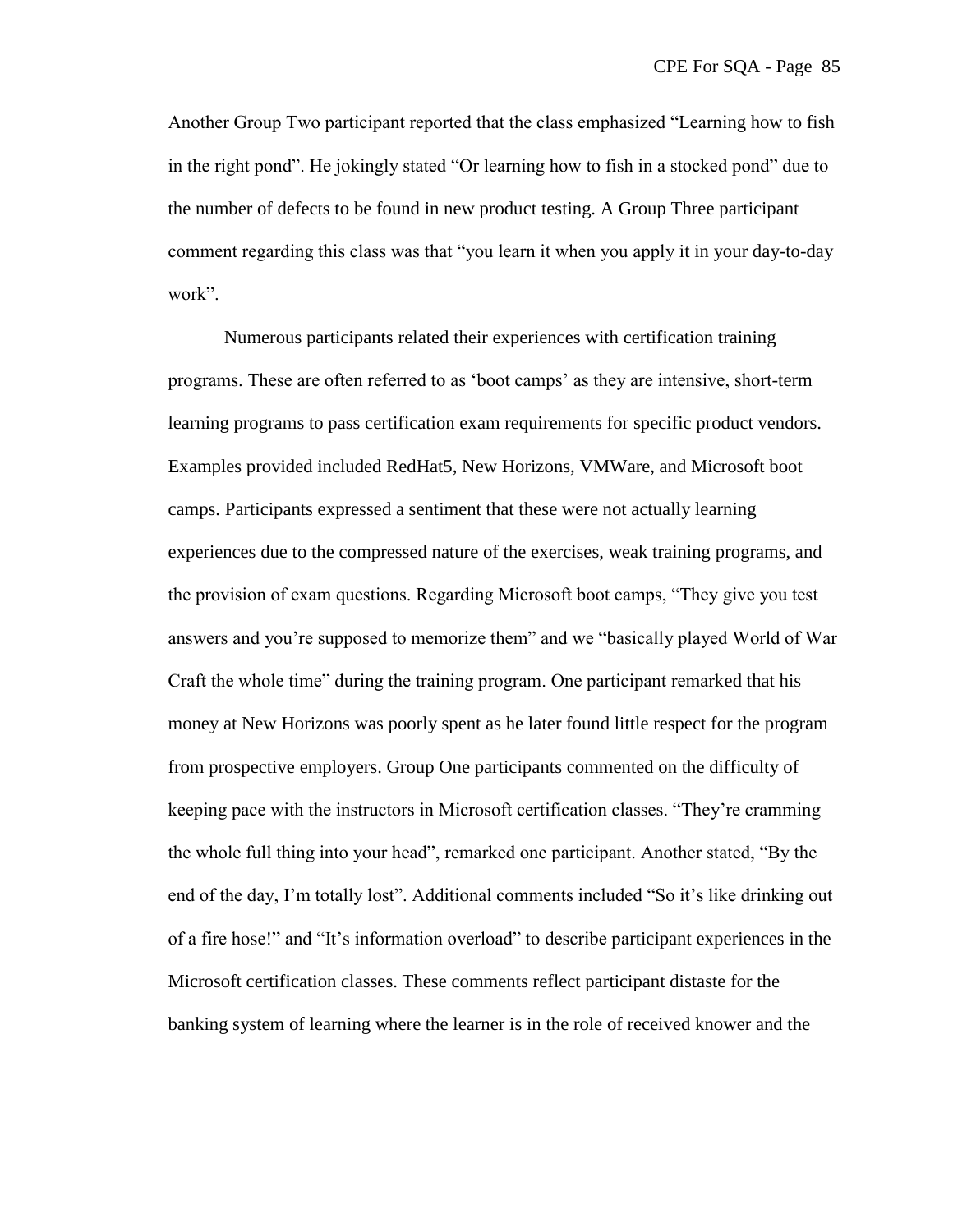Another Group Two participant reported that the class emphasized "Learning how to fish in the right pond". He jokingly stated "Or learning how to fish in a stocked pond" due to the number of defects to be found in new product testing. A Group Three participant comment regarding this class was that "you learn it when you apply it in your day-to-day work".

Numerous participants related their experiences with certification training programs. These are often referred to as ‗boot camps' as they are intensive, short-term learning programs to pass certification exam requirements for specific product vendors. Examples provided included RedHat5, New Horizons, VMWare, and Microsoft boot camps. Participants expressed a sentiment that these were not actually learning experiences due to the compressed nature of the exercises, weak training programs, and the provision of exam questions. Regarding Microsoft boot camps, "They give you test answers and you're supposed to memorize them" and we "basically played World of War Craft the whole time" during the training program. One participant remarked that his money at New Horizons was poorly spent as he later found little respect for the program from prospective employers. Group One participants commented on the difficulty of keeping pace with the instructors in Microsoft certification classes. "They're cramming the whole full thing into your head", remarked one participant. Another stated, "By the end of the day, I'm totally lost". Additional comments included "So it's like drinking out of a fire hose!" and "It's information overload" to describe participant experiences in the Microsoft certification classes. These comments reflect participant distaste for the banking system of learning where the learner is in the role of received knower and the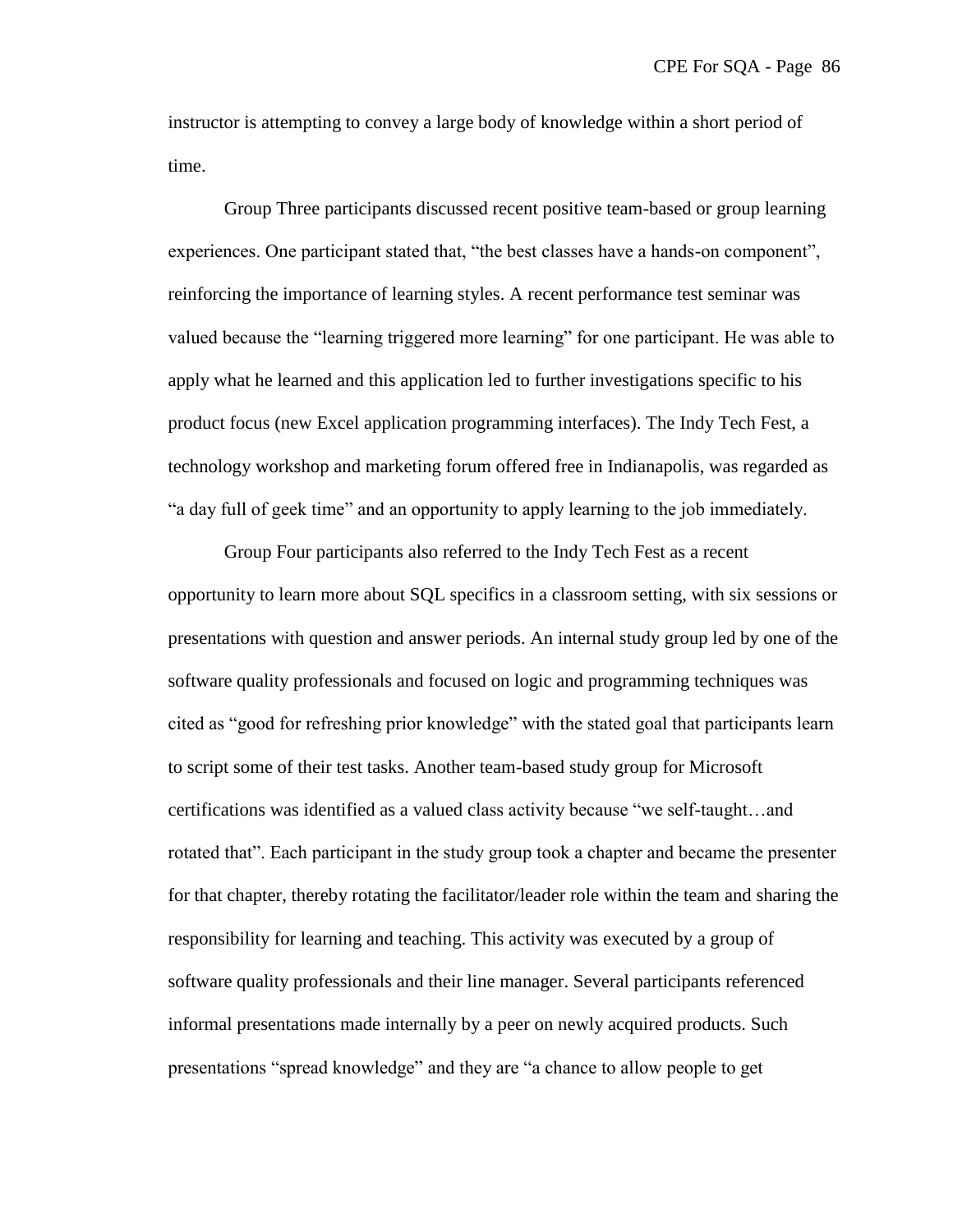instructor is attempting to convey a large body of knowledge within a short period of time.

Group Three participants discussed recent positive team-based or group learning experiences. One participant stated that, "the best classes have a hands-on component", reinforcing the importance of learning styles. A recent performance test seminar was valued because the "learning triggered more learning" for one participant. He was able to apply what he learned and this application led to further investigations specific to his product focus (new Excel application programming interfaces). The Indy Tech Fest, a technology workshop and marketing forum offered free in Indianapolis, was regarded as "a day full of geek time" and an opportunity to apply learning to the job immediately.

Group Four participants also referred to the Indy Tech Fest as a recent opportunity to learn more about SQL specifics in a classroom setting, with six sessions or presentations with question and answer periods. An internal study group led by one of the software quality professionals and focused on logic and programming techniques was cited as "good for refreshing prior knowledge" with the stated goal that participants learn to script some of their test tasks. Another team-based study group for Microsoft certifications was identified as a valued class activity because "we self-taught...and rotated that". Each participant in the study group took a chapter and became the presenter for that chapter, thereby rotating the facilitator/leader role within the team and sharing the responsibility for learning and teaching. This activity was executed by a group of software quality professionals and their line manager. Several participants referenced informal presentations made internally by a peer on newly acquired products. Such presentations "spread knowledge" and they are "a chance to allow people to get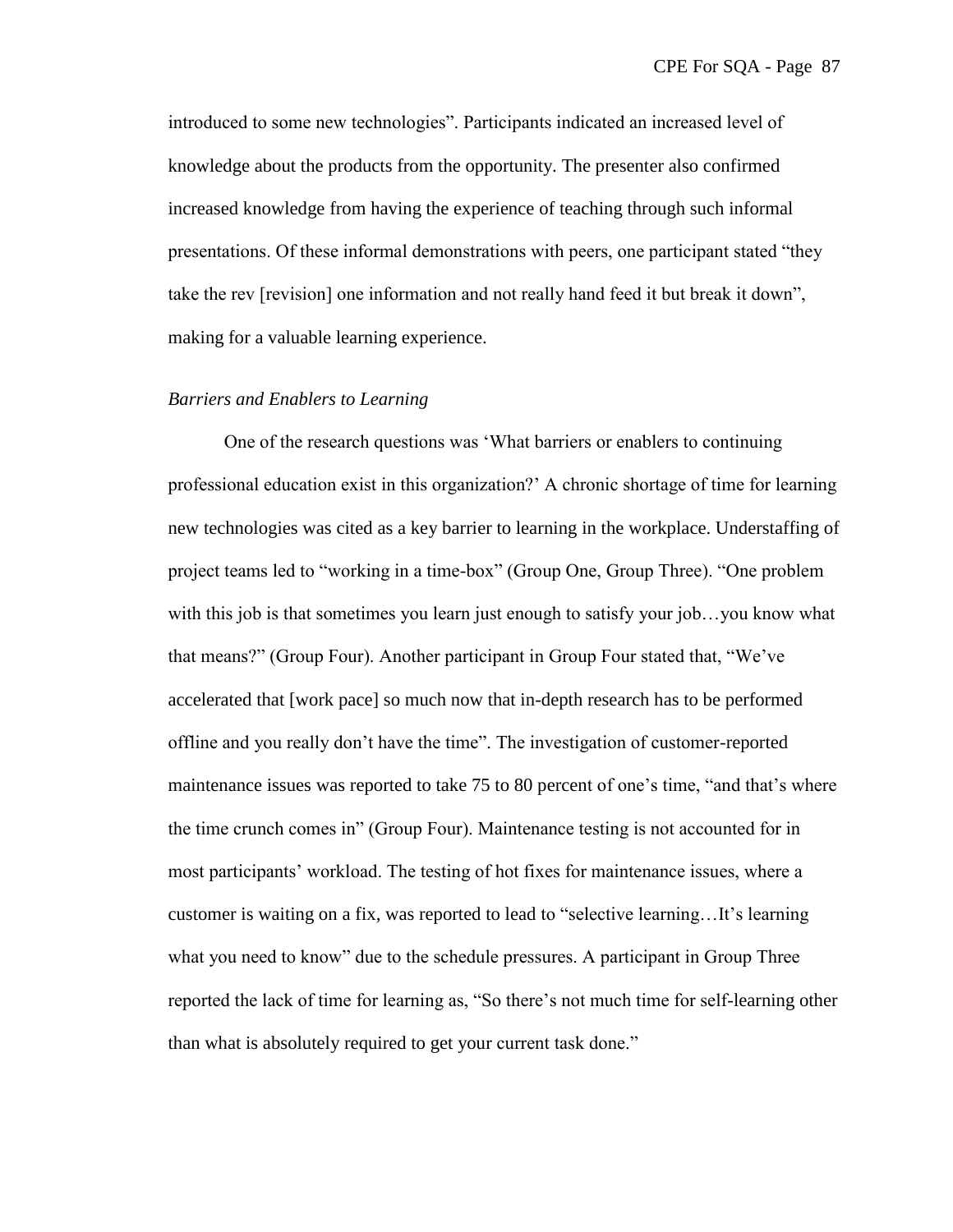introduced to some new technologies". Participants indicated an increased level of knowledge about the products from the opportunity. The presenter also confirmed increased knowledge from having the experience of teaching through such informal presentations. Of these informal demonstrations with peers, one participant stated "they take the rev [revision] one information and not really hand feed it but break it down", making for a valuable learning experience.

#### *Barriers and Enablers to Learning*

One of the research questions was 'What barriers or enablers to continuing professional education exist in this organization?' A chronic shortage of time for learning new technologies was cited as a key barrier to learning in the workplace. Understaffing of project teams led to "working in a time-box" (Group One, Group Three). "One problem with this job is that sometimes you learn just enough to satisfy your job...you know what that means?" (Group Four). Another participant in Group Four stated that, "We've accelerated that [work pace] so much now that in-depth research has to be performed offline and you really don't have the time‖. The investigation of customer-reported maintenance issues was reported to take 75 to 80 percent of one's time, "and that's where the time crunch comes in" (Group Four). Maintenance testing is not accounted for in most participants' workload. The testing of hot fixes for maintenance issues, where a customer is waiting on a fix, was reported to lead to "selective learning...It's learning what you need to know" due to the schedule pressures. A participant in Group Three reported the lack of time for learning as, "So there's not much time for self-learning other than what is absolutely required to get your current task done."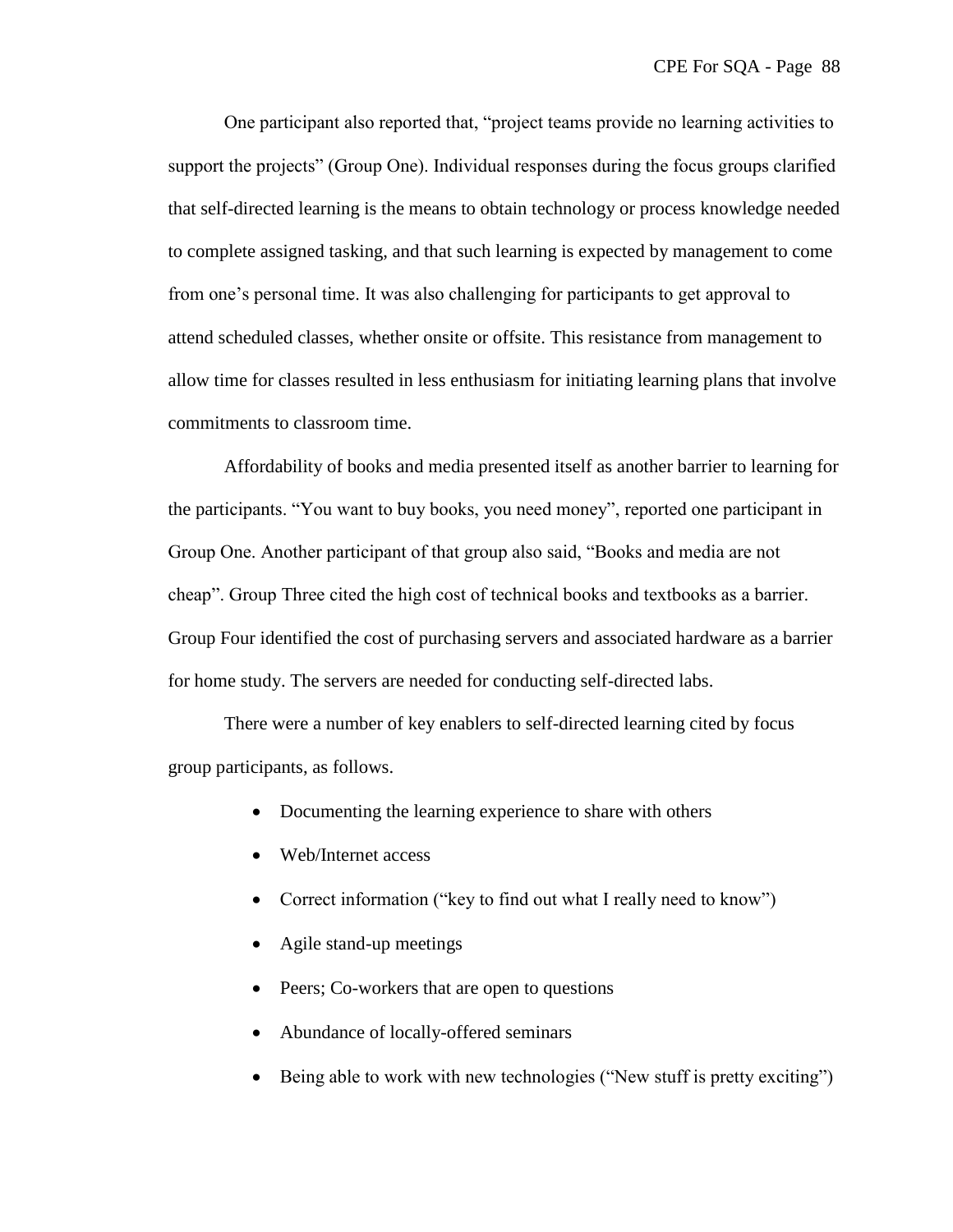One participant also reported that, "project teams provide no learning activities to support the projects" (Group One). Individual responses during the focus groups clarified that self-directed learning is the means to obtain technology or process knowledge needed to complete assigned tasking, and that such learning is expected by management to come from one's personal time. It was also challenging for participants to get approval to attend scheduled classes, whether onsite or offsite. This resistance from management to allow time for classes resulted in less enthusiasm for initiating learning plans that involve commitments to classroom time.

Affordability of books and media presented itself as another barrier to learning for the participants. "You want to buy books, you need money", reported one participant in Group One. Another participant of that group also said, "Books and media are not cheap". Group Three cited the high cost of technical books and textbooks as a barrier. Group Four identified the cost of purchasing servers and associated hardware as a barrier for home study. The servers are needed for conducting self-directed labs.

There were a number of key enablers to self-directed learning cited by focus group participants, as follows.

- Documenting the learning experience to share with others
- Web/Internet access
- Correct information ("key to find out what I really need to know")
- Agile stand-up meetings
- Peers; Co-workers that are open to questions
- Abundance of locally-offered seminars
- Being able to work with new technologies ("New stuff is pretty exciting")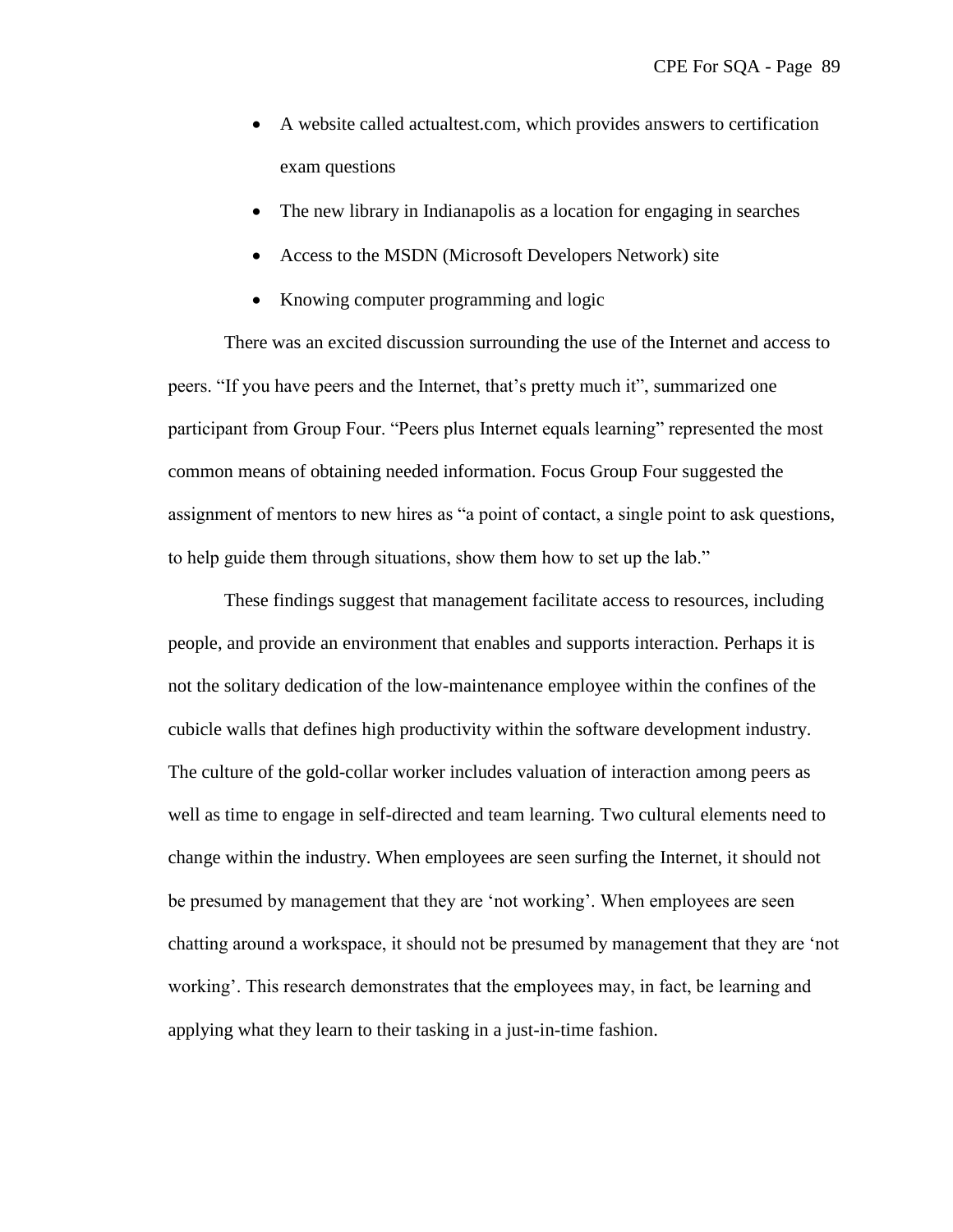- A website called actualtest.com, which provides answers to certification exam questions
- The new library in Indianapolis as a location for engaging in searches
- Access to the MSDN (Microsoft Developers Network) site
- Knowing computer programming and logic

There was an excited discussion surrounding the use of the Internet and access to peers. "If you have peers and the Internet, that's pretty much it", summarized one participant from Group Four. "Peers plus Internet equals learning" represented the most common means of obtaining needed information. Focus Group Four suggested the assignment of mentors to new hires as "a point of contact, a single point to ask questions, to help guide them through situations, show them how to set up the lab."

These findings suggest that management facilitate access to resources, including people, and provide an environment that enables and supports interaction. Perhaps it is not the solitary dedication of the low-maintenance employee within the confines of the cubicle walls that defines high productivity within the software development industry. The culture of the gold-collar worker includes valuation of interaction among peers as well as time to engage in self-directed and team learning. Two cultural elements need to change within the industry. When employees are seen surfing the Internet, it should not be presumed by management that they are 'not working'. When employees are seen chatting around a workspace, it should not be presumed by management that they are 'not working'. This research demonstrates that the employees may, in fact, be learning and applying what they learn to their tasking in a just-in-time fashion.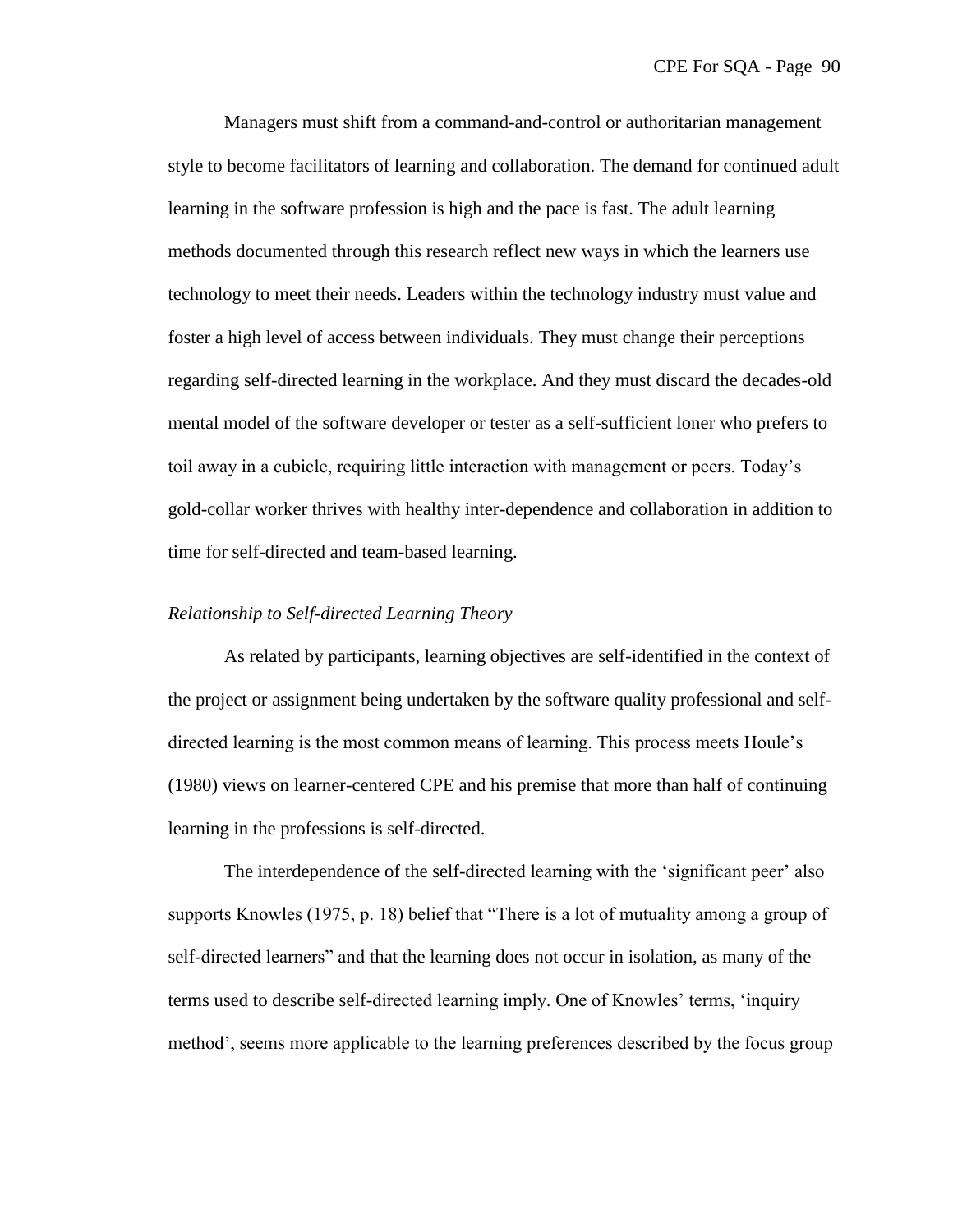Managers must shift from a command-and-control or authoritarian management style to become facilitators of learning and collaboration. The demand for continued adult learning in the software profession is high and the pace is fast. The adult learning methods documented through this research reflect new ways in which the learners use technology to meet their needs. Leaders within the technology industry must value and foster a high level of access between individuals. They must change their perceptions regarding self-directed learning in the workplace. And they must discard the decades-old mental model of the software developer or tester as a self-sufficient loner who prefers to toil away in a cubicle, requiring little interaction with management or peers. Today's gold-collar worker thrives with healthy inter-dependence and collaboration in addition to time for self-directed and team-based learning.

### *Relationship to Self-directed Learning Theory*

As related by participants, learning objectives are self-identified in the context of the project or assignment being undertaken by the software quality professional and selfdirected learning is the most common means of learning. This process meets Houle's (1980) views on learner-centered CPE and his premise that more than half of continuing learning in the professions is self-directed.

The interdependence of the self-directed learning with the 'significant peer' also supports Knowles (1975, p. 18) belief that "There is a lot of mutuality among a group of self-directed learners" and that the learning does not occur in isolation, as many of the terms used to describe self-directed learning imply. One of Knowles' terms, ‗inquiry method', seems more applicable to the learning preferences described by the focus group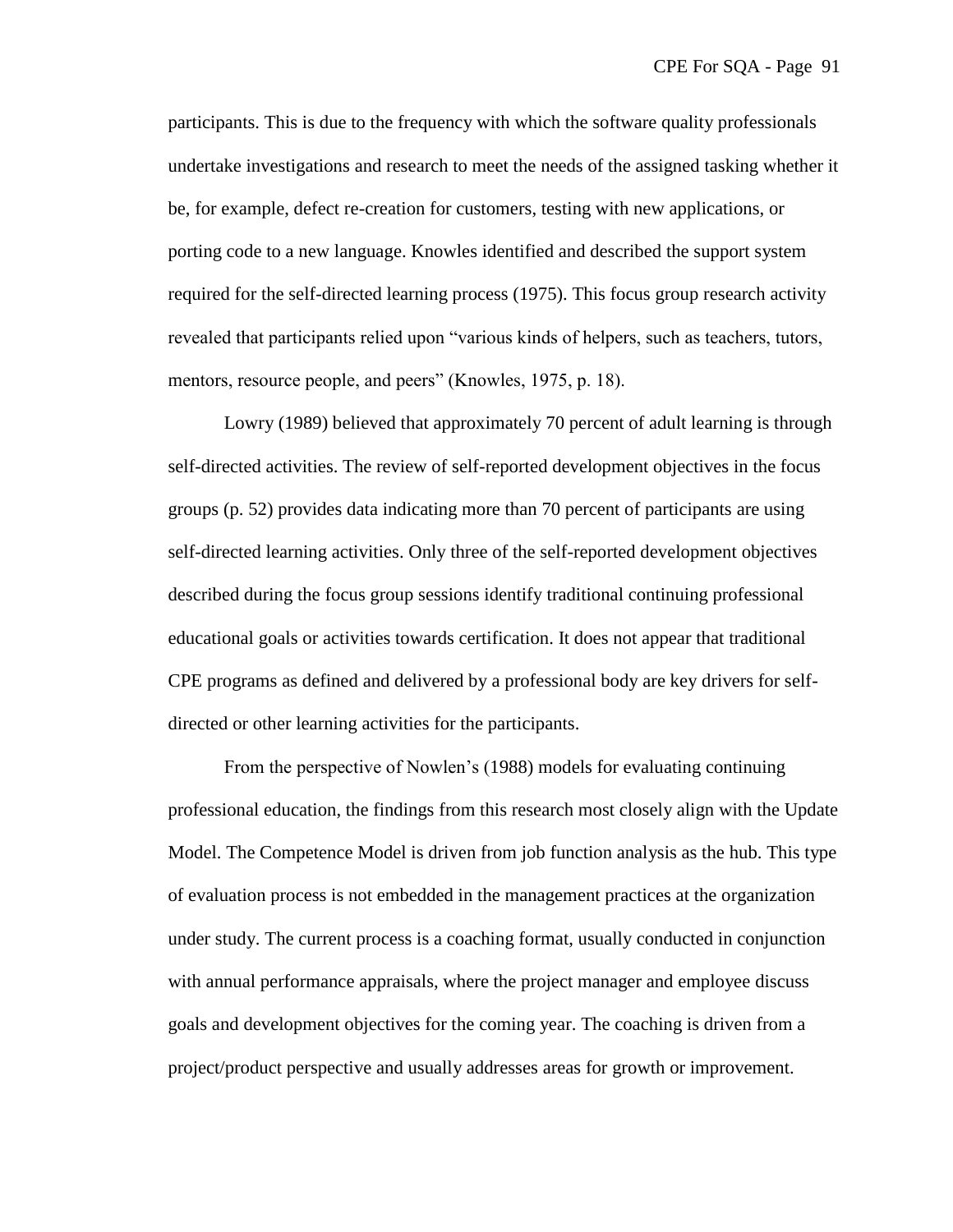participants. This is due to the frequency with which the software quality professionals undertake investigations and research to meet the needs of the assigned tasking whether it be, for example, defect re-creation for customers, testing with new applications, or porting code to a new language. Knowles identified and described the support system required for the self-directed learning process (1975). This focus group research activity revealed that participants relied upon "various kinds of helpers, such as teachers, tutors, mentors, resource people, and peers" (Knowles, 1975, p. 18).

Lowry (1989) believed that approximately 70 percent of adult learning is through self-directed activities. The review of self-reported development objectives in the focus groups (p. 52) provides data indicating more than 70 percent of participants are using self-directed learning activities. Only three of the self-reported development objectives described during the focus group sessions identify traditional continuing professional educational goals or activities towards certification. It does not appear that traditional CPE programs as defined and delivered by a professional body are key drivers for selfdirected or other learning activities for the participants.

From the perspective of Nowlen's (1988) models for evaluating continuing professional education, the findings from this research most closely align with the Update Model. The Competence Model is driven from job function analysis as the hub. This type of evaluation process is not embedded in the management practices at the organization under study. The current process is a coaching format, usually conducted in conjunction with annual performance appraisals, where the project manager and employee discuss goals and development objectives for the coming year. The coaching is driven from a project/product perspective and usually addresses areas for growth or improvement.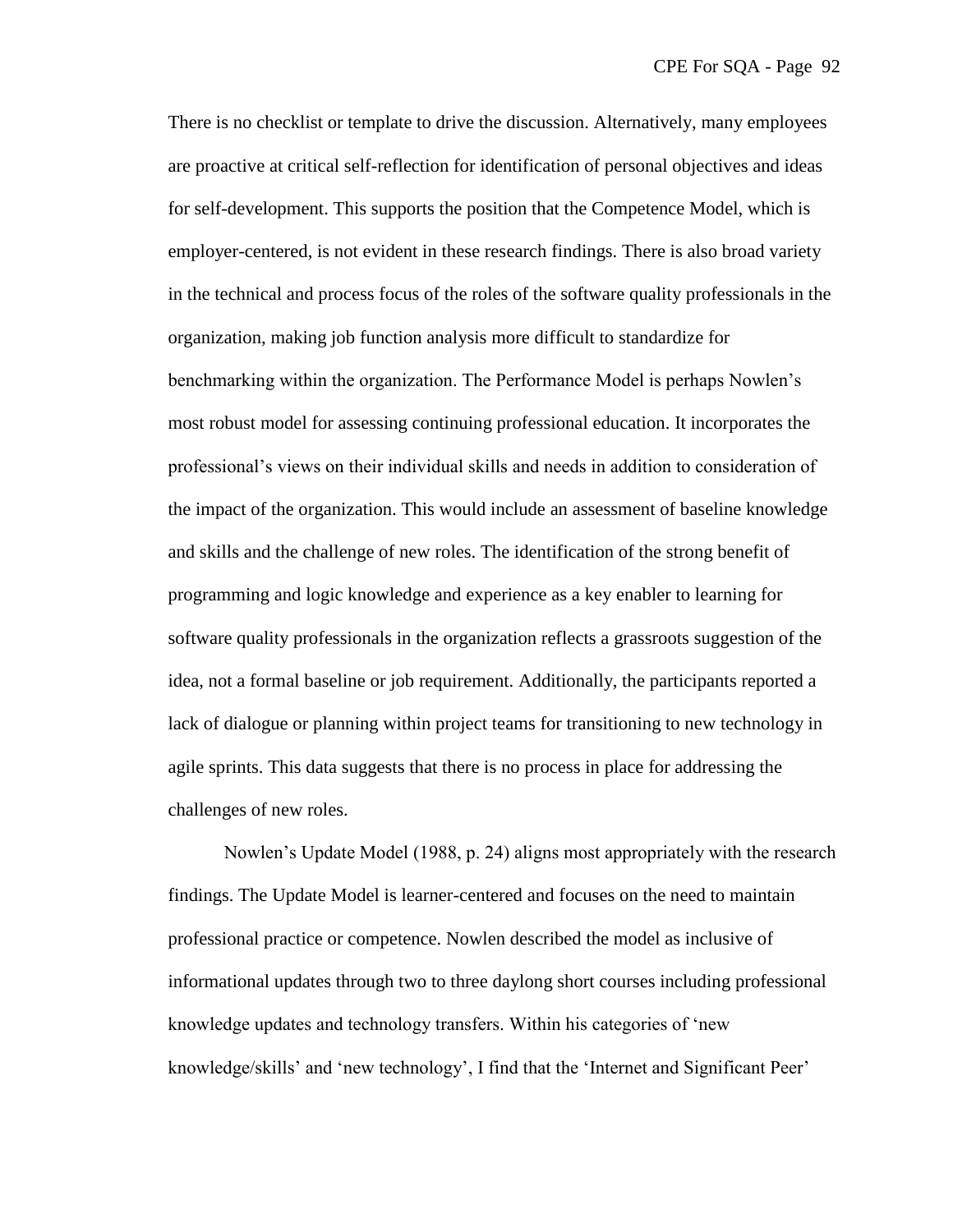There is no checklist or template to drive the discussion. Alternatively, many employees are proactive at critical self-reflection for identification of personal objectives and ideas for self-development. This supports the position that the Competence Model, which is employer-centered, is not evident in these research findings. There is also broad variety in the technical and process focus of the roles of the software quality professionals in the organization, making job function analysis more difficult to standardize for benchmarking within the organization. The Performance Model is perhaps Nowlen's most robust model for assessing continuing professional education. It incorporates the professional's views on their individual skills and needs in addition to consideration of the impact of the organization. This would include an assessment of baseline knowledge and skills and the challenge of new roles. The identification of the strong benefit of programming and logic knowledge and experience as a key enabler to learning for software quality professionals in the organization reflects a grassroots suggestion of the idea, not a formal baseline or job requirement. Additionally, the participants reported a lack of dialogue or planning within project teams for transitioning to new technology in agile sprints. This data suggests that there is no process in place for addressing the challenges of new roles.

Nowlen's Update Model (1988, p. 24) aligns most appropriately with the research findings. The Update Model is learner-centered and focuses on the need to maintain professional practice or competence. Nowlen described the model as inclusive of informational updates through two to three daylong short courses including professional knowledge updates and technology transfers. Within his categories of 'new knowledge/skills' and 'new technology', I find that the 'Internet and Significant Peer'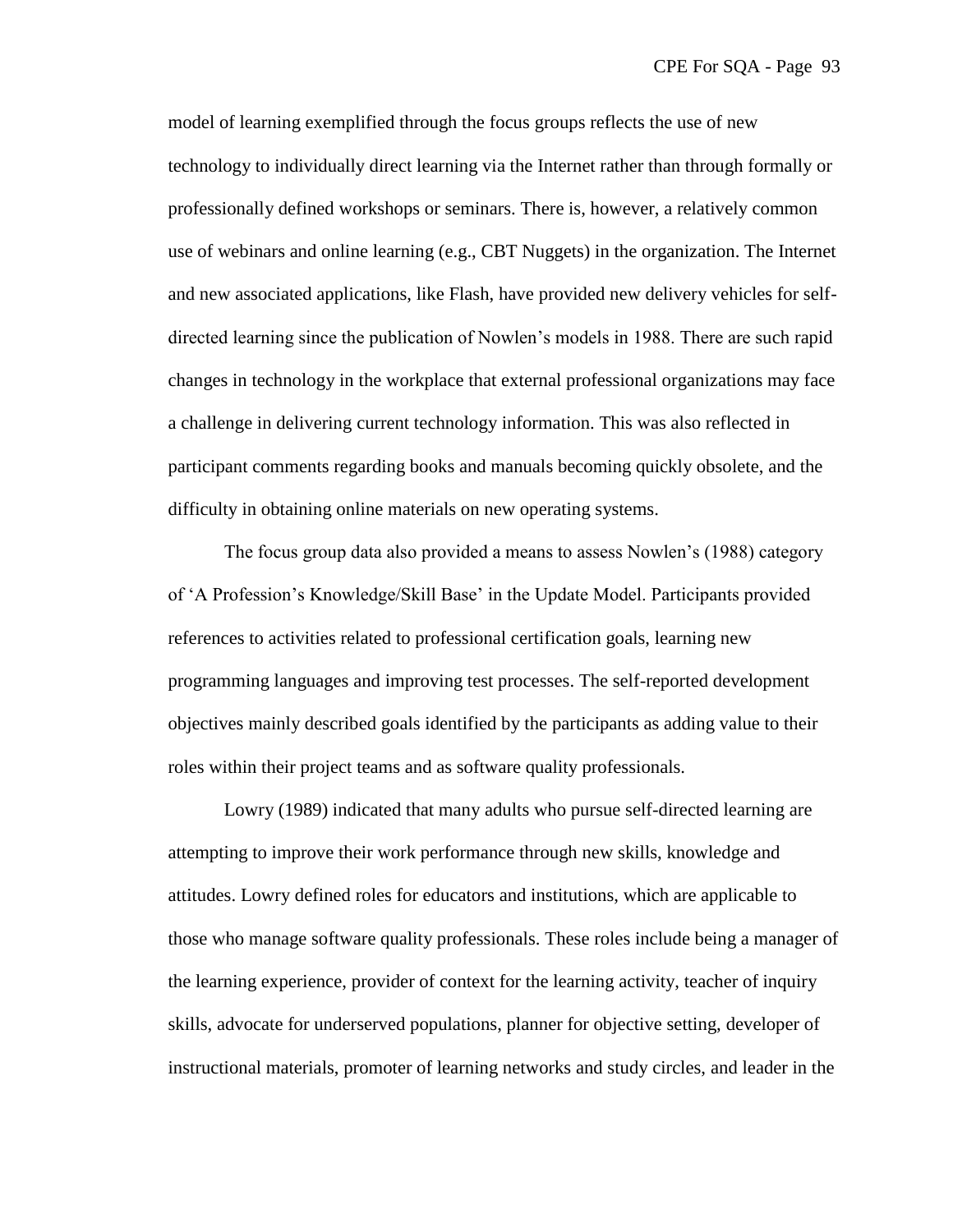model of learning exemplified through the focus groups reflects the use of new technology to individually direct learning via the Internet rather than through formally or professionally defined workshops or seminars. There is, however, a relatively common use of webinars and online learning (e.g., CBT Nuggets) in the organization. The Internet and new associated applications, like Flash, have provided new delivery vehicles for selfdirected learning since the publication of Nowlen's models in 1988. There are such rapid changes in technology in the workplace that external professional organizations may face a challenge in delivering current technology information. This was also reflected in participant comments regarding books and manuals becoming quickly obsolete, and the difficulty in obtaining online materials on new operating systems.

The focus group data also provided a means to assess Nowlen's (1988) category of ‗A Profession's Knowledge/Skill Base' in the Update Model. Participants provided references to activities related to professional certification goals, learning new programming languages and improving test processes. The self-reported development objectives mainly described goals identified by the participants as adding value to their roles within their project teams and as software quality professionals.

Lowry (1989) indicated that many adults who pursue self-directed learning are attempting to improve their work performance through new skills, knowledge and attitudes. Lowry defined roles for educators and institutions, which are applicable to those who manage software quality professionals. These roles include being a manager of the learning experience, provider of context for the learning activity, teacher of inquiry skills, advocate for underserved populations, planner for objective setting, developer of instructional materials, promoter of learning networks and study circles, and leader in the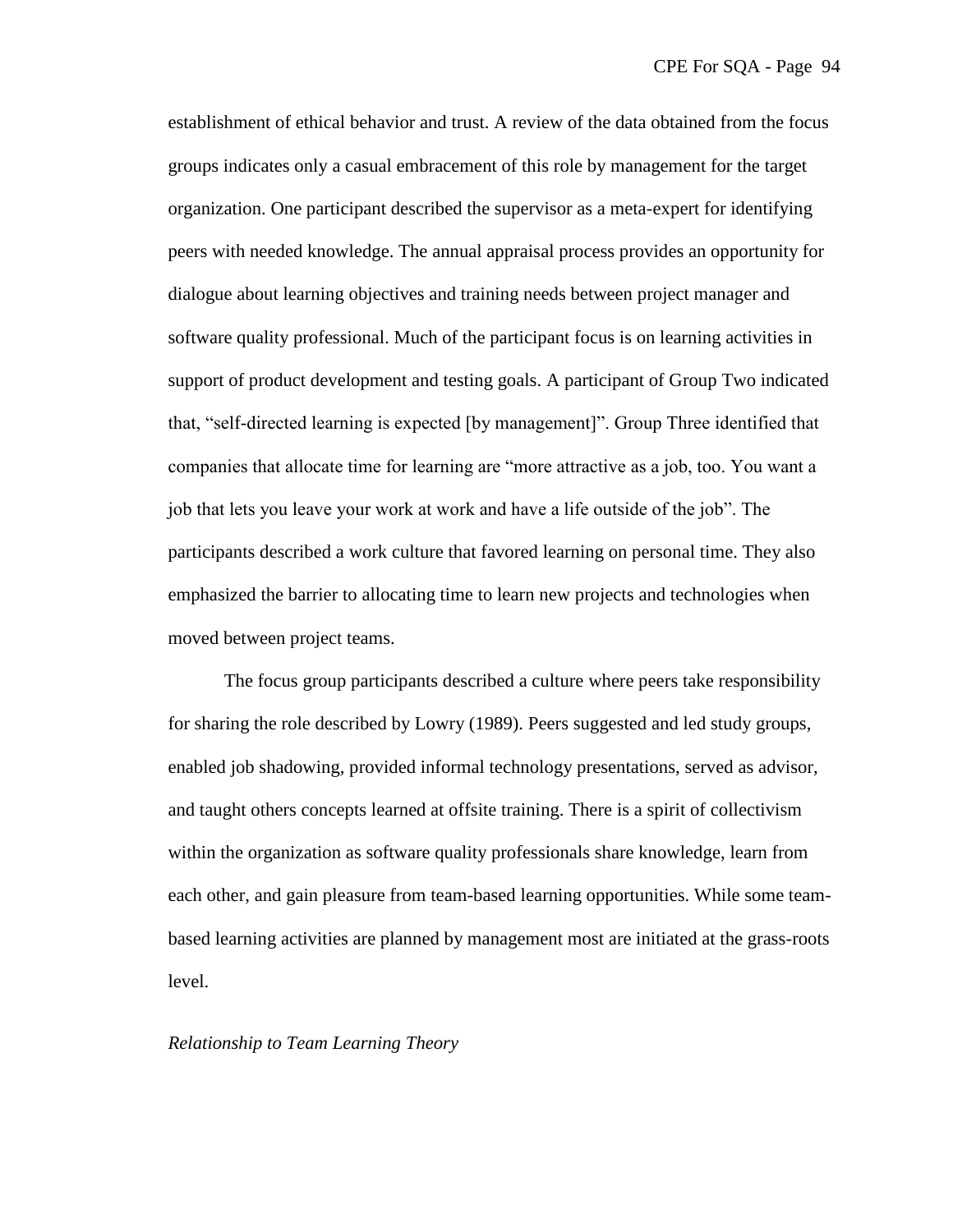establishment of ethical behavior and trust. A review of the data obtained from the focus groups indicates only a casual embracement of this role by management for the target organization. One participant described the supervisor as a meta-expert for identifying peers with needed knowledge. The annual appraisal process provides an opportunity for dialogue about learning objectives and training needs between project manager and software quality professional. Much of the participant focus is on learning activities in support of product development and testing goals. A participant of Group Two indicated that, "self-directed learning is expected [by management]". Group Three identified that companies that allocate time for learning are "more attractive as a job, too. You want a job that lets you leave your work at work and have a life outside of the job". The participants described a work culture that favored learning on personal time. They also emphasized the barrier to allocating time to learn new projects and technologies when moved between project teams.

The focus group participants described a culture where peers take responsibility for sharing the role described by Lowry (1989). Peers suggested and led study groups, enabled job shadowing, provided informal technology presentations, served as advisor, and taught others concepts learned at offsite training. There is a spirit of collectivism within the organization as software quality professionals share knowledge, learn from each other, and gain pleasure from team-based learning opportunities. While some teambased learning activities are planned by management most are initiated at the grass-roots level.

## *Relationship to Team Learning Theory*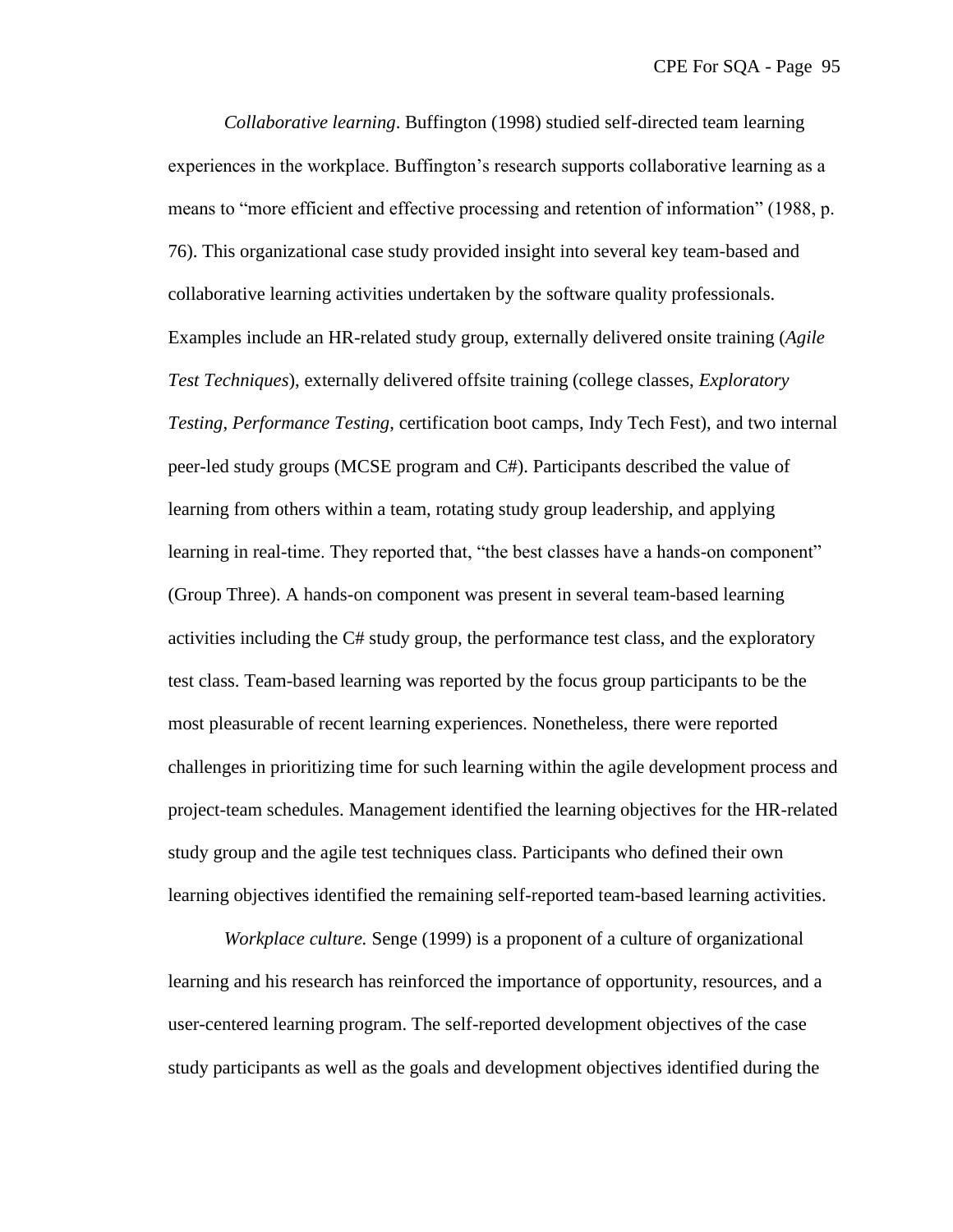*Collaborative learning*. Buffington (1998) studied self-directed team learning experiences in the workplace. Buffington's research supports collaborative learning as a means to "more efficient and effective processing and retention of information" (1988, p. 76). This organizational case study provided insight into several key team-based and collaborative learning activities undertaken by the software quality professionals. Examples include an HR-related study group, externally delivered onsite training (*Agile Test Techniques*), externally delivered offsite training (college classes, *Exploratory Testing*, *Performance Testing*, certification boot camps, Indy Tech Fest), and two internal peer-led study groups (MCSE program and C#). Participants described the value of learning from others within a team, rotating study group leadership, and applying learning in real-time. They reported that, "the best classes have a hands-on component" (Group Three). A hands-on component was present in several team-based learning activities including the C# study group, the performance test class, and the exploratory test class. Team-based learning was reported by the focus group participants to be the most pleasurable of recent learning experiences. Nonetheless, there were reported challenges in prioritizing time for such learning within the agile development process and project-team schedules. Management identified the learning objectives for the HR-related study group and the agile test techniques class. Participants who defined their own learning objectives identified the remaining self-reported team-based learning activities.

*Workplace culture.* Senge (1999) is a proponent of a culture of organizational learning and his research has reinforced the importance of opportunity, resources, and a user-centered learning program. The self-reported development objectives of the case study participants as well as the goals and development objectives identified during the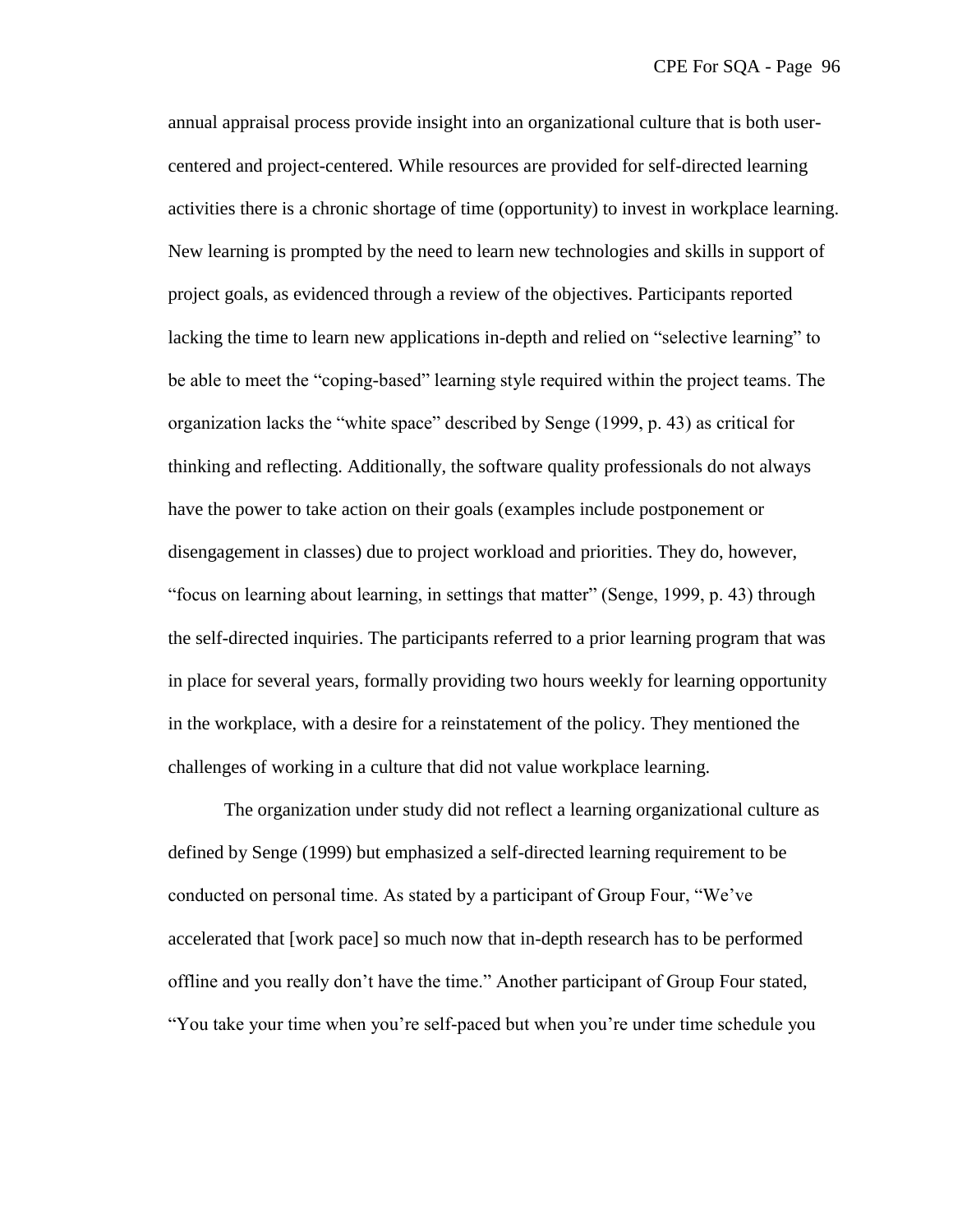annual appraisal process provide insight into an organizational culture that is both usercentered and project-centered. While resources are provided for self-directed learning activities there is a chronic shortage of time (opportunity) to invest in workplace learning. New learning is prompted by the need to learn new technologies and skills in support of project goals, as evidenced through a review of the objectives. Participants reported lacking the time to learn new applications in-depth and relied on "selective learning" to be able to meet the "coping-based" learning style required within the project teams. The organization lacks the "white space" described by Senge (1999, p. 43) as critical for thinking and reflecting. Additionally, the software quality professionals do not always have the power to take action on their goals (examples include postponement or disengagement in classes) due to project workload and priorities. They do, however, ―focus on learning about learning, in settings that matter‖ (Senge, 1999, p. 43) through the self-directed inquiries. The participants referred to a prior learning program that was in place for several years, formally providing two hours weekly for learning opportunity in the workplace, with a desire for a reinstatement of the policy. They mentioned the challenges of working in a culture that did not value workplace learning.

The organization under study did not reflect a learning organizational culture as defined by Senge (1999) but emphasized a self-directed learning requirement to be conducted on personal time. As stated by a participant of Group Four, "We've accelerated that [work pace] so much now that in-depth research has to be performed offline and you really don't have the time." Another participant of Group Four stated, "You take your time when you're self-paced but when you're under time schedule you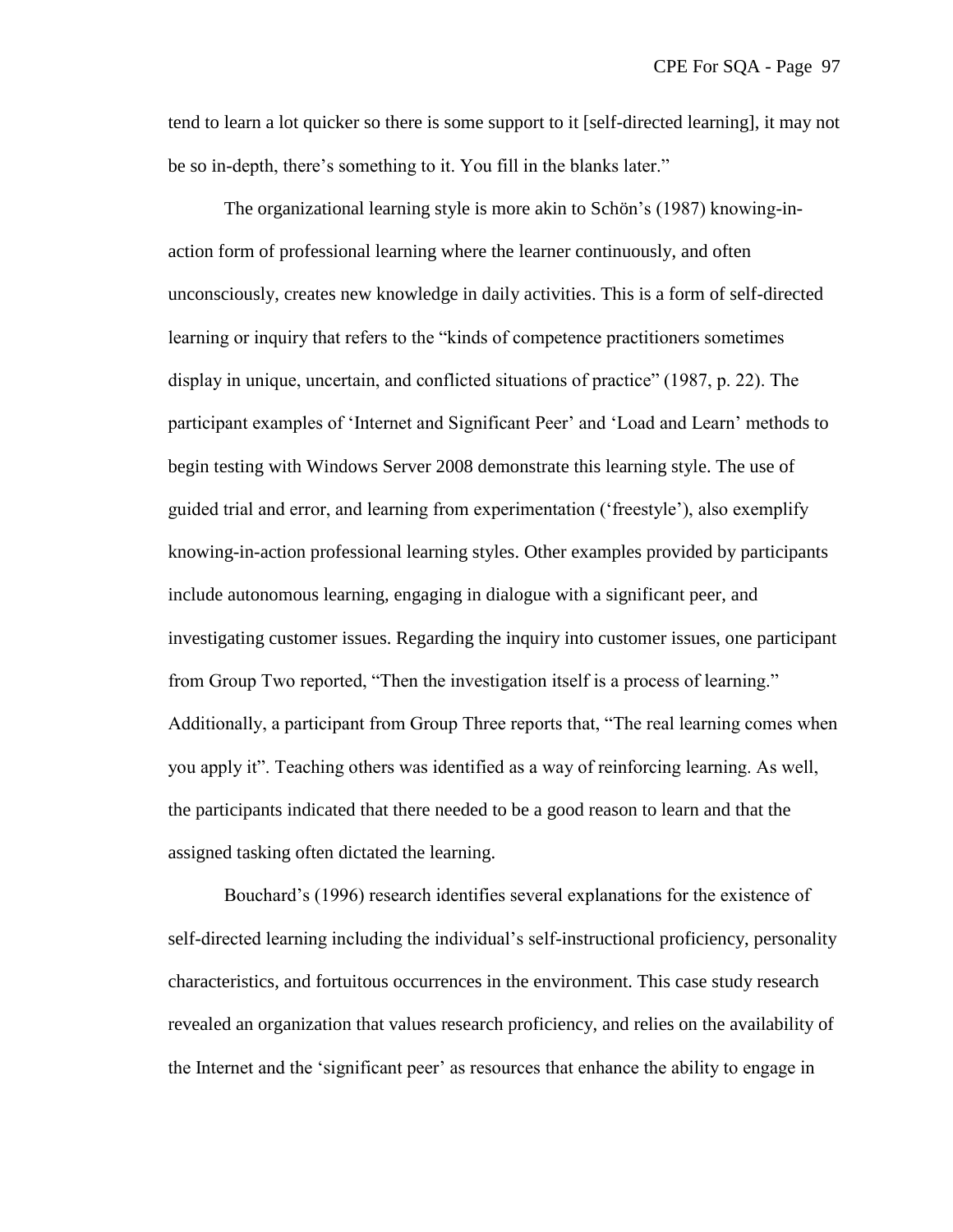tend to learn a lot quicker so there is some support to it [self-directed learning], it may not be so in-depth, there's something to it. You fill in the blanks later."

The organizational learning style is more akin to Schön's (1987) knowing-inaction form of professional learning where the learner continuously, and often unconsciously, creates new knowledge in daily activities. This is a form of self-directed learning or inquiry that refers to the "kinds of competence practitioners sometimes" display in unique, uncertain, and conflicted situations of practice" (1987, p. 22). The participant examples of ‗Internet and Significant Peer' and ‗Load and Learn' methods to begin testing with Windows Server 2008 demonstrate this learning style. The use of guided trial and error, and learning from experimentation (‗freestyle'), also exemplify knowing-in-action professional learning styles. Other examples provided by participants include autonomous learning, engaging in dialogue with a significant peer, and investigating customer issues. Regarding the inquiry into customer issues, one participant from Group Two reported, "Then the investigation itself is a process of learning." Additionally, a participant from Group Three reports that, "The real learning comes when you apply it". Teaching others was identified as a way of reinforcing learning. As well, the participants indicated that there needed to be a good reason to learn and that the assigned tasking often dictated the learning.

Bouchard's (1996) research identifies several explanations for the existence of self-directed learning including the individual's self-instructional proficiency, personality characteristics, and fortuitous occurrences in the environment. This case study research revealed an organization that values research proficiency, and relies on the availability of the Internet and the 'significant peer' as resources that enhance the ability to engage in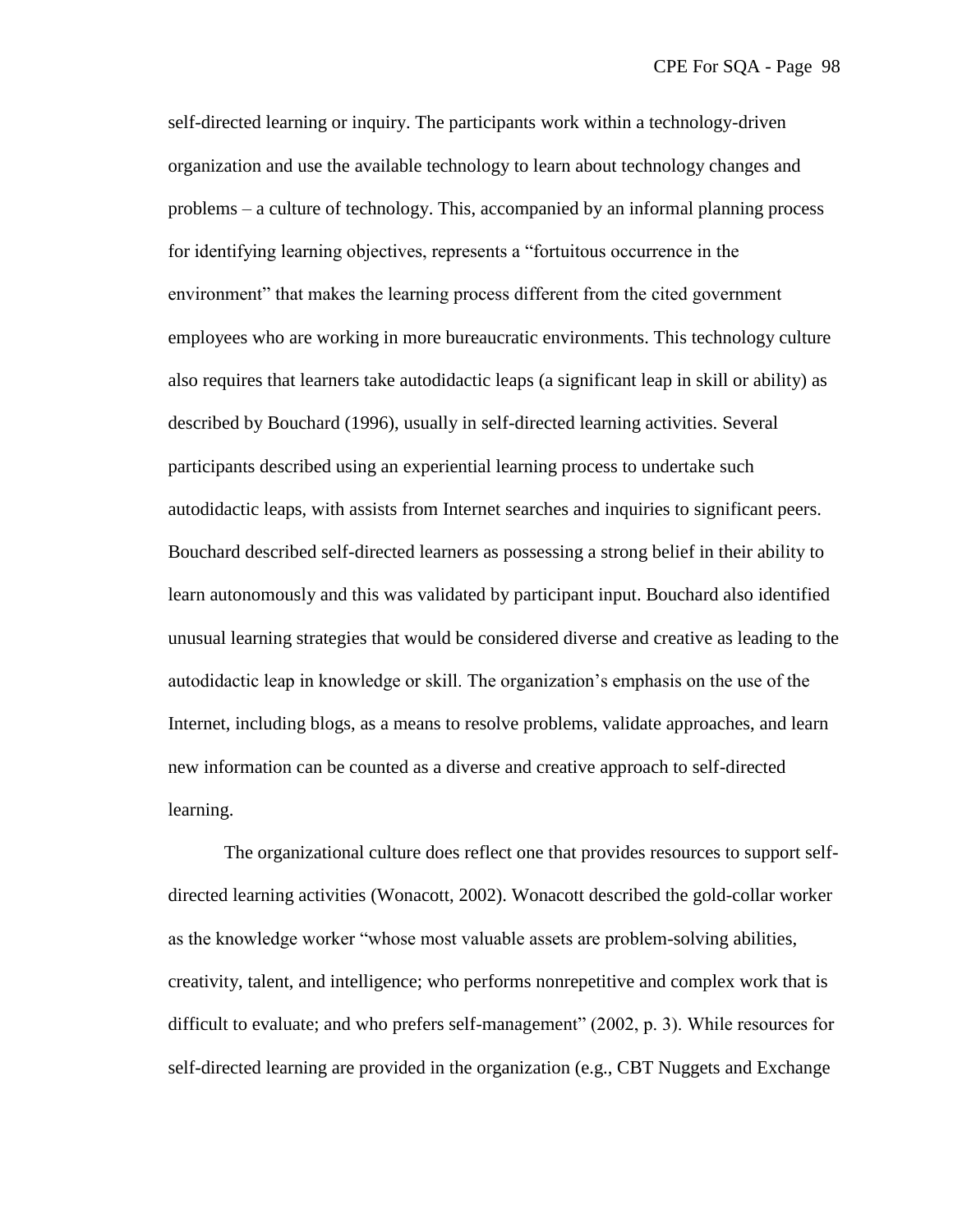self-directed learning or inquiry. The participants work within a technology-driven organization and use the available technology to learn about technology changes and problems – a culture of technology. This, accompanied by an informal planning process for identifying learning objectives, represents a "fortuitous occurrence in the environment" that makes the learning process different from the cited government employees who are working in more bureaucratic environments. This technology culture also requires that learners take autodidactic leaps (a significant leap in skill or ability) as described by Bouchard (1996), usually in self-directed learning activities. Several participants described using an experiential learning process to undertake such autodidactic leaps, with assists from Internet searches and inquiries to significant peers. Bouchard described self-directed learners as possessing a strong belief in their ability to learn autonomously and this was validated by participant input. Bouchard also identified unusual learning strategies that would be considered diverse and creative as leading to the autodidactic leap in knowledge or skill. The organization's emphasis on the use of the Internet, including blogs, as a means to resolve problems, validate approaches, and learn new information can be counted as a diverse and creative approach to self-directed learning.

The organizational culture does reflect one that provides resources to support selfdirected learning activities (Wonacott, 2002). Wonacott described the gold-collar worker as the knowledge worker "whose most valuable assets are problem-solving abilities, creativity, talent, and intelligence; who performs nonrepetitive and complex work that is difficult to evaluate; and who prefers self-management"  $(2002, p. 3)$ . While resources for self-directed learning are provided in the organization (e.g., CBT Nuggets and Exchange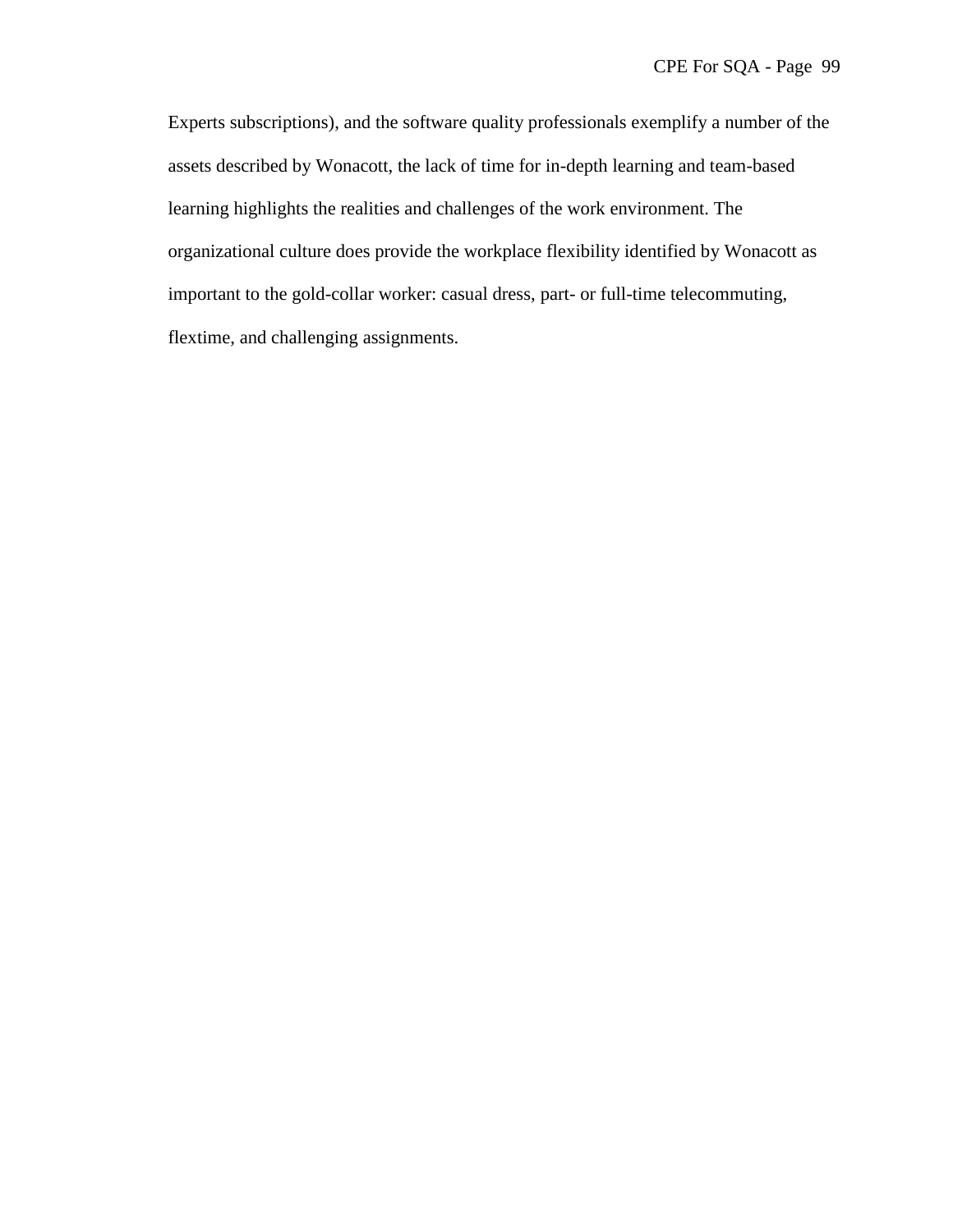Experts subscriptions), and the software quality professionals exemplify a number of the assets described by Wonacott, the lack of time for in-depth learning and team-based learning highlights the realities and challenges of the work environment. The organizational culture does provide the workplace flexibility identified by Wonacott as important to the gold-collar worker: casual dress, part- or full-time telecommuting, flextime, and challenging assignments.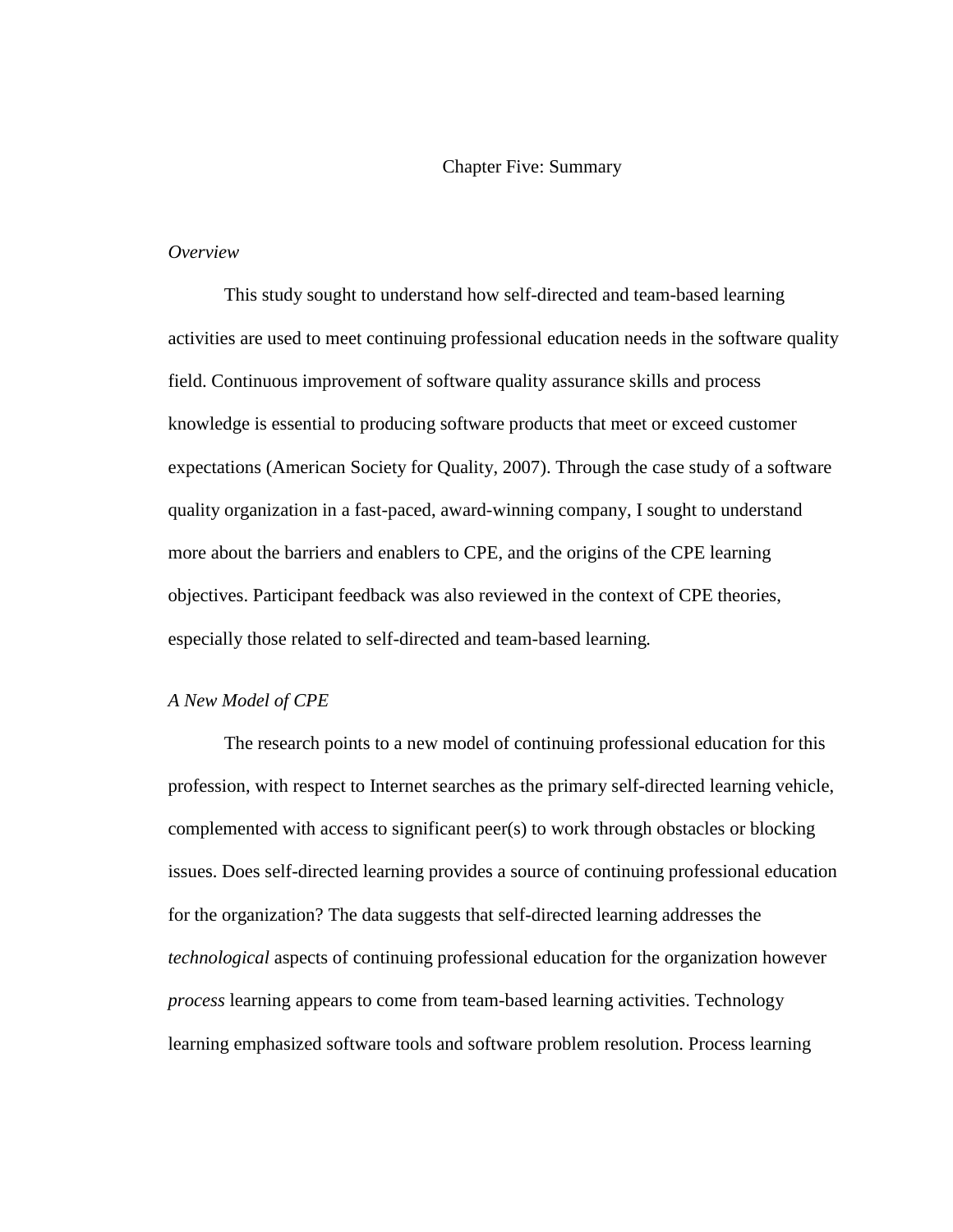#### Chapter Five: Summary

### *Overview*

This study sought to understand how self-directed and team-based learning activities are used to meet continuing professional education needs in the software quality field. Continuous improvement of software quality assurance skills and process knowledge is essential to producing software products that meet or exceed customer expectations (American Society for Quality, 2007). Through the case study of a software quality organization in a fast-paced, award-winning company, I sought to understand more about the barriers and enablers to CPE, and the origins of the CPE learning objectives. Participant feedback was also reviewed in the context of CPE theories, especially those related to self-directed and team-based learning*.* 

### *A New Model of CPE*

The research points to a new model of continuing professional education for this profession, with respect to Internet searches as the primary self-directed learning vehicle, complemented with access to significant peer(s) to work through obstacles or blocking issues. Does self-directed learning provides a source of continuing professional education for the organization? The data suggests that self-directed learning addresses the *technological* aspects of continuing professional education for the organization however *process* learning appears to come from team-based learning activities. Technology learning emphasized software tools and software problem resolution. Process learning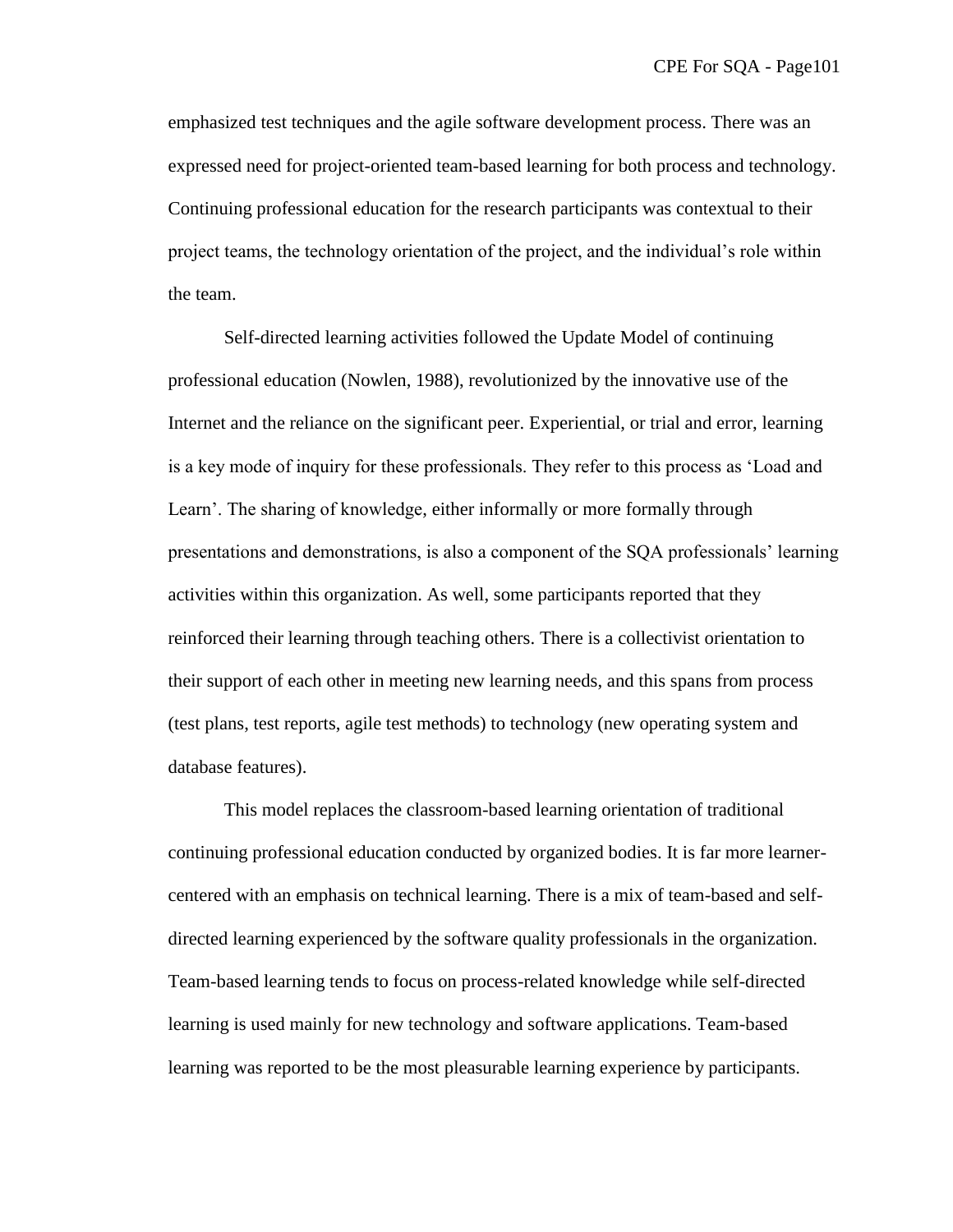emphasized test techniques and the agile software development process. There was an expressed need for project-oriented team-based learning for both process and technology. Continuing professional education for the research participants was contextual to their project teams, the technology orientation of the project, and the individual's role within the team.

Self-directed learning activities followed the Update Model of continuing professional education (Nowlen, 1988), revolutionized by the innovative use of the Internet and the reliance on the significant peer. Experiential, or trial and error, learning is a key mode of inquiry for these professionals. They refer to this process as 'Load and Learn'. The sharing of knowledge, either informally or more formally through presentations and demonstrations, is also a component of the SQA professionals' learning activities within this organization. As well, some participants reported that they reinforced their learning through teaching others. There is a collectivist orientation to their support of each other in meeting new learning needs, and this spans from process (test plans, test reports, agile test methods) to technology (new operating system and database features).

This model replaces the classroom-based learning orientation of traditional continuing professional education conducted by organized bodies. It is far more learnercentered with an emphasis on technical learning. There is a mix of team-based and selfdirected learning experienced by the software quality professionals in the organization. Team-based learning tends to focus on process-related knowledge while self-directed learning is used mainly for new technology and software applications. Team-based learning was reported to be the most pleasurable learning experience by participants.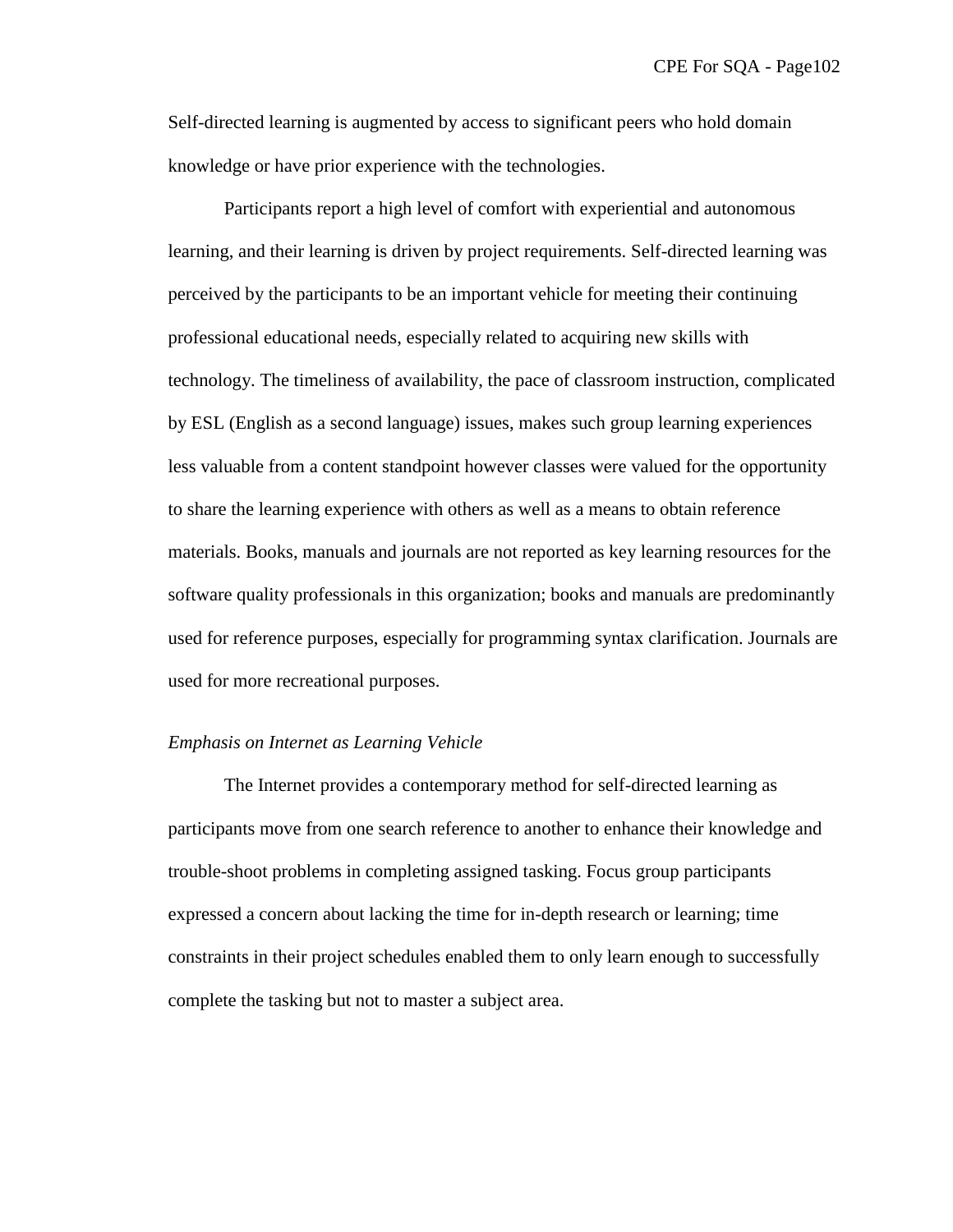Self-directed learning is augmented by access to significant peers who hold domain knowledge or have prior experience with the technologies.

Participants report a high level of comfort with experiential and autonomous learning, and their learning is driven by project requirements. Self-directed learning was perceived by the participants to be an important vehicle for meeting their continuing professional educational needs, especially related to acquiring new skills with technology. The timeliness of availability, the pace of classroom instruction, complicated by ESL (English as a second language) issues, makes such group learning experiences less valuable from a content standpoint however classes were valued for the opportunity to share the learning experience with others as well as a means to obtain reference materials. Books, manuals and journals are not reported as key learning resources for the software quality professionals in this organization; books and manuals are predominantly used for reference purposes, especially for programming syntax clarification. Journals are used for more recreational purposes.

#### *Emphasis on Internet as Learning Vehicle*

The Internet provides a contemporary method for self-directed learning as participants move from one search reference to another to enhance their knowledge and trouble-shoot problems in completing assigned tasking. Focus group participants expressed a concern about lacking the time for in-depth research or learning; time constraints in their project schedules enabled them to only learn enough to successfully complete the tasking but not to master a subject area.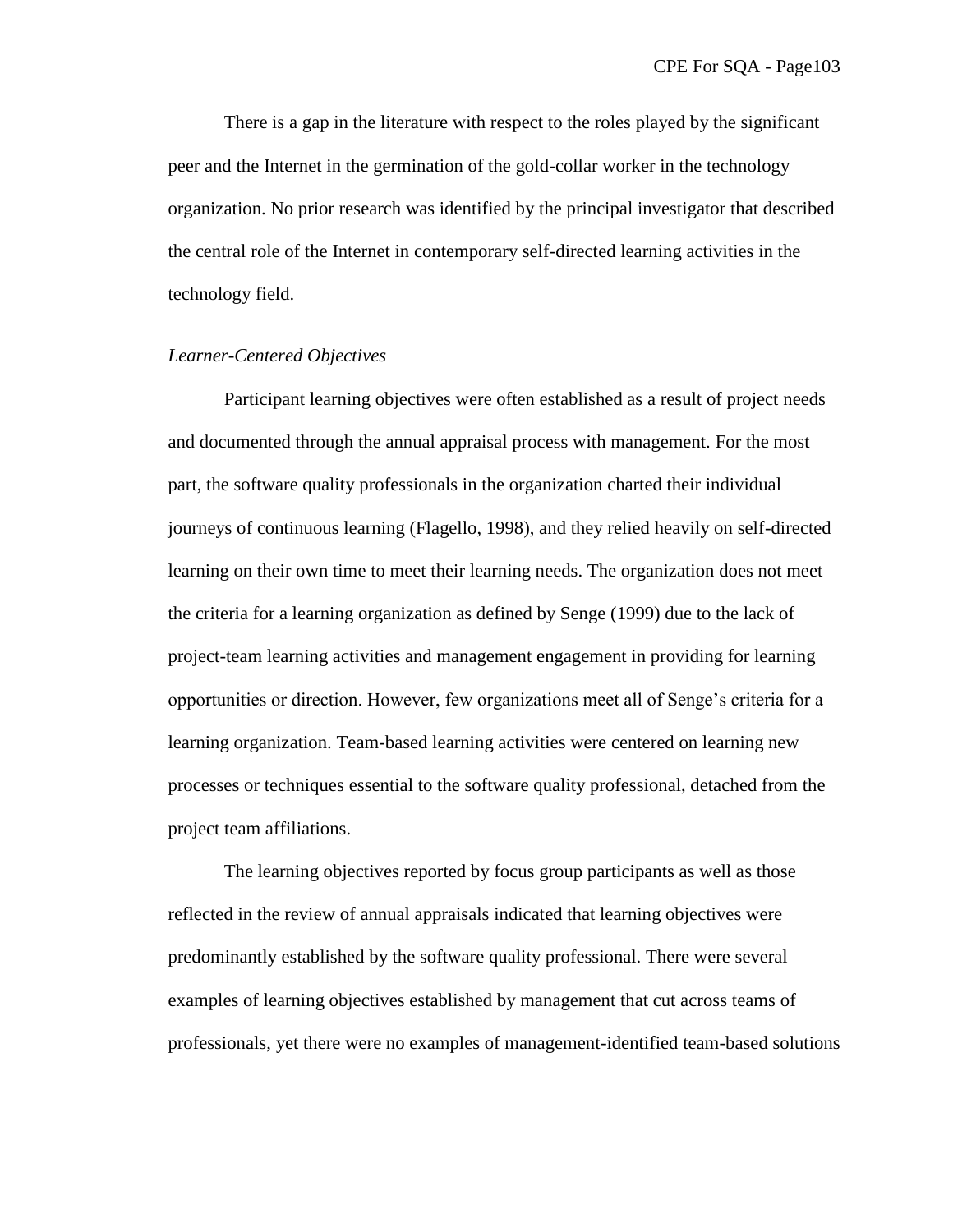There is a gap in the literature with respect to the roles played by the significant peer and the Internet in the germination of the gold-collar worker in the technology organization. No prior research was identified by the principal investigator that described the central role of the Internet in contemporary self-directed learning activities in the technology field.

### *Learner-Centered Objectives*

Participant learning objectives were often established as a result of project needs and documented through the annual appraisal process with management. For the most part, the software quality professionals in the organization charted their individual journeys of continuous learning (Flagello, 1998), and they relied heavily on self-directed learning on their own time to meet their learning needs. The organization does not meet the criteria for a learning organization as defined by Senge (1999) due to the lack of project-team learning activities and management engagement in providing for learning opportunities or direction. However, few organizations meet all of Senge's criteria for a learning organization. Team-based learning activities were centered on learning new processes or techniques essential to the software quality professional, detached from the project team affiliations.

The learning objectives reported by focus group participants as well as those reflected in the review of annual appraisals indicated that learning objectives were predominantly established by the software quality professional. There were several examples of learning objectives established by management that cut across teams of professionals, yet there were no examples of management-identified team-based solutions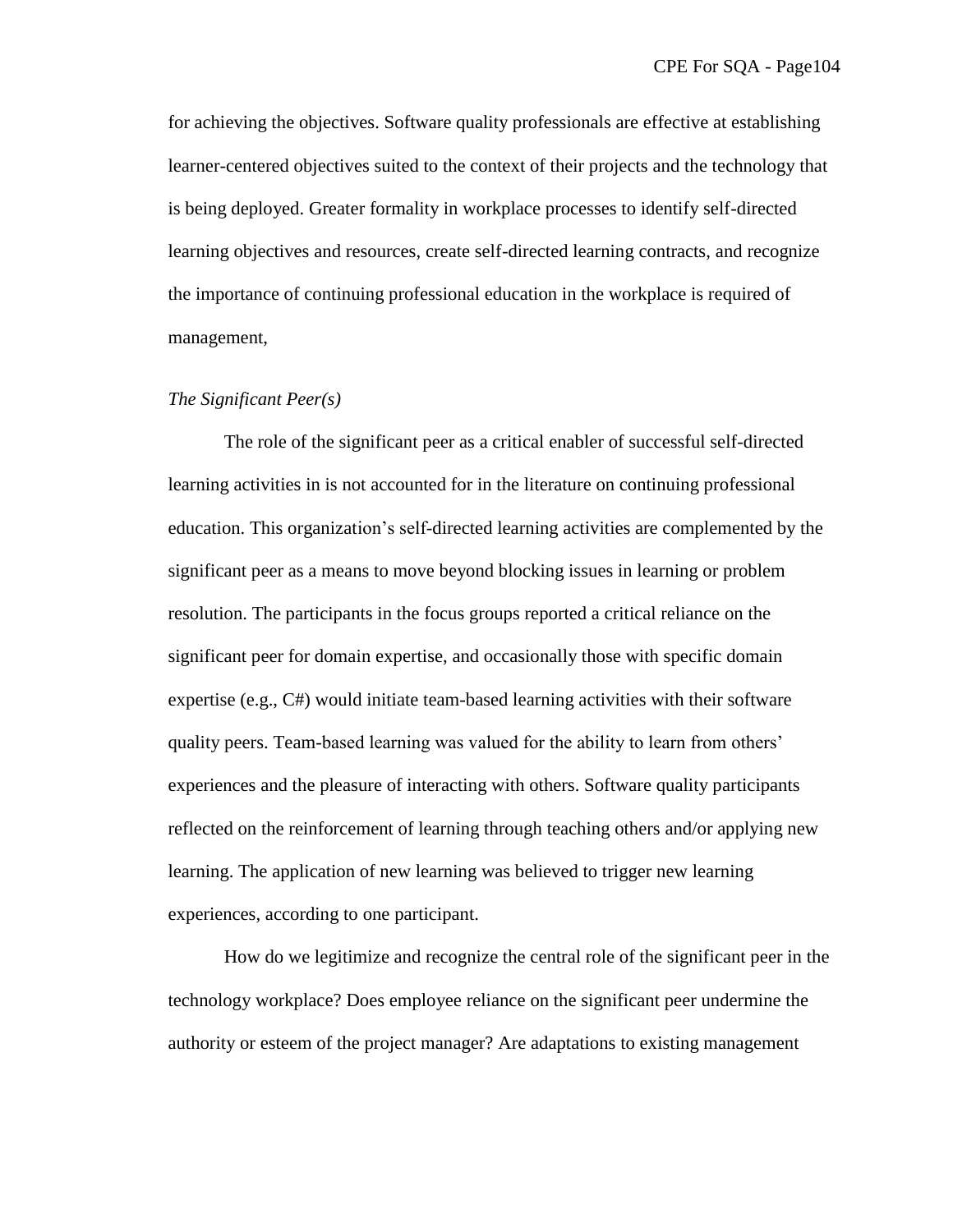for achieving the objectives. Software quality professionals are effective at establishing learner-centered objectives suited to the context of their projects and the technology that is being deployed. Greater formality in workplace processes to identify self-directed learning objectives and resources, create self-directed learning contracts, and recognize the importance of continuing professional education in the workplace is required of management,

#### *The Significant Peer(s)*

The role of the significant peer as a critical enabler of successful self-directed learning activities in is not accounted for in the literature on continuing professional education. This organization's self-directed learning activities are complemented by the significant peer as a means to move beyond blocking issues in learning or problem resolution. The participants in the focus groups reported a critical reliance on the significant peer for domain expertise, and occasionally those with specific domain expertise (e.g., C#) would initiate team-based learning activities with their software quality peers. Team-based learning was valued for the ability to learn from others' experiences and the pleasure of interacting with others. Software quality participants reflected on the reinforcement of learning through teaching others and/or applying new learning. The application of new learning was believed to trigger new learning experiences, according to one participant.

How do we legitimize and recognize the central role of the significant peer in the technology workplace? Does employee reliance on the significant peer undermine the authority or esteem of the project manager? Are adaptations to existing management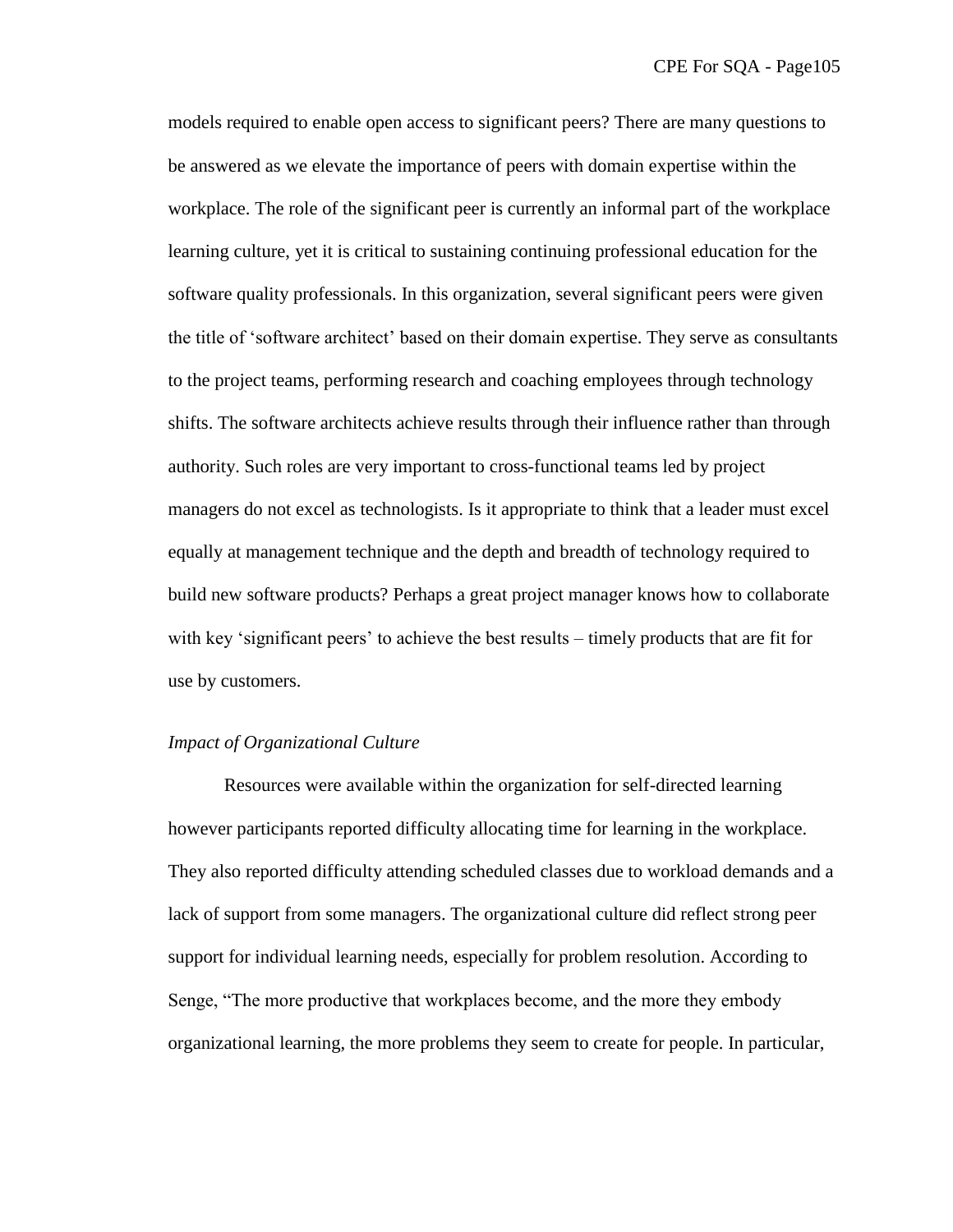models required to enable open access to significant peers? There are many questions to be answered as we elevate the importance of peers with domain expertise within the workplace. The role of the significant peer is currently an informal part of the workplace learning culture, yet it is critical to sustaining continuing professional education for the software quality professionals. In this organization, several significant peers were given the title of ‗software architect' based on their domain expertise. They serve as consultants to the project teams, performing research and coaching employees through technology shifts. The software architects achieve results through their influence rather than through authority. Such roles are very important to cross-functional teams led by project managers do not excel as technologists. Is it appropriate to think that a leader must excel equally at management technique and the depth and breadth of technology required to build new software products? Perhaps a great project manager knows how to collaborate with key 'significant peers' to achieve the best results – timely products that are fit for use by customers.

#### *Impact of Organizational Culture*

Resources were available within the organization for self-directed learning however participants reported difficulty allocating time for learning in the workplace. They also reported difficulty attending scheduled classes due to workload demands and a lack of support from some managers. The organizational culture did reflect strong peer support for individual learning needs, especially for problem resolution. According to Senge, "The more productive that workplaces become, and the more they embody organizational learning, the more problems they seem to create for people. In particular,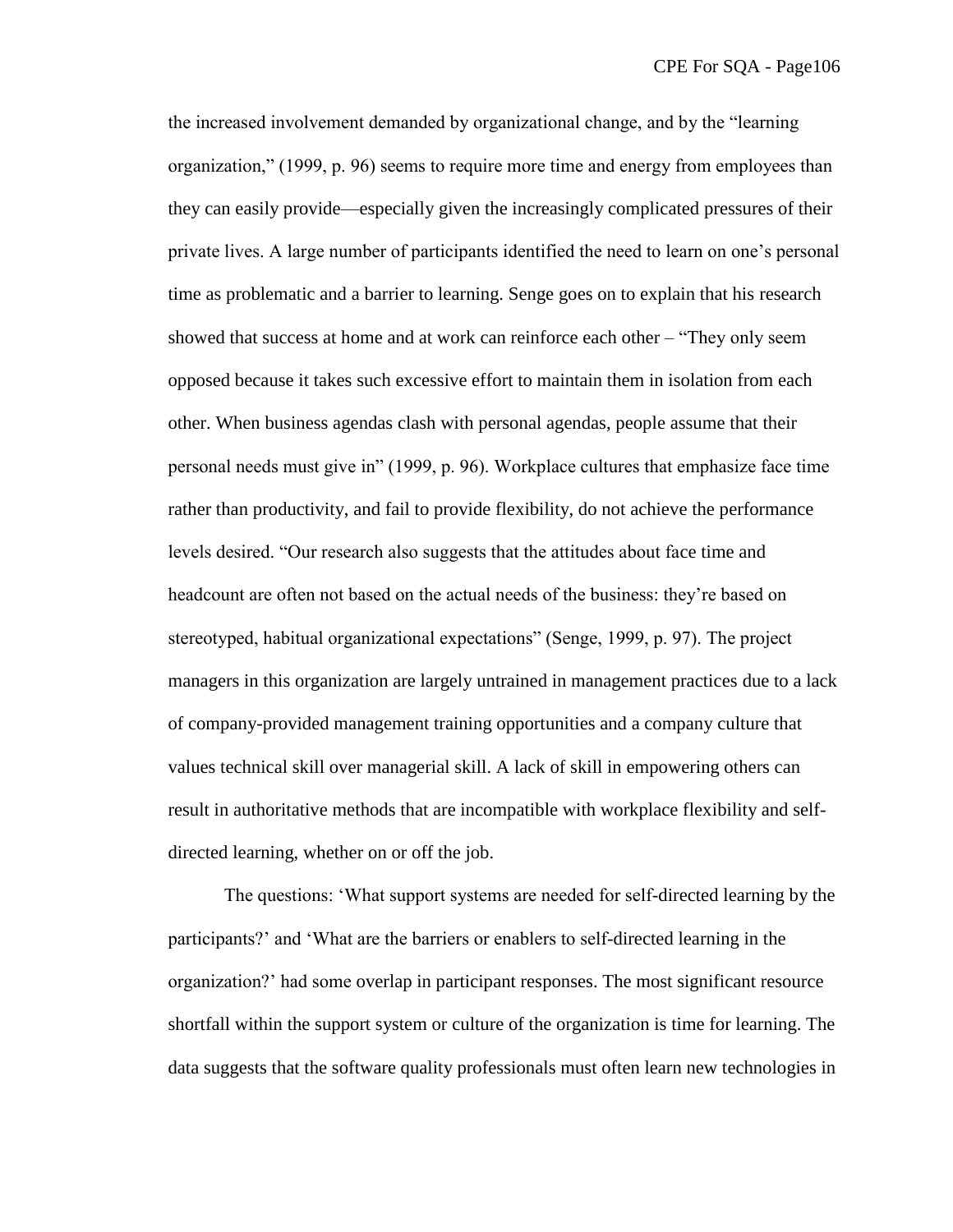the increased involvement demanded by organizational change, and by the "learning" organization," (1999, p. 96) seems to require more time and energy from employees than they can easily provide—especially given the increasingly complicated pressures of their private lives. A large number of participants identified the need to learn on one's personal time as problematic and a barrier to learning. Senge goes on to explain that his research showed that success at home and at work can reinforce each other – "They only seem" opposed because it takes such excessive effort to maintain them in isolation from each other. When business agendas clash with personal agendas, people assume that their personal needs must give in‖ (1999, p. 96). Workplace cultures that emphasize face time rather than productivity, and fail to provide flexibility, do not achieve the performance levels desired. "Our research also suggests that the attitudes about face time and headcount are often not based on the actual needs of the business: they're based on stereotyped, habitual organizational expectations" (Senge, 1999, p. 97). The project managers in this organization are largely untrained in management practices due to a lack of company-provided management training opportunities and a company culture that values technical skill over managerial skill. A lack of skill in empowering others can result in authoritative methods that are incompatible with workplace flexibility and selfdirected learning, whether on or off the job.

The questions: ‗What support systems are needed for self-directed learning by the participants?' and ‗What are the barriers or enablers to self-directed learning in the organization?' had some overlap in participant responses. The most significant resource shortfall within the support system or culture of the organization is time for learning. The data suggests that the software quality professionals must often learn new technologies in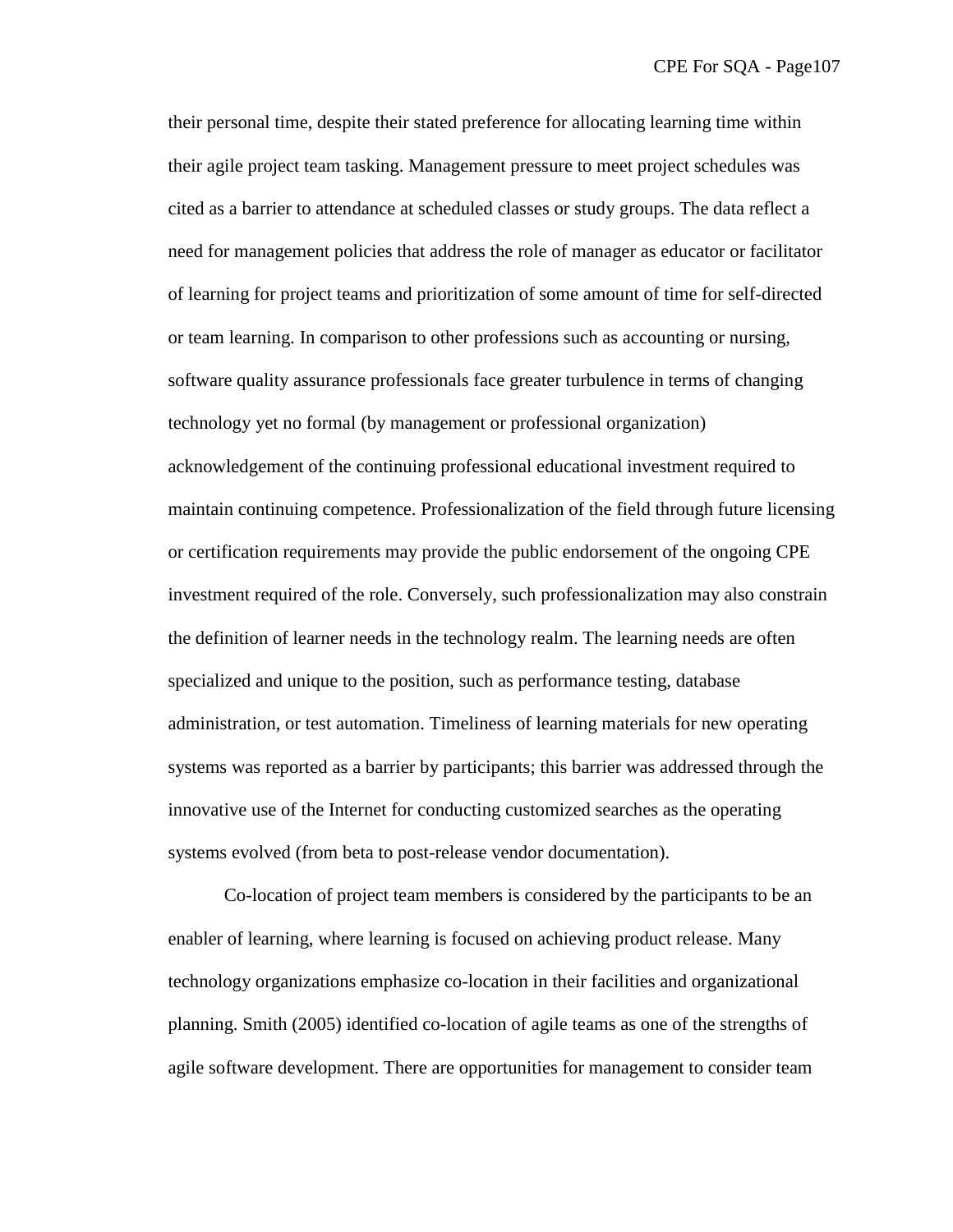their personal time, despite their stated preference for allocating learning time within their agile project team tasking. Management pressure to meet project schedules was cited as a barrier to attendance at scheduled classes or study groups. The data reflect a need for management policies that address the role of manager as educator or facilitator of learning for project teams and prioritization of some amount of time for self-directed or team learning. In comparison to other professions such as accounting or nursing, software quality assurance professionals face greater turbulence in terms of changing technology yet no formal (by management or professional organization) acknowledgement of the continuing professional educational investment required to maintain continuing competence. Professionalization of the field through future licensing or certification requirements may provide the public endorsement of the ongoing CPE investment required of the role. Conversely, such professionalization may also constrain the definition of learner needs in the technology realm. The learning needs are often specialized and unique to the position, such as performance testing, database administration, or test automation. Timeliness of learning materials for new operating systems was reported as a barrier by participants; this barrier was addressed through the innovative use of the Internet for conducting customized searches as the operating systems evolved (from beta to post-release vendor documentation).

Co-location of project team members is considered by the participants to be an enabler of learning, where learning is focused on achieving product release. Many technology organizations emphasize co-location in their facilities and organizational planning. Smith (2005) identified co-location of agile teams as one of the strengths of agile software development. There are opportunities for management to consider team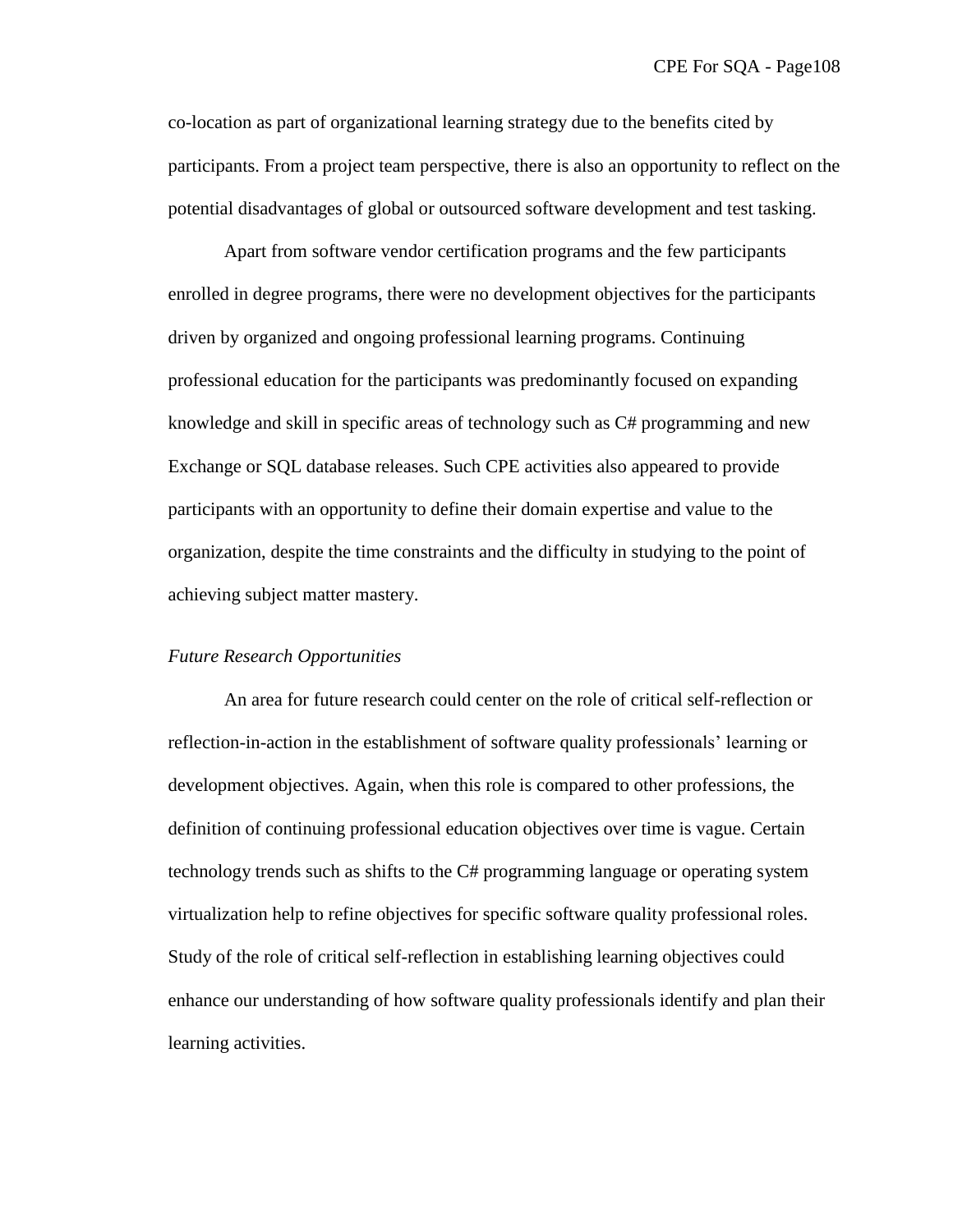co-location as part of organizational learning strategy due to the benefits cited by participants. From a project team perspective, there is also an opportunity to reflect on the potential disadvantages of global or outsourced software development and test tasking.

Apart from software vendor certification programs and the few participants enrolled in degree programs, there were no development objectives for the participants driven by organized and ongoing professional learning programs. Continuing professional education for the participants was predominantly focused on expanding knowledge and skill in specific areas of technology such as C# programming and new Exchange or SQL database releases. Such CPE activities also appeared to provide participants with an opportunity to define their domain expertise and value to the organization, despite the time constraints and the difficulty in studying to the point of achieving subject matter mastery.

#### *Future Research Opportunities*

An area for future research could center on the role of critical self-reflection or reflection-in-action in the establishment of software quality professionals' learning or development objectives. Again, when this role is compared to other professions, the definition of continuing professional education objectives over time is vague. Certain technology trends such as shifts to the C# programming language or operating system virtualization help to refine objectives for specific software quality professional roles. Study of the role of critical self-reflection in establishing learning objectives could enhance our understanding of how software quality professionals identify and plan their learning activities.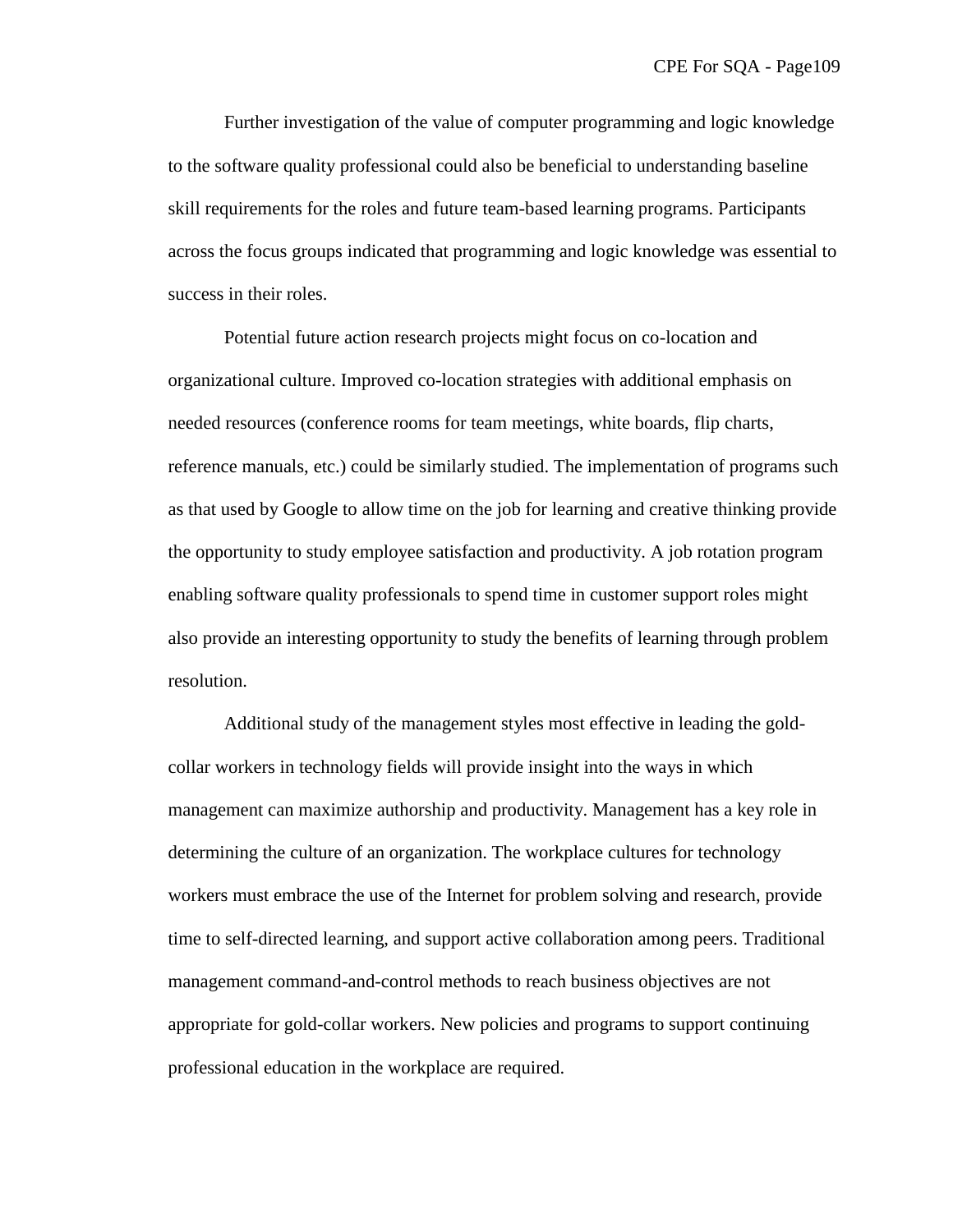Further investigation of the value of computer programming and logic knowledge to the software quality professional could also be beneficial to understanding baseline skill requirements for the roles and future team-based learning programs. Participants across the focus groups indicated that programming and logic knowledge was essential to success in their roles.

Potential future action research projects might focus on co-location and organizational culture. Improved co-location strategies with additional emphasis on needed resources (conference rooms for team meetings, white boards, flip charts, reference manuals, etc.) could be similarly studied. The implementation of programs such as that used by Google to allow time on the job for learning and creative thinking provide the opportunity to study employee satisfaction and productivity. A job rotation program enabling software quality professionals to spend time in customer support roles might also provide an interesting opportunity to study the benefits of learning through problem resolution.

Additional study of the management styles most effective in leading the goldcollar workers in technology fields will provide insight into the ways in which management can maximize authorship and productivity. Management has a key role in determining the culture of an organization. The workplace cultures for technology workers must embrace the use of the Internet for problem solving and research, provide time to self-directed learning, and support active collaboration among peers. Traditional management command-and-control methods to reach business objectives are not appropriate for gold-collar workers. New policies and programs to support continuing professional education in the workplace are required.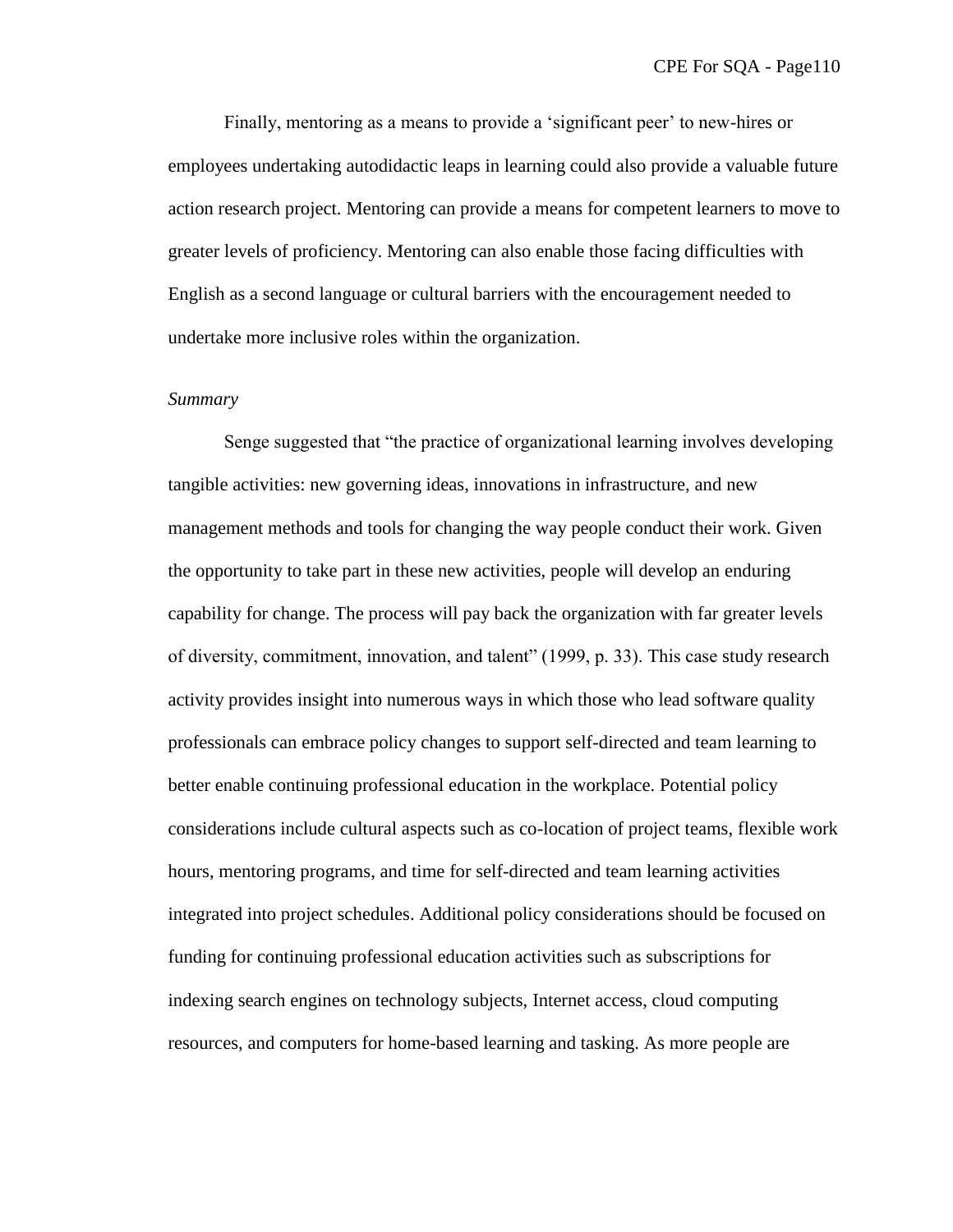Finally, mentoring as a means to provide a 'significant peer' to new-hires or employees undertaking autodidactic leaps in learning could also provide a valuable future action research project. Mentoring can provide a means for competent learners to move to greater levels of proficiency. Mentoring can also enable those facing difficulties with English as a second language or cultural barriers with the encouragement needed to undertake more inclusive roles within the organization.

#### *Summary*

Senge suggested that "the practice of organizational learning involves developing tangible activities: new governing ideas, innovations in infrastructure, and new management methods and tools for changing the way people conduct their work. Given the opportunity to take part in these new activities, people will develop an enduring capability for change. The process will pay back the organization with far greater levels of diversity, commitment, innovation, and talent" (1999, p. 33). This case study research activity provides insight into numerous ways in which those who lead software quality professionals can embrace policy changes to support self-directed and team learning to better enable continuing professional education in the workplace. Potential policy considerations include cultural aspects such as co-location of project teams, flexible work hours, mentoring programs, and time for self-directed and team learning activities integrated into project schedules. Additional policy considerations should be focused on funding for continuing professional education activities such as subscriptions for indexing search engines on technology subjects, Internet access, cloud computing resources, and computers for home-based learning and tasking. As more people are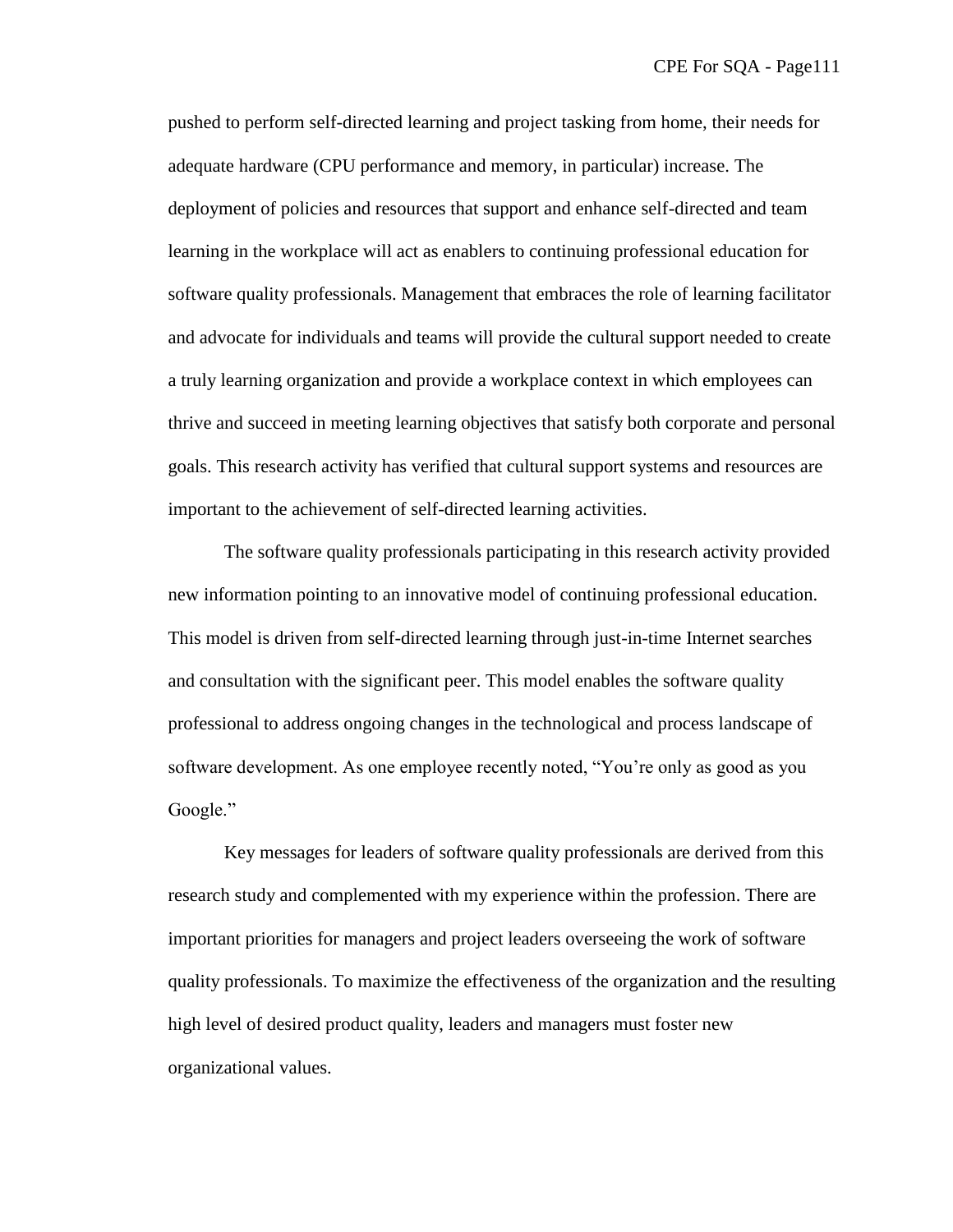pushed to perform self-directed learning and project tasking from home, their needs for adequate hardware (CPU performance and memory, in particular) increase. The deployment of policies and resources that support and enhance self-directed and team learning in the workplace will act as enablers to continuing professional education for software quality professionals. Management that embraces the role of learning facilitator and advocate for individuals and teams will provide the cultural support needed to create a truly learning organization and provide a workplace context in which employees can thrive and succeed in meeting learning objectives that satisfy both corporate and personal goals. This research activity has verified that cultural support systems and resources are important to the achievement of self-directed learning activities.

The software quality professionals participating in this research activity provided new information pointing to an innovative model of continuing professional education. This model is driven from self-directed learning through just-in-time Internet searches and consultation with the significant peer. This model enables the software quality professional to address ongoing changes in the technological and process landscape of software development. As one employee recently noted, "You're only as good as you Google."

Key messages for leaders of software quality professionals are derived from this research study and complemented with my experience within the profession. There are important priorities for managers and project leaders overseeing the work of software quality professionals. To maximize the effectiveness of the organization and the resulting high level of desired product quality, leaders and managers must foster new organizational values.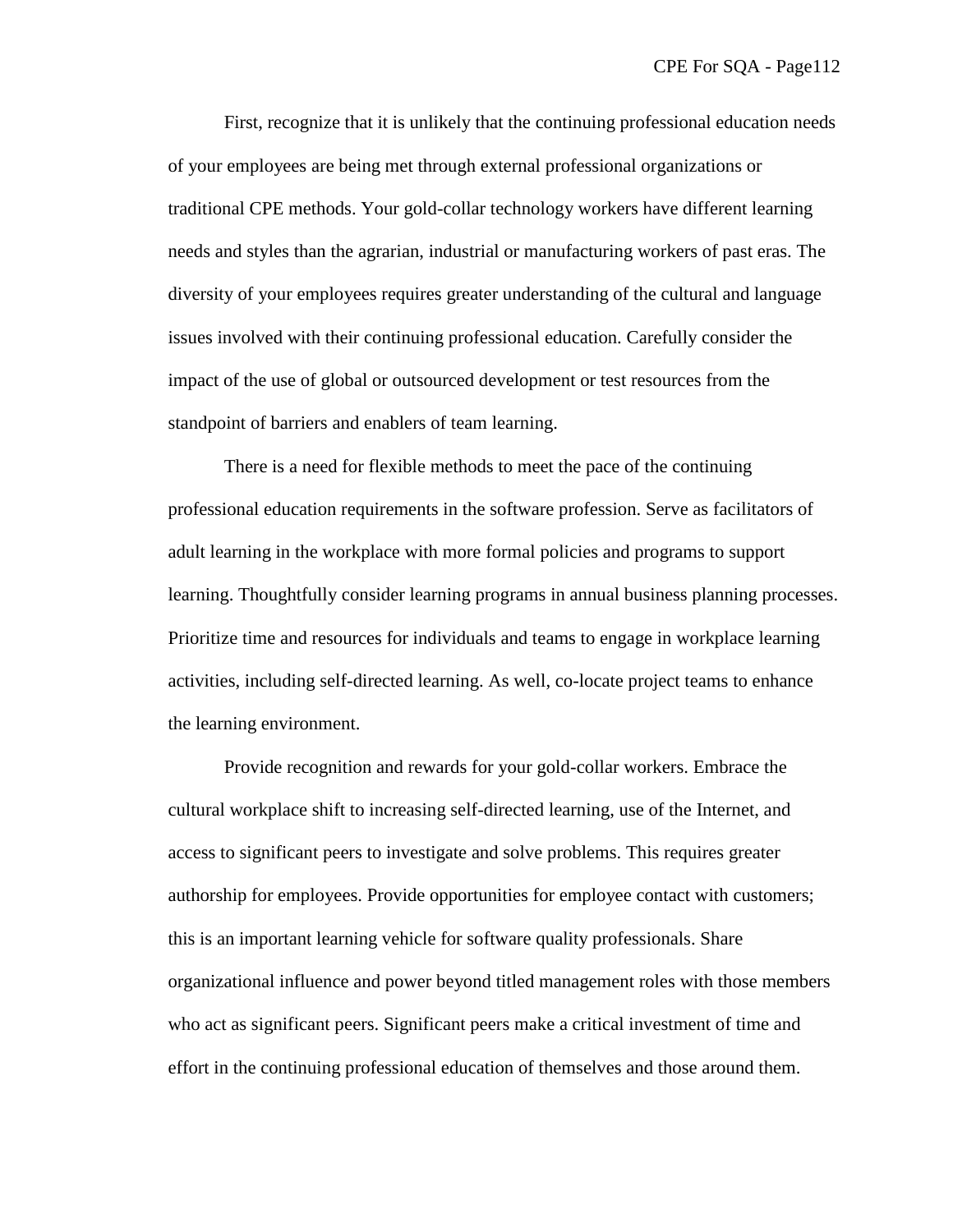First, recognize that it is unlikely that the continuing professional education needs of your employees are being met through external professional organizations or traditional CPE methods. Your gold-collar technology workers have different learning needs and styles than the agrarian, industrial or manufacturing workers of past eras. The diversity of your employees requires greater understanding of the cultural and language issues involved with their continuing professional education. Carefully consider the impact of the use of global or outsourced development or test resources from the standpoint of barriers and enablers of team learning.

There is a need for flexible methods to meet the pace of the continuing professional education requirements in the software profession. Serve as facilitators of adult learning in the workplace with more formal policies and programs to support learning. Thoughtfully consider learning programs in annual business planning processes. Prioritize time and resources for individuals and teams to engage in workplace learning activities, including self-directed learning. As well, co-locate project teams to enhance the learning environment.

Provide recognition and rewards for your gold-collar workers. Embrace the cultural workplace shift to increasing self-directed learning, use of the Internet, and access to significant peers to investigate and solve problems. This requires greater authorship for employees. Provide opportunities for employee contact with customers; this is an important learning vehicle for software quality professionals. Share organizational influence and power beyond titled management roles with those members who act as significant peers. Significant peers make a critical investment of time and effort in the continuing professional education of themselves and those around them.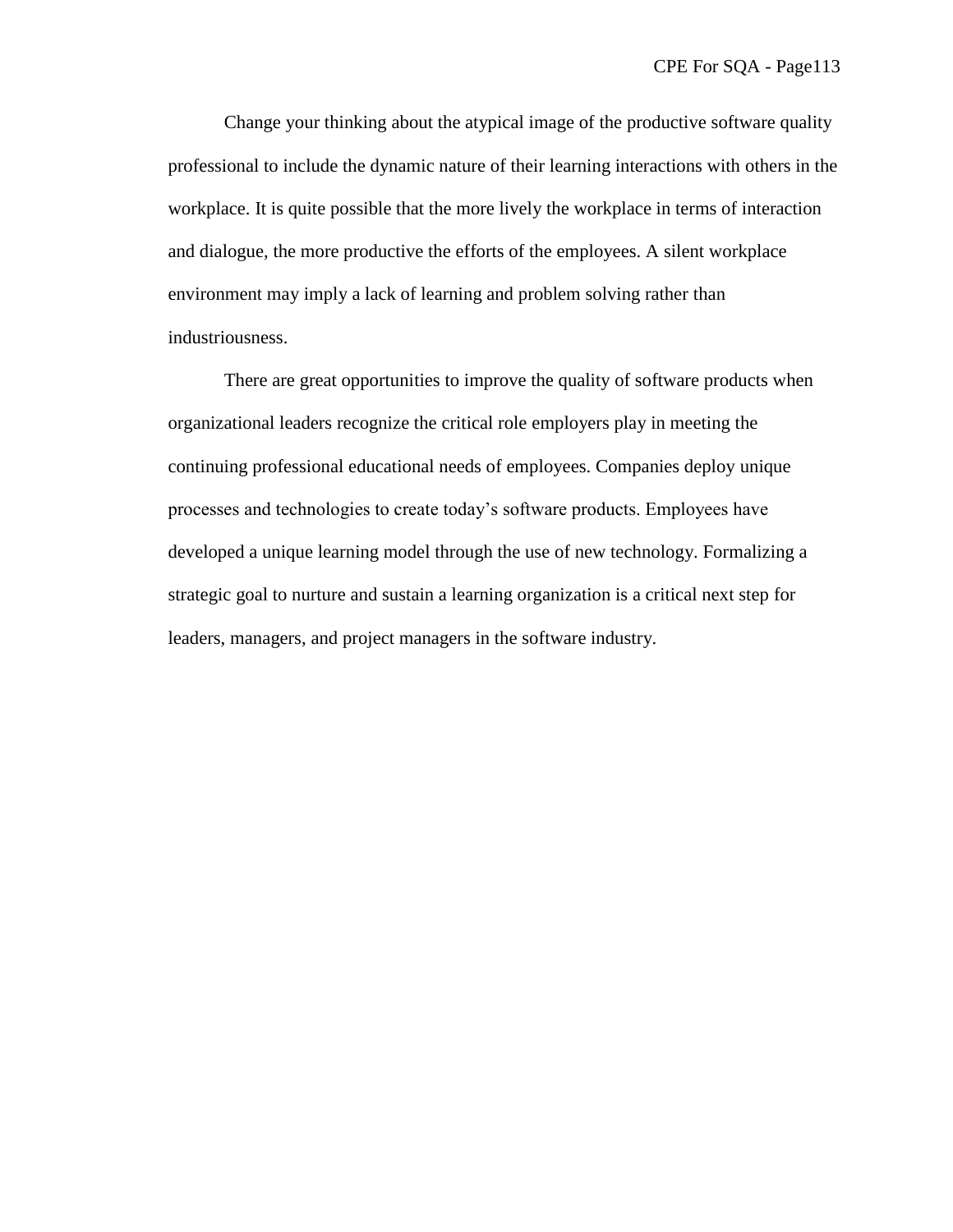Change your thinking about the atypical image of the productive software quality professional to include the dynamic nature of their learning interactions with others in the workplace. It is quite possible that the more lively the workplace in terms of interaction and dialogue, the more productive the efforts of the employees. A silent workplace environment may imply a lack of learning and problem solving rather than industriousness.

There are great opportunities to improve the quality of software products when organizational leaders recognize the critical role employers play in meeting the continuing professional educational needs of employees. Companies deploy unique processes and technologies to create today's software products. Employees have developed a unique learning model through the use of new technology. Formalizing a strategic goal to nurture and sustain a learning organization is a critical next step for leaders, managers, and project managers in the software industry.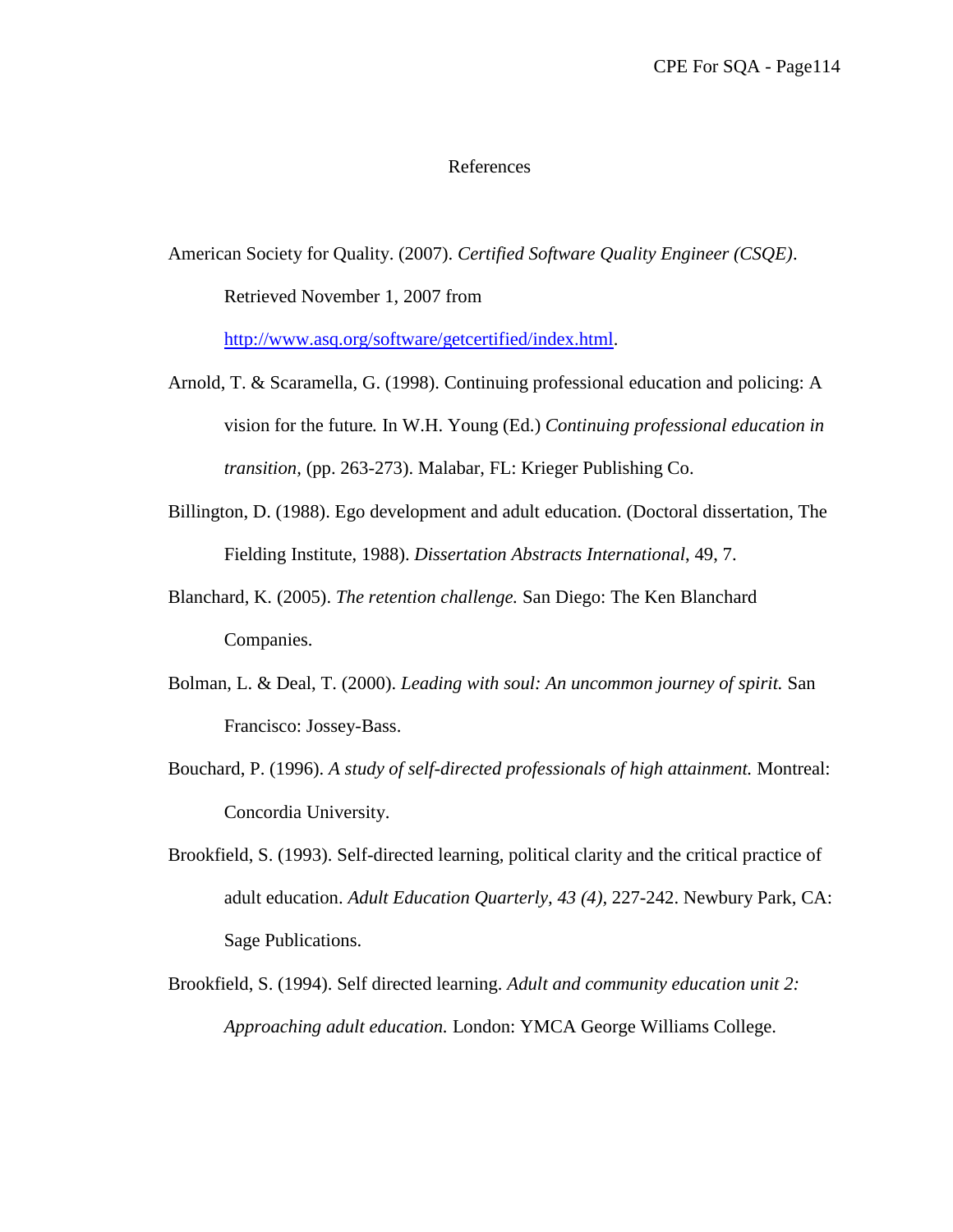## References

American Society for Quality. (2007). *Certified Software Quality Engineer (CSQE)*. Retrieved November 1, 2007 from

[http://www.asq.org/software/getcertified/index.html.](http://www.asq.org/software/getcertified/index.html)

- Arnold, T. & Scaramella, G. (1998). Continuing professional education and policing: A vision for the future*.* In W.H. Young (Ed.) *Continuing professional education in transition,* (pp. 263-273). Malabar, FL: Krieger Publishing Co.
- Billington, D. (1988). Ego development and adult education. (Doctoral dissertation, The Fielding Institute, 1988). *Dissertation Abstracts International*, 49, 7.
- Blanchard, K. (2005). *The retention challenge.* San Diego: The Ken Blanchard Companies.
- Bolman, L. & Deal, T. (2000). *Leading with soul: An uncommon journey of spirit.* San Francisco: Jossey-Bass.
- Bouchard, P. (1996). *A study of self-directed professionals of high attainment.* Montreal: Concordia University.
- Brookfield, S. (1993). Self-directed learning, political clarity and the critical practice of adult education. *Adult Education Quarterly, 43 (4),* 227-242. Newbury Park, CA: Sage Publications.
- Brookfield, S. (1994). Self directed learning. *Adult and community education unit 2: Approaching adult education.* London: YMCA George Williams College.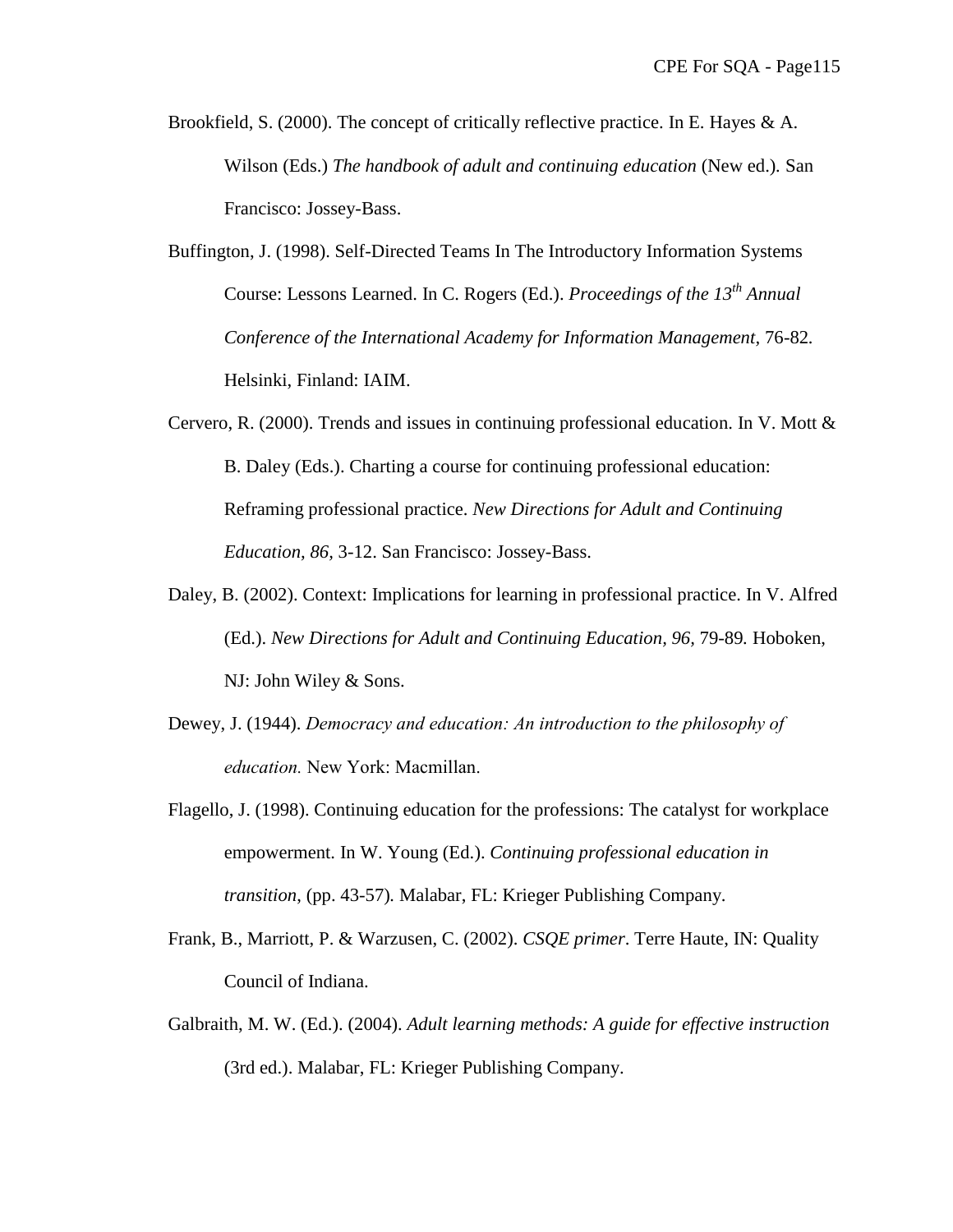- Brookfield, S. (2000). The concept of critically reflective practice. In E. Hayes & A. Wilson (Eds.) *The handbook of adult and continuing education* (New ed.)*.* San Francisco: Jossey-Bass.
- Buffington, J. (1998). Self-Directed Teams In The Introductory Information Systems Course: Lessons Learned. In C. Rogers (Ed.). *Proceedings of the 13th Annual Conference of the International Academy for Information Management,* 76-82*.* Helsinki, Finland: IAIM.
- Cervero, R. (2000). Trends and issues in continuing professional education. In V. Mott & B. Daley (Eds.). Charting a course for continuing professional education: Reframing professional practice. *New Directions for Adult and Continuing Education, 86,* 3-12. San Francisco: Jossey-Bass.
- Daley, B. (2002). Context: Implications for learning in professional practice. In V. Alfred (Ed.). *New Directions for Adult and Continuing Education, 96,* 79-89*.* Hoboken, NJ: John Wiley & Sons.
- Dewey, J. (1944). *Democracy and education: An introduction to the philosophy of education.* New York: Macmillan.
- Flagello, J. (1998). Continuing education for the professions: The catalyst for workplace empowerment. In W. Young (Ed.). *Continuing professional education in transition*, (pp. 43-57)*.* Malabar, FL: Krieger Publishing Company.
- Frank, B., Marriott, P. & Warzusen, C. (2002). *CSQE primer*. Terre Haute, IN: Quality Council of Indiana.
- Galbraith, M. W. (Ed.). (2004). *Adult learning methods: A guide for effective instruction* (3rd ed.). Malabar, FL: Krieger Publishing Company.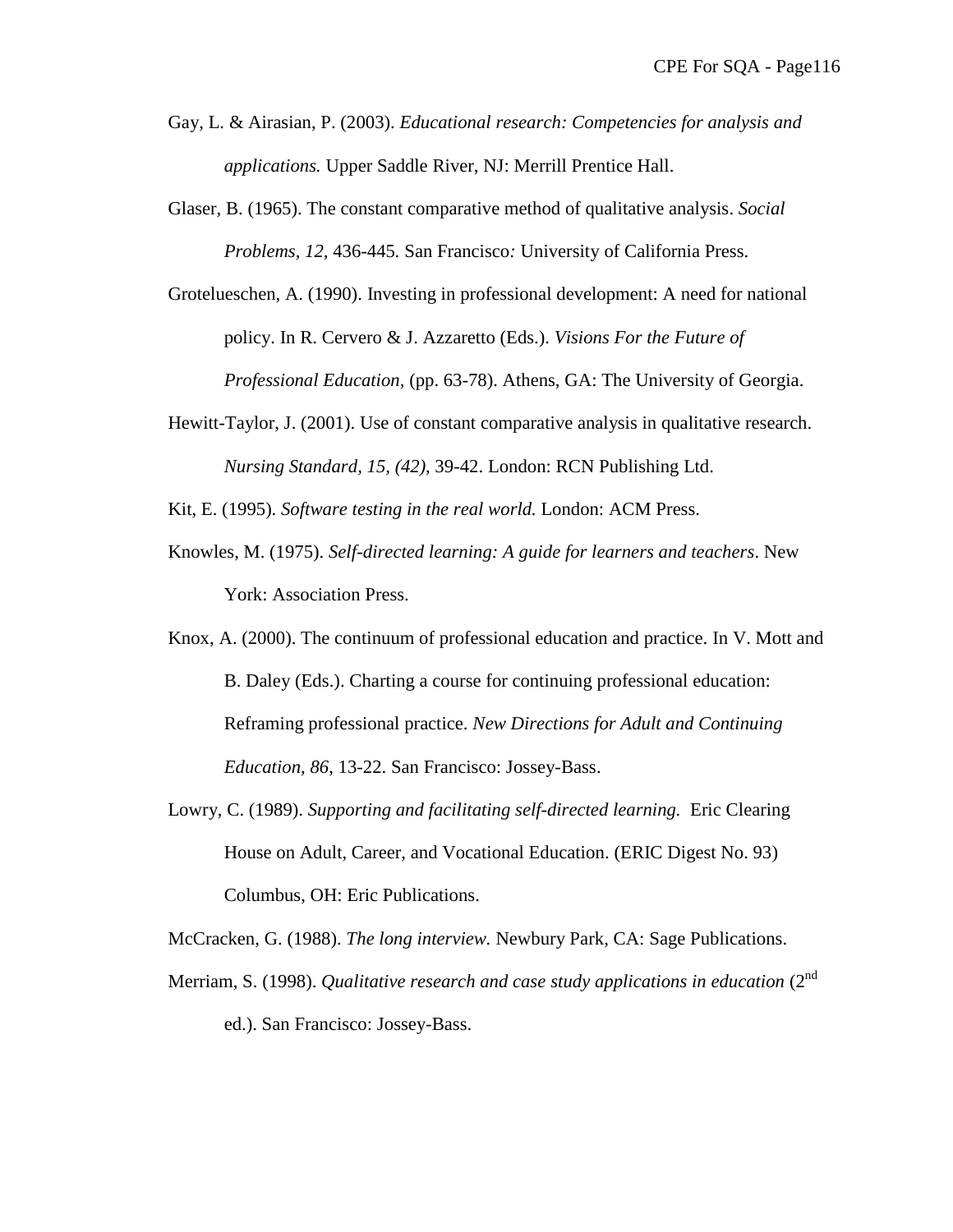- Gay, L. & Airasian, P. (2003). *Educational research: Competencies for analysis and applications.* Upper Saddle River, NJ: Merrill Prentice Hall.
- Glaser, B. (1965). The constant comparative method of qualitative analysis. *Social Problems, 12,* 436-445*.* San Francisco*:* University of California Press.
- Grotelueschen, A. (1990). Investing in professional development: A need for national policy. In R. Cervero & J. Azzaretto (Eds.). *Visions For the Future of Professional Education,* (pp. 63-78). Athens, GA: The University of Georgia.
- Hewitt-Taylor, J. (2001). Use of constant comparative analysis in qualitative research. *Nursing Standard, 15, (42)*, 39-42. London: RCN Publishing Ltd.
- Kit, E. (1995). *Software testing in the real world.* London: ACM Press.
- Knowles, M. (1975). *Self-directed learning: A guide for learners and teachers*. New York: Association Press.
- Knox, A. (2000). The continuum of professional education and practice. In V. Mott and B. Daley (Eds.). Charting a course for continuing professional education: Reframing professional practice. *New Directions for Adult and Continuing Education, 86*, 13-22. San Francisco: Jossey-Bass.
- Lowry, C. (1989). *Supporting and facilitating self-directed learning.* Eric Clearing House on Adult, Career, and Vocational Education. (ERIC Digest No. 93) Columbus, OH: Eric Publications.

McCracken, G. (1988). *The long interview.* Newbury Park, CA: Sage Publications.

Merriam, S. (1998). *Qualitative research and case study applications in education* (2<sup>nd</sup> ed.). San Francisco: Jossey-Bass.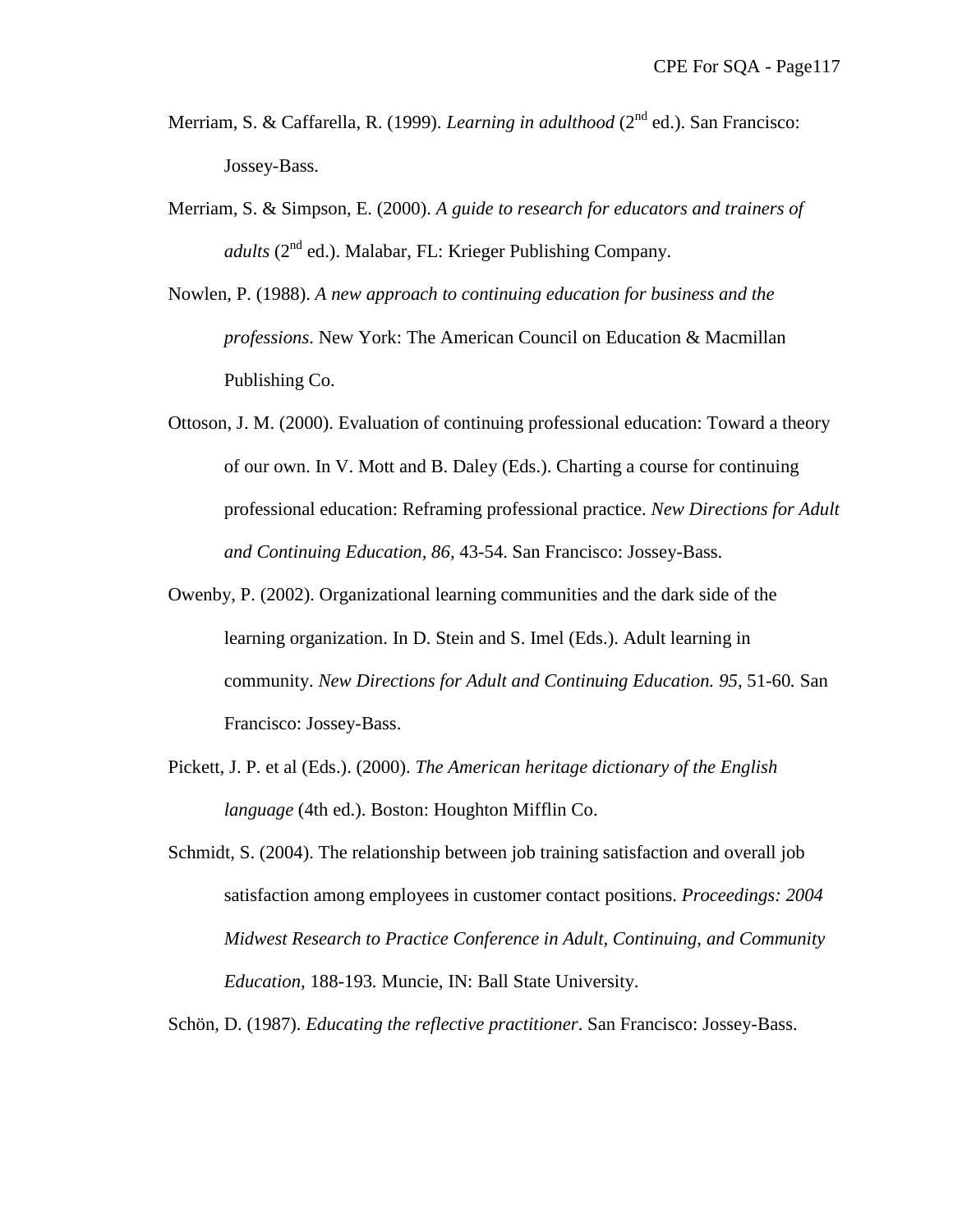- Merriam, S. & Caffarella, R. (1999). *Learning in adulthood* (2<sup>nd</sup> ed.). San Francisco: Jossey-Bass.
- Merriam, S. & Simpson, E. (2000). *A guide to research for educators and trainers of adults* (2<sup>nd</sup> ed.). Malabar, FL: Krieger Publishing Company.
- Nowlen, P. (1988). *A new approach to continuing education for business and the professions*. New York: The American Council on Education & Macmillan Publishing Co.
- Ottoson, J. M. (2000). Evaluation of continuing professional education: Toward a theory of our own. In V. Mott and B. Daley (Eds.). Charting a course for continuing professional education: Reframing professional practice. *New Directions for Adult and Continuing Education, 86,* 43-54. San Francisco: Jossey-Bass.
- Owenby, P. (2002). Organizational learning communities and the dark side of the learning organization. In D. Stein and S. Imel (Eds.). Adult learning in community. *New Directions for Adult and Continuing Education. 95,* 51-60*.* San Francisco: Jossey-Bass.
- Pickett, J. P. et al (Eds.). (2000). *The American heritage dictionary of the English language* (4th ed.). Boston: Houghton Mifflin Co.
- Schmidt, S. (2004). The relationship between job training satisfaction and overall job satisfaction among employees in customer contact positions. *Proceedings: 2004 Midwest Research to Practice Conference in Adult, Continuing, and Community Education,* 188-193*.* Muncie, IN: Ball State University.

Schön, D. (1987). *Educating the reflective practitioner*. San Francisco: Jossey-Bass.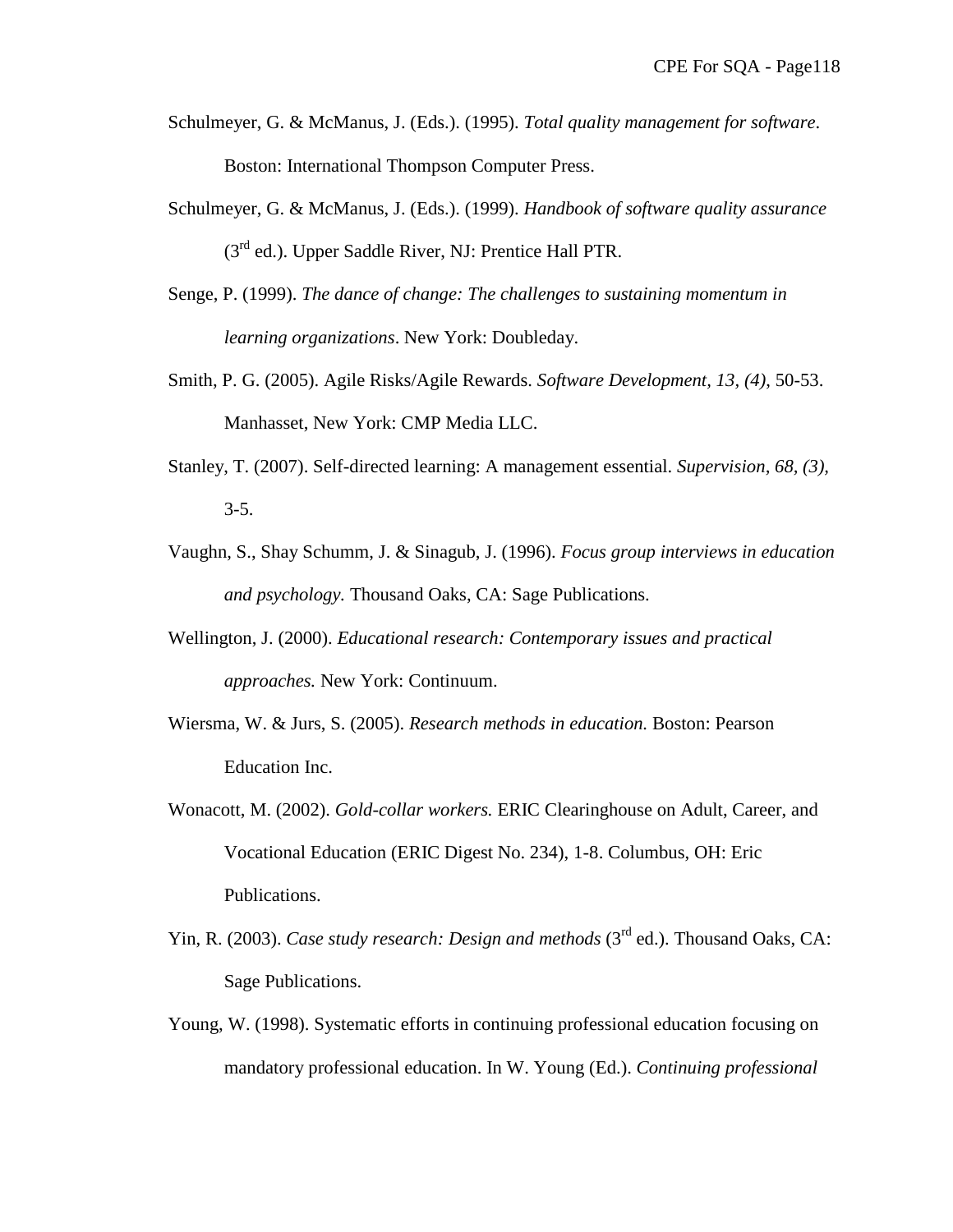- Schulmeyer, G. & McManus, J. (Eds.). (1995). *Total quality management for software*. Boston: International Thompson Computer Press.
- Schulmeyer, G. & McManus, J. (Eds.). (1999). *Handbook of software quality assurance* (3<sup>rd</sup> ed.). Upper Saddle River, NJ: Prentice Hall PTR.
- Senge, P. (1999). *The dance of change: The challenges to sustaining momentum in learning organizations*. New York: Doubleday.
- Smith, P. G. (2005). Agile Risks/Agile Rewards. *Software Development, 13, (4)*, 50-53. Manhasset, New York: CMP Media LLC.
- Stanley, T. (2007). Self-directed learning: A management essential. *Supervision, 68, (3),* 3-5.
- Vaughn, S., Shay Schumm, J. & Sinagub, J. (1996). *Focus group interviews in education and psychology.* Thousand Oaks, CA: Sage Publications.
- Wellington, J. (2000). *Educational research: Contemporary issues and practical approaches.* New York: Continuum.
- Wiersma, W. & Jurs, S. (2005). *Research methods in education.* Boston: Pearson Education Inc.
- Wonacott, M. (2002). *Gold-collar workers.* ERIC Clearinghouse on Adult, Career, and Vocational Education (ERIC Digest No. 234), 1-8. Columbus, OH: Eric Publications.
- Yin, R. (2003). *Case study research: Design and methods* (3<sup>rd</sup> ed.). Thousand Oaks, CA: Sage Publications.
- Young, W. (1998). Systematic efforts in continuing professional education focusing on mandatory professional education. In W. Young (Ed.). *Continuing professional*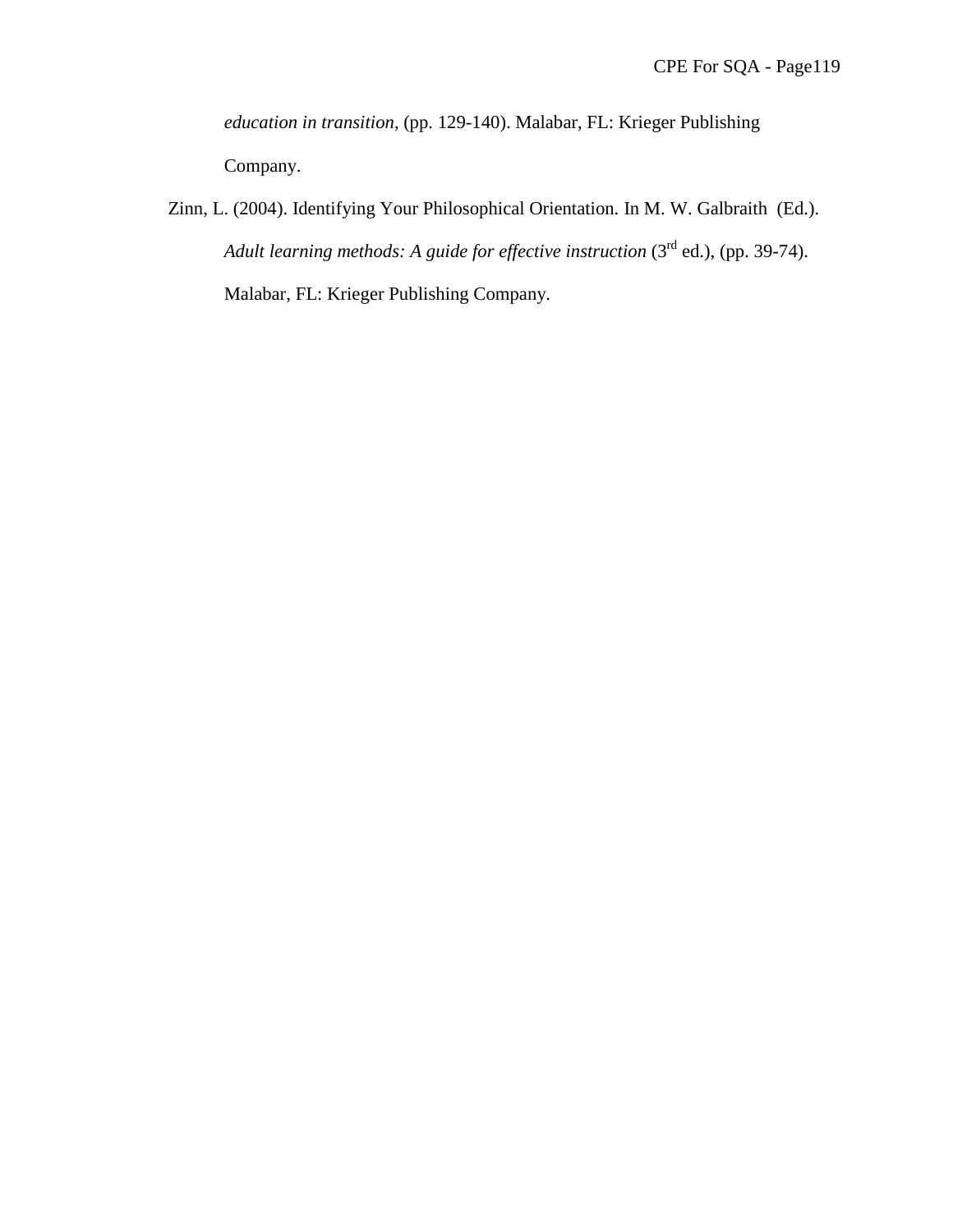*education in transition*, (pp. 129-140). Malabar, FL: Krieger Publishing Company.

Zinn, L. (2004). Identifying Your Philosophical Orientation. In M. W. Galbraith (Ed.). Adult learning methods: A guide for effective instruction (3<sup>rd</sup> ed.), (pp. 39-74). Malabar, FL: Krieger Publishing Company.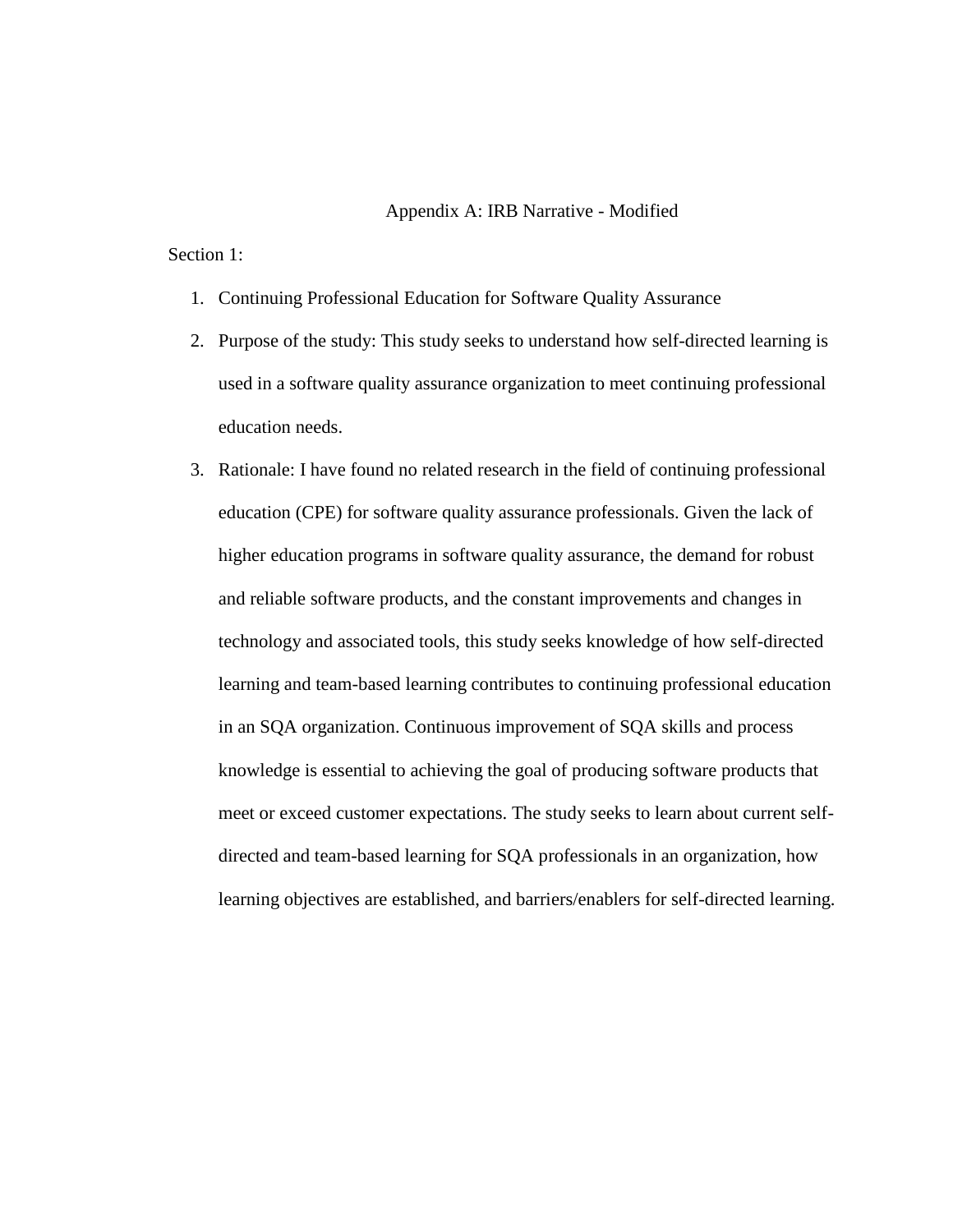#### Appendix A: IRB Narrative - Modified

### Section 1:

- 1. Continuing Professional Education for Software Quality Assurance
- 2. Purpose of the study: This study seeks to understand how self-directed learning is used in a software quality assurance organization to meet continuing professional education needs.
- 3. Rationale: I have found no related research in the field of continuing professional education (CPE) for software quality assurance professionals. Given the lack of higher education programs in software quality assurance, the demand for robust and reliable software products, and the constant improvements and changes in technology and associated tools, this study seeks knowledge of how self-directed learning and team-based learning contributes to continuing professional education in an SQA organization. Continuous improvement of SQA skills and process knowledge is essential to achieving the goal of producing software products that meet or exceed customer expectations. The study seeks to learn about current selfdirected and team-based learning for SQA professionals in an organization, how learning objectives are established, and barriers/enablers for self-directed learning.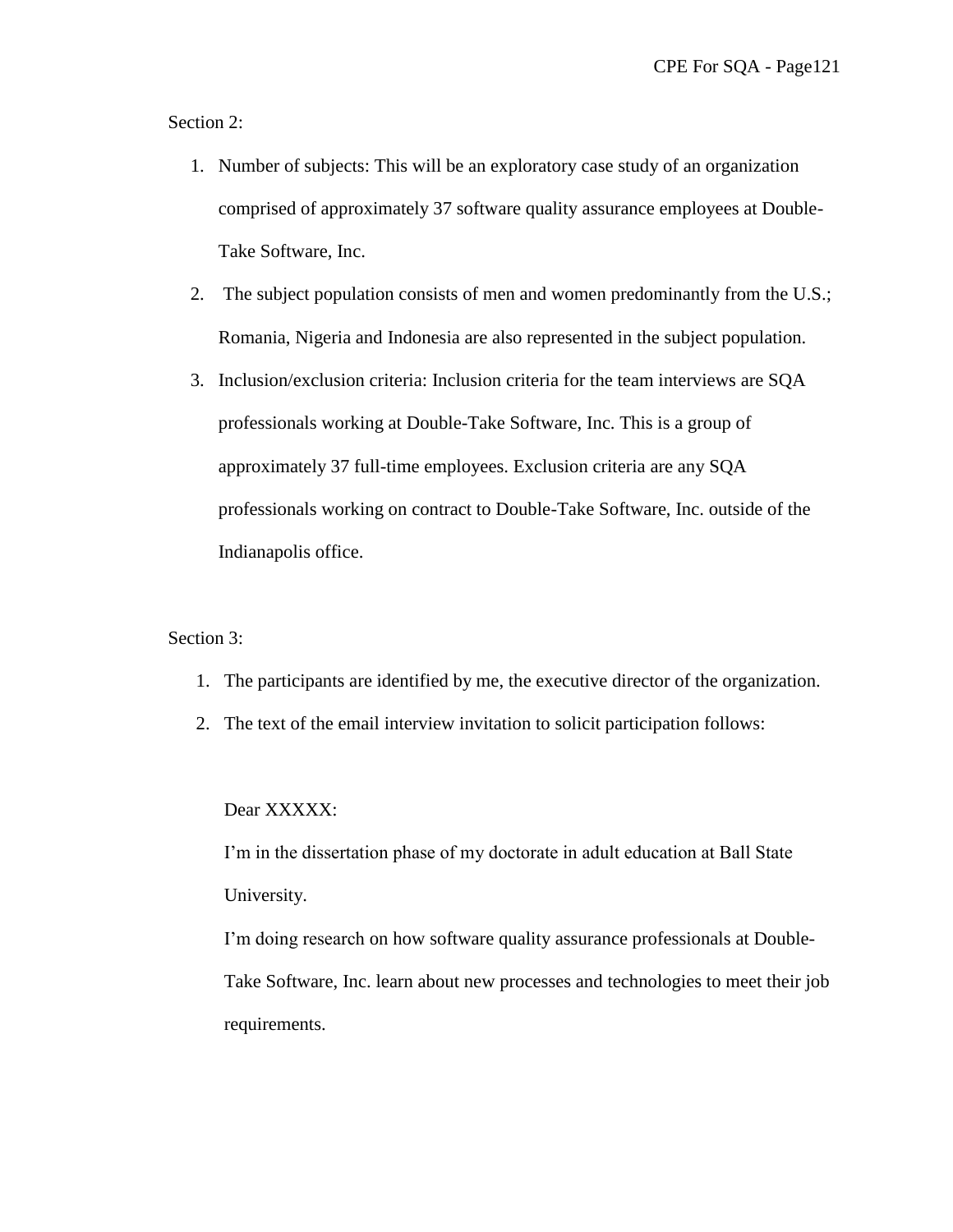Section 2:

- 1. Number of subjects: This will be an exploratory case study of an organization comprised of approximately 37 software quality assurance employees at Double-Take Software, Inc.
- 2. The subject population consists of men and women predominantly from the U.S.; Romania, Nigeria and Indonesia are also represented in the subject population.
- 3. Inclusion/exclusion criteria: Inclusion criteria for the team interviews are SQA professionals working at Double-Take Software, Inc. This is a group of approximately 37 full-time employees. Exclusion criteria are any SQA professionals working on contract to Double-Take Software, Inc. outside of the Indianapolis office.

#### Section 3:

- 1. The participants are identified by me, the executive director of the organization.
- 2. The text of the email interview invitation to solicit participation follows:

#### Dear XXXXX:

I'm in the dissertation phase of my doctorate in adult education at Ball State University.

I'm doing research on how software quality assurance professionals at Double-Take Software, Inc. learn about new processes and technologies to meet their job requirements.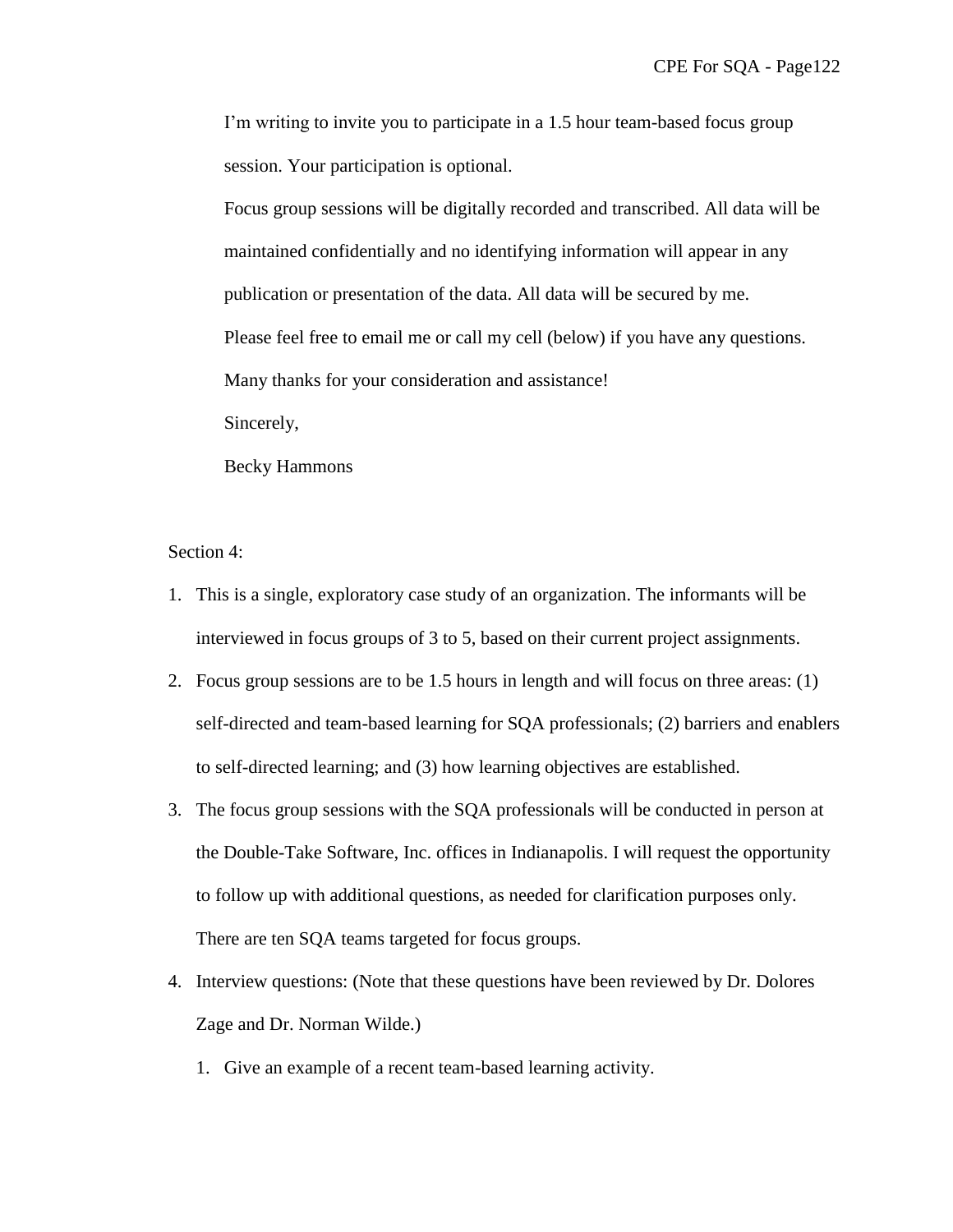I'm writing to invite you to participate in a 1.5 hour team-based focus group session. Your participation is optional.

Focus group sessions will be digitally recorded and transcribed. All data will be maintained confidentially and no identifying information will appear in any publication or presentation of the data. All data will be secured by me. Please feel free to email me or call my cell (below) if you have any questions. Many thanks for your consideration and assistance! Sincerely,

Becky Hammons

Section 4:

- 1. This is a single, exploratory case study of an organization. The informants will be interviewed in focus groups of 3 to 5, based on their current project assignments.
- 2. Focus group sessions are to be 1.5 hours in length and will focus on three areas: (1) self-directed and team-based learning for SQA professionals; (2) barriers and enablers to self-directed learning; and (3) how learning objectives are established.
- 3. The focus group sessions with the SQA professionals will be conducted in person at the Double-Take Software, Inc. offices in Indianapolis. I will request the opportunity to follow up with additional questions, as needed for clarification purposes only. There are ten SQA teams targeted for focus groups.
- 4. Interview questions: (Note that these questions have been reviewed by Dr. Dolores Zage and Dr. Norman Wilde.)
	- 1. Give an example of a recent team-based learning activity.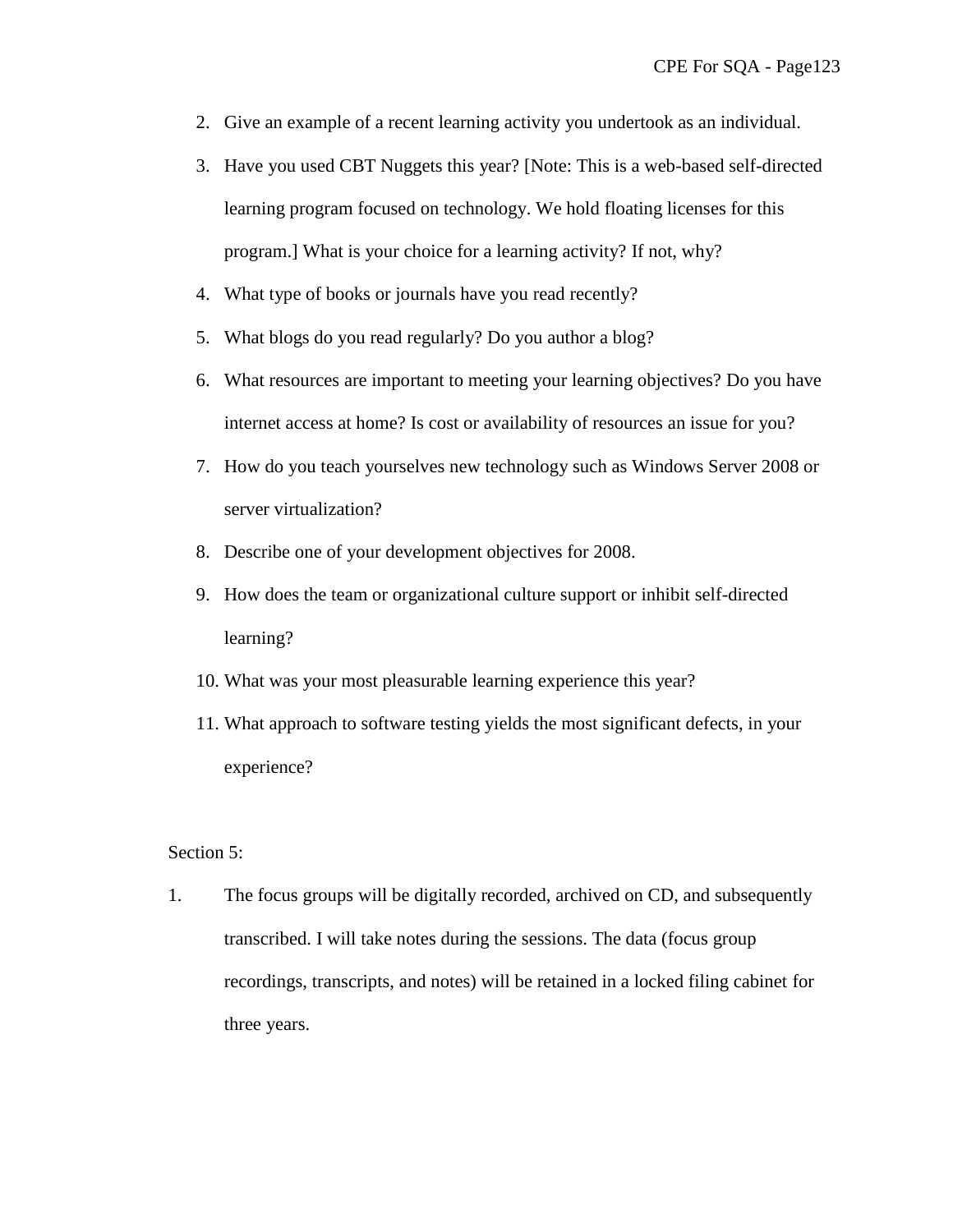- 2. Give an example of a recent learning activity you undertook as an individual.
- 3. Have you used CBT Nuggets this year? [Note: This is a web-based self-directed learning program focused on technology. We hold floating licenses for this program.] What is your choice for a learning activity? If not, why?
- 4. What type of books or journals have you read recently?
- 5. What blogs do you read regularly? Do you author a blog?
- 6. What resources are important to meeting your learning objectives? Do you have internet access at home? Is cost or availability of resources an issue for you?
- 7. How do you teach yourselves new technology such as Windows Server 2008 or server virtualization?
- 8. Describe one of your development objectives for 2008.
- 9. How does the team or organizational culture support or inhibit self-directed learning?
- 10. What was your most pleasurable learning experience this year?
- 11. What approach to software testing yields the most significant defects, in your experience?

### Section 5:

1. The focus groups will be digitally recorded, archived on CD, and subsequently transcribed. I will take notes during the sessions. The data (focus group recordings, transcripts, and notes) will be retained in a locked filing cabinet for three years.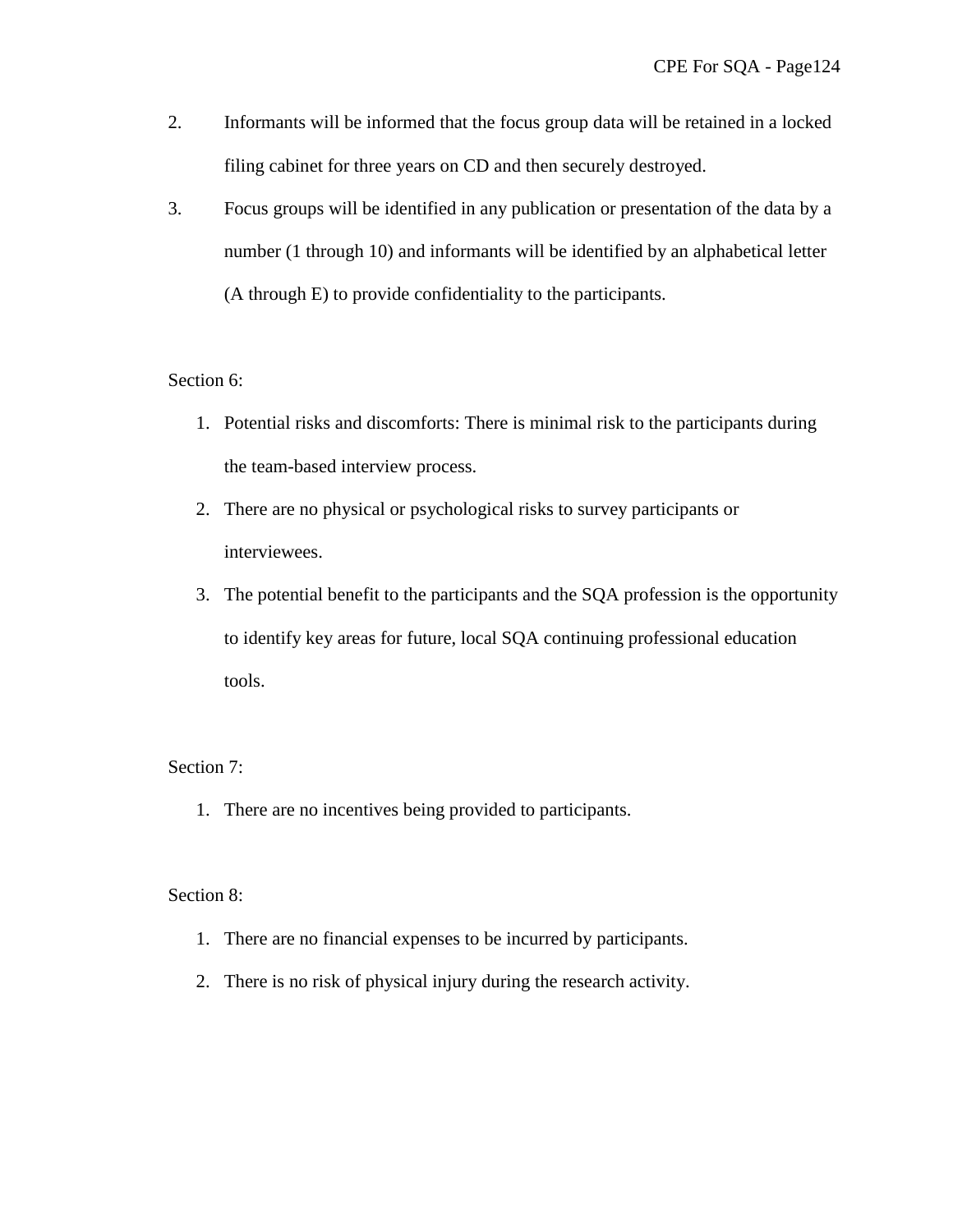- 2. Informants will be informed that the focus group data will be retained in a locked filing cabinet for three years on CD and then securely destroyed.
- 3. Focus groups will be identified in any publication or presentation of the data by a number (1 through 10) and informants will be identified by an alphabetical letter (A through E) to provide confidentiality to the participants.

# Section 6:

- 1. Potential risks and discomforts: There is minimal risk to the participants during the team-based interview process.
- 2. There are no physical or psychological risks to survey participants or interviewees.
- 3. The potential benefit to the participants and the SQA profession is the opportunity to identify key areas for future, local SQA continuing professional education tools.

### Section 7:

1. There are no incentives being provided to participants.

### Section 8:

- 1. There are no financial expenses to be incurred by participants.
- 2. There is no risk of physical injury during the research activity.